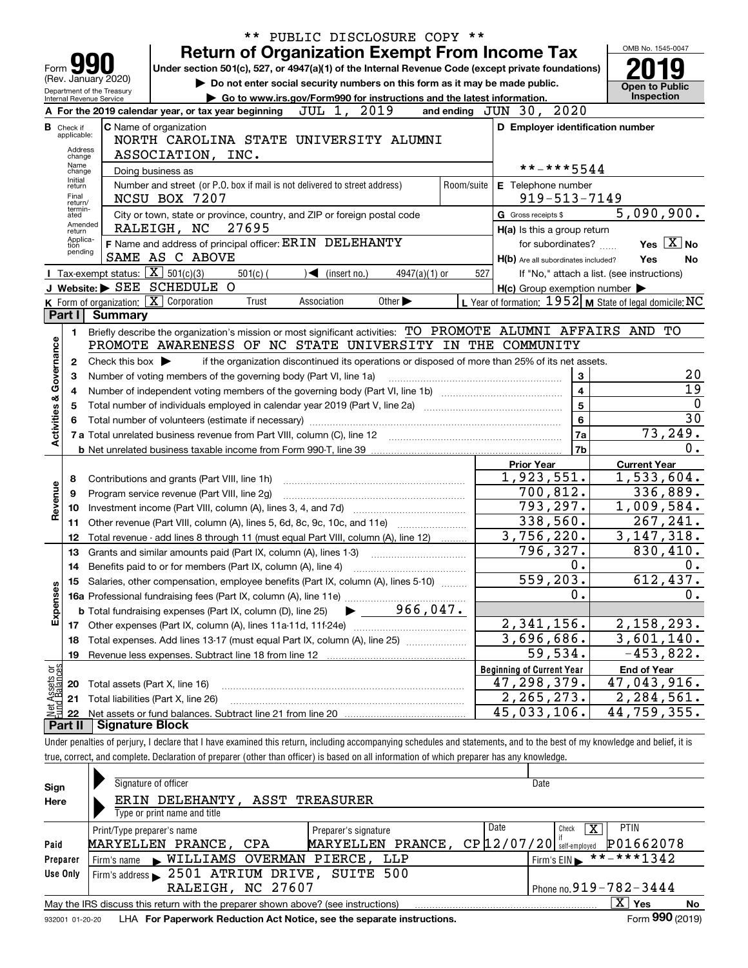| ** PUBLIC DISCLOSURE COPY **           |                                                          |                                                        |                                                                                                                                                                            |            |                                           |                                                                                                 |                         |  |                                                     |    |                                                           |
|----------------------------------------|----------------------------------------------------------|--------------------------------------------------------|----------------------------------------------------------------------------------------------------------------------------------------------------------------------------|------------|-------------------------------------------|-------------------------------------------------------------------------------------------------|-------------------------|--|-----------------------------------------------------|----|-----------------------------------------------------------|
|                                        |                                                          |                                                        |                                                                                                                                                                            |            |                                           | <b>Return of Organization Exempt From Income Tax</b>                                            |                         |  |                                                     |    | OMB No. 1545-0047                                         |
| Form                                   |                                                          |                                                        | Under section 501(c), 527, or 4947(a)(1) of the Internal Revenue Code (except private foundations)                                                                         |            |                                           |                                                                                                 |                         |  |                                                     |    |                                                           |
|                                        |                                                          | (Rev. January 2020)                                    |                                                                                                                                                                            |            |                                           | Do not enter social security numbers on this form as it may be made public.                     |                         |  |                                                     |    | <b>Open to Public</b>                                     |
|                                        |                                                          | Department of the Treasury<br>Internal Revenue Service |                                                                                                                                                                            |            |                                           | Go to www.irs.gov/Form990 for instructions and the latest information.                          |                         |  |                                                     |    | Inspection                                                |
|                                        |                                                          |                                                        | A For the 2019 calendar year, or tax year beginning $JUL$ 1, $2019$                                                                                                        |            |                                           |                                                                                                 | and ending $JUN$ $30$ , |  | 2020                                                |    |                                                           |
|                                        | <b>B</b> Check if                                        |                                                        | C Name of organization                                                                                                                                                     |            |                                           |                                                                                                 |                         |  | D Employer identification number                    |    |                                                           |
|                                        | applicable:                                              |                                                        | NORTH CAROLINA STATE UNIVERSITY ALUMNI                                                                                                                                     |            |                                           |                                                                                                 |                         |  |                                                     |    |                                                           |
| Address<br>ASSOCIATION, INC.<br>change |                                                          |                                                        |                                                                                                                                                                            |            |                                           |                                                                                                 |                         |  |                                                     |    |                                                           |
|                                        | Name<br>change                                           |                                                        | Doing business as                                                                                                                                                          |            |                                           |                                                                                                 |                         |  | **-***5544                                          |    |                                                           |
|                                        | Initial<br>return                                        |                                                        | Number and street (or P.O. box if mail is not delivered to street address)                                                                                                 |            |                                           |                                                                                                 | Room/suite              |  | E Telephone number                                  |    |                                                           |
|                                        | Final<br>return/                                         |                                                        | NCSU BOX 7207                                                                                                                                                              |            |                                           |                                                                                                 |                         |  | 919-513-7149                                        |    |                                                           |
|                                        | termin-<br>ated                                          |                                                        | City or town, state or province, country, and ZIP or foreign postal code                                                                                                   |            |                                           |                                                                                                 |                         |  | G Gross receipts \$                                 |    | 5,090,900.                                                |
|                                        | Amended<br>return                                        |                                                        | RALEIGH, NC<br>27695                                                                                                                                                       |            |                                           |                                                                                                 |                         |  | H(a) Is this a group return                         |    |                                                           |
|                                        | Applica-<br>tion<br>pending                              |                                                        | F Name and address of principal officer: ERIN DELEHANTY                                                                                                                    |            |                                           |                                                                                                 |                         |  | for subordinates?                                   |    | Yes $X$ No                                                |
|                                        |                                                          |                                                        | SAME AS C ABOVE                                                                                                                                                            |            |                                           |                                                                                                 |                         |  | H(b) Are all subordinates included?                 |    | Yes<br>No.                                                |
|                                        |                                                          | Tax-exempt status: $\boxed{\mathbf{X}}$ 501(c)(3)      |                                                                                                                                                                            | $501(c)$ ( | $\sqrt{\left( \text{insert no.} \right)}$ | 4947(a)(1) or                                                                                   | 527                     |  |                                                     |    | If "No," attach a list. (see instructions)                |
|                                        |                                                          |                                                        | J Website: SEE SCHEDULE O                                                                                                                                                  |            |                                           |                                                                                                 |                         |  | $H(c)$ Group exemption number $\blacktriangleright$ |    |                                                           |
|                                        |                                                          | K Form of organization: X Corporation                  |                                                                                                                                                                            | Trust      | Association                               | Other $\blacktriangleright$                                                                     |                         |  |                                                     |    | L Year of formation: $1952$ M State of legal domicile: NC |
|                                        | Part I                                                   | <b>Summary</b>                                         |                                                                                                                                                                            |            |                                           |                                                                                                 |                         |  |                                                     |    |                                                           |
|                                        | 1.                                                       |                                                        | Briefly describe the organization's mission or most significant activities: TO PROMOTE ALUMNI AFFAIRS AND TO                                                               |            |                                           |                                                                                                 |                         |  |                                                     |    |                                                           |
|                                        |                                                          |                                                        | PROMOTE AWARENESS OF NC STATE UNIVERSITY IN THE COMMUNITY                                                                                                                  |            |                                           |                                                                                                 |                         |  |                                                     |    |                                                           |
|                                        | $\mathbf{2}$                                             | Check this box $\blacktriangleright$                   |                                                                                                                                                                            |            |                                           | if the organization discontinued its operations or disposed of more than 25% of its net assets. |                         |  |                                                     |    |                                                           |
|                                        | 3                                                        |                                                        | Number of voting members of the governing body (Part VI, line 1a)                                                                                                          |            |                                           |                                                                                                 |                         |  | 3                                                   |    | 20                                                        |
|                                        | 4                                                        |                                                        |                                                                                                                                                                            |            |                                           |                                                                                                 |                         |  | $\overline{\mathbf{4}}$                             |    | 19                                                        |
| <b>Activities &amp; Governance</b>     | 5                                                        |                                                        | Total number of individuals employed in calendar year 2019 (Part V, line 2a) manufacture of individuals employed in calendar year 2019 (Part V, line 2a)                   |            | 5                                         |                                                                                                 | $\mathbf 0$             |  |                                                     |    |                                                           |
|                                        |                                                          |                                                        |                                                                                                                                                                            |            |                                           |                                                                                                 |                         |  | $6\phantom{a}$                                      |    | 30                                                        |
|                                        |                                                          |                                                        |                                                                                                                                                                            |            |                                           |                                                                                                 |                         |  | <b>7a</b>                                           |    | 73,249.                                                   |
|                                        |                                                          |                                                        |                                                                                                                                                                            |            |                                           |                                                                                                 |                         |  | 7 <sub>b</sub>                                      |    | 0.                                                        |
|                                        |                                                          |                                                        |                                                                                                                                                                            |            |                                           |                                                                                                 |                         |  | <b>Prior Year</b>                                   |    | <b>Current Year</b>                                       |
|                                        | 8                                                        |                                                        | Contributions and grants (Part VIII, line 1h)                                                                                                                              |            |                                           |                                                                                                 |                         |  | 1,923,551.<br>700,812.                              |    | 1,533,604.                                                |
|                                        | 9                                                        |                                                        | Program service revenue (Part VIII, line 2g)                                                                                                                               |            |                                           |                                                                                                 |                         |  | 793, 297.                                           |    | 336,889.                                                  |
| Revenue                                | 10                                                       |                                                        |                                                                                                                                                                            |            |                                           |                                                                                                 |                         |  | 338,560.                                            |    | 1,009,584.                                                |
|                                        | 11                                                       |                                                        | Other revenue (Part VIII, column (A), lines 5, 6d, 8c, 9c, 10c, and 11e)                                                                                                   |            |                                           |                                                                                                 |                         |  | 3,756,220.                                          |    | 267,241.<br>3, 147, 318.                                  |
|                                        | 12                                                       |                                                        | Total revenue - add lines 8 through 11 (must equal Part VIII, column (A), line 12)                                                                                         |            |                                           |                                                                                                 |                         |  | 796, 327.                                           |    | 830,410.                                                  |
|                                        | 13                                                       |                                                        | Grants and similar amounts paid (Part IX, column (A), lines 1-3) <i></i>                                                                                                   |            |                                           |                                                                                                 |                         |  | 0.                                                  |    | 0.                                                        |
|                                        |                                                          |                                                        | 14 Benefits paid to or for members (Part IX, column (A), line 4) [100] [100] [100] [100] [100] [100] [100] [1                                                              |            |                                           |                                                                                                 |                         |  | $\overline{559,203}$ .                              |    | 612,437.                                                  |
|                                        | 15                                                       |                                                        | Salaries, other compensation, employee benefits (Part IX, column (A), lines 5-10)                                                                                          |            |                                           |                                                                                                 |                         |  | 0.                                                  |    | 0.                                                        |
|                                        |                                                          |                                                        |                                                                                                                                                                            |            |                                           | 966,047.                                                                                        |                         |  |                                                     |    |                                                           |
| Expenses                               |                                                          |                                                        | <b>b</b> Total fundraising expenses (Part IX, column (D), line 25)                                                                                                         |            |                                           |                                                                                                 |                         |  | 2,341,156.                                          |    | 2,158,293.                                                |
|                                        |                                                          |                                                        |                                                                                                                                                                            |            |                                           |                                                                                                 |                         |  | 3,696,686.                                          |    | 3,601,140.                                                |
|                                        | 18                                                       |                                                        | Total expenses. Add lines 13-17 (must equal Part IX, column (A), line 25)                                                                                                  |            |                                           |                                                                                                 |                         |  | 59,534.                                             |    | $-453,822.$                                               |
|                                        | 19                                                       |                                                        | Revenue less expenses. Subtract line 18 from line 12                                                                                                                       |            |                                           |                                                                                                 |                         |  |                                                     |    |                                                           |
| គង្គ                                   |                                                          |                                                        |                                                                                                                                                                            |            |                                           |                                                                                                 |                         |  | <b>Beginning of Current Year</b><br>47,298,379.     |    | <b>End of Year</b><br>47,043,916.                         |
| Assets                                 | 20                                                       | Total assets (Part X, line 16)                         |                                                                                                                                                                            |            |                                           |                                                                                                 |                         |  | 2,265,273.                                          |    | 2,284,561.                                                |
|                                        | 21<br>$\stackrel{1}{\approx}$ $\stackrel{1}{\approx}$ 22 |                                                        | Total liabilities (Part X, line 26)                                                                                                                                        |            |                                           |                                                                                                 |                         |  | $\overline{45,033},106.$                            | 44 | ,759,355.                                                 |
|                                        | Part II                                                  | <b>Signature Block</b>                                 |                                                                                                                                                                            |            |                                           |                                                                                                 |                         |  |                                                     |    |                                                           |
|                                        |                                                          |                                                        | Under penalties of perjury, I declare that I have examined this return, including accompanying schedules and statements, and to the best of my knowledge and belief, it is |            |                                           |                                                                                                 |                         |  |                                                     |    |                                                           |
|                                        |                                                          |                                                        | true, correct, and complete. Declaration of preparer (other than officer) is based on all information of which preparer has any knowledge.                                 |            |                                           |                                                                                                 |                         |  |                                                     |    |                                                           |
|                                        |                                                          |                                                        |                                                                                                                                                                            |            |                                           |                                                                                                 |                         |  |                                                     |    |                                                           |
|                                        |                                                          |                                                        |                                                                                                                                                                            |            |                                           |                                                                                                 |                         |  |                                                     |    |                                                           |

| Sign     | Signature of officer                                                                                         |                      | Date                         |             |  |  |  |  |  |  |  |
|----------|--------------------------------------------------------------------------------------------------------------|----------------------|------------------------------|-------------|--|--|--|--|--|--|--|
| Here     | ERIN DELEHANTY, ASST TREASURER                                                                               |                      |                              |             |  |  |  |  |  |  |  |
|          | Type or print name and title                                                                                 |                      |                              |             |  |  |  |  |  |  |  |
|          | Print/Type preparer's name                                                                                   | Preparer's signature | Date<br>х<br>Check           | <b>PTIN</b> |  |  |  |  |  |  |  |
| Paid     | MARYELLEN PRANCE,<br>CPA                                                                                     | MARYELLEN PRANCE,    | CP 12/07/20<br>self-emploved | P01662078   |  |  |  |  |  |  |  |
| Preparer | **-***1342<br>Firm's name WILLIAMS OVERMAN PIERCE, LLP<br>Firm's $EIN$                                       |                      |                              |             |  |  |  |  |  |  |  |
| Use Only | Firm's address > 2501 ATRIUM DRIVE, SUITE 500                                                                |                      |                              |             |  |  |  |  |  |  |  |
|          | Phone no. $919 - 782 - 3444$<br>RALEIGH, NC 27607                                                            |                      |                              |             |  |  |  |  |  |  |  |
|          | ΧI<br>Yes<br>May the IRS discuss this return with the preparer shown above? (see instructions)<br>No         |                      |                              |             |  |  |  |  |  |  |  |
|          | Form 990 (2019)<br>LHA For Paperwork Reduction Act Notice, see the separate instructions.<br>932001 01-20-20 |                      |                              |             |  |  |  |  |  |  |  |

932001 01-20-20 LHA **For Paperwork Reduction Act Notice, see the separate instructions.**<br>932001 01-20-20 LHA **For Paperwork Reduction Act Notice, see the separate instructions.**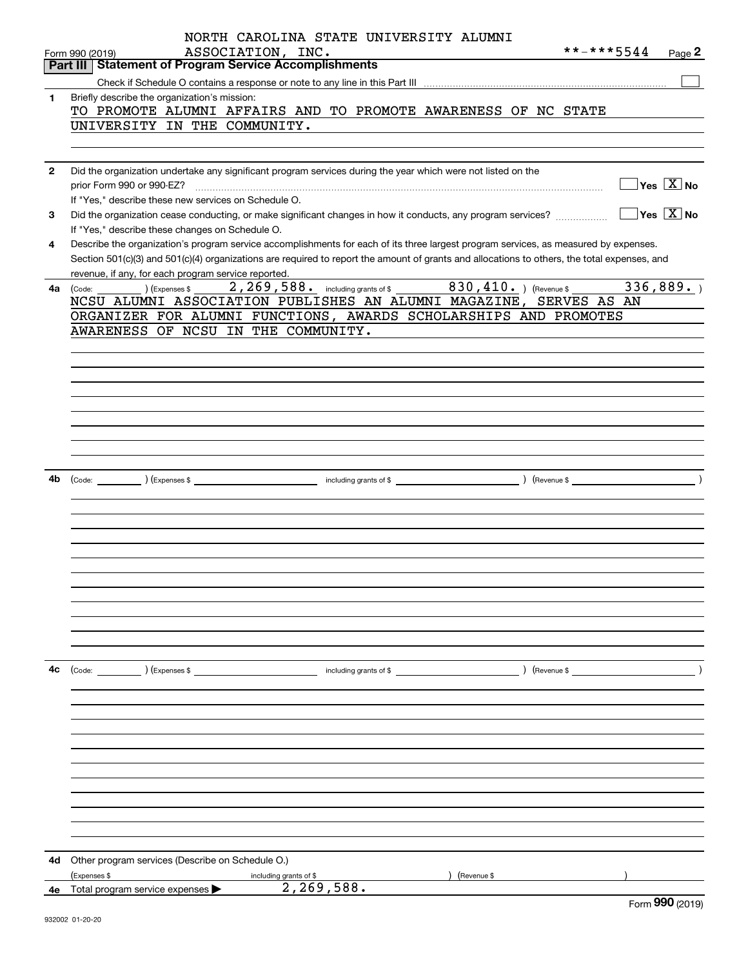|              | NORTH CAROLINA STATE UNIVERSITY ALUMNI<br>**-***5544<br>ASSOCIATION, INC.<br>Page 2<br>Form 990 (2019)<br><b>Part III Statement of Program Service Accomplishments</b>              |
|--------------|-------------------------------------------------------------------------------------------------------------------------------------------------------------------------------------|
|              |                                                                                                                                                                                     |
| 1            | Briefly describe the organization's mission:                                                                                                                                        |
|              | TO PROMOTE ALUMNI AFFAIRS AND TO PROMOTE AWARENESS OF NC STATE                                                                                                                      |
|              | UNIVERSITY IN THE COMMUNITY.                                                                                                                                                        |
|              |                                                                                                                                                                                     |
|              |                                                                                                                                                                                     |
| $\mathbf{2}$ | Did the organization undertake any significant program services during the year which were not listed on the<br>$\sqrt{}$ Yes $\sqrt{}$ X $\sqrt{}$ No<br>prior Form 990 or 990-EZ? |
|              | If "Yes," describe these new services on Schedule O.                                                                                                                                |
| 3            | $\sqrt{}$ Yes $\sqrt{}$ X $\sqrt{}$ No<br>Did the organization cease conducting, or make significant changes in how it conducts, any program services?                              |
|              | If "Yes," describe these changes on Schedule O.                                                                                                                                     |
| 4            | Describe the organization's program service accomplishments for each of its three largest program services, as measured by expenses.                                                |
|              | Section 501(c)(3) and 501(c)(4) organizations are required to report the amount of grants and allocations to others, the total expenses, and                                        |
|              | revenue, if any, for each program service reported.                                                                                                                                 |
|              | 336,889.<br>4a (Code:<br>(Expenses \$                                                                                                                                               |
|              | NCSU ALUMNI ASSOCIATION PUBLISHES AN ALUMNI MAGAZINE, SERVES AS AN<br>ORGANIZER FOR ALUMNI FUNCTIONS, AWARDS SCHOLARSHIPS AND PROMOTES                                              |
|              | AWARENESS OF NCSU IN THE COMMUNITY.                                                                                                                                                 |
|              |                                                                                                                                                                                     |
|              |                                                                                                                                                                                     |
|              |                                                                                                                                                                                     |
|              |                                                                                                                                                                                     |
|              |                                                                                                                                                                                     |
|              |                                                                                                                                                                                     |
|              |                                                                                                                                                                                     |
|              |                                                                                                                                                                                     |
|              |                                                                                                                                                                                     |
| 4b           |                                                                                                                                                                                     |
|              |                                                                                                                                                                                     |
|              |                                                                                                                                                                                     |
|              |                                                                                                                                                                                     |
|              |                                                                                                                                                                                     |
|              |                                                                                                                                                                                     |
|              |                                                                                                                                                                                     |
|              |                                                                                                                                                                                     |
|              |                                                                                                                                                                                     |
|              |                                                                                                                                                                                     |
|              |                                                                                                                                                                                     |
|              |                                                                                                                                                                                     |
| 4с           |                                                                                                                                                                                     |
|              |                                                                                                                                                                                     |
|              |                                                                                                                                                                                     |
|              |                                                                                                                                                                                     |
|              |                                                                                                                                                                                     |
|              |                                                                                                                                                                                     |
|              |                                                                                                                                                                                     |
|              |                                                                                                                                                                                     |
|              |                                                                                                                                                                                     |
|              |                                                                                                                                                                                     |
|              |                                                                                                                                                                                     |
|              |                                                                                                                                                                                     |
| 4d           | Other program services (Describe on Schedule O.)                                                                                                                                    |
|              | (Expenses \$<br>(Revenue \$<br>including grants of \$<br>2,269,588.                                                                                                                 |
| 4е           | Total program service expenses<br>nnn                                                                                                                                               |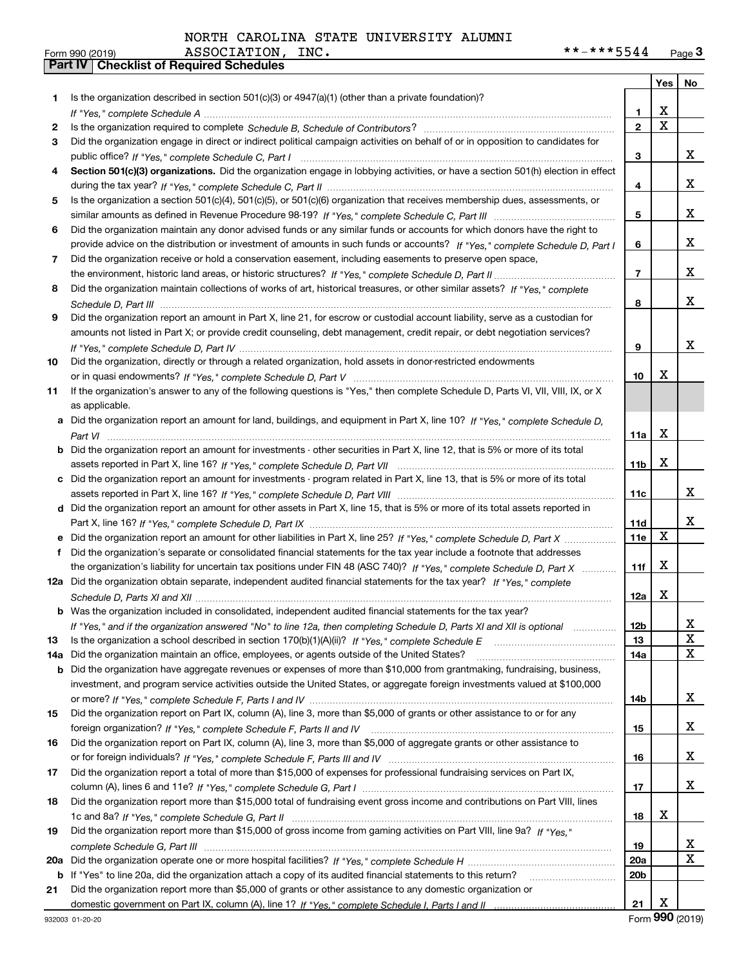|     |                                                                                                                                                                                                                             |                        | Yes         | No          |
|-----|-----------------------------------------------------------------------------------------------------------------------------------------------------------------------------------------------------------------------------|------------------------|-------------|-------------|
| 1.  | Is the organization described in section $501(c)(3)$ or $4947(a)(1)$ (other than a private foundation)?                                                                                                                     |                        |             |             |
|     |                                                                                                                                                                                                                             | 1                      | X           |             |
| 2   |                                                                                                                                                                                                                             | $\overline{2}$         | $\mathbf X$ |             |
| 3   | Did the organization engage in direct or indirect political campaign activities on behalf of or in opposition to candidates for                                                                                             |                        |             |             |
|     |                                                                                                                                                                                                                             | 3                      |             | x           |
| 4   | Section 501(c)(3) organizations. Did the organization engage in lobbying activities, or have a section 501(h) election in effect                                                                                            |                        |             |             |
|     |                                                                                                                                                                                                                             | 4                      |             | x           |
| 5   | Is the organization a section 501(c)(4), 501(c)(5), or 501(c)(6) organization that receives membership dues, assessments, or                                                                                                |                        |             |             |
|     |                                                                                                                                                                                                                             | 5                      |             | x           |
| 6   | Did the organization maintain any donor advised funds or any similar funds or accounts for which donors have the right to                                                                                                   |                        |             |             |
|     | provide advice on the distribution or investment of amounts in such funds or accounts? If "Yes," complete Schedule D, Part I                                                                                                | 6                      |             | x           |
| 7   | Did the organization receive or hold a conservation easement, including easements to preserve open space,                                                                                                                   |                        |             |             |
|     |                                                                                                                                                                                                                             | $\overline{7}$         |             | х           |
| 8   | Did the organization maintain collections of works of art, historical treasures, or other similar assets? If "Yes," complete                                                                                                |                        |             |             |
|     |                                                                                                                                                                                                                             | 8                      |             | x           |
| 9   | Did the organization report an amount in Part X, line 21, for escrow or custodial account liability, serve as a custodian for                                                                                               |                        |             |             |
|     | amounts not listed in Part X; or provide credit counseling, debt management, credit repair, or debt negotiation services?                                                                                                   |                        |             |             |
|     |                                                                                                                                                                                                                             | 9                      |             | х           |
| 10  | Did the organization, directly or through a related organization, hold assets in donor-restricted endowments                                                                                                                |                        |             |             |
|     |                                                                                                                                                                                                                             | 10                     | х           |             |
| 11  | If the organization's answer to any of the following questions is "Yes," then complete Schedule D, Parts VI, VII, VIII, IX, or X                                                                                            |                        |             |             |
|     | as applicable.                                                                                                                                                                                                              |                        |             |             |
|     | a Did the organization report an amount for land, buildings, and equipment in Part X, line 10? If "Yes." complete Schedule D.                                                                                               |                        | X           |             |
|     | Did the organization report an amount for investments - other securities in Part X, line 12, that is 5% or more of its total                                                                                                | 11a                    |             |             |
| b   |                                                                                                                                                                                                                             | 11 <sub>b</sub>        | X           |             |
| c   | Did the organization report an amount for investments - program related in Part X, line 13, that is 5% or more of its total                                                                                                 |                        |             |             |
|     |                                                                                                                                                                                                                             | 11c                    |             | х           |
| d   | Did the organization report an amount for other assets in Part X, line 15, that is 5% or more of its total assets reported in                                                                                               |                        |             |             |
|     |                                                                                                                                                                                                                             | 11d                    |             | х           |
|     |                                                                                                                                                                                                                             | 11e                    | X           |             |
| f   | Did the organization's separate or consolidated financial statements for the tax year include a footnote that addresses                                                                                                     |                        |             |             |
|     | the organization's liability for uncertain tax positions under FIN 48 (ASC 740)? If "Yes," complete Schedule D, Part X                                                                                                      | 11f                    | X           |             |
|     | 12a Did the organization obtain separate, independent audited financial statements for the tax year? If "Yes," complete                                                                                                     |                        |             |             |
|     |                                                                                                                                                                                                                             | 12a                    | х           |             |
|     | <b>b</b> Was the organization included in consolidated, independent audited financial statements for the tax year?                                                                                                          |                        |             |             |
|     | If "Yes," and if the organization answered "No" to line 12a, then completing Schedule D, Parts XI and XII is optional                                                                                                       | 12D                    |             | ᅀ           |
| 13  | Is the organization a school described in section $170(b)(1)(A)(ii)?$ If "Yes," complete Schedule E                                                                                                                         | 13                     |             | $\mathbf X$ |
| 14a | Did the organization maintain an office, employees, or agents outside of the United States?                                                                                                                                 | 14a                    |             | x           |
| b   | Did the organization have aggregate revenues or expenses of more than \$10,000 from grantmaking, fundraising, business,                                                                                                     |                        |             |             |
|     | investment, and program service activities outside the United States, or aggregate foreign investments valued at \$100,000                                                                                                  |                        |             |             |
|     |                                                                                                                                                                                                                             | 14b                    |             | х           |
| 15  | Did the organization report on Part IX, column (A), line 3, more than \$5,000 of grants or other assistance to or for any                                                                                                   |                        |             |             |
|     |                                                                                                                                                                                                                             | 15                     |             | x           |
| 16  | Did the organization report on Part IX, column (A), line 3, more than \$5,000 of aggregate grants or other assistance to                                                                                                    |                        |             |             |
|     |                                                                                                                                                                                                                             | 16                     |             | x           |
| 17  | Did the organization report a total of more than \$15,000 of expenses for professional fundraising services on Part IX,                                                                                                     |                        |             |             |
|     |                                                                                                                                                                                                                             | 17                     |             | x           |
| 18  | Did the organization report more than \$15,000 total of fundraising event gross income and contributions on Part VIII, lines                                                                                                |                        |             |             |
|     |                                                                                                                                                                                                                             | 18                     | х           |             |
| 19  | Did the organization report more than \$15,000 of gross income from gaming activities on Part VIII, line 9a? If "Yes."                                                                                                      |                        |             |             |
|     |                                                                                                                                                                                                                             | 19                     |             | x<br>X      |
| 20a |                                                                                                                                                                                                                             | 20a<br>20 <sub>b</sub> |             |             |
| b   | If "Yes" to line 20a, did the organization attach a copy of its audited financial statements to this return?<br>Did the organization report more than \$5,000 of grants or other assistance to any domestic organization or |                        |             |             |
| 21  |                                                                                                                                                                                                                             | 21                     | х           |             |
|     |                                                                                                                                                                                                                             |                        |             |             |

932003 01-20-20

Form (2019) **990**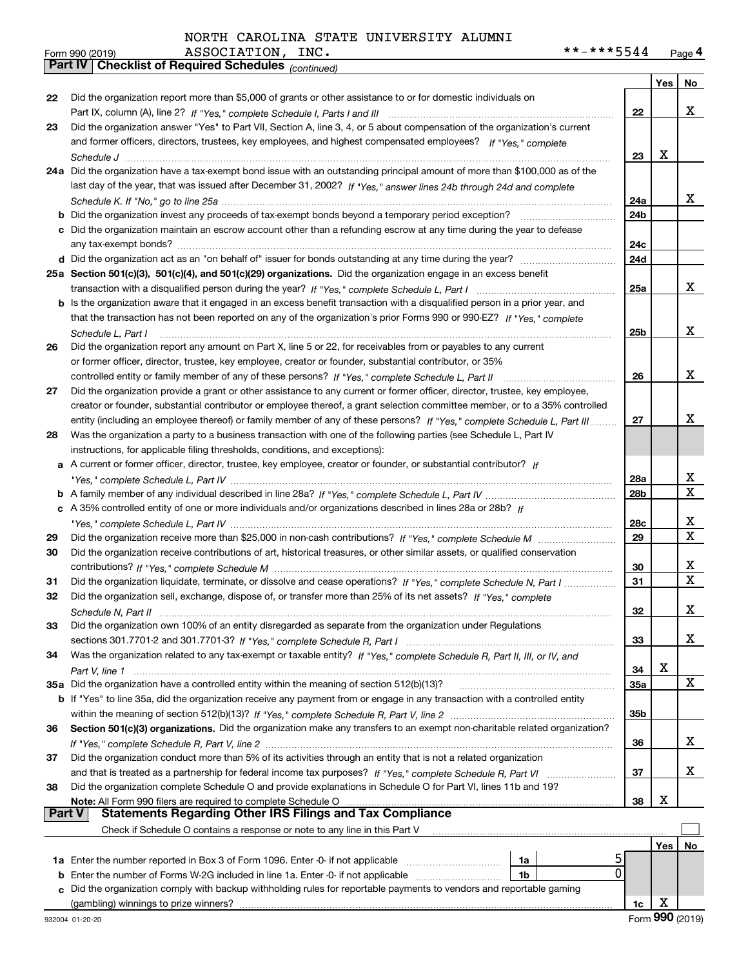|    | Part IV   Grieckijst of Required Scriedules (continued)                                                                      |                 |     |             |
|----|------------------------------------------------------------------------------------------------------------------------------|-----------------|-----|-------------|
|    |                                                                                                                              |                 | Yes | No.         |
| 22 | Did the organization report more than \$5,000 of grants or other assistance to or for domestic individuals on                |                 |     |             |
|    |                                                                                                                              | 22              |     | x           |
| 23 | Did the organization answer "Yes" to Part VII, Section A, line 3, 4, or 5 about compensation of the organization's current   |                 |     |             |
|    | and former officers, directors, trustees, key employees, and highest compensated employees? If "Yes," complete               |                 |     |             |
|    |                                                                                                                              | 23              | X   |             |
|    | 24a Did the organization have a tax-exempt bond issue with an outstanding principal amount of more than \$100,000 as of the  |                 |     |             |
|    | last day of the year, that was issued after December 31, 2002? If "Yes," answer lines 24b through 24d and complete           |                 |     |             |
|    |                                                                                                                              | 24a             |     | x           |
|    | <b>b</b> Did the organization invest any proceeds of tax-exempt bonds beyond a temporary period exception?                   | 24b             |     |             |
|    | c Did the organization maintain an escrow account other than a refunding escrow at any time during the year to defease       |                 |     |             |
|    |                                                                                                                              | 24c             |     |             |
|    | d Did the organization act as an "on behalf of" issuer for bonds outstanding at any time during the year?                    | 24d             |     |             |
|    | 25a Section 501(c)(3), 501(c)(4), and 501(c)(29) organizations. Did the organization engage in an excess benefit             |                 |     |             |
|    |                                                                                                                              | 25a             |     | x           |
|    | b Is the organization aware that it engaged in an excess benefit transaction with a disqualified person in a prior year, and |                 |     |             |
|    | that the transaction has not been reported on any of the organization's prior Forms 990 or 990-EZ? If "Yes," complete        |                 |     |             |
|    | Schedule L. Part I                                                                                                           | 25b             |     | x           |
| 26 | Did the organization report any amount on Part X, line 5 or 22, for receivables from or payables to any current              |                 |     |             |
|    | or former officer, director, trustee, key employee, creator or founder, substantial contributor, or 35%                      |                 |     |             |
|    |                                                                                                                              | 26              |     | x           |
| 27 | Did the organization provide a grant or other assistance to any current or former officer, director, trustee, key employee,  |                 |     |             |
|    | creator or founder, substantial contributor or employee thereof, a grant selection committee member, or to a 35% controlled  |                 |     |             |
|    | entity (including an employee thereof) or family member of any of these persons? If "Yes," complete Schedule L, Part III     | 27              |     | x           |
| 28 | Was the organization a party to a business transaction with one of the following parties (see Schedule L, Part IV            |                 |     |             |
|    | instructions, for applicable filing thresholds, conditions, and exceptions):                                                 |                 |     |             |
|    | a A current or former officer, director, trustee, key employee, creator or founder, or substantial contributor? If           |                 |     |             |
|    |                                                                                                                              | 28a             |     | х           |
|    |                                                                                                                              | 28 <sub>b</sub> |     | $\mathbf X$ |
|    | c A 35% controlled entity of one or more individuals and/or organizations described in lines 28a or 28b? If                  |                 |     |             |
|    |                                                                                                                              | 28c             |     | х           |
| 29 |                                                                                                                              | 29              |     | х           |
| 30 | Did the organization receive contributions of art, historical treasures, or other similar assets, or qualified conservation  |                 |     |             |
|    |                                                                                                                              | 30              |     | х           |
| 31 | Did the organization liquidate, terminate, or dissolve and cease operations? If "Yes," complete Schedule N, Part I           | 31              |     | X           |
| 32 | Did the organization sell, exchange, dispose of, or transfer more than 25% of its net assets? If "Yes," complete             |                 |     |             |
|    |                                                                                                                              | 32              |     | х           |
| 33 | Did the organization own 100% of an entity disregarded as separate from the organization under Regulations                   |                 |     |             |
|    |                                                                                                                              | 33              |     | x           |
| 34 | Was the organization related to any tax-exempt or taxable entity? If "Yes," complete Schedule R, Part II, III, or IV, and    |                 |     |             |
|    |                                                                                                                              | 34              | X   |             |
|    | 35a Did the organization have a controlled entity within the meaning of section 512(b)(13)?                                  | 35a             |     | X           |
|    | b If "Yes" to line 35a, did the organization receive any payment from or engage in any transaction with a controlled entity  |                 |     |             |
|    |                                                                                                                              | 35b             |     |             |
| 36 | Section 501(c)(3) organizations. Did the organization make any transfers to an exempt non-charitable related organization?   |                 |     |             |
|    |                                                                                                                              | 36              |     | x           |
| 37 | Did the organization conduct more than 5% of its activities through an entity that is not a related organization             |                 |     |             |
|    | and that is treated as a partnership for federal income tax purposes? If "Yes," complete Schedule R, Part VI                 | 37              |     | x           |
| 38 | Did the organization complete Schedule O and provide explanations in Schedule O for Part VI, lines 11b and 19?               |                 |     |             |
|    | Note: All Form 990 filers are required to complete Schedule O                                                                | 38              | X   |             |
|    | Part V<br><b>Statements Regarding Other IRS Filings and Tax Compliance</b>                                                   |                 |     |             |
|    | Check if Schedule O contains a response or note to any line in this Part V                                                   |                 |     |             |
|    |                                                                                                                              |                 | Yes | No          |
|    | 1a                                                                                                                           |                 |     |             |
|    | 0<br><b>b</b> Enter the number of Forms W-2G included in line 1a. Enter -0- if not applicable <i>manumumumum</i><br>1b       |                 |     |             |
| c  | Did the organization comply with backup withholding rules for reportable payments to vendors and reportable gaming           |                 |     |             |
|    | (gambling) winnings to prize winners?                                                                                        | 1c              | X   |             |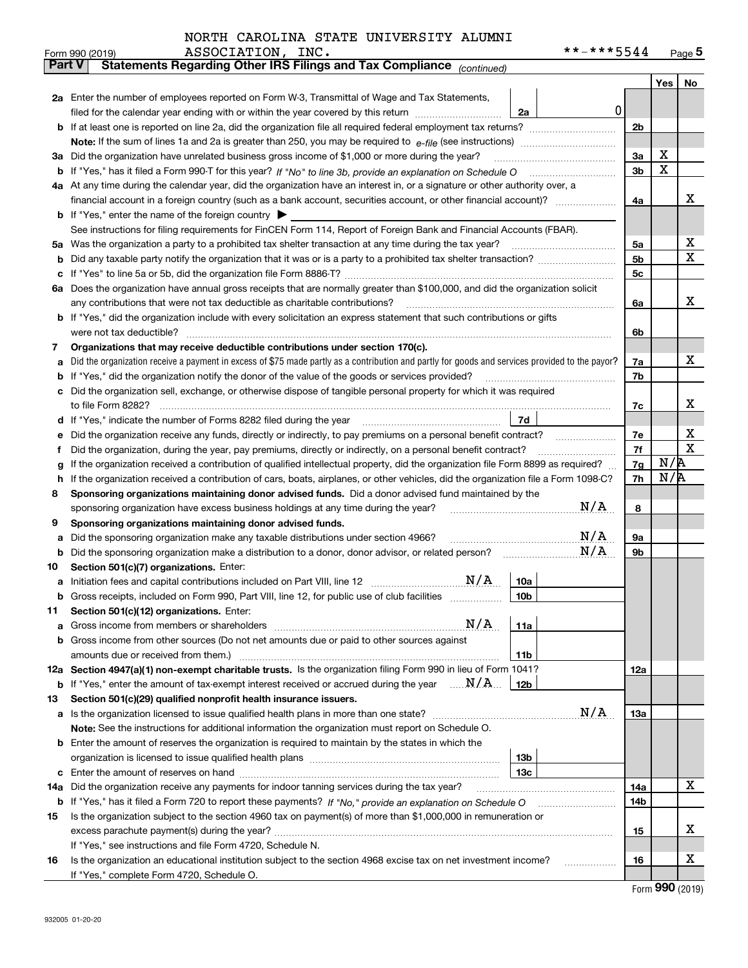| NORTH CAROLINA STATE UNIVERSITY ALUMNI |
|----------------------------------------|
|----------------------------------------|

|        | **-***5544<br>ASSOCIATION, INC.<br>Form 990 (2019)                                                                                              |                |     | Page $5$    |  |  |  |  |  |
|--------|-------------------------------------------------------------------------------------------------------------------------------------------------|----------------|-----|-------------|--|--|--|--|--|
|        | Statements Regarding Other IRS Filings and Tax Compliance (continued)<br><b>Part V</b>                                                          |                |     |             |  |  |  |  |  |
|        |                                                                                                                                                 |                | Yes | No          |  |  |  |  |  |
|        | 2a Enter the number of employees reported on Form W-3, Transmittal of Wage and Tax Statements,                                                  |                |     |             |  |  |  |  |  |
|        | filed for the calendar year ending with or within the year covered by this return<br>2a                                                         | $\mathbf 0$    |     |             |  |  |  |  |  |
|        |                                                                                                                                                 |                |     |             |  |  |  |  |  |
|        |                                                                                                                                                 |                |     |             |  |  |  |  |  |
| За     | Did the organization have unrelated business gross income of \$1,000 or more during the year?                                                   | 3a             | X   |             |  |  |  |  |  |
| b      |                                                                                                                                                 | 3 <sub>b</sub> | X   |             |  |  |  |  |  |
|        | 4a At any time during the calendar year, did the organization have an interest in, or a signature or other authority over, a                    |                |     |             |  |  |  |  |  |
|        |                                                                                                                                                 |                |     |             |  |  |  |  |  |
|        | <b>b</b> If "Yes," enter the name of the foreign country $\blacktriangleright$                                                                  |                |     |             |  |  |  |  |  |
|        | See instructions for filing requirements for FinCEN Form 114, Report of Foreign Bank and Financial Accounts (FBAR).                             |                |     |             |  |  |  |  |  |
| 5a     | Was the organization a party to a prohibited tax shelter transaction at any time during the tax year?                                           | 5a             |     | х           |  |  |  |  |  |
| b      |                                                                                                                                                 | 5b             |     | X           |  |  |  |  |  |
| с      |                                                                                                                                                 | 5c             |     |             |  |  |  |  |  |
|        | 6a Does the organization have annual gross receipts that are normally greater than \$100,000, and did the organization solicit                  |                |     |             |  |  |  |  |  |
|        | any contributions that were not tax deductible as charitable contributions?                                                                     | 6a             |     | x           |  |  |  |  |  |
|        | <b>b</b> If "Yes," did the organization include with every solicitation an express statement that such contributions or gifts                   |                |     |             |  |  |  |  |  |
|        | were not tax deductible?                                                                                                                        | 6b             |     |             |  |  |  |  |  |
| 7      | Organizations that may receive deductible contributions under section 170(c).                                                                   |                |     | x           |  |  |  |  |  |
| а      | Did the organization receive a payment in excess of \$75 made partly as a contribution and partly for goods and services provided to the payor? | 7a             |     |             |  |  |  |  |  |
| b      | If "Yes," did the organization notify the donor of the value of the goods or services provided?                                                 | 7b             |     |             |  |  |  |  |  |
|        | Did the organization sell, exchange, or otherwise dispose of tangible personal property for which it was required                               |                |     | x           |  |  |  |  |  |
|        | 7d<br>If "Yes," indicate the number of Forms 8282 filed during the year [11] [11] Wes," indicate the number of Forms 8282 filed during the year | 7c             |     |             |  |  |  |  |  |
| d      |                                                                                                                                                 | 7e             |     | х           |  |  |  |  |  |
| е<br>f | Did the organization, during the year, pay premiums, directly or indirectly, on a personal benefit contract?                                    | 7f             |     | $\mathbf X$ |  |  |  |  |  |
|        | If the organization received a contribution of qualified intellectual property, did the organization file Form 8899 as required?                | 7g             | N/R |             |  |  |  |  |  |
| g<br>h | If the organization received a contribution of cars, boats, airplanes, or other vehicles, did the organization file a Form 1098-C?              | 7h             | N/R |             |  |  |  |  |  |
| 8      | Sponsoring organizations maintaining donor advised funds. Did a donor advised fund maintained by the                                            |                |     |             |  |  |  |  |  |
|        | N/A<br>sponsoring organization have excess business holdings at any time during the year?                                                       | 8              |     |             |  |  |  |  |  |
| 9      | Sponsoring organizations maintaining donor advised funds.                                                                                       |                |     |             |  |  |  |  |  |
| а      | N/A<br>Did the sponsoring organization make any taxable distributions under section 4966?                                                       | 9а             |     |             |  |  |  |  |  |
| b      | N/A<br>Did the sponsoring organization make a distribution to a donor, donor advisor, or related person?                                        | 9b             |     |             |  |  |  |  |  |
| 10     | Section 501(c)(7) organizations. Enter:                                                                                                         |                |     |             |  |  |  |  |  |
| а      | N/A<br>10a<br>Initiation fees and capital contributions included on Part VIII, line 12 [111] [11] [12] [11] [12] [11] [12] [                    |                |     |             |  |  |  |  |  |
|        | 10 <sub>b</sub><br>Gross receipts, included on Form 990, Part VIII, line 12, for public use of club facilities                                  |                |     |             |  |  |  |  |  |
| 11     | Section 501(c)(12) organizations. Enter:                                                                                                        |                |     |             |  |  |  |  |  |
| а      | N/A<br>11a<br>Gross income from members or shareholders                                                                                         |                |     |             |  |  |  |  |  |
| b      | Gross income from other sources (Do not net amounts due or paid to other sources against                                                        |                |     |             |  |  |  |  |  |
|        | 11 <sub>b</sub><br>amounts due or received from them.)                                                                                          |                |     |             |  |  |  |  |  |
|        | 12a Section 4947(a)(1) non-exempt charitable trusts. Is the organization filing Form 990 in lieu of Form 1041?                                  | 12a            |     |             |  |  |  |  |  |
|        | <b>b</b> If "Yes," enter the amount of tax-exempt interest received or accrued during the year $\ldots \mathbf{N}/\mathbf{A}$<br>12b            |                |     |             |  |  |  |  |  |
| 13     | Section 501(c)(29) qualified nonprofit health insurance issuers.                                                                                |                |     |             |  |  |  |  |  |
| a      | N/A<br>Is the organization licensed to issue qualified health plans in more than one state?                                                     | <b>13a</b>     |     |             |  |  |  |  |  |
|        | Note: See the instructions for additional information the organization must report on Schedule O.                                               |                |     |             |  |  |  |  |  |
| b      | Enter the amount of reserves the organization is required to maintain by the states in which the                                                |                |     |             |  |  |  |  |  |
|        | 13 <sub>b</sub>                                                                                                                                 |                |     |             |  |  |  |  |  |
| с      | 13 <sub>c</sub>                                                                                                                                 |                |     |             |  |  |  |  |  |
| 14a    | Did the organization receive any payments for indoor tanning services during the tax year?                                                      | 14a            |     | X           |  |  |  |  |  |
|        | <b>b</b> If "Yes," has it filed a Form 720 to report these payments? If "No," provide an explanation on Schedule O                              | 14b            |     |             |  |  |  |  |  |
| 15     | Is the organization subject to the section 4960 tax on payment(s) of more than \$1,000,000 in remuneration or                                   |                |     |             |  |  |  |  |  |
|        |                                                                                                                                                 | 15             |     | х           |  |  |  |  |  |
|        | If "Yes," see instructions and file Form 4720, Schedule N.                                                                                      |                |     |             |  |  |  |  |  |
| 16     | Is the organization an educational institution subject to the section 4968 excise tax on net investment income?                                 | 16             |     | х           |  |  |  |  |  |
|        | If "Yes," complete Form 4720, Schedule O.                                                                                                       |                |     |             |  |  |  |  |  |

Form (2019) **990**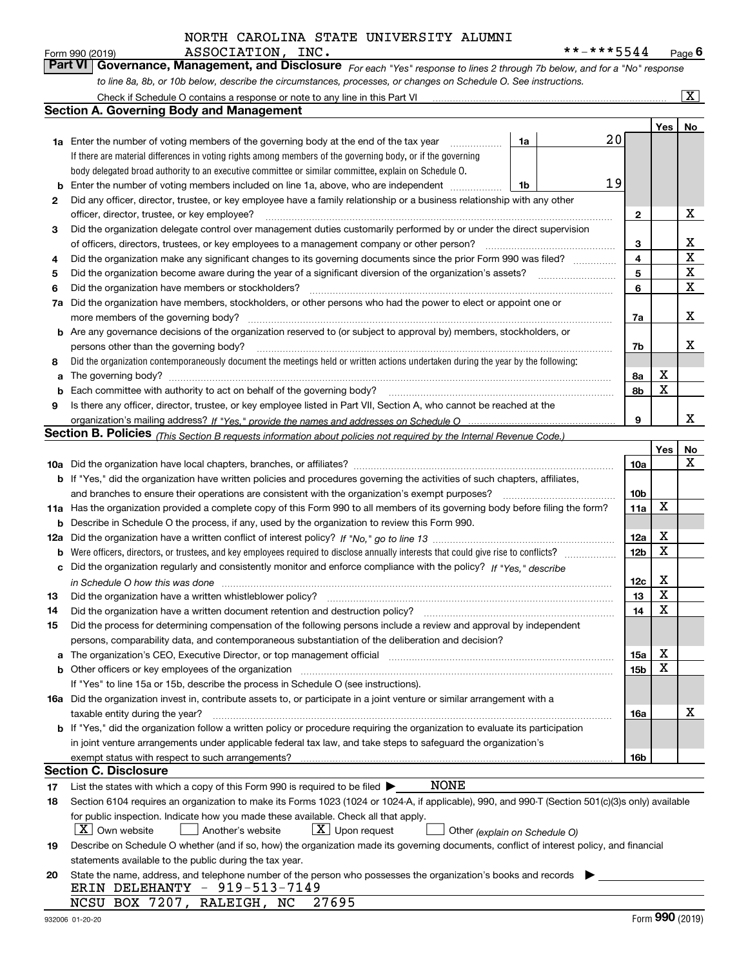*For each "Yes" response to lines 2 through 7b below, and for a "No" response to line 8a, 8b, or 10b below, describe the circumstances, processes, or changes on Schedule O. See instructions.* Form 990 (2019) **ASSOCIATION**, INC.<br>**Part VI Governance, Management, and Disclosure** For each "Yes" response to lines 2 through 7b below, and for a "No" response

|     | Check if Schedule O contains a response or note to any line in this Part VI                                                                                                                                                   |                 |     | $\mathbf{X}$ |  |  |  |  |
|-----|-------------------------------------------------------------------------------------------------------------------------------------------------------------------------------------------------------------------------------|-----------------|-----|--------------|--|--|--|--|
|     | Section A. Governing Body and Management                                                                                                                                                                                      |                 |     |              |  |  |  |  |
|     |                                                                                                                                                                                                                               |                 | Yes | No           |  |  |  |  |
|     | $20\,$<br><b>1a</b> Enter the number of voting members of the governing body at the end of the tax year<br>1a                                                                                                                 |                 |     |              |  |  |  |  |
|     | If there are material differences in voting rights among members of the governing body, or if the governing                                                                                                                   |                 |     |              |  |  |  |  |
|     | body delegated broad authority to an executive committee or similar committee, explain on Schedule O.                                                                                                                         |                 |     |              |  |  |  |  |
| b   | 19<br>Enter the number of voting members included on line 1a, above, who are independent<br>1b                                                                                                                                |                 |     |              |  |  |  |  |
| 2   | Did any officer, director, trustee, or key employee have a family relationship or a business relationship with any other                                                                                                      |                 |     |              |  |  |  |  |
|     | officer, director, trustee, or key employee?                                                                                                                                                                                  |                 |     |              |  |  |  |  |
| 3   | Did the organization delegate control over management duties customarily performed by or under the direct supervision                                                                                                         | 2               |     |              |  |  |  |  |
|     | of officers, directors, trustees, or key employees to a management company or other person?                                                                                                                                   | 3               |     | х            |  |  |  |  |
| 4   | Did the organization make any significant changes to its governing documents since the prior Form 990 was filed?                                                                                                              | 4               |     | X            |  |  |  |  |
| 5   |                                                                                                                                                                                                                               |                 |     |              |  |  |  |  |
| 6   | Did the organization have members or stockholders?                                                                                                                                                                            | 5<br>6          |     | X<br>X       |  |  |  |  |
| 7a  | Did the organization have members, stockholders, or other persons who had the power to elect or appoint one or                                                                                                                |                 |     |              |  |  |  |  |
|     | more members of the governing body?                                                                                                                                                                                           | 7a              |     | X            |  |  |  |  |
|     | <b>b</b> Are any governance decisions of the organization reserved to (or subject to approval by) members, stockholders, or                                                                                                   |                 |     |              |  |  |  |  |
|     | persons other than the governing body?                                                                                                                                                                                        | 7b              |     | x            |  |  |  |  |
| 8   | Did the organization contemporaneously document the meetings held or written actions undertaken during the vear by the following:                                                                                             |                 |     |              |  |  |  |  |
| a   |                                                                                                                                                                                                                               | 8а              | x   |              |  |  |  |  |
| b   |                                                                                                                                                                                                                               | 8b              | X   |              |  |  |  |  |
| 9   | Is there any officer, director, trustee, or key employee listed in Part VII, Section A, who cannot be reached at the                                                                                                          |                 |     |              |  |  |  |  |
|     |                                                                                                                                                                                                                               | 9               |     | x            |  |  |  |  |
|     | <b>Section B. Policies</b> (This Section B requests information about policies not required by the Internal Revenue Code.)                                                                                                    |                 |     |              |  |  |  |  |
|     |                                                                                                                                                                                                                               |                 | Yes | No           |  |  |  |  |
|     |                                                                                                                                                                                                                               | 10a             |     | x            |  |  |  |  |
|     | <b>b</b> If "Yes," did the organization have written policies and procedures governing the activities of such chapters, affiliates,                                                                                           |                 |     |              |  |  |  |  |
|     | and branches to ensure their operations are consistent with the organization's exempt purposes?                                                                                                                               | 10 <sub>b</sub> |     |              |  |  |  |  |
|     | 11a Has the organization provided a complete copy of this Form 990 to all members of its governing body before filing the form?                                                                                               | 11a             | X   |              |  |  |  |  |
| b   | Describe in Schedule O the process, if any, used by the organization to review this Form 990.                                                                                                                                 |                 |     |              |  |  |  |  |
| 12a |                                                                                                                                                                                                                               |                 |     |              |  |  |  |  |
| b   |                                                                                                                                                                                                                               |                 |     |              |  |  |  |  |
|     | c Did the organization regularly and consistently monitor and enforce compliance with the policy? If "Yes." describe                                                                                                          | 12 <sub>b</sub> | X   |              |  |  |  |  |
|     | in Schedule O how this was done www.communication.com/www.communications.com/www.communications.com/                                                                                                                          | 12c             | X   |              |  |  |  |  |
| 13  | Did the organization have a written whistleblower policy?                                                                                                                                                                     | 13              | X   |              |  |  |  |  |
| 14  | Did the organization have a written document retention and destruction policy?                                                                                                                                                | 14              | X   |              |  |  |  |  |
| 15  | Did the process for determining compensation of the following persons include a review and approval by independent                                                                                                            |                 |     |              |  |  |  |  |
|     | persons, comparability data, and contemporaneous substantiation of the deliberation and decision?                                                                                                                             |                 |     |              |  |  |  |  |
| a   | The organization's CEO, Executive Director, or top management official manufactured content content of the organization's CEO, executive Director, or top management official manufactured content of the organization's CEO, | 15a             | х   |              |  |  |  |  |
|     | <b>b</b> Other officers or key employees of the organization                                                                                                                                                                  | 15 <sub>b</sub> | х   |              |  |  |  |  |
|     | If "Yes" to line 15a or 15b, describe the process in Schedule O (see instructions).                                                                                                                                           |                 |     |              |  |  |  |  |
|     | 16a Did the organization invest in, contribute assets to, or participate in a joint venture or similar arrangement with a                                                                                                     |                 |     |              |  |  |  |  |
|     | taxable entity during the year?                                                                                                                                                                                               | 16a             |     | х            |  |  |  |  |
|     | b If "Yes," did the organization follow a written policy or procedure requiring the organization to evaluate its participation                                                                                                |                 |     |              |  |  |  |  |
|     | in joint venture arrangements under applicable federal tax law, and take steps to safequard the organization's                                                                                                                |                 |     |              |  |  |  |  |
|     | exempt status with respect to such arrangements?                                                                                                                                                                              | 16b             |     |              |  |  |  |  |
|     | Section C. Disclosure                                                                                                                                                                                                         |                 |     |              |  |  |  |  |
| 17  | NONE<br>List the states with which a copy of this Form 990 is required to be filed $\blacktriangleright$                                                                                                                      |                 |     |              |  |  |  |  |
| 18  | Section 6104 requires an organization to make its Forms 1023 (1024 or 1024-A, if applicable), 990, and 990-T (Section 501(c)(3)s only) available                                                                              |                 |     |              |  |  |  |  |
|     | for public inspection. Indicate how you made these available. Check all that apply.                                                                                                                                           |                 |     |              |  |  |  |  |
|     | $X$ Own website<br>$\lfloor x \rfloor$ Upon request<br>Another's website<br>Other (explain on Schedule O)                                                                                                                     |                 |     |              |  |  |  |  |
| 19  | Describe on Schedule O whether (and if so, how) the organization made its governing documents, conflict of interest policy, and financial                                                                                     |                 |     |              |  |  |  |  |
|     | statements available to the public during the tax year.                                                                                                                                                                       |                 |     |              |  |  |  |  |
| 20  | State the name, address, and telephone number of the person who possesses the organization's books and records                                                                                                                |                 |     |              |  |  |  |  |
|     | ERIN DELEHANTY - 919-513-7149                                                                                                                                                                                                 |                 |     |              |  |  |  |  |
|     | NCSU BOX 7207,<br>27695<br>RALEIGH, NC                                                                                                                                                                                        |                 |     |              |  |  |  |  |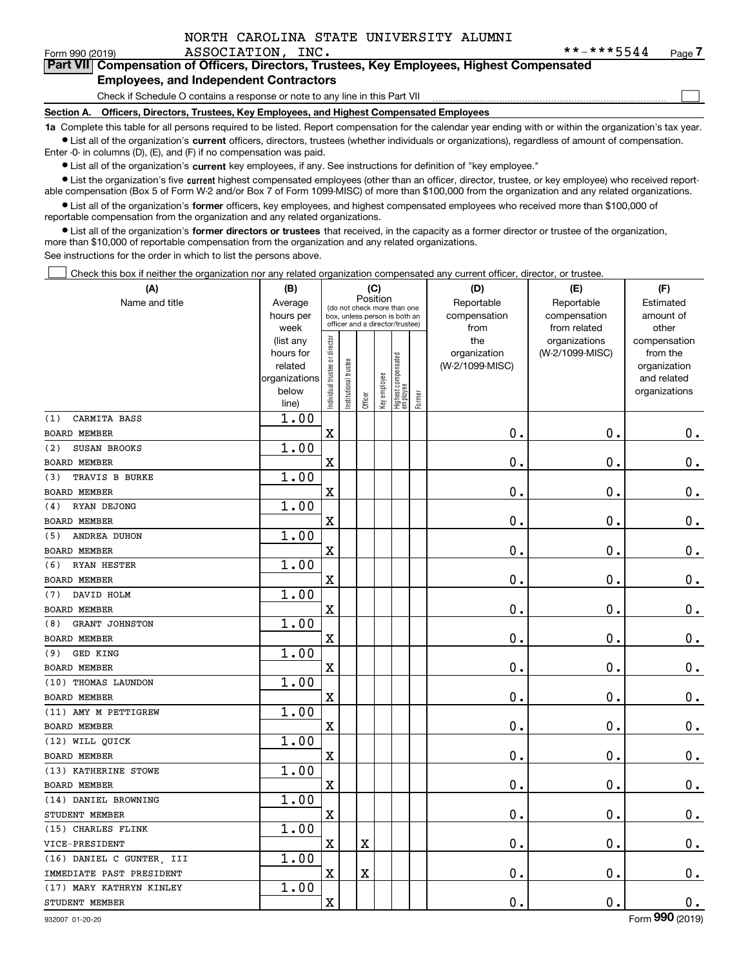|--|

 $\mathcal{L}^{\text{max}}$ 

| Form 990 (2019) | ASSOCIATION, INC.                                                                          | **-***5544 | Page / |
|-----------------|--------------------------------------------------------------------------------------------|------------|--------|
|                 | Part VII Compensation of Officers, Directors, Trustees, Key Employees, Highest Compensated |            |        |
|                 | <b>Employees, and Independent Contractors</b>                                              |            |        |

Check if Schedule O contains a response or note to any line in this Part VII

**Section A. Officers, Directors, Trustees, Key Employees, and Highest Compensated Employees**

**1a**  Complete this table for all persons required to be listed. Report compensation for the calendar year ending with or within the organization's tax year. **•** List all of the organization's current officers, directors, trustees (whether individuals or organizations), regardless of amount of compensation.

Enter -0- in columns (D), (E), and (F) if no compensation was paid.

 $\bullet$  List all of the organization's  $\,$ current key employees, if any. See instructions for definition of "key employee."

• List the organization's five current highest compensated employees (other than an officer, director, trustee, or key employee) who received report-■ List the organization's five current highest compensated employees (other than an officer, director, trustee, or key employee) who received report-<br>able compensation (Box 5 of Form W-2 and/or Box 7 of Form 1099-MISC) of

**•** List all of the organization's former officers, key employees, and highest compensated employees who received more than \$100,000 of reportable compensation from the organization and any related organizations.

**former directors or trustees**  ¥ List all of the organization's that received, in the capacity as a former director or trustee of the organization, more than \$10,000 of reportable compensation from the organization and any related organizations.

See instructions for the order in which to list the persons above.

Check this box if neither the organization nor any related organization compensated any current officer, director, or trustee.  $\mathcal{L}^{\text{max}}$ 

| (A)                          | (B)                    |                                |                                                                  | (C)      |              |                                  |        | (D)             | (E)                              | (F)                      |
|------------------------------|------------------------|--------------------------------|------------------------------------------------------------------|----------|--------------|----------------------------------|--------|-----------------|----------------------------------|--------------------------|
| Name and title               | Average                |                                | (do not check more than one                                      | Position |              |                                  |        | Reportable      | Reportable                       | Estimated                |
|                              | hours per              |                                | box, unless person is both an<br>officer and a director/trustee) |          |              |                                  |        | compensation    | compensation                     | amount of                |
|                              | week                   |                                |                                                                  |          |              |                                  |        | from<br>the     | from related                     | other                    |
|                              | (list any<br>hours for |                                |                                                                  |          |              |                                  |        | organization    | organizations<br>(W-2/1099-MISC) | compensation<br>from the |
|                              | related                |                                |                                                                  |          |              |                                  |        | (W-2/1099-MISC) |                                  | organization             |
|                              | organizations          |                                |                                                                  |          |              |                                  |        |                 |                                  | and related              |
|                              | below                  | Individual trustee or director | Institutional trustee                                            |          | Key employee |                                  |        |                 |                                  | organizations            |
|                              | line)                  |                                |                                                                  | Officer  |              | Highest compensated<br> employee | Former |                 |                                  |                          |
| CARMITA BASS<br>(1)          | 1.00                   |                                |                                                                  |          |              |                                  |        |                 |                                  |                          |
| <b>BOARD MEMBER</b>          |                        | $\mathbf X$                    |                                                                  |          |              |                                  |        | 0.              | $\mathbf 0$ .                    | $0_{.}$                  |
| SUSAN BROOKS<br>(2)          | 1.00                   |                                |                                                                  |          |              |                                  |        |                 |                                  |                          |
| <b>BOARD MEMBER</b>          |                        | $\mathbf X$                    |                                                                  |          |              |                                  |        | $\mathbf 0$ .   | $\mathbf 0$ .                    | $\mathbf 0$ .            |
| TRAVIS B BURKE<br>(3)        | 1.00                   |                                |                                                                  |          |              |                                  |        |                 |                                  |                          |
| <b>BOARD MEMBER</b>          |                        | $\mathbf X$                    |                                                                  |          |              |                                  |        | $\mathbf 0$ .   | $\mathbf 0$ .                    | $0_{.}$                  |
| RYAN DEJONG<br>(4)           | 1.00                   |                                |                                                                  |          |              |                                  |        |                 |                                  |                          |
| <b>BOARD MEMBER</b>          |                        | $\mathbf X$                    |                                                                  |          |              |                                  |        | $\mathbf 0$ .   | $\mathbf 0$ .                    | $\mathbf 0$ .            |
| ANDREA DUHON<br>(5)          | 1.00                   |                                |                                                                  |          |              |                                  |        |                 |                                  |                          |
| <b>BOARD MEMBER</b>          |                        | $\mathbf X$                    |                                                                  |          |              |                                  |        | 0.              | $\mathbf 0$ .                    | $\mathbf 0$ .            |
| <b>RYAN HESTER</b><br>(6)    | 1.00                   |                                |                                                                  |          |              |                                  |        |                 |                                  |                          |
| <b>BOARD MEMBER</b>          |                        | $\mathbf X$                    |                                                                  |          |              |                                  |        | $\mathbf 0$ .   | $\mathbf 0$ .                    | $\mathbf 0$ .            |
| DAVID HOLM<br>(7)            | 1.00                   |                                |                                                                  |          |              |                                  |        |                 |                                  |                          |
| <b>BOARD MEMBER</b>          |                        | $\mathbf X$                    |                                                                  |          |              |                                  |        | $\mathbf 0$ .   | $\mathbf 0$ .                    | $0_{.}$                  |
| <b>GRANT JOHNSTON</b><br>(8) | 1.00                   |                                |                                                                  |          |              |                                  |        |                 |                                  |                          |
| <b>BOARD MEMBER</b>          |                        | $\mathbf X$                    |                                                                  |          |              |                                  |        | $\mathbf 0$ .   | $\mathbf 0$ .                    | $0_{.}$                  |
| GED KING<br>(9)              | 1.00                   |                                |                                                                  |          |              |                                  |        |                 |                                  |                          |
| <b>BOARD MEMBER</b>          |                        | $\mathbf X$                    |                                                                  |          |              |                                  |        | $\mathbf 0$ .   | $\mathbf 0$ .                    | $0_{.}$                  |
| (10) THOMAS LAUNDON          | 1.00                   |                                |                                                                  |          |              |                                  |        |                 |                                  |                          |
| <b>BOARD MEMBER</b>          |                        | $\mathbf X$                    |                                                                  |          |              |                                  |        | $\mathbf 0$ .   | $\mathbf 0$ .                    | $\mathbf 0$ .            |
| (11) AMY M PETTIGREW         | 1.00                   |                                |                                                                  |          |              |                                  |        |                 |                                  |                          |
| BOARD MEMBER                 |                        | $\mathbf X$                    |                                                                  |          |              |                                  |        | $\mathbf 0$ .   | $\mathbf 0$ .                    | $0_{.}$                  |
| (12) WILL QUICK              | 1.00                   |                                |                                                                  |          |              |                                  |        |                 |                                  |                          |
| <b>BOARD MEMBER</b>          |                        | $\mathbf X$                    |                                                                  |          |              |                                  |        | $\mathbf 0$ .   | $\mathbf 0$ .                    | $\mathbf 0$ .            |
| (13) KATHERINE STOWE         | 1.00                   |                                |                                                                  |          |              |                                  |        |                 |                                  |                          |
| <b>BOARD MEMBER</b>          |                        | $\mathbf X$                    |                                                                  |          |              |                                  |        | $\mathbf 0$ .   | $\mathbf 0$ .                    | $\mathbf 0$ .            |
| (14) DANIEL BROWNING         | 1.00                   |                                |                                                                  |          |              |                                  |        |                 |                                  |                          |
| STUDENT MEMBER               |                        | $\mathbf X$                    |                                                                  |          |              |                                  |        | $\mathbf 0$ .   | $\mathbf 0$ .                    | $\mathbf 0$ .            |
| (15) CHARLES FLINK           | 1.00                   |                                |                                                                  |          |              |                                  |        |                 |                                  |                          |
| VICE-PRESIDENT               |                        | $\mathbf X$                    |                                                                  | X        |              |                                  |        | $\mathbf 0$ .   | $\mathbf 0$ .                    | $\mathbf 0$ .            |
| (16) DANIEL C GUNTER, III    | 1.00                   |                                |                                                                  |          |              |                                  |        |                 |                                  |                          |
| IMMEDIATE PAST PRESIDENT     |                        | $\mathbf X$                    |                                                                  | X        |              |                                  |        | $\mathbf 0$ .   | $\mathbf 0$ .                    | $\mathbf 0$ .            |
| (17) MARY KATHRYN KINLEY     | 1.00                   |                                |                                                                  |          |              |                                  |        |                 |                                  |                          |
| STUDENT MEMBER               |                        | $\mathbf X$                    |                                                                  |          |              |                                  |        | $\mathbf 0$ .   | $\mathbf 0$ .                    | 0.                       |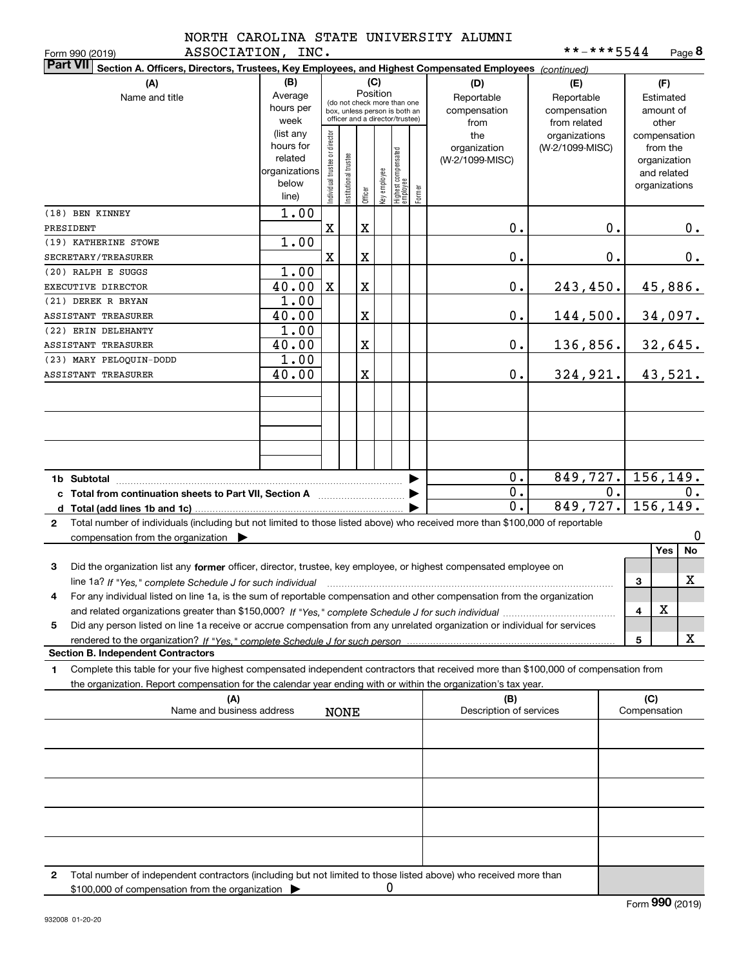|               | NORTH CAROLINA STATE UNIVERSITY ALUMNI |  |
|---------------|----------------------------------------|--|
| - ~~~~----^-- |                                        |  |

| **-***5544 |  |  | Page 8 |
|------------|--|--|--------|
|------------|--|--|--------|

| Section A. Officers, Directors, Trustees, Key Employees, and Highest Compensated Employees (continued)<br>(B)<br>(C)<br>(F)<br>(A)<br>(D)<br>(E)<br>Position<br>Average<br>Name and title<br>Reportable<br>Reportable<br>Estimated<br>(do not check more than one<br>hours per<br>compensation<br>compensation<br>amount of<br>box, unless person is both an<br>officer and a director/trustee)<br>week<br>from related<br>other<br>from<br>(list any<br>ndividual trustee or director<br>the<br>organizations<br>compensation<br>hours for<br>organization<br>(W-2/1099-MISC)<br>from the<br>Highest compensated<br> employee<br>nstitutional trustee<br>related<br>(W-2/1099-MISC)<br>organization<br>Key employee<br>organizations<br>and related<br>below<br>organizations<br>Former<br>Officer<br>line)<br>1.00<br>(18) BEN KINNEY<br>X<br>X<br>0.<br>0.<br>0.<br>PRESIDENT<br>1.00<br>(19) KATHERINE STOWE<br>X<br>X<br>0.<br>0.<br>$0$ .<br>SECRETARY/TREASURER<br>1.00<br>(20) RALPH E SUGGS<br>40.00<br>$\mathbf X$<br>X<br>0.<br>45,886.<br>243, 450.<br>EXECUTIVE DIRECTOR<br>1.00<br>(21) DEREK R BRYAN<br>40.00<br>34,097.<br>X<br>0.<br>144,500.<br>1.00<br>40.00<br>X<br>0.<br>$136,856.$ 32,645.<br>1.00<br>324, 921.   43, 521.<br>40.00<br>X<br>0.<br>$849,727.$ 156,149.<br>0.<br>▶<br>$\overline{0}$ .<br>0.<br>0.<br>c Total from continuation sheets to Part VII, Section A <b>Constant Contact Part</b><br>$\overline{0}$ .<br>$849,727.$ 156,149.<br>Total number of individuals (including but not limited to those listed above) who received more than \$100,000 of reportable<br>$\mathbf{2}$<br>$\bf{0}$<br>compensation from the organization $\blacktriangleright$<br>No<br>Yes<br>Did the organization list any former officer, director, trustee, key employee, or highest compensated employee on<br>3<br>x<br>3<br>line 1a? If "Yes," complete Schedule J for such individual manufactured contained and the line 1a? If "Yes," complete Schedule J for such individual<br>For any individual listed on line 1a, is the sum of reportable compensation and other compensation from the organization<br>х<br>4<br>Did any person listed on line 1a receive or accrue compensation from any unrelated organization or individual for services<br>5<br>x<br>5<br><b>Section B. Independent Contractors</b><br>Complete this table for your five highest compensated independent contractors that received more than \$100,000 of compensation from<br>1.<br>the organization. Report compensation for the calendar year ending with or within the organization's tax year.<br>(C)<br>(A)<br>(B)<br>Name and business address<br>Description of services<br>Compensation<br><b>NONE</b><br>Total number of independent contractors (including but not limited to those listed above) who received more than<br>2<br>0<br>\$100,000 of compensation from the organization | ASSOCIATION, INC.<br>Form 990 (2019) |  |  |  |  | **-***5544 |  | Page 8 |
|---------------------------------------------------------------------------------------------------------------------------------------------------------------------------------------------------------------------------------------------------------------------------------------------------------------------------------------------------------------------------------------------------------------------------------------------------------------------------------------------------------------------------------------------------------------------------------------------------------------------------------------------------------------------------------------------------------------------------------------------------------------------------------------------------------------------------------------------------------------------------------------------------------------------------------------------------------------------------------------------------------------------------------------------------------------------------------------------------------------------------------------------------------------------------------------------------------------------------------------------------------------------------------------------------------------------------------------------------------------------------------------------------------------------------------------------------------------------------------------------------------------------------------------------------------------------------------------------------------------------------------------------------------------------------------------------------------------------------------------------------------------------------------------------------------------------------------------------------------------------------------------------------------------------------------------------------------------------------------------------------------------------------------------------------------------------------------------------------------------------------------------------------------------------------------------------------------------------------------------------------------------------------------------------------------------------------------------------------------------------------------------------------------------------------------------------------------------------------------------------------------------------------------------------------------------------------------------------------------------------------------------------------------------------------------------------------------------------------------------------------------------------------------------------------------------------------------------------------------------------------------------------------------|--------------------------------------|--|--|--|--|------------|--|--------|
|                                                                                                                                                                                                                                                                                                                                                                                                                                                                                                                                                                                                                                                                                                                                                                                                                                                                                                                                                                                                                                                                                                                                                                                                                                                                                                                                                                                                                                                                                                                                                                                                                                                                                                                                                                                                                                                                                                                                                                                                                                                                                                                                                                                                                                                                                                                                                                                                                                                                                                                                                                                                                                                                                                                                                                                                                                                                                                         | <b>Part VII</b>                      |  |  |  |  |            |  |        |
|                                                                                                                                                                                                                                                                                                                                                                                                                                                                                                                                                                                                                                                                                                                                                                                                                                                                                                                                                                                                                                                                                                                                                                                                                                                                                                                                                                                                                                                                                                                                                                                                                                                                                                                                                                                                                                                                                                                                                                                                                                                                                                                                                                                                                                                                                                                                                                                                                                                                                                                                                                                                                                                                                                                                                                                                                                                                                                         |                                      |  |  |  |  |            |  |        |
|                                                                                                                                                                                                                                                                                                                                                                                                                                                                                                                                                                                                                                                                                                                                                                                                                                                                                                                                                                                                                                                                                                                                                                                                                                                                                                                                                                                                                                                                                                                                                                                                                                                                                                                                                                                                                                                                                                                                                                                                                                                                                                                                                                                                                                                                                                                                                                                                                                                                                                                                                                                                                                                                                                                                                                                                                                                                                                         |                                      |  |  |  |  |            |  |        |
|                                                                                                                                                                                                                                                                                                                                                                                                                                                                                                                                                                                                                                                                                                                                                                                                                                                                                                                                                                                                                                                                                                                                                                                                                                                                                                                                                                                                                                                                                                                                                                                                                                                                                                                                                                                                                                                                                                                                                                                                                                                                                                                                                                                                                                                                                                                                                                                                                                                                                                                                                                                                                                                                                                                                                                                                                                                                                                         |                                      |  |  |  |  |            |  |        |
|                                                                                                                                                                                                                                                                                                                                                                                                                                                                                                                                                                                                                                                                                                                                                                                                                                                                                                                                                                                                                                                                                                                                                                                                                                                                                                                                                                                                                                                                                                                                                                                                                                                                                                                                                                                                                                                                                                                                                                                                                                                                                                                                                                                                                                                                                                                                                                                                                                                                                                                                                                                                                                                                                                                                                                                                                                                                                                         |                                      |  |  |  |  |            |  |        |
|                                                                                                                                                                                                                                                                                                                                                                                                                                                                                                                                                                                                                                                                                                                                                                                                                                                                                                                                                                                                                                                                                                                                                                                                                                                                                                                                                                                                                                                                                                                                                                                                                                                                                                                                                                                                                                                                                                                                                                                                                                                                                                                                                                                                                                                                                                                                                                                                                                                                                                                                                                                                                                                                                                                                                                                                                                                                                                         |                                      |  |  |  |  |            |  |        |
|                                                                                                                                                                                                                                                                                                                                                                                                                                                                                                                                                                                                                                                                                                                                                                                                                                                                                                                                                                                                                                                                                                                                                                                                                                                                                                                                                                                                                                                                                                                                                                                                                                                                                                                                                                                                                                                                                                                                                                                                                                                                                                                                                                                                                                                                                                                                                                                                                                                                                                                                                                                                                                                                                                                                                                                                                                                                                                         |                                      |  |  |  |  |            |  |        |
|                                                                                                                                                                                                                                                                                                                                                                                                                                                                                                                                                                                                                                                                                                                                                                                                                                                                                                                                                                                                                                                                                                                                                                                                                                                                                                                                                                                                                                                                                                                                                                                                                                                                                                                                                                                                                                                                                                                                                                                                                                                                                                                                                                                                                                                                                                                                                                                                                                                                                                                                                                                                                                                                                                                                                                                                                                                                                                         |                                      |  |  |  |  |            |  |        |
|                                                                                                                                                                                                                                                                                                                                                                                                                                                                                                                                                                                                                                                                                                                                                                                                                                                                                                                                                                                                                                                                                                                                                                                                                                                                                                                                                                                                                                                                                                                                                                                                                                                                                                                                                                                                                                                                                                                                                                                                                                                                                                                                                                                                                                                                                                                                                                                                                                                                                                                                                                                                                                                                                                                                                                                                                                                                                                         |                                      |  |  |  |  |            |  |        |
|                                                                                                                                                                                                                                                                                                                                                                                                                                                                                                                                                                                                                                                                                                                                                                                                                                                                                                                                                                                                                                                                                                                                                                                                                                                                                                                                                                                                                                                                                                                                                                                                                                                                                                                                                                                                                                                                                                                                                                                                                                                                                                                                                                                                                                                                                                                                                                                                                                                                                                                                                                                                                                                                                                                                                                                                                                                                                                         | ASSISTANT TREASURER                  |  |  |  |  |            |  |        |
|                                                                                                                                                                                                                                                                                                                                                                                                                                                                                                                                                                                                                                                                                                                                                                                                                                                                                                                                                                                                                                                                                                                                                                                                                                                                                                                                                                                                                                                                                                                                                                                                                                                                                                                                                                                                                                                                                                                                                                                                                                                                                                                                                                                                                                                                                                                                                                                                                                                                                                                                                                                                                                                                                                                                                                                                                                                                                                         | (22) ERIN DELEHANTY                  |  |  |  |  |            |  |        |
|                                                                                                                                                                                                                                                                                                                                                                                                                                                                                                                                                                                                                                                                                                                                                                                                                                                                                                                                                                                                                                                                                                                                                                                                                                                                                                                                                                                                                                                                                                                                                                                                                                                                                                                                                                                                                                                                                                                                                                                                                                                                                                                                                                                                                                                                                                                                                                                                                                                                                                                                                                                                                                                                                                                                                                                                                                                                                                         | ASSISTANT TREASURER                  |  |  |  |  |            |  |        |
|                                                                                                                                                                                                                                                                                                                                                                                                                                                                                                                                                                                                                                                                                                                                                                                                                                                                                                                                                                                                                                                                                                                                                                                                                                                                                                                                                                                                                                                                                                                                                                                                                                                                                                                                                                                                                                                                                                                                                                                                                                                                                                                                                                                                                                                                                                                                                                                                                                                                                                                                                                                                                                                                                                                                                                                                                                                                                                         | (23) MARY PELOQUIN-DODD              |  |  |  |  |            |  |        |
|                                                                                                                                                                                                                                                                                                                                                                                                                                                                                                                                                                                                                                                                                                                                                                                                                                                                                                                                                                                                                                                                                                                                                                                                                                                                                                                                                                                                                                                                                                                                                                                                                                                                                                                                                                                                                                                                                                                                                                                                                                                                                                                                                                                                                                                                                                                                                                                                                                                                                                                                                                                                                                                                                                                                                                                                                                                                                                         | <b>ASSISTANT TREASURER</b>           |  |  |  |  |            |  |        |
|                                                                                                                                                                                                                                                                                                                                                                                                                                                                                                                                                                                                                                                                                                                                                                                                                                                                                                                                                                                                                                                                                                                                                                                                                                                                                                                                                                                                                                                                                                                                                                                                                                                                                                                                                                                                                                                                                                                                                                                                                                                                                                                                                                                                                                                                                                                                                                                                                                                                                                                                                                                                                                                                                                                                                                                                                                                                                                         |                                      |  |  |  |  |            |  |        |
|                                                                                                                                                                                                                                                                                                                                                                                                                                                                                                                                                                                                                                                                                                                                                                                                                                                                                                                                                                                                                                                                                                                                                                                                                                                                                                                                                                                                                                                                                                                                                                                                                                                                                                                                                                                                                                                                                                                                                                                                                                                                                                                                                                                                                                                                                                                                                                                                                                                                                                                                                                                                                                                                                                                                                                                                                                                                                                         |                                      |  |  |  |  |            |  |        |
|                                                                                                                                                                                                                                                                                                                                                                                                                                                                                                                                                                                                                                                                                                                                                                                                                                                                                                                                                                                                                                                                                                                                                                                                                                                                                                                                                                                                                                                                                                                                                                                                                                                                                                                                                                                                                                                                                                                                                                                                                                                                                                                                                                                                                                                                                                                                                                                                                                                                                                                                                                                                                                                                                                                                                                                                                                                                                                         |                                      |  |  |  |  |            |  |        |
|                                                                                                                                                                                                                                                                                                                                                                                                                                                                                                                                                                                                                                                                                                                                                                                                                                                                                                                                                                                                                                                                                                                                                                                                                                                                                                                                                                                                                                                                                                                                                                                                                                                                                                                                                                                                                                                                                                                                                                                                                                                                                                                                                                                                                                                                                                                                                                                                                                                                                                                                                                                                                                                                                                                                                                                                                                                                                                         |                                      |  |  |  |  |            |  |        |
|                                                                                                                                                                                                                                                                                                                                                                                                                                                                                                                                                                                                                                                                                                                                                                                                                                                                                                                                                                                                                                                                                                                                                                                                                                                                                                                                                                                                                                                                                                                                                                                                                                                                                                                                                                                                                                                                                                                                                                                                                                                                                                                                                                                                                                                                                                                                                                                                                                                                                                                                                                                                                                                                                                                                                                                                                                                                                                         |                                      |  |  |  |  |            |  |        |
|                                                                                                                                                                                                                                                                                                                                                                                                                                                                                                                                                                                                                                                                                                                                                                                                                                                                                                                                                                                                                                                                                                                                                                                                                                                                                                                                                                                                                                                                                                                                                                                                                                                                                                                                                                                                                                                                                                                                                                                                                                                                                                                                                                                                                                                                                                                                                                                                                                                                                                                                                                                                                                                                                                                                                                                                                                                                                                         |                                      |  |  |  |  |            |  |        |
|                                                                                                                                                                                                                                                                                                                                                                                                                                                                                                                                                                                                                                                                                                                                                                                                                                                                                                                                                                                                                                                                                                                                                                                                                                                                                                                                                                                                                                                                                                                                                                                                                                                                                                                                                                                                                                                                                                                                                                                                                                                                                                                                                                                                                                                                                                                                                                                                                                                                                                                                                                                                                                                                                                                                                                                                                                                                                                         |                                      |  |  |  |  |            |  |        |
|                                                                                                                                                                                                                                                                                                                                                                                                                                                                                                                                                                                                                                                                                                                                                                                                                                                                                                                                                                                                                                                                                                                                                                                                                                                                                                                                                                                                                                                                                                                                                                                                                                                                                                                                                                                                                                                                                                                                                                                                                                                                                                                                                                                                                                                                                                                                                                                                                                                                                                                                                                                                                                                                                                                                                                                                                                                                                                         |                                      |  |  |  |  |            |  |        |
|                                                                                                                                                                                                                                                                                                                                                                                                                                                                                                                                                                                                                                                                                                                                                                                                                                                                                                                                                                                                                                                                                                                                                                                                                                                                                                                                                                                                                                                                                                                                                                                                                                                                                                                                                                                                                                                                                                                                                                                                                                                                                                                                                                                                                                                                                                                                                                                                                                                                                                                                                                                                                                                                                                                                                                                                                                                                                                         |                                      |  |  |  |  |            |  |        |
|                                                                                                                                                                                                                                                                                                                                                                                                                                                                                                                                                                                                                                                                                                                                                                                                                                                                                                                                                                                                                                                                                                                                                                                                                                                                                                                                                                                                                                                                                                                                                                                                                                                                                                                                                                                                                                                                                                                                                                                                                                                                                                                                                                                                                                                                                                                                                                                                                                                                                                                                                                                                                                                                                                                                                                                                                                                                                                         |                                      |  |  |  |  |            |  |        |
|                                                                                                                                                                                                                                                                                                                                                                                                                                                                                                                                                                                                                                                                                                                                                                                                                                                                                                                                                                                                                                                                                                                                                                                                                                                                                                                                                                                                                                                                                                                                                                                                                                                                                                                                                                                                                                                                                                                                                                                                                                                                                                                                                                                                                                                                                                                                                                                                                                                                                                                                                                                                                                                                                                                                                                                                                                                                                                         |                                      |  |  |  |  |            |  |        |
|                                                                                                                                                                                                                                                                                                                                                                                                                                                                                                                                                                                                                                                                                                                                                                                                                                                                                                                                                                                                                                                                                                                                                                                                                                                                                                                                                                                                                                                                                                                                                                                                                                                                                                                                                                                                                                                                                                                                                                                                                                                                                                                                                                                                                                                                                                                                                                                                                                                                                                                                                                                                                                                                                                                                                                                                                                                                                                         |                                      |  |  |  |  |            |  |        |
|                                                                                                                                                                                                                                                                                                                                                                                                                                                                                                                                                                                                                                                                                                                                                                                                                                                                                                                                                                                                                                                                                                                                                                                                                                                                                                                                                                                                                                                                                                                                                                                                                                                                                                                                                                                                                                                                                                                                                                                                                                                                                                                                                                                                                                                                                                                                                                                                                                                                                                                                                                                                                                                                                                                                                                                                                                                                                                         |                                      |  |  |  |  |            |  |        |
|                                                                                                                                                                                                                                                                                                                                                                                                                                                                                                                                                                                                                                                                                                                                                                                                                                                                                                                                                                                                                                                                                                                                                                                                                                                                                                                                                                                                                                                                                                                                                                                                                                                                                                                                                                                                                                                                                                                                                                                                                                                                                                                                                                                                                                                                                                                                                                                                                                                                                                                                                                                                                                                                                                                                                                                                                                                                                                         |                                      |  |  |  |  |            |  |        |
|                                                                                                                                                                                                                                                                                                                                                                                                                                                                                                                                                                                                                                                                                                                                                                                                                                                                                                                                                                                                                                                                                                                                                                                                                                                                                                                                                                                                                                                                                                                                                                                                                                                                                                                                                                                                                                                                                                                                                                                                                                                                                                                                                                                                                                                                                                                                                                                                                                                                                                                                                                                                                                                                                                                                                                                                                                                                                                         |                                      |  |  |  |  |            |  |        |
|                                                                                                                                                                                                                                                                                                                                                                                                                                                                                                                                                                                                                                                                                                                                                                                                                                                                                                                                                                                                                                                                                                                                                                                                                                                                                                                                                                                                                                                                                                                                                                                                                                                                                                                                                                                                                                                                                                                                                                                                                                                                                                                                                                                                                                                                                                                                                                                                                                                                                                                                                                                                                                                                                                                                                                                                                                                                                                         |                                      |  |  |  |  |            |  |        |
|                                                                                                                                                                                                                                                                                                                                                                                                                                                                                                                                                                                                                                                                                                                                                                                                                                                                                                                                                                                                                                                                                                                                                                                                                                                                                                                                                                                                                                                                                                                                                                                                                                                                                                                                                                                                                                                                                                                                                                                                                                                                                                                                                                                                                                                                                                                                                                                                                                                                                                                                                                                                                                                                                                                                                                                                                                                                                                         |                                      |  |  |  |  |            |  |        |
|                                                                                                                                                                                                                                                                                                                                                                                                                                                                                                                                                                                                                                                                                                                                                                                                                                                                                                                                                                                                                                                                                                                                                                                                                                                                                                                                                                                                                                                                                                                                                                                                                                                                                                                                                                                                                                                                                                                                                                                                                                                                                                                                                                                                                                                                                                                                                                                                                                                                                                                                                                                                                                                                                                                                                                                                                                                                                                         |                                      |  |  |  |  |            |  |        |
|                                                                                                                                                                                                                                                                                                                                                                                                                                                                                                                                                                                                                                                                                                                                                                                                                                                                                                                                                                                                                                                                                                                                                                                                                                                                                                                                                                                                                                                                                                                                                                                                                                                                                                                                                                                                                                                                                                                                                                                                                                                                                                                                                                                                                                                                                                                                                                                                                                                                                                                                                                                                                                                                                                                                                                                                                                                                                                         |                                      |  |  |  |  |            |  |        |
|                                                                                                                                                                                                                                                                                                                                                                                                                                                                                                                                                                                                                                                                                                                                                                                                                                                                                                                                                                                                                                                                                                                                                                                                                                                                                                                                                                                                                                                                                                                                                                                                                                                                                                                                                                                                                                                                                                                                                                                                                                                                                                                                                                                                                                                                                                                                                                                                                                                                                                                                                                                                                                                                                                                                                                                                                                                                                                         |                                      |  |  |  |  |            |  |        |
|                                                                                                                                                                                                                                                                                                                                                                                                                                                                                                                                                                                                                                                                                                                                                                                                                                                                                                                                                                                                                                                                                                                                                                                                                                                                                                                                                                                                                                                                                                                                                                                                                                                                                                                                                                                                                                                                                                                                                                                                                                                                                                                                                                                                                                                                                                                                                                                                                                                                                                                                                                                                                                                                                                                                                                                                                                                                                                         |                                      |  |  |  |  |            |  |        |
|                                                                                                                                                                                                                                                                                                                                                                                                                                                                                                                                                                                                                                                                                                                                                                                                                                                                                                                                                                                                                                                                                                                                                                                                                                                                                                                                                                                                                                                                                                                                                                                                                                                                                                                                                                                                                                                                                                                                                                                                                                                                                                                                                                                                                                                                                                                                                                                                                                                                                                                                                                                                                                                                                                                                                                                                                                                                                                         |                                      |  |  |  |  |            |  |        |
|                                                                                                                                                                                                                                                                                                                                                                                                                                                                                                                                                                                                                                                                                                                                                                                                                                                                                                                                                                                                                                                                                                                                                                                                                                                                                                                                                                                                                                                                                                                                                                                                                                                                                                                                                                                                                                                                                                                                                                                                                                                                                                                                                                                                                                                                                                                                                                                                                                                                                                                                                                                                                                                                                                                                                                                                                                                                                                         |                                      |  |  |  |  |            |  |        |
|                                                                                                                                                                                                                                                                                                                                                                                                                                                                                                                                                                                                                                                                                                                                                                                                                                                                                                                                                                                                                                                                                                                                                                                                                                                                                                                                                                                                                                                                                                                                                                                                                                                                                                                                                                                                                                                                                                                                                                                                                                                                                                                                                                                                                                                                                                                                                                                                                                                                                                                                                                                                                                                                                                                                                                                                                                                                                                         |                                      |  |  |  |  |            |  |        |
|                                                                                                                                                                                                                                                                                                                                                                                                                                                                                                                                                                                                                                                                                                                                                                                                                                                                                                                                                                                                                                                                                                                                                                                                                                                                                                                                                                                                                                                                                                                                                                                                                                                                                                                                                                                                                                                                                                                                                                                                                                                                                                                                                                                                                                                                                                                                                                                                                                                                                                                                                                                                                                                                                                                                                                                                                                                                                                         |                                      |  |  |  |  |            |  |        |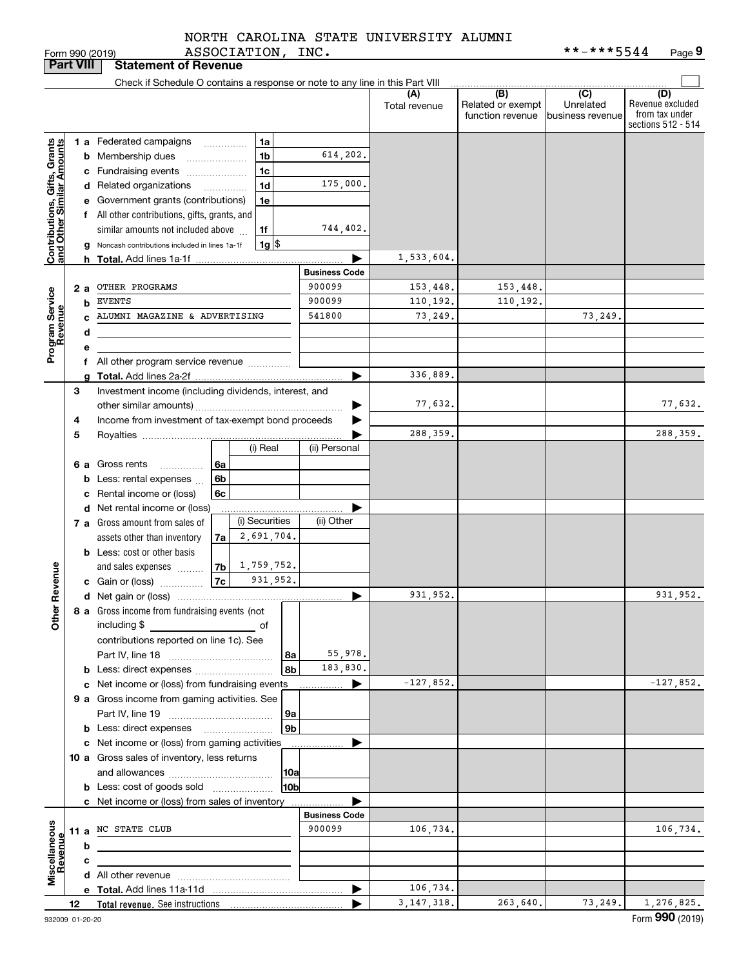ASSOCIATION, INC. NORTH CAROLINA STATE UNIVERSITY ALUMNI

Form 990 (2019) ASSOCIATION,INC。 \*\*-\*\*\*5544 Page **9** \*\*-\*\*\*5544

|                                                           | <b>Part VIII</b> |    | <b>Statement of Revenue</b>                                                         |                      |                      |                                              |                                                 |                                                                 |
|-----------------------------------------------------------|------------------|----|-------------------------------------------------------------------------------------|----------------------|----------------------|----------------------------------------------|-------------------------------------------------|-----------------------------------------------------------------|
|                                                           |                  |    | Check if Schedule O contains a response or note to any line in this Part VIII       |                      |                      |                                              |                                                 |                                                                 |
|                                                           |                  |    |                                                                                     |                      | (A)<br>Total revenue | (B)<br>Related or exempt<br>function revenue | $\overline{C}$<br>Unrelated<br>business revenue | (D)<br>Revenue excluded<br>from tax under<br>sections 512 - 514 |
|                                                           |                  |    | 1 a Federated campaigns<br>1a                                                       |                      |                      |                                              |                                                 |                                                                 |
|                                                           |                  |    | 1 <sub>b</sub><br><b>b</b> Membership dues<br>$\ldots \ldots \ldots \ldots \ldots$  | 614,202.             |                      |                                              |                                                 |                                                                 |
|                                                           |                  |    | 1c<br>c Fundraising events                                                          |                      |                      |                                              |                                                 |                                                                 |
|                                                           |                  |    | 1 <sub>d</sub><br>d Related organizations<br>.                                      | 175,000.             |                      |                                              |                                                 |                                                                 |
|                                                           |                  |    | e Government grants (contributions)<br>1e                                           |                      |                      |                                              |                                                 |                                                                 |
|                                                           |                  |    | f All other contributions, gifts, grants, and                                       |                      |                      |                                              |                                                 |                                                                 |
|                                                           |                  |    | similar amounts not included above<br>1f                                            | 744,402.             |                      |                                              |                                                 |                                                                 |
| Contributions, Gifts, Grants<br>and Other Similar Amounts |                  |    | $1g$ \$<br>Noncash contributions included in lines 1a-1f                            |                      |                      |                                              |                                                 |                                                                 |
|                                                           |                  |    |                                                                                     |                      | 1,533,604.           |                                              |                                                 |                                                                 |
|                                                           |                  |    |                                                                                     | <b>Business Code</b> |                      |                                              |                                                 |                                                                 |
|                                                           |                  | 2а | OTHER PROGRAMS                                                                      | 900099               | 153,448.             | 153,448.                                     |                                                 |                                                                 |
|                                                           |                  | b  | <b>EVENTS</b>                                                                       | 900099               | 110,192.             | 110,192.                                     |                                                 |                                                                 |
|                                                           |                  |    | ALUMNI MAGAZINE & ADVERTISING                                                       | 541800               | 73,249.              |                                              | 73,249.                                         |                                                                 |
|                                                           |                  | d  |                                                                                     |                      |                      |                                              |                                                 |                                                                 |
| Program Service<br>Revenue                                |                  | e  |                                                                                     |                      |                      |                                              |                                                 |                                                                 |
|                                                           |                  |    | f All other program service revenue                                                 |                      |                      |                                              |                                                 |                                                                 |
|                                                           |                  | a  |                                                                                     | ▶                    | 336,889.             |                                              |                                                 |                                                                 |
|                                                           | 3                |    | Investment income (including dividends, interest, and                               |                      |                      |                                              |                                                 |                                                                 |
|                                                           |                  |    |                                                                                     | ▶                    | 77,632.              |                                              |                                                 | 77,632.                                                         |
|                                                           | 4                |    | Income from investment of tax-exempt bond proceeds                                  |                      |                      |                                              |                                                 |                                                                 |
|                                                           | 5                |    |                                                                                     |                      | 288,359.             |                                              |                                                 | 288, 359.                                                       |
|                                                           |                  |    | (i) Real                                                                            | (ii) Personal        |                      |                                              |                                                 |                                                                 |
|                                                           |                  |    | 6 a Gross rents<br>6a<br>.                                                          |                      |                      |                                              |                                                 |                                                                 |
|                                                           |                  |    | <b>b</b> Less: rental expenses<br>6b                                                |                      |                      |                                              |                                                 |                                                                 |
|                                                           |                  |    | c Rental income or (loss)<br>6с                                                     |                      |                      |                                              |                                                 |                                                                 |
|                                                           |                  |    | d Net rental income or (loss)<br>(i) Securities<br>7 a Gross amount from sales of   | (ii) Other           |                      |                                              |                                                 |                                                                 |
|                                                           |                  |    | 2,691,704.<br>assets other than inventory<br>7a                                     |                      |                      |                                              |                                                 |                                                                 |
|                                                           |                  |    | <b>b</b> Less: cost or other basis                                                  |                      |                      |                                              |                                                 |                                                                 |
|                                                           |                  |    | $ 7b $ 1, 759, 752.<br>and sales expenses                                           |                      |                      |                                              |                                                 |                                                                 |
|                                                           |                  |    | 931,952.<br> 7c <br>c Gain or (loss)                                                |                      |                      |                                              |                                                 |                                                                 |
| Revenue                                                   |                  |    |                                                                                     | ▶                    | 931,952.             |                                              |                                                 | 931,952.                                                        |
|                                                           |                  |    | 8 a Gross income from fundraising events (not                                       |                      |                      |                                              |                                                 |                                                                 |
| <b>Othe</b>                                               |                  |    | including \$<br><u> 1990 - Johann Barbara, martin a</u><br>оf                       |                      |                      |                                              |                                                 |                                                                 |
|                                                           |                  |    | contributions reported on line 1c). See                                             |                      |                      |                                              |                                                 |                                                                 |
|                                                           |                  |    | 8a                                                                                  | 55,978.              |                      |                                              |                                                 |                                                                 |
|                                                           |                  |    | 8b                                                                                  | 183,830.             |                      |                                              |                                                 |                                                                 |
|                                                           |                  |    | c Net income or (loss) from fundraising events                                      | ▶                    | $-127,852.$          |                                              |                                                 | $-127,852.$                                                     |
|                                                           |                  |    | 9 a Gross income from gaming activities. See                                        |                      |                      |                                              |                                                 |                                                                 |
|                                                           |                  |    | 9a                                                                                  |                      |                      |                                              |                                                 |                                                                 |
|                                                           |                  |    | 9 <sub>b</sub><br><b>b</b> Less: direct expenses <b>manually</b>                    |                      |                      |                                              |                                                 |                                                                 |
|                                                           |                  |    | c Net income or (loss) from gaming activities                                       | ▶<br>.               |                      |                                              |                                                 |                                                                 |
|                                                           |                  |    | 10 a Gross sales of inventory, less returns                                         |                      |                      |                                              |                                                 |                                                                 |
|                                                           |                  |    | 10a<br>10bl                                                                         |                      |                      |                                              |                                                 |                                                                 |
|                                                           |                  |    | <b>b</b> Less: cost of goods sold<br>c Net income or (loss) from sales of inventory |                      |                      |                                              |                                                 |                                                                 |
|                                                           |                  |    |                                                                                     | <b>Business Code</b> |                      |                                              |                                                 |                                                                 |
|                                                           |                  |    | 11 a NC STATE CLUB                                                                  | 900099               | 106,734.             |                                              |                                                 | 106,734.                                                        |
|                                                           |                  | b  |                                                                                     |                      |                      |                                              |                                                 |                                                                 |
|                                                           |                  | c  |                                                                                     |                      |                      |                                              |                                                 |                                                                 |
| Miscellaneous<br>Revenue                                  |                  |    |                                                                                     |                      |                      |                                              |                                                 |                                                                 |
|                                                           |                  |    |                                                                                     | ▶                    | 106,734.             |                                              |                                                 |                                                                 |
|                                                           | 12               |    |                                                                                     |                      | 3, 147, 318.         | 263,640.                                     | 73, 249.                                        | 1,276,825.                                                      |
|                                                           |                  |    |                                                                                     |                      |                      |                                              |                                                 | $000 \text{ years}$                                             |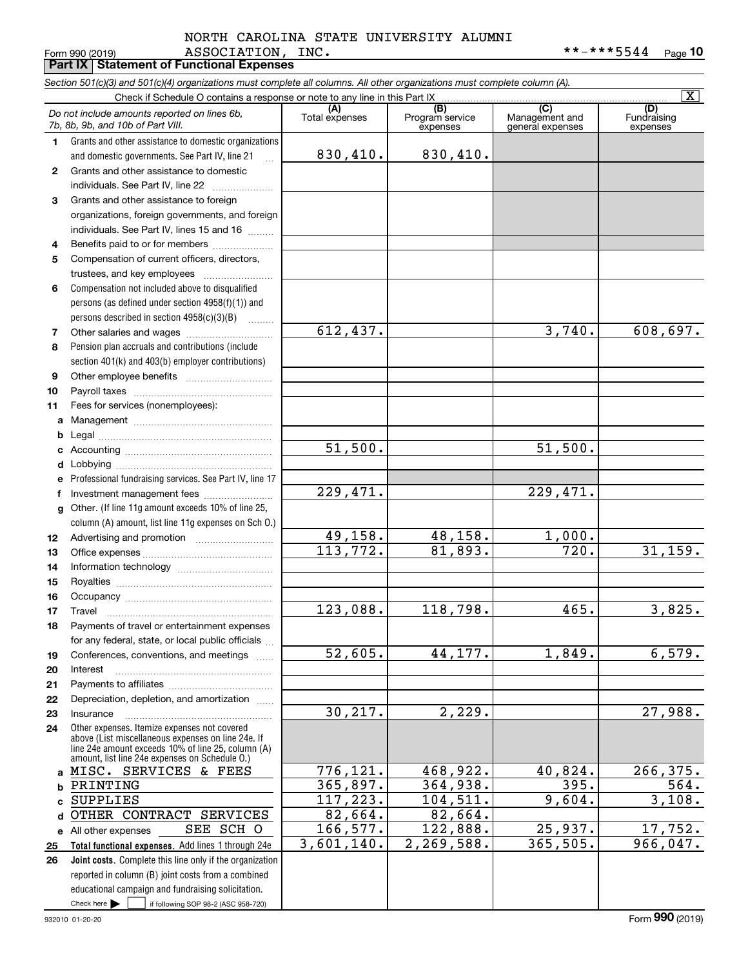#### Form 990 (2019) ASSOCIATION, INC. \* \* - \* \* \* 5544 <sub>Page</sub> **Porm 990 (2019)**<br>**Part IX | Statement of Functional Expenses** NORTH CAROLINA STATE UNIVERSITY ALUMNI

|              | Section 501(c)(3) and 501(c)(4) organizations must complete all columns. All other organizations must complete column (A).                                 |                         |                             |                                    |                                |
|--------------|------------------------------------------------------------------------------------------------------------------------------------------------------------|-------------------------|-----------------------------|------------------------------------|--------------------------------|
|              | Check if Schedule O contains a response or note to any line in this Part IX                                                                                | (A)                     | (B)                         | (C)                                | $\overline{\mathbf{x}}$<br>(D) |
|              | Do not include amounts reported on lines 6b,<br>7b, 8b, 9b, and 10b of Part VIII.                                                                          | Total expenses          | Program service<br>expenses | Management and<br>general expenses | Fundraising<br>expenses        |
| 1.           | Grants and other assistance to domestic organizations                                                                                                      |                         |                             |                                    |                                |
|              | and domestic governments. See Part IV, line 21<br>$\mathbf{r}$                                                                                             | 830,410.                | 830,410.                    |                                    |                                |
| $\mathbf{2}$ | Grants and other assistance to domestic                                                                                                                    |                         |                             |                                    |                                |
|              | individuals. See Part IV, line 22                                                                                                                          |                         |                             |                                    |                                |
| 3            | Grants and other assistance to foreign                                                                                                                     |                         |                             |                                    |                                |
|              | organizations, foreign governments, and foreign                                                                                                            |                         |                             |                                    |                                |
|              | individuals. See Part IV, lines 15 and 16                                                                                                                  |                         |                             |                                    |                                |
| 4            | Benefits paid to or for members                                                                                                                            |                         |                             |                                    |                                |
| 5            | Compensation of current officers, directors,                                                                                                               |                         |                             |                                    |                                |
|              | trustees, and key employees                                                                                                                                |                         |                             |                                    |                                |
| 6            | Compensation not included above to disqualified                                                                                                            |                         |                             |                                    |                                |
|              | persons (as defined under section 4958(f)(1)) and                                                                                                          |                         |                             |                                    |                                |
| 7            | persons described in section $4958(c)(3)(B)$<br>1.1.1.1.1.1.1                                                                                              | $\overline{612, 437}$ . |                             | 3,740.                             | 608,697.                       |
|              |                                                                                                                                                            |                         |                             |                                    |                                |
| 8            | Pension plan accruals and contributions (include<br>section 401(k) and 403(b) employer contributions)                                                      |                         |                             |                                    |                                |
| 9            |                                                                                                                                                            |                         |                             |                                    |                                |
| 10           |                                                                                                                                                            |                         |                             |                                    |                                |
| 11           | Fees for services (nonemployees):                                                                                                                          |                         |                             |                                    |                                |
| a            |                                                                                                                                                            |                         |                             |                                    |                                |
| b            |                                                                                                                                                            |                         |                             |                                    |                                |
| c            |                                                                                                                                                            | 51,500.                 |                             | 51,500.                            |                                |
| d            |                                                                                                                                                            |                         |                             |                                    |                                |
| е            | Professional fundraising services. See Part IV, line 17                                                                                                    |                         |                             |                                    |                                |
| f            | Investment management fees                                                                                                                                 | 229,471.                |                             | 229,471.                           |                                |
| g            | Other. (If line 11g amount exceeds 10% of line 25,                                                                                                         |                         |                             |                                    |                                |
|              | column (A) amount, list line 11g expenses on Sch O.)                                                                                                       |                         |                             |                                    |                                |
| 12           |                                                                                                                                                            | 49,158.                 | 48,158.                     | 1,000.                             |                                |
| 13           |                                                                                                                                                            | 113,772.                | 81,893.                     | $\overline{720}$ .                 | 31,159.                        |
| 14           |                                                                                                                                                            |                         |                             |                                    |                                |
| 15           |                                                                                                                                                            |                         |                             |                                    |                                |
| 16           |                                                                                                                                                            |                         |                             |                                    |                                |
| 17           |                                                                                                                                                            | 123,088.                | 118,798.                    | 465.                               | 3,825.                         |
| 18           | Payments of travel or entertainment expenses                                                                                                               |                         |                             |                                    |                                |
|              | for any federal, state, or local public officials                                                                                                          |                         |                             |                                    |                                |
| 19           | Conferences, conventions, and meetings                                                                                                                     | $\overline{52,605}$ .   | 44,177.                     | 1,849.                             | 6,579.                         |
| 20           | Interest                                                                                                                                                   |                         |                             |                                    |                                |
| 21           |                                                                                                                                                            |                         |                             |                                    |                                |
| 22<br>23     | Depreciation, depletion, and amortization<br>Insurance                                                                                                     | 30, 217.                | 2,229.                      |                                    | 27,988.                        |
| 24           | Other expenses. Itemize expenses not covered                                                                                                               |                         |                             |                                    |                                |
|              | above (List miscellaneous expenses on line 24e. If<br>line 24e amount exceeds 10% of line 25, column (A)<br>amount, list line 24e expenses on Schedule O.) |                         |                             |                                    |                                |
| a            | MISC. SERVICES & FEES                                                                                                                                      | 776,121.                | 468,922.                    | 40,824.                            | 266, 375.                      |
| b            | PRINTING                                                                                                                                                   | 365,897.                | 364,938.                    | 395.                               | 564.                           |
| c            | <b>SUPPLIES</b>                                                                                                                                            | 117,223.                | 104,511.                    | 9,604.                             | 3,108.                         |
| d            | OTHER CONTRACT SERVICES                                                                                                                                    | 82,664.                 | 82,664.                     |                                    |                                |
|              | SCH O<br>SEE<br>e All other expenses                                                                                                                       | 166,577.                | 122,888.                    | 25,937.                            | 17,752.                        |
| 25           | Total functional expenses. Add lines 1 through 24e                                                                                                         | 3,601,140.              | 2,269,588.                  | 365,505.                           | 966,047.                       |
| 26           | Joint costs. Complete this line only if the organization                                                                                                   |                         |                             |                                    |                                |
|              | reported in column (B) joint costs from a combined                                                                                                         |                         |                             |                                    |                                |
|              | educational campaign and fundraising solicitation.                                                                                                         |                         |                             |                                    |                                |
|              | Check here $\blacktriangleright$<br>if following SOP 98-2 (ASC 958-720)                                                                                    |                         |                             |                                    |                                |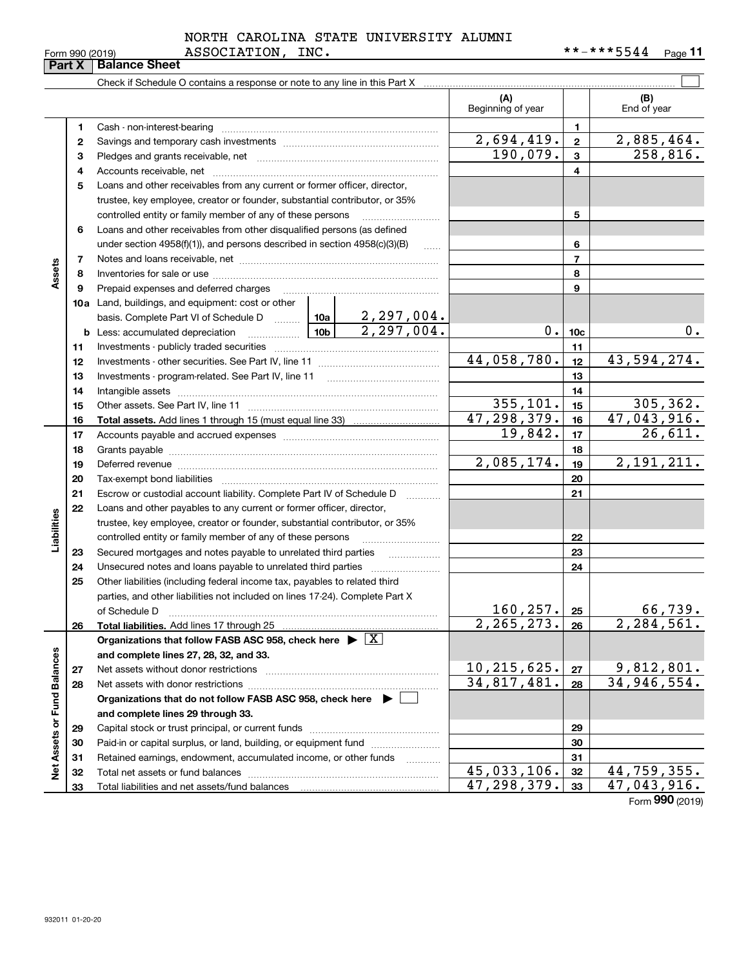|  | Form 990 (2019) |
|--|-----------------|
|  |                 |

#### Form 990 (2019) ASSOCIATION, INC. \* \* - \* \* \* 5544 <sub>Page</sub> NORTH CAROLINA STATE UNIVERSITY ALUMNI

|                             | Part X   | <b>Balance Sheet</b>                                                                                                                                                                                                           |             |            |                             |                 |                       |
|-----------------------------|----------|--------------------------------------------------------------------------------------------------------------------------------------------------------------------------------------------------------------------------------|-------------|------------|-----------------------------|-----------------|-----------------------|
|                             |          | Check if Schedule O contains a response or note to any line in this Part X                                                                                                                                                     |             |            |                             |                 |                       |
|                             |          |                                                                                                                                                                                                                                |             |            | (A)<br>Beginning of year    |                 | (B)<br>End of year    |
|                             | 1        | Cash - non-interest-bearing                                                                                                                                                                                                    |             |            |                             | 1.              |                       |
|                             | 2        |                                                                                                                                                                                                                                |             |            | 2,694,419.                  | $\mathbf{2}$    | 2,885,464.            |
|                             | з        |                                                                                                                                                                                                                                |             |            | 190,079.                    | 3               | 258,816.              |
|                             | 4        |                                                                                                                                                                                                                                |             |            |                             | 4               |                       |
|                             | 5        | Loans and other receivables from any current or former officer, director,                                                                                                                                                      |             |            |                             |                 |                       |
|                             |          | trustee, key employee, creator or founder, substantial contributor, or 35%                                                                                                                                                     |             |            |                             |                 |                       |
|                             |          | controlled entity or family member of any of these persons                                                                                                                                                                     |             |            |                             | 5               |                       |
|                             | 6        | Loans and other receivables from other disqualified persons (as defined                                                                                                                                                        |             |            |                             |                 |                       |
|                             |          | under section $4958(f)(1)$ , and persons described in section $4958(c)(3)(B)$                                                                                                                                                  |             | 6          |                             |                 |                       |
|                             | 7        |                                                                                                                                                                                                                                |             |            |                             | 7               |                       |
| Assets                      | 8        |                                                                                                                                                                                                                                |             |            |                             | 8               |                       |
|                             | 9        | Prepaid expenses and deferred charges                                                                                                                                                                                          |             |            |                             | 9               |                       |
|                             | 10a      | Land, buildings, and equipment: cost or other                                                                                                                                                                                  |             |            |                             |                 |                       |
|                             |          | basis. Complete Part VI of Schedule D    10a   2, 297, 004.                                                                                                                                                                    |             |            |                             |                 |                       |
|                             |          | <b>b</b> Less: accumulated depreciation<br>. 1                                                                                                                                                                                 |             | 2,297,004. | 0.                          | 10 <sub>c</sub> | 0.                    |
|                             | 11       |                                                                                                                                                                                                                                |             |            |                             | 11              |                       |
|                             | 12       |                                                                                                                                                                                                                                | 44,058,780. | 12         | 43,594,274.                 |                 |                       |
|                             | 13       | Investments - program-related. See Part IV, line 11                                                                                                                                                                            |             |            |                             | 13              |                       |
|                             | 14       |                                                                                                                                                                                                                                |             |            |                             | 14              |                       |
|                             | 15       |                                                                                                                                                                                                                                |             |            | 355, 101.                   | 15              | 305, 362.             |
|                             | 16       |                                                                                                                                                                                                                                |             |            | $\overline{47,298,379}$ .   | 16              | 47,043,916.           |
|                             | 17       |                                                                                                                                                                                                                                |             | 19,842.    | 17                          | 26,611.         |                       |
|                             | 18       |                                                                                                                                                                                                                                |             |            | 18                          |                 |                       |
|                             | 19       | Deferred revenue information and contact the contract of the contract of the contract of the contract of the contract of the contract of the contract of the contract of the contract of the contract of the contract of the c |             |            | 2,085,174.                  | 19              | 2, 191, 211.          |
|                             | 20       |                                                                                                                                                                                                                                |             |            |                             | 20              |                       |
|                             | 21       | Escrow or custodial account liability. Complete Part IV of Schedule D                                                                                                                                                          |             |            |                             | 21              |                       |
|                             | 22       | Loans and other payables to any current or former officer, director,                                                                                                                                                           |             |            |                             |                 |                       |
| Liabilities                 |          | trustee, key employee, creator or founder, substantial contributor, or 35%                                                                                                                                                     |             |            |                             |                 |                       |
|                             |          | controlled entity or family member of any of these persons                                                                                                                                                                     |             |            |                             | 22              |                       |
|                             | 23       | Secured mortgages and notes payable to unrelated third parties                                                                                                                                                                 |             | .          |                             | 23              |                       |
|                             | 24       |                                                                                                                                                                                                                                |             |            |                             | 24              |                       |
|                             | 25       | Other liabilities (including federal income tax, payables to related third                                                                                                                                                     |             |            |                             |                 |                       |
|                             |          | parties, and other liabilities not included on lines 17-24). Complete Part X                                                                                                                                                   |             |            |                             |                 |                       |
|                             |          | of Schedule D                                                                                                                                                                                                                  |             |            | 160, 257.                   | 25              | 66,739.<br>2,284,561. |
|                             | 26       | Total liabilities. Add lines 17 through 25                                                                                                                                                                                     |             |            | 2, 265, 273.                | 26              |                       |
|                             |          | Organizations that follow FASB ASC 958, check here $\blacktriangleright \boxed{X}$                                                                                                                                             |             |            |                             |                 |                       |
|                             |          | and complete lines 27, 28, 32, and 33.                                                                                                                                                                                         |             |            | 10, 215, 625.               | 27              | 9,812,801.            |
|                             | 27<br>28 | Net assets without donor restrictions                                                                                                                                                                                          |             |            | 34,817,481.                 | 28              | 34,946,554.           |
|                             |          | Organizations that do not follow FASB ASC 958, check here $\blacktriangleright$                                                                                                                                                |             |            |                             |                 |                       |
|                             |          |                                                                                                                                                                                                                                |             |            |                             |                 |                       |
|                             |          | and complete lines 29 through 33.                                                                                                                                                                                              |             |            | 29                          |                 |                       |
|                             | 29<br>30 | Paid-in or capital surplus, or land, building, or equipment fund                                                                                                                                                               |             |            |                             | 30              |                       |
|                             | 31       | Retained earnings, endowment, accumulated income, or other funds                                                                                                                                                               |             |            |                             | 31              |                       |
| Net Assets or Fund Balances | 32       |                                                                                                                                                                                                                                |             | .          | $\overline{45,033,106}$ .   | 32              | 44,759,355.           |
|                             | 33       |                                                                                                                                                                                                                                |             |            | $\overline{47}$ , 298, 379. | 33              | 47,043,916.           |
|                             |          |                                                                                                                                                                                                                                |             |            |                             |                 | Form 990 (2019)       |
|                             |          |                                                                                                                                                                                                                                |             |            |                             |                 |                       |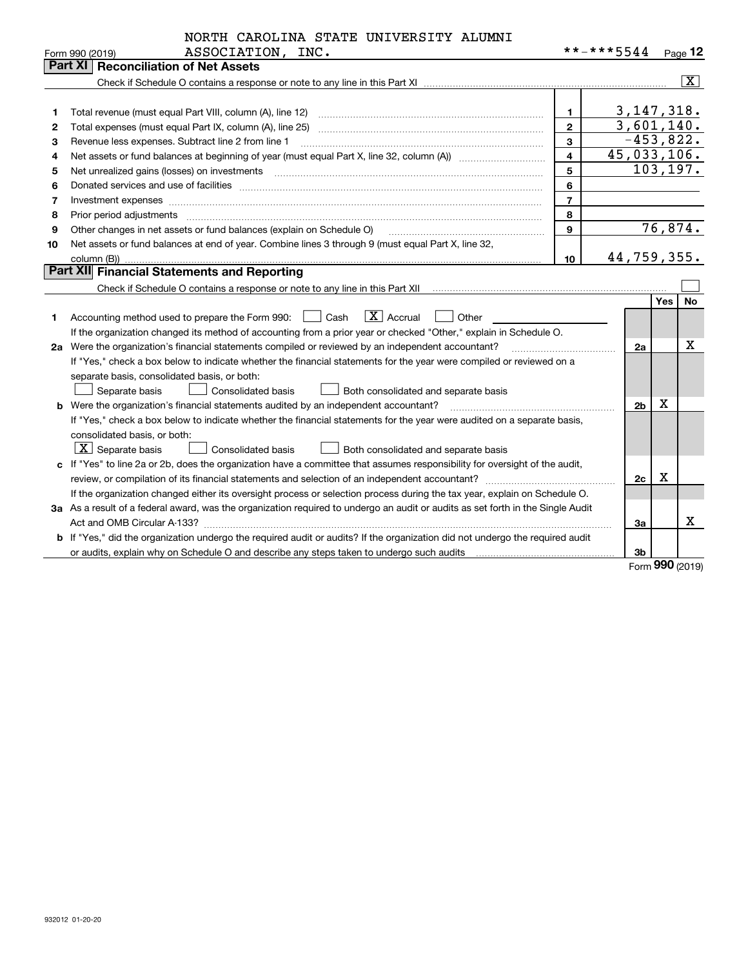|                  | NORTH CAROLINA STATE UNIVERSITY ALUMNI |  |
|------------------|----------------------------------------|--|
| ASSOCIATION INC. |                                        |  |

|    | Form 990 (2019)<br>ASSOCIATION,<br>TMC.                                                                                         |                         | * * - * * * 5544 |            | Page 12                   |
|----|---------------------------------------------------------------------------------------------------------------------------------|-------------------------|------------------|------------|---------------------------|
|    | <b>Part XI   Reconciliation of Net Assets</b>                                                                                   |                         |                  |            |                           |
|    |                                                                                                                                 |                         |                  |            | $\overline{\mathtt{x}}$ ) |
|    |                                                                                                                                 |                         |                  |            |                           |
| 1  |                                                                                                                                 | $\mathbf{1}$            | 3, 147, 318.     |            |                           |
| 2  | Total expenses (must equal Part IX, column (A), line 25)                                                                        | $\mathbf{2}$            | 3,601,140.       |            |                           |
| з  | Revenue less expenses. Subtract line 2 from line 1                                                                              | $\overline{3}$          | $-453,822.$      |            |                           |
| 4  |                                                                                                                                 | $\overline{\mathbf{4}}$ | 45,033,106.      |            |                           |
| 5  |                                                                                                                                 | 5                       | 103, 197.        |            |                           |
| 6  |                                                                                                                                 | 6                       |                  |            |                           |
| 7  | Investment expenses www.communication.communication.com/www.communication.com/www.communication.com                             | $\overline{7}$          |                  |            |                           |
| 8  | Prior period adjustments                                                                                                        | 8                       |                  |            |                           |
| 9  | Other changes in net assets or fund balances (explain on Schedule O)                                                            | 9                       |                  |            | 76,874.                   |
| 10 | Net assets or fund balances at end of year. Combine lines 3 through 9 (must equal Part X, line 32,                              |                         |                  |            |                           |
|    | column (B))                                                                                                                     | 10                      | 44,759,355.      |            |                           |
|    | Part XII Financial Statements and Reporting                                                                                     |                         |                  |            |                           |
|    |                                                                                                                                 |                         |                  |            |                           |
|    |                                                                                                                                 |                         |                  | <b>Yes</b> | No                        |
| 1  | $\boxed{\mathbf{X}}$ Accrual<br>Accounting method used to prepare the Form 990: <u>June</u> Cash<br>Other                       |                         |                  |            |                           |
|    | If the organization changed its method of accounting from a prior year or checked "Other," explain in Schedule O.               |                         |                  |            |                           |
|    | 2a Were the organization's financial statements compiled or reviewed by an independent accountant?                              |                         | 2a               |            | x                         |
|    | If "Yes," check a box below to indicate whether the financial statements for the year were compiled or reviewed on a            |                         |                  |            |                           |
|    | separate basis, consolidated basis, or both:                                                                                    |                         |                  |            |                           |
|    | Separate basis<br>Consolidated basis<br>Both consolidated and separate basis                                                    |                         |                  |            |                           |
|    | <b>b</b> Were the organization's financial statements audited by an independent accountant?                                     |                         | 2 <sub>b</sub>   | х          |                           |
|    | If "Yes," check a box below to indicate whether the financial statements for the year were audited on a separate basis,         |                         |                  |            |                           |
|    | consolidated basis, or both:                                                                                                    |                         |                  |            |                           |
|    | $\boxed{\textbf{X}}$ Separate basis<br><b>Consolidated basis</b><br>Both consolidated and separate basis                        |                         |                  |            |                           |
|    | c If "Yes" to line 2a or 2b, does the organization have a committee that assumes responsibility for oversight of the audit,     |                         |                  |            |                           |
|    |                                                                                                                                 |                         | 2c               | х          |                           |
|    | If the organization changed either its oversight process or selection process during the tax year, explain on Schedule O.       |                         |                  |            |                           |
|    | 3a As a result of a federal award, was the organization required to undergo an audit or audits as set forth in the Single Audit |                         |                  |            |                           |
|    |                                                                                                                                 |                         | За               |            | x                         |
|    | b If "Yes," did the organization undergo the required audit or audits? If the organization did not undergo the required audit   |                         |                  |            |                           |
|    |                                                                                                                                 |                         | 3b               |            |                           |

Form (2019) **990**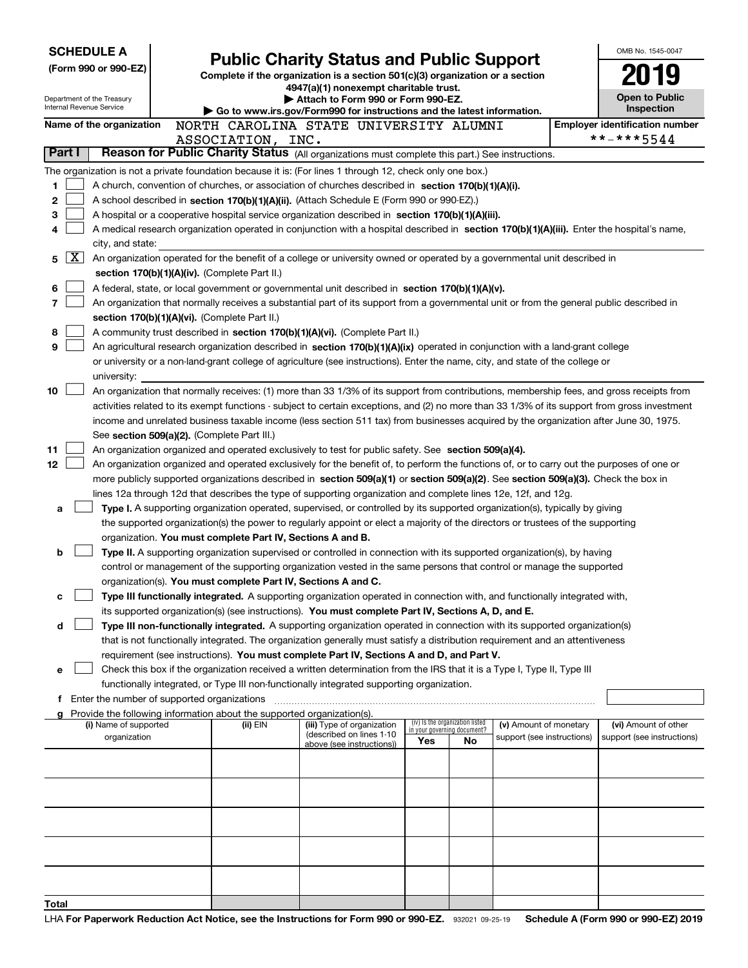| <b>SCHEDULE A</b>                                      |                                                                                                                                                                                                                                                                                            |                                                                        | <b>Public Charity Status and Public Support</b>                                                                                            |                             |                                 |                            |            | OMB No. 1545-0047                     |  |  |
|--------------------------------------------------------|--------------------------------------------------------------------------------------------------------------------------------------------------------------------------------------------------------------------------------------------------------------------------------------------|------------------------------------------------------------------------|--------------------------------------------------------------------------------------------------------------------------------------------|-----------------------------|---------------------------------|----------------------------|------------|---------------------------------------|--|--|
| (Form 990 or 990-EZ)                                   |                                                                                                                                                                                                                                                                                            |                                                                        |                                                                                                                                            |                             |                                 |                            |            |                                       |  |  |
|                                                        |                                                                                                                                                                                                                                                                                            |                                                                        | Complete if the organization is a section 501(c)(3) organization or a section<br>4947(a)(1) nonexempt charitable trust.                    |                             |                                 |                            |            |                                       |  |  |
| Department of the Treasury<br>Internal Revenue Service |                                                                                                                                                                                                                                                                                            |                                                                        | Attach to Form 990 or Form 990-EZ.                                                                                                         |                             |                                 |                            |            | <b>Open to Public</b><br>Inspection   |  |  |
| Name of the organization                               |                                                                                                                                                                                                                                                                                            |                                                                        | Go to www.irs.gov/Form990 for instructions and the latest information.<br>NORTH CAROLINA STATE UNIVERSITY ALUMNI                           |                             |                                 |                            |            | <b>Employer identification number</b> |  |  |
|                                                        |                                                                                                                                                                                                                                                                                            | ASSOCIATION, INC.                                                      |                                                                                                                                            |                             |                                 |                            | **-***5544 |                                       |  |  |
| Part I                                                 |                                                                                                                                                                                                                                                                                            |                                                                        | Reason for Public Charity Status (All organizations must complete this part.) See instructions.                                            |                             |                                 |                            |            |                                       |  |  |
|                                                        |                                                                                                                                                                                                                                                                                            |                                                                        | The organization is not a private foundation because it is: (For lines 1 through 12, check only one box.)                                  |                             |                                 |                            |            |                                       |  |  |
| 1                                                      |                                                                                                                                                                                                                                                                                            |                                                                        | A church, convention of churches, or association of churches described in section 170(b)(1)(A)(i).                                         |                             |                                 |                            |            |                                       |  |  |
| 2                                                      |                                                                                                                                                                                                                                                                                            |                                                                        | A school described in section 170(b)(1)(A)(ii). (Attach Schedule E (Form 990 or 990-EZ).)                                                  |                             |                                 |                            |            |                                       |  |  |
| З                                                      |                                                                                                                                                                                                                                                                                            |                                                                        | A hospital or a cooperative hospital service organization described in section 170(b)(1)(A)(iii).                                          |                             |                                 |                            |            |                                       |  |  |
| 4                                                      |                                                                                                                                                                                                                                                                                            |                                                                        | A medical research organization operated in conjunction with a hospital described in section 170(b)(1)(A)(iii). Enter the hospital's name, |                             |                                 |                            |            |                                       |  |  |
| city, and state:                                       |                                                                                                                                                                                                                                                                                            |                                                                        |                                                                                                                                            |                             |                                 |                            |            |                                       |  |  |
| X<br>5                                                 | An organization operated for the benefit of a college or university owned or operated by a governmental unit described in<br>section 170(b)(1)(A)(iv). (Complete Part II.)                                                                                                                 |                                                                        |                                                                                                                                            |                             |                                 |                            |            |                                       |  |  |
| 6                                                      |                                                                                                                                                                                                                                                                                            |                                                                        | A federal, state, or local government or governmental unit described in section 170(b)(1)(A)(v).                                           |                             |                                 |                            |            |                                       |  |  |
| 7                                                      |                                                                                                                                                                                                                                                                                            |                                                                        | An organization that normally receives a substantial part of its support from a governmental unit or from the general public described in  |                             |                                 |                            |            |                                       |  |  |
|                                                        |                                                                                                                                                                                                                                                                                            | section 170(b)(1)(A)(vi). (Complete Part II.)                          |                                                                                                                                            |                             |                                 |                            |            |                                       |  |  |
| 8                                                      |                                                                                                                                                                                                                                                                                            |                                                                        | A community trust described in section 170(b)(1)(A)(vi). (Complete Part II.)                                                               |                             |                                 |                            |            |                                       |  |  |
| 9                                                      |                                                                                                                                                                                                                                                                                            |                                                                        | An agricultural research organization described in section 170(b)(1)(A)(ix) operated in conjunction with a land-grant college              |                             |                                 |                            |            |                                       |  |  |
|                                                        |                                                                                                                                                                                                                                                                                            |                                                                        | or university or a non-land-grant college of agriculture (see instructions). Enter the name, city, and state of the college or             |                             |                                 |                            |            |                                       |  |  |
| university:                                            |                                                                                                                                                                                                                                                                                            |                                                                        |                                                                                                                                            |                             |                                 |                            |            |                                       |  |  |
| 10                                                     | An organization that normally receives: (1) more than 33 1/3% of its support from contributions, membership fees, and gross receipts from<br>activities related to its exempt functions - subject to certain exceptions, and (2) no more than 33 1/3% of its support from gross investment |                                                                        |                                                                                                                                            |                             |                                 |                            |            |                                       |  |  |
|                                                        |                                                                                                                                                                                                                                                                                            |                                                                        |                                                                                                                                            |                             |                                 |                            |            |                                       |  |  |
|                                                        |                                                                                                                                                                                                                                                                                            | See section 509(a)(2). (Complete Part III.)                            | income and unrelated business taxable income (less section 511 tax) from businesses acquired by the organization after June 30, 1975.      |                             |                                 |                            |            |                                       |  |  |
| 11                                                     |                                                                                                                                                                                                                                                                                            |                                                                        | An organization organized and operated exclusively to test for public safety. See section 509(a)(4).                                       |                             |                                 |                            |            |                                       |  |  |
| 12                                                     |                                                                                                                                                                                                                                                                                            |                                                                        | An organization organized and operated exclusively for the benefit of, to perform the functions of, or to carry out the purposes of one or |                             |                                 |                            |            |                                       |  |  |
|                                                        |                                                                                                                                                                                                                                                                                            |                                                                        | more publicly supported organizations described in section 509(a)(1) or section 509(a)(2). See section 509(a)(3). Check the box in         |                             |                                 |                            |            |                                       |  |  |
|                                                        |                                                                                                                                                                                                                                                                                            |                                                                        | lines 12a through 12d that describes the type of supporting organization and complete lines 12e, 12f, and 12g.                             |                             |                                 |                            |            |                                       |  |  |
| а                                                      |                                                                                                                                                                                                                                                                                            |                                                                        | Type I. A supporting organization operated, supervised, or controlled by its supported organization(s), typically by giving                |                             |                                 |                            |            |                                       |  |  |
|                                                        |                                                                                                                                                                                                                                                                                            |                                                                        | the supported organization(s) the power to regularly appoint or elect a majority of the directors or trustees of the supporting            |                             |                                 |                            |            |                                       |  |  |
|                                                        |                                                                                                                                                                                                                                                                                            | organization. You must complete Part IV, Sections A and B.             |                                                                                                                                            |                             |                                 |                            |            |                                       |  |  |
| b                                                      |                                                                                                                                                                                                                                                                                            |                                                                        | Type II. A supporting organization supervised or controlled in connection with its supported organization(s), by having                    |                             |                                 |                            |            |                                       |  |  |
|                                                        |                                                                                                                                                                                                                                                                                            | organization(s). You must complete Part IV, Sections A and C.          | control or management of the supporting organization vested in the same persons that control or manage the supported                       |                             |                                 |                            |            |                                       |  |  |
| с                                                      |                                                                                                                                                                                                                                                                                            |                                                                        | Type III functionally integrated. A supporting organization operated in connection with, and functionally integrated with,                 |                             |                                 |                            |            |                                       |  |  |
|                                                        |                                                                                                                                                                                                                                                                                            |                                                                        | its supported organization(s) (see instructions). You must complete Part IV, Sections A, D, and E.                                         |                             |                                 |                            |            |                                       |  |  |
| d                                                      |                                                                                                                                                                                                                                                                                            |                                                                        | Type III non-functionally integrated. A supporting organization operated in connection with its supported organization(s)                  |                             |                                 |                            |            |                                       |  |  |
|                                                        |                                                                                                                                                                                                                                                                                            |                                                                        | that is not functionally integrated. The organization generally must satisfy a distribution requirement and an attentiveness               |                             |                                 |                            |            |                                       |  |  |
|                                                        |                                                                                                                                                                                                                                                                                            |                                                                        | requirement (see instructions). You must complete Part IV, Sections A and D, and Part V.                                                   |                             |                                 |                            |            |                                       |  |  |
| е                                                      |                                                                                                                                                                                                                                                                                            |                                                                        | Check this box if the organization received a written determination from the IRS that it is a Type I, Type II, Type III                    |                             |                                 |                            |            |                                       |  |  |
|                                                        |                                                                                                                                                                                                                                                                                            |                                                                        | functionally integrated, or Type III non-functionally integrated supporting organization.                                                  |                             |                                 |                            |            |                                       |  |  |
| Enter the number of supported organizations            |                                                                                                                                                                                                                                                                                            | Provide the following information about the supported organization(s). |                                                                                                                                            |                             |                                 |                            |            |                                       |  |  |
| (i) Name of supported                                  |                                                                                                                                                                                                                                                                                            | (ii) EIN                                                               | (iii) Type of organization                                                                                                                 | in your governing document? | (iv) Is the organization listed | (v) Amount of monetary     |            | (vi) Amount of other                  |  |  |
| organization                                           |                                                                                                                                                                                                                                                                                            |                                                                        | (described on lines 1-10<br>above (see instructions))                                                                                      | Yes                         | <b>No</b>                       | support (see instructions) |            | support (see instructions)            |  |  |
|                                                        |                                                                                                                                                                                                                                                                                            |                                                                        |                                                                                                                                            |                             |                                 |                            |            |                                       |  |  |
|                                                        |                                                                                                                                                                                                                                                                                            |                                                                        |                                                                                                                                            |                             |                                 |                            |            |                                       |  |  |
|                                                        |                                                                                                                                                                                                                                                                                            |                                                                        |                                                                                                                                            |                             |                                 |                            |            |                                       |  |  |
|                                                        |                                                                                                                                                                                                                                                                                            |                                                                        |                                                                                                                                            |                             |                                 |                            |            |                                       |  |  |
|                                                        |                                                                                                                                                                                                                                                                                            |                                                                        |                                                                                                                                            |                             |                                 |                            |            |                                       |  |  |
|                                                        |                                                                                                                                                                                                                                                                                            |                                                                        |                                                                                                                                            |                             |                                 |                            |            |                                       |  |  |
|                                                        |                                                                                                                                                                                                                                                                                            |                                                                        |                                                                                                                                            |                             |                                 |                            |            |                                       |  |  |
|                                                        |                                                                                                                                                                                                                                                                                            |                                                                        |                                                                                                                                            |                             |                                 |                            |            |                                       |  |  |
|                                                        |                                                                                                                                                                                                                                                                                            |                                                                        |                                                                                                                                            |                             |                                 |                            |            |                                       |  |  |
| Total                                                  |                                                                                                                                                                                                                                                                                            |                                                                        |                                                                                                                                            |                             |                                 |                            |            |                                       |  |  |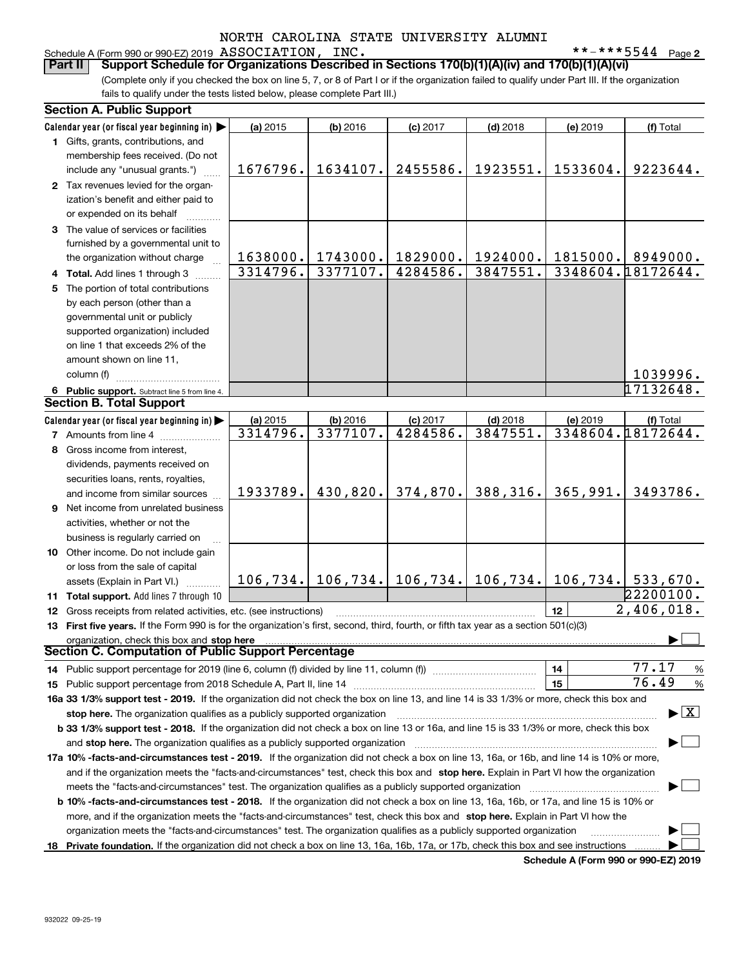#### Schedule A (Form 990 or 990-EZ) 2019  $\, {\rm ASSOCIATION}$  ,  $\, {\rm INC}$  ,  $\,$

**2**

(Complete only if you checked the box on line 5, 7, or 8 of Part I or if the organization failed to qualify under Part III. If the organization fails to qualify under the tests listed below, please complete Part III.) **Part II Support Schedule for Organizations Described in Sections 170(b)(1)(A)(iv) and 170(b)(1)(A)(vi)**

|   | <b>Section A. Public Support</b>                                                                                                               |          |          |            |            |                                                                         |                                          |
|---|------------------------------------------------------------------------------------------------------------------------------------------------|----------|----------|------------|------------|-------------------------------------------------------------------------|------------------------------------------|
|   | Calendar year (or fiscal year beginning in)                                                                                                    | (a) 2015 | (b) 2016 | $(c)$ 2017 | $(d)$ 2018 | (e) 2019                                                                | (f) Total                                |
|   | 1 Gifts, grants, contributions, and                                                                                                            |          |          |            |            |                                                                         |                                          |
|   | membership fees received. (Do not                                                                                                              |          |          |            |            |                                                                         |                                          |
|   | include any "unusual grants.")                                                                                                                 | 1676796. | 1634107. | 2455586.   | 1923551.   | 1533604.                                                                | 9223644.                                 |
|   | 2 Tax revenues levied for the organ-                                                                                                           |          |          |            |            |                                                                         |                                          |
|   | ization's benefit and either paid to                                                                                                           |          |          |            |            |                                                                         |                                          |
|   | or expended on its behalf                                                                                                                      |          |          |            |            |                                                                         |                                          |
|   | 3 The value of services or facilities                                                                                                          |          |          |            |            |                                                                         |                                          |
|   | furnished by a governmental unit to                                                                                                            |          |          |            |            |                                                                         |                                          |
|   | the organization without charge                                                                                                                | 1638000. | 1743000. | 1829000.   | 1924000.   | 1815000.                                                                | 8949000.                                 |
|   | 4 Total. Add lines 1 through 3                                                                                                                 | 3314796. | 3377107. | 4284586.   | 3847551.   |                                                                         | 3348604.18172644.                        |
| 5 | The portion of total contributions                                                                                                             |          |          |            |            |                                                                         |                                          |
|   | by each person (other than a                                                                                                                   |          |          |            |            |                                                                         |                                          |
|   | governmental unit or publicly                                                                                                                  |          |          |            |            |                                                                         |                                          |
|   | supported organization) included                                                                                                               |          |          |            |            |                                                                         |                                          |
|   | on line 1 that exceeds 2% of the                                                                                                               |          |          |            |            |                                                                         |                                          |
|   | amount shown on line 11,                                                                                                                       |          |          |            |            |                                                                         |                                          |
|   | column (f)                                                                                                                                     |          |          |            |            |                                                                         | 1039996.                                 |
|   | 6 Public support. Subtract line 5 from line 4.                                                                                                 |          |          |            |            |                                                                         | 17132648.                                |
|   | <b>Section B. Total Support</b>                                                                                                                |          |          |            |            |                                                                         |                                          |
|   | Calendar year (or fiscal year beginning in)                                                                                                    | (a) 2015 | (b) 2016 | $(c)$ 2017 | $(d)$ 2018 | (e) 2019                                                                | (f) Total                                |
|   | <b>7</b> Amounts from line 4                                                                                                                   | 3314796. | 3377107. | 4284586.   | 3847551.   |                                                                         | 3348604.18172644.                        |
|   | 8 Gross income from interest,                                                                                                                  |          |          |            |            |                                                                         |                                          |
|   | dividends, payments received on                                                                                                                |          |          |            |            |                                                                         |                                          |
|   | securities loans, rents, royalties,                                                                                                            |          |          |            |            |                                                                         |                                          |
|   | and income from similar sources                                                                                                                | 1933789. | 430,820. | 374,870.   | 388,316.   | 365,991.                                                                | 3493786.                                 |
|   | <b>9</b> Net income from unrelated business                                                                                                    |          |          |            |            |                                                                         |                                          |
|   | activities, whether or not the                                                                                                                 |          |          |            |            |                                                                         |                                          |
|   | business is regularly carried on                                                                                                               |          |          |            |            |                                                                         |                                          |
|   | 10 Other income. Do not include gain                                                                                                           |          |          |            |            |                                                                         |                                          |
|   | or loss from the sale of capital                                                                                                               |          |          |            |            |                                                                         |                                          |
|   | assets (Explain in Part VI.)                                                                                                                   |          |          |            |            | $106, 734.$   106, 734.   106, 734.   106, 734.   106, 734.   533, 670. |                                          |
|   | 11 Total support. Add lines 7 through 10                                                                                                       |          |          |            |            |                                                                         | 22200100.                                |
|   | 12 Gross receipts from related activities, etc. (see instructions)                                                                             |          |          |            |            | 12                                                                      | 2,406,018.                               |
|   | 13 First five years. If the Form 990 is for the organization's first, second, third, fourth, or fifth tax year as a section 501(c)(3)          |          |          |            |            |                                                                         |                                          |
|   | organization, check this box and stop here                                                                                                     |          |          |            |            |                                                                         |                                          |
|   | <b>Section C. Computation of Public Support Percentage</b>                                                                                     |          |          |            |            |                                                                         |                                          |
|   |                                                                                                                                                |          |          |            |            | 14                                                                      | 77.17<br>%                               |
|   |                                                                                                                                                |          |          |            |            | 15                                                                      | 76.49<br>%                               |
|   | 16a 33 1/3% support test - 2019. If the organization did not check the box on line 13, and line 14 is 33 1/3% or more, check this box and      |          |          |            |            |                                                                         |                                          |
|   | stop here. The organization qualifies as a publicly supported organization                                                                     |          |          |            |            |                                                                         | $\blacktriangleright$ $\boxed{\text{X}}$ |
|   | b 33 1/3% support test - 2018. If the organization did not check a box on line 13 or 16a, and line 15 is 33 1/3% or more, check this box       |          |          |            |            |                                                                         |                                          |
|   | and stop here. The organization qualifies as a publicly supported organization                                                                 |          |          |            |            |                                                                         |                                          |
|   | 17a 10% -facts-and-circumstances test - 2019. If the organization did not check a box on line 13, 16a, or 16b, and line 14 is 10% or more,     |          |          |            |            |                                                                         |                                          |
|   | and if the organization meets the "facts-and-circumstances" test, check this box and stop here. Explain in Part VI how the organization        |          |          |            |            |                                                                         |                                          |
|   | meets the "facts-and-circumstances" test. The organization qualifies as a publicly supported organization                                      |          |          |            |            |                                                                         |                                          |
|   |                                                                                                                                                |          |          |            |            |                                                                         |                                          |
|   | <b>b 10% -facts-and-circumstances test - 2018.</b> If the organization did not check a box on line 13, 16a, 16b, or 17a, and line 15 is 10% or |          |          |            |            |                                                                         |                                          |
|   | more, and if the organization meets the "facts-and-circumstances" test, check this box and stop here. Explain in Part VI how the               |          |          |            |            |                                                                         |                                          |
|   | organization meets the "facts-and-circumstances" test. The organization qualifies as a publicly supported organization                         |          |          |            |            |                                                                         |                                          |
|   | 18 Private foundation. If the organization did not check a box on line 13, 16a, 16b, 17a, or 17b, check this box and see instructions          |          |          |            |            | <b>Cohodulo A (Form 000 or 000 EZ) 2010</b>                             |                                          |

**Schedule A (Form 990 or 990-EZ) 2019**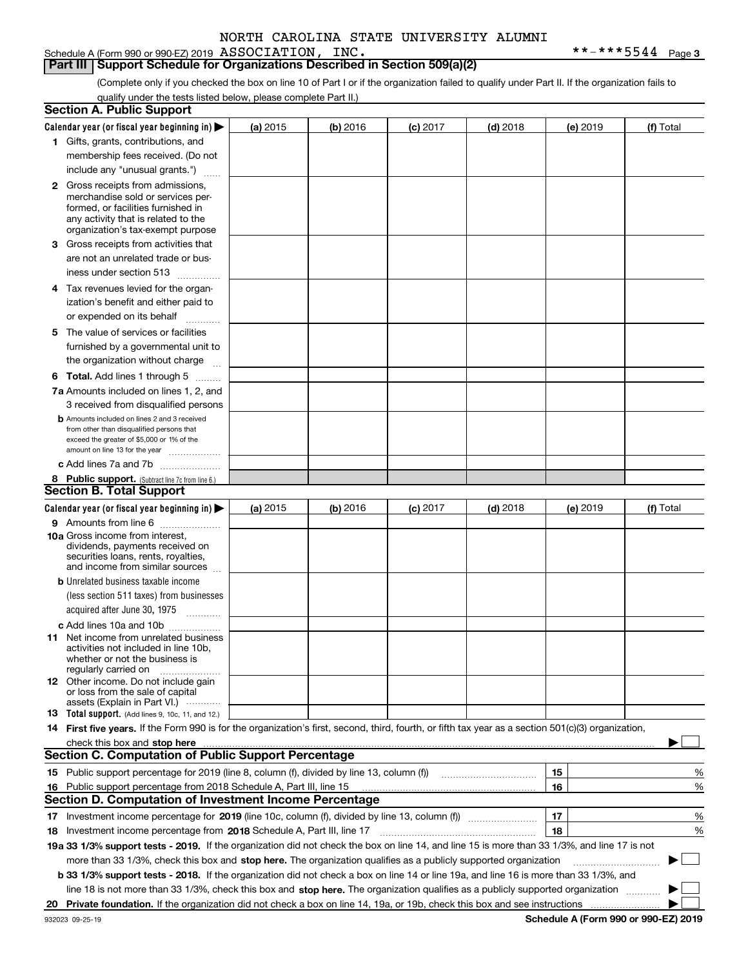Schedule A (Form 990 or 990-EZ) 2019  $\, {\rm ASSOCIATION}$  ,  $\, {\rm INC}$  ,  $\,$ 

**Part III** | Support Schedule for Organizations Described in Section 509(a)(2)

(Complete only if you checked the box on line 10 of Part I or if the organization failed to qualify under Part II. If the organization fails to qualify under the tests listed below, please complete Part II.)

| <b>Section A. Public Support</b>                                                                                                                                                                                                              |          |          |            |            |          |                                             |
|-----------------------------------------------------------------------------------------------------------------------------------------------------------------------------------------------------------------------------------------------|----------|----------|------------|------------|----------|---------------------------------------------|
| Calendar year (or fiscal year beginning in) $\blacktriangleright$                                                                                                                                                                             | (a) 2015 | (b) 2016 | $(c)$ 2017 | $(d)$ 2018 | (e) 2019 | (f) Total                                   |
| 1 Gifts, grants, contributions, and                                                                                                                                                                                                           |          |          |            |            |          |                                             |
| membership fees received. (Do not                                                                                                                                                                                                             |          |          |            |            |          |                                             |
| include any "unusual grants.")                                                                                                                                                                                                                |          |          |            |            |          |                                             |
| <b>2</b> Gross receipts from admissions,<br>merchandise sold or services per-<br>formed, or facilities furnished in<br>any activity that is related to the<br>organization's tax-exempt purpose                                               |          |          |            |            |          |                                             |
| 3 Gross receipts from activities that                                                                                                                                                                                                         |          |          |            |            |          |                                             |
| are not an unrelated trade or bus-<br>iness under section 513                                                                                                                                                                                 |          |          |            |            |          |                                             |
| 4 Tax revenues levied for the organ-                                                                                                                                                                                                          |          |          |            |            |          |                                             |
| ization's benefit and either paid to                                                                                                                                                                                                          |          |          |            |            |          |                                             |
| or expended on its behalf<br>.                                                                                                                                                                                                                |          |          |            |            |          |                                             |
| 5 The value of services or facilities                                                                                                                                                                                                         |          |          |            |            |          |                                             |
| furnished by a governmental unit to                                                                                                                                                                                                           |          |          |            |            |          |                                             |
| the organization without charge                                                                                                                                                                                                               |          |          |            |            |          |                                             |
| <b>6 Total.</b> Add lines 1 through 5                                                                                                                                                                                                         |          |          |            |            |          |                                             |
| 7a Amounts included on lines 1, 2, and                                                                                                                                                                                                        |          |          |            |            |          |                                             |
| 3 received from disqualified persons                                                                                                                                                                                                          |          |          |            |            |          |                                             |
| <b>b</b> Amounts included on lines 2 and 3 received<br>from other than disqualified persons that<br>exceed the greater of \$5,000 or 1% of the<br>amount on line 13 for the year                                                              |          |          |            |            |          |                                             |
| c Add lines 7a and 7b                                                                                                                                                                                                                         |          |          |            |            |          |                                             |
| 8 Public support. (Subtract line 7c from line 6.)                                                                                                                                                                                             |          |          |            |            |          |                                             |
| <b>Section B. Total Support</b>                                                                                                                                                                                                               |          |          |            |            |          |                                             |
| Calendar year (or fiscal year beginning in)                                                                                                                                                                                                   | (a) 2015 | (b) 2016 | $(c)$ 2017 | $(d)$ 2018 | (e) 2019 | (f) Total                                   |
| 9 Amounts from line 6                                                                                                                                                                                                                         |          |          |            |            |          |                                             |
| 10a Gross income from interest,<br>dividends, payments received on<br>securities loans, rents, royalties,<br>and income from similar sources                                                                                                  |          |          |            |            |          |                                             |
| <b>b</b> Unrelated business taxable income                                                                                                                                                                                                    |          |          |            |            |          |                                             |
| (less section 511 taxes) from businesses                                                                                                                                                                                                      |          |          |            |            |          |                                             |
| acquired after June 30, 1975                                                                                                                                                                                                                  |          |          |            |            |          |                                             |
| c Add lines 10a and 10b                                                                                                                                                                                                                       |          |          |            |            |          |                                             |
| 11 Net income from unrelated business<br>activities not included in line 10b,<br>whether or not the business is<br>regularly carried on                                                                                                       |          |          |            |            |          |                                             |
| <b>12</b> Other income. Do not include gain<br>or loss from the sale of capital<br>assets (Explain in Part VI.)                                                                                                                               |          |          |            |            |          |                                             |
| <b>13</b> Total support. (Add lines 9, 10c, 11, and 12.)                                                                                                                                                                                      |          |          |            |            |          |                                             |
| 14 First five years. If the Form 990 is for the organization's first, second, third, fourth, or fifth tax year as a section 501(c)(3) organization,                                                                                           |          |          |            |            |          |                                             |
| check this box and stop here <b>contractly contractly and stop here</b> contractly and stop here <b>contractly and stop here</b> contractly and stop here <b>contractly and stop here</b> contractly and and stop here contractly and stop he |          |          |            |            |          |                                             |
| <b>Section C. Computation of Public Support Percentage</b>                                                                                                                                                                                    |          |          |            |            |          |                                             |
| 15 Public support percentage for 2019 (line 8, column (f), divided by line 13, column (f))                                                                                                                                                    |          |          |            |            | 15       | %                                           |
| 16 Public support percentage from 2018 Schedule A, Part III, line 15                                                                                                                                                                          |          |          |            |            | 16       | %                                           |
| <b>Section D. Computation of Investment Income Percentage</b>                                                                                                                                                                                 |          |          |            |            |          |                                             |
| 17 Investment income percentage for 2019 (line 10c, column (f), divided by line 13, column (f))                                                                                                                                               |          |          |            |            | 17       | %                                           |
| <b>18</b> Investment income percentage from <b>2018</b> Schedule A, Part III, line 17                                                                                                                                                         |          |          |            |            | 18       | %                                           |
| 19a 33 1/3% support tests - 2019. If the organization did not check the box on line 14, and line 15 is more than 33 1/3%, and line 17 is not                                                                                                  |          |          |            |            |          |                                             |
| more than 33 1/3%, check this box and stop here. The organization qualifies as a publicly supported organization                                                                                                                              |          |          |            |            |          |                                             |
| b 33 1/3% support tests - 2018. If the organization did not check a box on line 14 or line 19a, and line 16 is more than 33 1/3%, and                                                                                                         |          |          |            |            |          |                                             |
| line 18 is not more than 33 1/3%, check this box and stop here. The organization qualifies as a publicly supported organization                                                                                                               |          |          |            |            |          |                                             |
| 20 Private foundation. If the organization did not check a box on line 14, 19a, or 19b, check this box and see instructions                                                                                                                   |          |          |            |            |          |                                             |
|                                                                                                                                                                                                                                               |          |          |            |            |          | <b>Cohodulo A (Form 000 or 000 EZ) 2010</b> |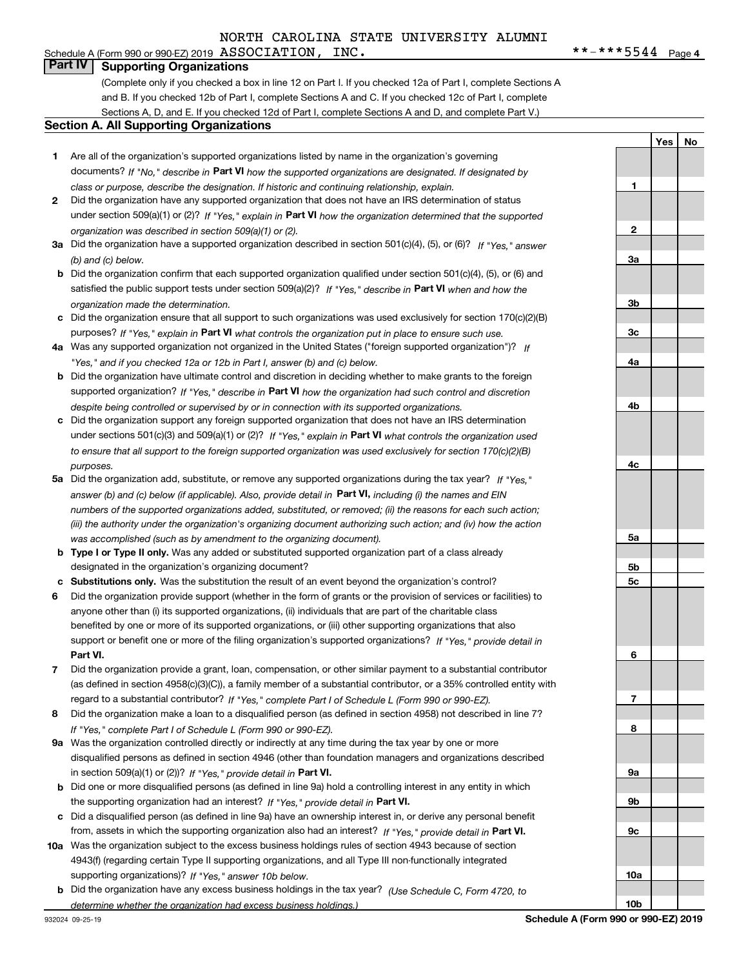#### Schedule A (Form 990 or 990-EZ) 2019  $\, {\rm ASSOCIATION}$  ,  $\, {\rm INC}$  ,  $\,$ **Part IV Supporting Organizations**

(Complete only if you checked a box in line 12 on Part I. If you checked 12a of Part I, complete Sections A and B. If you checked 12b of Part I, complete Sections A and C. If you checked 12c of Part I, complete Sections A, D, and E. If you checked 12d of Part I, complete Sections A and D, and complete Part V.)

#### **Section A. All Supporting Organizations**

- **1** Are all of the organization's supported organizations listed by name in the organization's governing documents? If "No," describe in **Part VI** how the supported organizations are designated. If designated by *class or purpose, describe the designation. If historic and continuing relationship, explain.*
- **2** Did the organization have any supported organization that does not have an IRS determination of status under section 509(a)(1) or (2)? If "Yes," explain in Part VI how the organization determined that the supported *organization was described in section 509(a)(1) or (2).*
- **3a** Did the organization have a supported organization described in section 501(c)(4), (5), or (6)? If "Yes," answer *(b) and (c) below.*
- **b** Did the organization confirm that each supported organization qualified under section 501(c)(4), (5), or (6) and satisfied the public support tests under section 509(a)(2)? If "Yes," describe in **Part VI** when and how the *organization made the determination.*
- **c**Did the organization ensure that all support to such organizations was used exclusively for section 170(c)(2)(B) purposes? If "Yes," explain in **Part VI** what controls the organization put in place to ensure such use.
- **4a***If* Was any supported organization not organized in the United States ("foreign supported organization")? *"Yes," and if you checked 12a or 12b in Part I, answer (b) and (c) below.*
- **b** Did the organization have ultimate control and discretion in deciding whether to make grants to the foreign supported organization? If "Yes," describe in **Part VI** how the organization had such control and discretion *despite being controlled or supervised by or in connection with its supported organizations.*
- **c** Did the organization support any foreign supported organization that does not have an IRS determination under sections 501(c)(3) and 509(a)(1) or (2)? If "Yes," explain in **Part VI** what controls the organization used *to ensure that all support to the foreign supported organization was used exclusively for section 170(c)(2)(B) purposes.*
- **5a***If "Yes,"* Did the organization add, substitute, or remove any supported organizations during the tax year? answer (b) and (c) below (if applicable). Also, provide detail in **Part VI,** including (i) the names and EIN *numbers of the supported organizations added, substituted, or removed; (ii) the reasons for each such action; (iii) the authority under the organization's organizing document authorizing such action; and (iv) how the action was accomplished (such as by amendment to the organizing document).*
- **b** Type I or Type II only. Was any added or substituted supported organization part of a class already designated in the organization's organizing document?
- **cSubstitutions only.**  Was the substitution the result of an event beyond the organization's control?
- **6** Did the organization provide support (whether in the form of grants or the provision of services or facilities) to **Part VI.** *If "Yes," provide detail in* support or benefit one or more of the filing organization's supported organizations? anyone other than (i) its supported organizations, (ii) individuals that are part of the charitable class benefited by one or more of its supported organizations, or (iii) other supporting organizations that also
- **7**Did the organization provide a grant, loan, compensation, or other similar payment to a substantial contributor *If "Yes," complete Part I of Schedule L (Form 990 or 990-EZ).* regard to a substantial contributor? (as defined in section 4958(c)(3)(C)), a family member of a substantial contributor, or a 35% controlled entity with
- **8** Did the organization make a loan to a disqualified person (as defined in section 4958) not described in line 7? *If "Yes," complete Part I of Schedule L (Form 990 or 990-EZ).*
- **9a** Was the organization controlled directly or indirectly at any time during the tax year by one or more in section 509(a)(1) or (2))? If "Yes," *provide detail in* <code>Part VI.</code> disqualified persons as defined in section 4946 (other than foundation managers and organizations described
- **b** Did one or more disqualified persons (as defined in line 9a) hold a controlling interest in any entity in which the supporting organization had an interest? If "Yes," provide detail in P**art VI**.
- **c**Did a disqualified person (as defined in line 9a) have an ownership interest in, or derive any personal benefit from, assets in which the supporting organization also had an interest? If "Yes," provide detail in P**art VI.**
- **10a** Was the organization subject to the excess business holdings rules of section 4943 because of section supporting organizations)? If "Yes," answer 10b below. 4943(f) (regarding certain Type II supporting organizations, and all Type III non-functionally integrated
- **b** Did the organization have any excess business holdings in the tax year? (Use Schedule C, Form 4720, to *determine whether the organization had excess business holdings.)*

**23a3b3c4a4b4c5a5b5c6789a 9b9c10a**

 $***$   $***$  5544 Page 4

**1**

**Yes No**

**10b**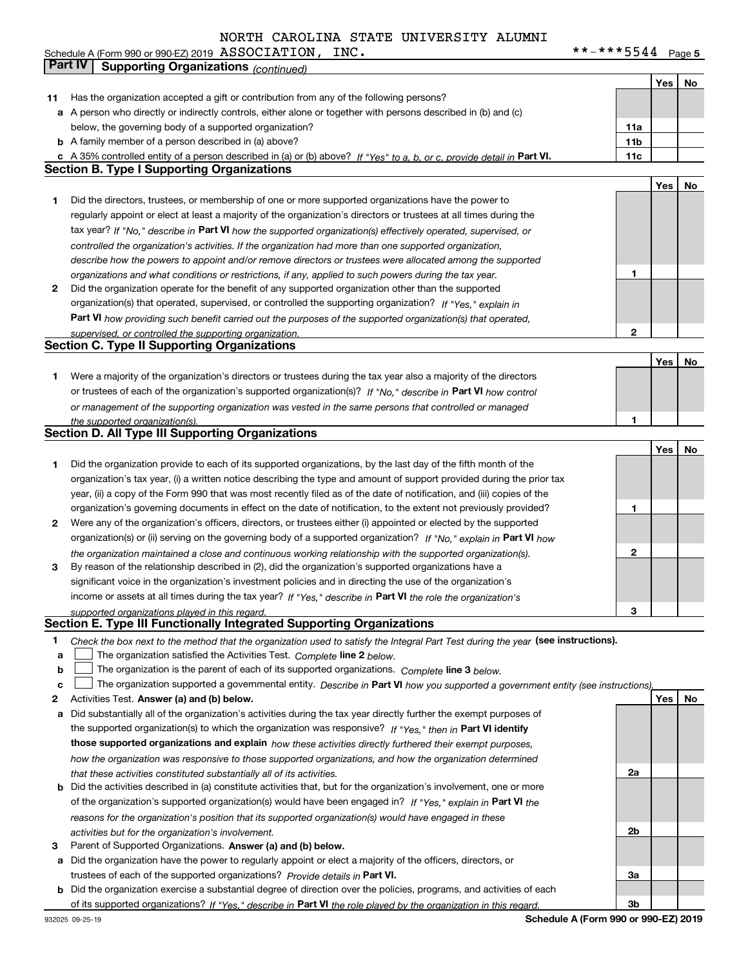**5** Schedule A (Form 990 or 990-EZ) 2019  $\, {\rm ASSUCLATLUN}$  ,  $\, \perp {\rm NC}$  ,  $\, \perp \,$ ASSOCIATION, INC. \*\*-\*\*\*5544

|        | Part IV<br><b>Supporting Organizations (continued)</b>                                                                                                                                                      |              |     |    |
|--------|-------------------------------------------------------------------------------------------------------------------------------------------------------------------------------------------------------------|--------------|-----|----|
|        |                                                                                                                                                                                                             |              | Yes | No |
| 11     | Has the organization accepted a gift or contribution from any of the following persons?                                                                                                                     |              |     |    |
|        | a A person who directly or indirectly controls, either alone or together with persons described in (b) and (c)                                                                                              |              |     |    |
|        | below, the governing body of a supported organization?                                                                                                                                                      | 11a          |     |    |
|        | <b>b</b> A family member of a person described in (a) above?                                                                                                                                                | 11b          |     |    |
|        | c A 35% controlled entity of a person described in (a) or (b) above? If "Yes" to a, b, or c, provide detail in Part VI.                                                                                     | 11c          |     |    |
|        | <b>Section B. Type I Supporting Organizations</b>                                                                                                                                                           |              |     |    |
|        |                                                                                                                                                                                                             |              | Yes | No |
| 1      | Did the directors, trustees, or membership of one or more supported organizations have the power to                                                                                                         |              |     |    |
|        | regularly appoint or elect at least a majority of the organization's directors or trustees at all times during the                                                                                          |              |     |    |
|        | tax year? If "No," describe in Part VI how the supported organization(s) effectively operated, supervised, or                                                                                               |              |     |    |
|        | controlled the organization's activities. If the organization had more than one supported organization,                                                                                                     |              |     |    |
|        | describe how the powers to appoint and/or remove directors or trustees were allocated among the supported                                                                                                   |              |     |    |
|        | organizations and what conditions or restrictions, if any, applied to such powers during the tax year.                                                                                                      | 1            |     |    |
| 2      | Did the organization operate for the benefit of any supported organization other than the supported                                                                                                         |              |     |    |
|        | organization(s) that operated, supervised, or controlled the supporting organization? If "Yes," explain in                                                                                                  |              |     |    |
|        | Part VI how providing such benefit carried out the purposes of the supported organization(s) that operated,                                                                                                 |              |     |    |
|        | supervised, or controlled the supporting organization.                                                                                                                                                      | 2            |     |    |
|        | <b>Section C. Type II Supporting Organizations</b>                                                                                                                                                          |              |     |    |
|        |                                                                                                                                                                                                             |              | Yes | No |
| 1      | Were a majority of the organization's directors or trustees during the tax year also a majority of the directors                                                                                            |              |     |    |
|        | or trustees of each of the organization's supported organization(s)? If "No," describe in Part VI how control                                                                                               |              |     |    |
|        | or management of the supporting organization was vested in the same persons that controlled or managed                                                                                                      |              |     |    |
|        | the supported organization(s).                                                                                                                                                                              | 1            |     |    |
|        | <b>Section D. All Type III Supporting Organizations</b>                                                                                                                                                     |              |     |    |
|        |                                                                                                                                                                                                             |              | Yes | No |
| 1      | Did the organization provide to each of its supported organizations, by the last day of the fifth month of the                                                                                              |              |     |    |
|        | organization's tax year, (i) a written notice describing the type and amount of support provided during the prior tax                                                                                       |              |     |    |
|        | year, (ii) a copy of the Form 990 that was most recently filed as of the date of notification, and (iii) copies of the                                                                                      |              |     |    |
|        | organization's governing documents in effect on the date of notification, to the extent not previously provided?                                                                                            | 1            |     |    |
| 2      | Were any of the organization's officers, directors, or trustees either (i) appointed or elected by the supported                                                                                            |              |     |    |
|        | organization(s) or (ii) serving on the governing body of a supported organization? If "No," explain in Part VI how                                                                                          |              |     |    |
|        | the organization maintained a close and continuous working relationship with the supported organization(s).                                                                                                 | $\mathbf{2}$ |     |    |
| 3      | By reason of the relationship described in (2), did the organization's supported organizations have a                                                                                                       |              |     |    |
|        | significant voice in the organization's investment policies and in directing the use of the organization's                                                                                                  |              |     |    |
|        | income or assets at all times during the tax year? If "Yes," describe in Part VI the role the organization's                                                                                                |              |     |    |
|        | supported organizations played in this regard.<br>Section E. Type III Functionally Integrated Supporting Organizations                                                                                      | 3            |     |    |
|        |                                                                                                                                                                                                             |              |     |    |
| 1<br>a | Check the box next to the method that the organization used to satisfy the Integral Part Test during the year (see instructions).<br>The organization satisfied the Activities Test. Complete line 2 below. |              |     |    |
| b      | The organization is the parent of each of its supported organizations. Complete line 3 below.                                                                                                               |              |     |    |
| c      | The organization supported a governmental entity. Describe in Part VI how you supported a government entity (see instructions),                                                                             |              |     |    |
| 2      | Activities Test. Answer (a) and (b) below.                                                                                                                                                                  |              | Yes | No |
| a      | Did substantially all of the organization's activities during the tax year directly further the exempt purposes of                                                                                          |              |     |    |
|        | the supported organization(s) to which the organization was responsive? If "Yes," then in Part VI identify                                                                                                  |              |     |    |
|        | those supported organizations and explain how these activities directly furthered their exempt purposes,                                                                                                    |              |     |    |
|        | how the organization was responsive to those supported organizations, and how the organization determined                                                                                                   |              |     |    |
|        | that these activities constituted substantially all of its activities.                                                                                                                                      | 2a           |     |    |
|        | <b>b</b> Did the activities described in (a) constitute activities that, but for the organization's involvement, one or more                                                                                |              |     |    |
|        | of the organization's supported organization(s) would have been engaged in? If "Yes," explain in Part VI the                                                                                                |              |     |    |
|        | reasons for the organization's position that its supported organization(s) would have engaged in these                                                                                                      |              |     |    |
|        | activities but for the organization's involvement.                                                                                                                                                          | 2b           |     |    |
| з      | Parent of Supported Organizations. Answer (a) and (b) below.                                                                                                                                                |              |     |    |
| a      | Did the organization have the power to regularly appoint or elect a majority of the officers, directors, or                                                                                                 |              |     |    |
|        | trustees of each of the supported organizations? Provide details in Part VI.                                                                                                                                | За           |     |    |
|        | <b>b</b> Did the organization exercise a substantial degree of direction over the policies, programs, and activities of each                                                                                |              |     |    |
|        | of its supported organizations? If "Yes," describe in Part VI the role played by the organization in this regard.                                                                                           | Зb           |     |    |
|        |                                                                                                                                                                                                             |              |     |    |

**Schedule A (Form 990 or 990-EZ) 2019**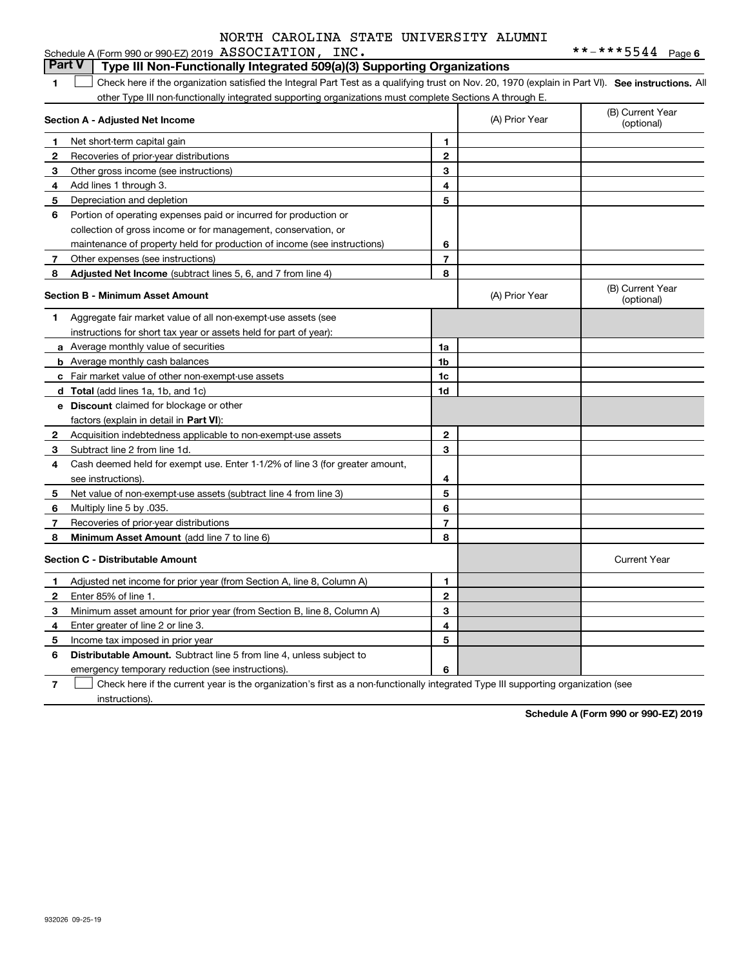|              | <b>Part V</b><br>Type III Non-Functionally Integrated 509(a)(3) Supporting Organizations                                                          |                |                |                                |
|--------------|---------------------------------------------------------------------------------------------------------------------------------------------------|----------------|----------------|--------------------------------|
| 1.           | Check here if the organization satisfied the Integral Part Test as a qualifying trust on Nov. 20, 1970 (explain in Part VI). See instructions. Al |                |                |                                |
|              | other Type III non-functionally integrated supporting organizations must complete Sections A through E.                                           |                |                |                                |
|              | Section A - Adjusted Net Income                                                                                                                   |                | (A) Prior Year | (B) Current Year<br>(optional) |
| 1            | Net short-term capital gain                                                                                                                       | 1              |                |                                |
| $\mathbf{2}$ | Recoveries of prior-year distributions                                                                                                            | $\mathbf{2}$   |                |                                |
| 3            | Other gross income (see instructions)                                                                                                             | 3              |                |                                |
| 4            | Add lines 1 through 3.                                                                                                                            | 4              |                |                                |
| 5            | Depreciation and depletion                                                                                                                        | 5              |                |                                |
| 6            | Portion of operating expenses paid or incurred for production or                                                                                  |                |                |                                |
|              | collection of gross income or for management, conservation, or                                                                                    |                |                |                                |
|              | maintenance of property held for production of income (see instructions)                                                                          | 6              |                |                                |
| 7            | Other expenses (see instructions)                                                                                                                 | $\overline{7}$ |                |                                |
| 8            | Adjusted Net Income (subtract lines 5, 6, and 7 from line 4)                                                                                      | 8              |                |                                |
|              | <b>Section B - Minimum Asset Amount</b>                                                                                                           |                | (A) Prior Year | (B) Current Year<br>(optional) |
| 1            | Aggregate fair market value of all non-exempt-use assets (see                                                                                     |                |                |                                |
|              | instructions for short tax year or assets held for part of year):                                                                                 |                |                |                                |
|              | <b>a</b> Average monthly value of securities                                                                                                      | 1a             |                |                                |
|              | <b>b</b> Average monthly cash balances                                                                                                            | 1b             |                |                                |
|              | c Fair market value of other non-exempt-use assets                                                                                                | 1c             |                |                                |
|              | d Total (add lines 1a, 1b, and 1c)                                                                                                                | 1d             |                |                                |
|              | <b>e</b> Discount claimed for blockage or other                                                                                                   |                |                |                                |
|              | factors (explain in detail in Part VI):                                                                                                           |                |                |                                |
| $\mathbf{2}$ | Acquisition indebtedness applicable to non-exempt-use assets                                                                                      | $\mathbf{2}$   |                |                                |
| 3            | Subtract line 2 from line 1d.                                                                                                                     | 3              |                |                                |
| 4            | Cash deemed held for exempt use. Enter 1-1/2% of line 3 (for greater amount,                                                                      |                |                |                                |
|              | see instructions).                                                                                                                                | 4              |                |                                |
| 5            | Net value of non-exempt-use assets (subtract line 4 from line 3)                                                                                  | 5              |                |                                |
| 6            | Multiply line 5 by .035.                                                                                                                          | 6              |                |                                |
| 7            | Recoveries of prior-year distributions                                                                                                            | $\overline{7}$ |                |                                |
| 8            | <b>Minimum Asset Amount</b> (add line 7 to line 6)                                                                                                | 8              |                |                                |
|              | <b>Section C - Distributable Amount</b>                                                                                                           |                |                | <b>Current Year</b>            |
| 1            | Adjusted net income for prior year (from Section A, line 8, Column A)                                                                             | 1              |                |                                |
| $\mathbf{2}$ | Enter 85% of line 1.                                                                                                                              | $\overline{2}$ |                |                                |
| 3            | Minimum asset amount for prior year (from Section B, line 8, Column A)                                                                            | 3              |                |                                |
| 4            | Enter greater of line 2 or line 3.                                                                                                                | 4              |                |                                |
| 5            | Income tax imposed in prior year                                                                                                                  | 5              |                |                                |
| 6            | <b>Distributable Amount.</b> Subtract line 5 from line 4, unless subject to                                                                       |                |                |                                |
|              | emergency temporary reduction (see instructions).                                                                                                 | 6              |                |                                |

**7**Check here if the current year is the organization's first as a non-functionally integrated Type III supporting organization (see instructions).  $\mathcal{L}^{\text{max}}$ 

**Schedule A (Form 990 or 990-EZ) 2019**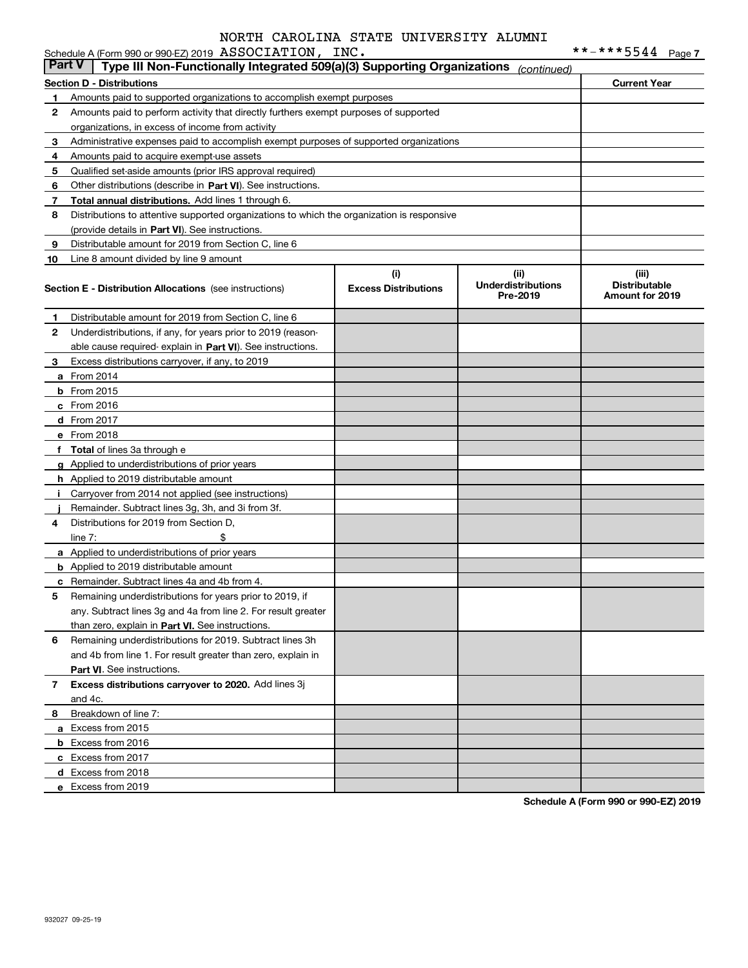|               | Schedule A (Form 990 or 990-EZ) 2019 ASSOCIATION, INC.                                     |                             |                                       | **-***5544<br>Page 7                           |
|---------------|--------------------------------------------------------------------------------------------|-----------------------------|---------------------------------------|------------------------------------------------|
| <b>Part V</b> | Type III Non-Functionally Integrated 509(a)(3) Supporting Organizations                    |                             | (continued)                           |                                                |
|               | <b>Section D - Distributions</b>                                                           |                             |                                       | <b>Current Year</b>                            |
| 1.            | Amounts paid to supported organizations to accomplish exempt purposes                      |                             |                                       |                                                |
| 2             | Amounts paid to perform activity that directly furthers exempt purposes of supported       |                             |                                       |                                                |
|               | organizations, in excess of income from activity                                           |                             |                                       |                                                |
| 3             | Administrative expenses paid to accomplish exempt purposes of supported organizations      |                             |                                       |                                                |
| 4             | Amounts paid to acquire exempt-use assets                                                  |                             |                                       |                                                |
| 5             | Qualified set-aside amounts (prior IRS approval required)                                  |                             |                                       |                                                |
| 6             | Other distributions (describe in Part VI). See instructions.                               |                             |                                       |                                                |
| 7             | Total annual distributions. Add lines 1 through 6.                                         |                             |                                       |                                                |
| 8             | Distributions to attentive supported organizations to which the organization is responsive |                             |                                       |                                                |
|               | (provide details in Part VI). See instructions.                                            |                             |                                       |                                                |
| 9             | Distributable amount for 2019 from Section C, line 6                                       |                             |                                       |                                                |
| 10            | Line 8 amount divided by line 9 amount                                                     |                             |                                       |                                                |
|               |                                                                                            | (i)                         | (ii)                                  | (iii)                                          |
|               | <b>Section E - Distribution Allocations</b> (see instructions)                             | <b>Excess Distributions</b> | <b>Underdistributions</b><br>Pre-2019 | <b>Distributable</b><br><b>Amount for 2019</b> |
| 1             | Distributable amount for 2019 from Section C, line 6                                       |                             |                                       |                                                |
| 2             | Underdistributions, if any, for years prior to 2019 (reason-                               |                             |                                       |                                                |
|               | able cause required-explain in Part VI). See instructions.                                 |                             |                                       |                                                |
| 3             | Excess distributions carryover, if any, to 2019                                            |                             |                                       |                                                |
|               | <b>a</b> From 2014                                                                         |                             |                                       |                                                |
|               | <b>b</b> From 2015                                                                         |                             |                                       |                                                |
|               | $c$ From 2016                                                                              |                             |                                       |                                                |
|               | d From 2017                                                                                |                             |                                       |                                                |
|               | e From 2018                                                                                |                             |                                       |                                                |
|               | f Total of lines 3a through e                                                              |                             |                                       |                                                |
|               | g Applied to underdistributions of prior years                                             |                             |                                       |                                                |
|               | <b>h</b> Applied to 2019 distributable amount                                              |                             |                                       |                                                |
| Ť             | Carryover from 2014 not applied (see instructions)                                         |                             |                                       |                                                |
|               | Remainder. Subtract lines 3g, 3h, and 3i from 3f.                                          |                             |                                       |                                                |
| 4             | Distributions for 2019 from Section D,                                                     |                             |                                       |                                                |
|               | \$<br>line $7:$                                                                            |                             |                                       |                                                |
|               | a Applied to underdistributions of prior years                                             |                             |                                       |                                                |
|               | <b>b</b> Applied to 2019 distributable amount                                              |                             |                                       |                                                |
|               | <b>c</b> Remainder. Subtract lines 4a and 4b from 4.                                       |                             |                                       |                                                |
|               | Remaining underdistributions for years prior to 2019, if                                   |                             |                                       |                                                |
|               | any. Subtract lines 3g and 4a from line 2. For result greater                              |                             |                                       |                                                |
|               | than zero, explain in Part VI. See instructions.                                           |                             |                                       |                                                |
| 6             | Remaining underdistributions for 2019. Subtract lines 3h                                   |                             |                                       |                                                |
|               | and 4b from line 1. For result greater than zero, explain in                               |                             |                                       |                                                |
|               | Part VI. See instructions.                                                                 |                             |                                       |                                                |
| 7             | Excess distributions carryover to 2020. Add lines 3j                                       |                             |                                       |                                                |
|               | and 4c.                                                                                    |                             |                                       |                                                |
| 8             | Breakdown of line 7:                                                                       |                             |                                       |                                                |
|               | a Excess from 2015                                                                         |                             |                                       |                                                |
|               | <b>b</b> Excess from 2016                                                                  |                             |                                       |                                                |
|               | c Excess from 2017                                                                         |                             |                                       |                                                |

**Schedule A (Form 990 or 990-EZ) 2019**

**d** Excess from 2018 **e** Excess from 2019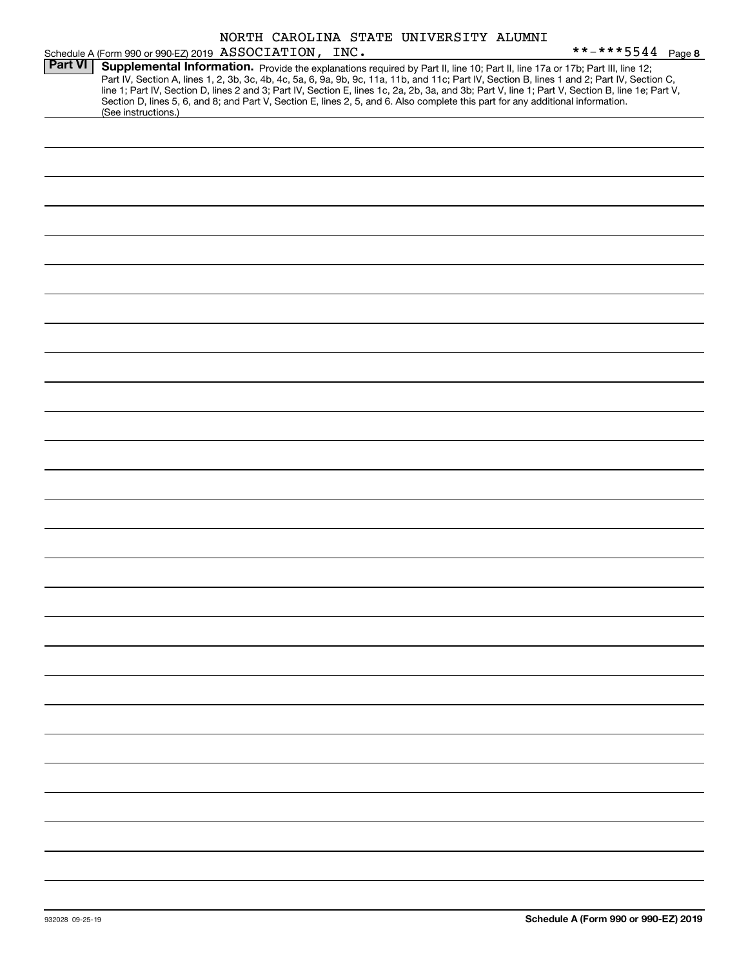|                |                                                                                                                                                                                                                                                                                         |  | NORTH CAROLINA STATE UNIVERSITY ALUMNI |                                                                                                                                                                                                                                                                                                  |
|----------------|-----------------------------------------------------------------------------------------------------------------------------------------------------------------------------------------------------------------------------------------------------------------------------------------|--|----------------------------------------|--------------------------------------------------------------------------------------------------------------------------------------------------------------------------------------------------------------------------------------------------------------------------------------------------|
|                | Schedule A (Form 990 or 990-EZ) 2019 ASSOCIATION, INC.                                                                                                                                                                                                                                  |  |                                        | **-***5544 Page 8                                                                                                                                                                                                                                                                                |
| <b>Part VI</b> | Supplemental Information. Provide the explanations required by Part II, line 10; Part II, line 17a or 17b; Part III, line 12;<br>Section D, lines 5, 6, and 8; and Part V, Section E, lines 2, 5, and 6. Also complete this part for any additional information.<br>(See instructions.) |  |                                        | Part IV, Section A, lines 1, 2, 3b, 3c, 4b, 4c, 5a, 6, 9a, 9b, 9c, 11a, 11b, and 11c; Part IV, Section B, lines 1 and 2; Part IV, Section C,<br>line 1; Part IV, Section D, lines 2 and 3; Part IV, Section E, lines 1c, 2a, 2b, 3a, and 3b; Part V, line 1; Part V, Section B, line 1e; Part V, |
|                |                                                                                                                                                                                                                                                                                         |  |                                        |                                                                                                                                                                                                                                                                                                  |
|                |                                                                                                                                                                                                                                                                                         |  |                                        |                                                                                                                                                                                                                                                                                                  |
|                |                                                                                                                                                                                                                                                                                         |  |                                        |                                                                                                                                                                                                                                                                                                  |
|                |                                                                                                                                                                                                                                                                                         |  |                                        |                                                                                                                                                                                                                                                                                                  |
|                |                                                                                                                                                                                                                                                                                         |  |                                        |                                                                                                                                                                                                                                                                                                  |
|                |                                                                                                                                                                                                                                                                                         |  |                                        |                                                                                                                                                                                                                                                                                                  |
|                |                                                                                                                                                                                                                                                                                         |  |                                        |                                                                                                                                                                                                                                                                                                  |
|                |                                                                                                                                                                                                                                                                                         |  |                                        |                                                                                                                                                                                                                                                                                                  |
|                |                                                                                                                                                                                                                                                                                         |  |                                        |                                                                                                                                                                                                                                                                                                  |
|                |                                                                                                                                                                                                                                                                                         |  |                                        |                                                                                                                                                                                                                                                                                                  |
|                |                                                                                                                                                                                                                                                                                         |  |                                        |                                                                                                                                                                                                                                                                                                  |
|                |                                                                                                                                                                                                                                                                                         |  |                                        |                                                                                                                                                                                                                                                                                                  |
|                |                                                                                                                                                                                                                                                                                         |  |                                        |                                                                                                                                                                                                                                                                                                  |
|                |                                                                                                                                                                                                                                                                                         |  |                                        |                                                                                                                                                                                                                                                                                                  |
|                |                                                                                                                                                                                                                                                                                         |  |                                        |                                                                                                                                                                                                                                                                                                  |
|                |                                                                                                                                                                                                                                                                                         |  |                                        |                                                                                                                                                                                                                                                                                                  |
|                |                                                                                                                                                                                                                                                                                         |  |                                        |                                                                                                                                                                                                                                                                                                  |
|                |                                                                                                                                                                                                                                                                                         |  |                                        |                                                                                                                                                                                                                                                                                                  |
|                |                                                                                                                                                                                                                                                                                         |  |                                        |                                                                                                                                                                                                                                                                                                  |
|                |                                                                                                                                                                                                                                                                                         |  |                                        |                                                                                                                                                                                                                                                                                                  |
|                |                                                                                                                                                                                                                                                                                         |  |                                        |                                                                                                                                                                                                                                                                                                  |
|                |                                                                                                                                                                                                                                                                                         |  |                                        |                                                                                                                                                                                                                                                                                                  |
|                |                                                                                                                                                                                                                                                                                         |  |                                        |                                                                                                                                                                                                                                                                                                  |
|                |                                                                                                                                                                                                                                                                                         |  |                                        |                                                                                                                                                                                                                                                                                                  |
|                |                                                                                                                                                                                                                                                                                         |  |                                        |                                                                                                                                                                                                                                                                                                  |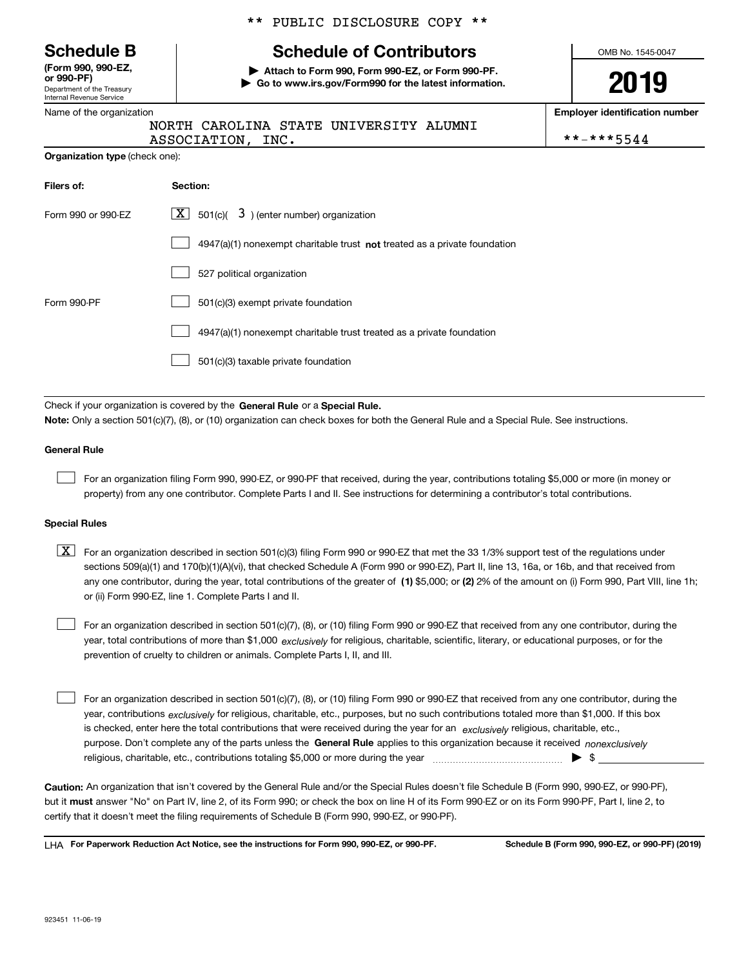Department of the Treasury Internal Revenue Service **(Form 990, 990-EZ, or 990-PF)**

Name of the organization

**Organization type** (check one):

#### \*\* PUBLIC DISCLOSURE COPY \*\*

## **Schedule B Schedule of Contributors**

**| Attach to Form 990, Form 990-EZ, or Form 990-PF. | Go to www.irs.gov/Form990 for the latest information.**

ALUMNI

OMB No. 1545-0047

**2019**

**Employer identification number**

|  | **-***5544 |  |  |  |  |
|--|------------|--|--|--|--|
|  |            |  |  |  |  |

|  |  | NORTH CAROLINA STATE UNIVERSITY |
|--|--|---------------------------------|
|  |  |                                 |

ASSOCIATION, INC.

| Filers of:         | Section:                                                                           |
|--------------------|------------------------------------------------------------------------------------|
| Form 990 or 990-EZ | $\lfloor x \rfloor$ 501(c)( 3) (enter number) organization                         |
|                    | $4947(a)(1)$ nonexempt charitable trust <b>not</b> treated as a private foundation |
|                    | 527 political organization                                                         |
| Form 990-PF        | 501(c)(3) exempt private foundation                                                |
|                    | 4947(a)(1) nonexempt charitable trust treated as a private foundation              |
|                    | 501(c)(3) taxable private foundation                                               |

Check if your organization is covered by the **General Rule** or a **Special Rule.**<br>Nota: Only a section 501(c)(7), (8), or (10) erganization can chock boxes for be **Note:**  Only a section 501(c)(7), (8), or (10) organization can check boxes for both the General Rule and a Special Rule. See instructions.

#### **General Rule**

 $\mathcal{L}^{\text{max}}$ 

For an organization filing Form 990, 990-EZ, or 990-PF that received, during the year, contributions totaling \$5,000 or more (in money or property) from any one contributor. Complete Parts I and II. See instructions for determining a contributor's total contributions.

#### **Special Rules**

any one contributor, during the year, total contributions of the greater of  $\,$  (1) \$5,000; or **(2)** 2% of the amount on (i) Form 990, Part VIII, line 1h;  $\boxed{\textbf{X}}$  For an organization described in section 501(c)(3) filing Form 990 or 990-EZ that met the 33 1/3% support test of the regulations under sections 509(a)(1) and 170(b)(1)(A)(vi), that checked Schedule A (Form 990 or 990-EZ), Part II, line 13, 16a, or 16b, and that received from or (ii) Form 990-EZ, line 1. Complete Parts I and II.

year, total contributions of more than \$1,000 *exclusively* for religious, charitable, scientific, literary, or educational purposes, or for the For an organization described in section 501(c)(7), (8), or (10) filing Form 990 or 990-EZ that received from any one contributor, during the prevention of cruelty to children or animals. Complete Parts I, II, and III.  $\mathcal{L}^{\text{max}}$ 

purpose. Don't complete any of the parts unless the **General Rule** applies to this organization because it received *nonexclusively* year, contributions <sub>exclusively</sub> for religious, charitable, etc., purposes, but no such contributions totaled more than \$1,000. If this box is checked, enter here the total contributions that were received during the year for an  $\;$ exclusively religious, charitable, etc., For an organization described in section 501(c)(7), (8), or (10) filing Form 990 or 990-EZ that received from any one contributor, during the religious, charitable, etc., contributions totaling \$5,000 or more during the year  $\Box$ — $\Box$   $\Box$  $\mathcal{L}^{\text{max}}$ 

**Caution:**  An organization that isn't covered by the General Rule and/or the Special Rules doesn't file Schedule B (Form 990, 990-EZ, or 990-PF), but it **must** answer "No" on Part IV, line 2, of its Form 990; or check the box on line H of its Form 990-EZ or on its Form 990-PF, Part I, line 2, to<br>cortify that it doesn't meet the filipe requirements of Schodule B (Fer certify that it doesn't meet the filing requirements of Schedule B (Form 990, 990-EZ, or 990-PF).

**For Paperwork Reduction Act Notice, see the instructions for Form 990, 990-EZ, or 990-PF. Schedule B (Form 990, 990-EZ, or 990-PF) (2019)** LHA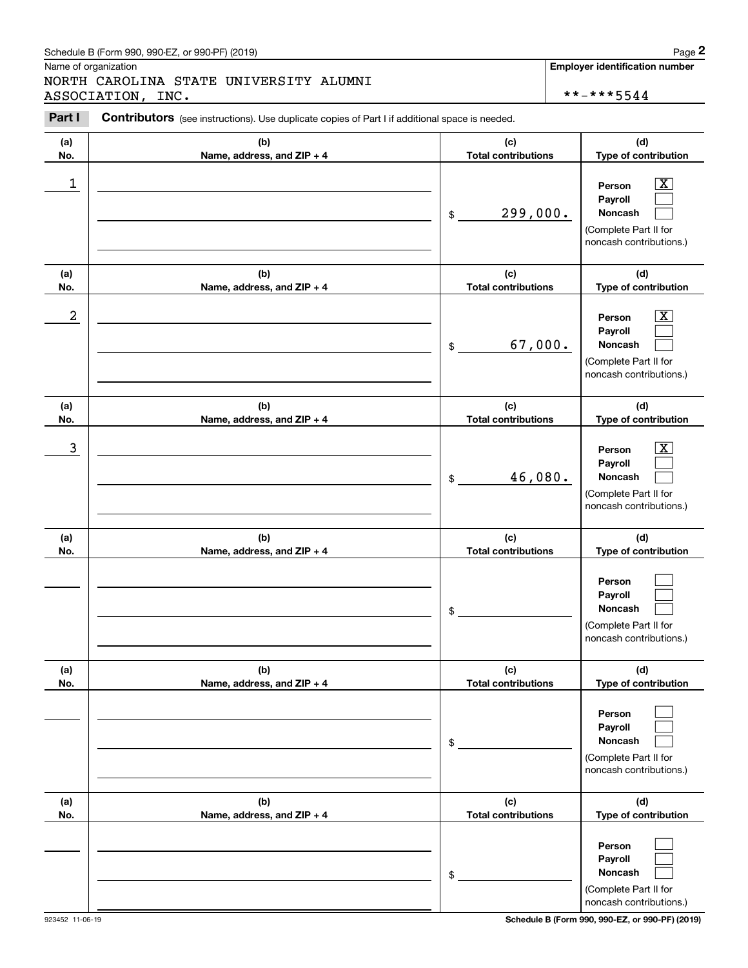### Schedule B (Form 990, 990-EZ, or 990-PF) (2019) Page 2

|            | Schedule B (Form 990, 990-EZ, or 990-PF) (2019)                                                       |                                   | Page 2                                                                                                      |
|------------|-------------------------------------------------------------------------------------------------------|-----------------------------------|-------------------------------------------------------------------------------------------------------------|
|            | Name of organization<br>NORTH CAROLINA STATE UNIVERSITY ALUMNI<br>ASSOCIATION, INC.                   |                                   | <b>Employer identification number</b><br>**-***5544                                                         |
| Part I     | <b>Contributors</b> (see instructions). Use duplicate copies of Part I if additional space is needed. |                                   |                                                                                                             |
| (a)<br>No. | (b)<br>Name, address, and ZIP + 4                                                                     | (c)<br><b>Total contributions</b> | (d)<br>Type of contribution                                                                                 |
| 1          |                                                                                                       | 299,000.<br>\$                    | $\mathbf{X}$<br>Person<br>Payroll<br>Noncash<br>(Complete Part II for<br>noncash contributions.)            |
| (a)<br>No. | (b)<br>Name, address, and ZIP + 4                                                                     | (c)<br><b>Total contributions</b> | (d)<br>Type of contribution                                                                                 |
| 2          |                                                                                                       | 67,000.<br>\$                     | $\overline{\mathbf{X}}$<br>Person<br>Payroll<br>Noncash<br>(Complete Part II for<br>noncash contributions.) |
| (a)<br>No. | (b)<br>Name, address, and ZIP + 4                                                                     | (c)<br><b>Total contributions</b> | (d)<br>Type of contribution                                                                                 |
| 3          |                                                                                                       | 46,080.<br>\$                     | $\overline{\mathbf{X}}$<br>Person<br>Payroll<br>Noncash<br>(Complete Part II for<br>noncash contributions.) |
| (a)<br>No. | (b)<br>Name, address, and ZIP + 4                                                                     | (c)<br><b>Total contributions</b> | (d)<br>Type of contribution                                                                                 |
|            |                                                                                                       | \$                                | Person<br>Payroll<br>Noncash<br>(Complete Part II for<br>noncash contributions.)                            |
| (a)<br>No. | (b)<br>Name, address, and ZIP + 4                                                                     | (c)<br><b>Total contributions</b> | (d)<br>Type of contribution                                                                                 |
|            |                                                                                                       | \$                                | Person<br>Payroll<br>Noncash<br>(Complete Part II for<br>noncash contributions.)                            |
| (a)<br>No. | (b)<br>Name, address, and ZIP + 4                                                                     | (c)<br><b>Total contributions</b> | (d)<br>Type of contribution                                                                                 |
|            |                                                                                                       | \$                                | Person<br>Payroll<br>Noncash<br>(Complete Part II for<br>noncash contributions.)                            |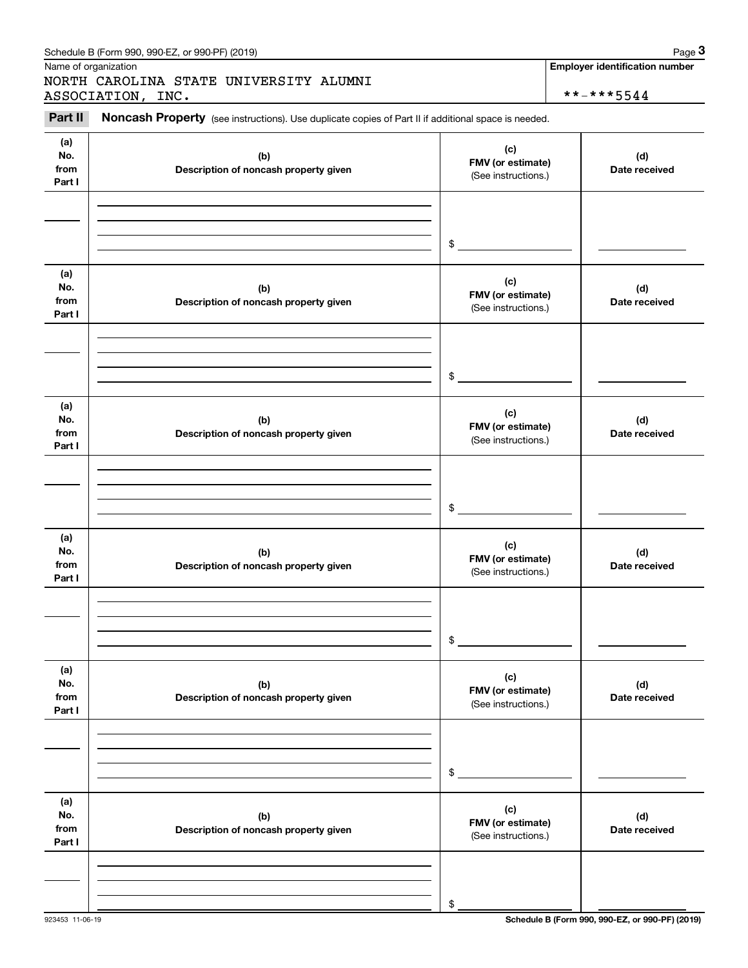|                              | Schedule B (Form 990, 990-EZ, or 990-PF) (2019)                                                     |                                                 | Page 3                                |
|------------------------------|-----------------------------------------------------------------------------------------------------|-------------------------------------------------|---------------------------------------|
|                              | Name of organization<br>NORTH CAROLINA STATE UNIVERSITY ALUMNI                                      |                                                 | <b>Employer identification number</b> |
|                              | ASSOCIATION, INC.                                                                                   |                                                 | **-***5544                            |
| Part II                      | Noncash Property (see instructions). Use duplicate copies of Part II if additional space is needed. |                                                 |                                       |
| (a)<br>No.<br>from<br>Part I | (b)<br>Description of noncash property given                                                        | (c)<br>FMV (or estimate)<br>(See instructions.) | (d)<br>Date received                  |
|                              |                                                                                                     | \$                                              |                                       |
| (a)<br>No.<br>from<br>Part I | (b)<br>Description of noncash property given                                                        | (c)<br>FMV (or estimate)<br>(See instructions.) | (d)<br>Date received                  |
|                              |                                                                                                     | \$                                              |                                       |
| (a)<br>No.<br>from<br>Part I | (b)<br>Description of noncash property given                                                        | (c)<br>FMV (or estimate)<br>(See instructions.) | (d)<br>Date received                  |
|                              |                                                                                                     | \$                                              |                                       |
| (a)<br>No.<br>from<br>Part I | (b)<br>Description of noncash property given                                                        | (c)<br>FMV (or estimate)<br>(See instructions.) | (d)<br>Date received                  |
|                              |                                                                                                     | \$                                              |                                       |
| (a)<br>No.<br>from<br>Part I | (b)<br>Description of noncash property given                                                        | (c)<br>FMV (or estimate)<br>(See instructions.) | (d)<br>Date received                  |
|                              |                                                                                                     | \$                                              |                                       |
| (a)<br>No.<br>from<br>Part I | (b)<br>Description of noncash property given                                                        | (c)<br>FMV (or estimate)<br>(See instructions.) | (d)<br>Date received                  |
|                              |                                                                                                     |                                                 |                                       |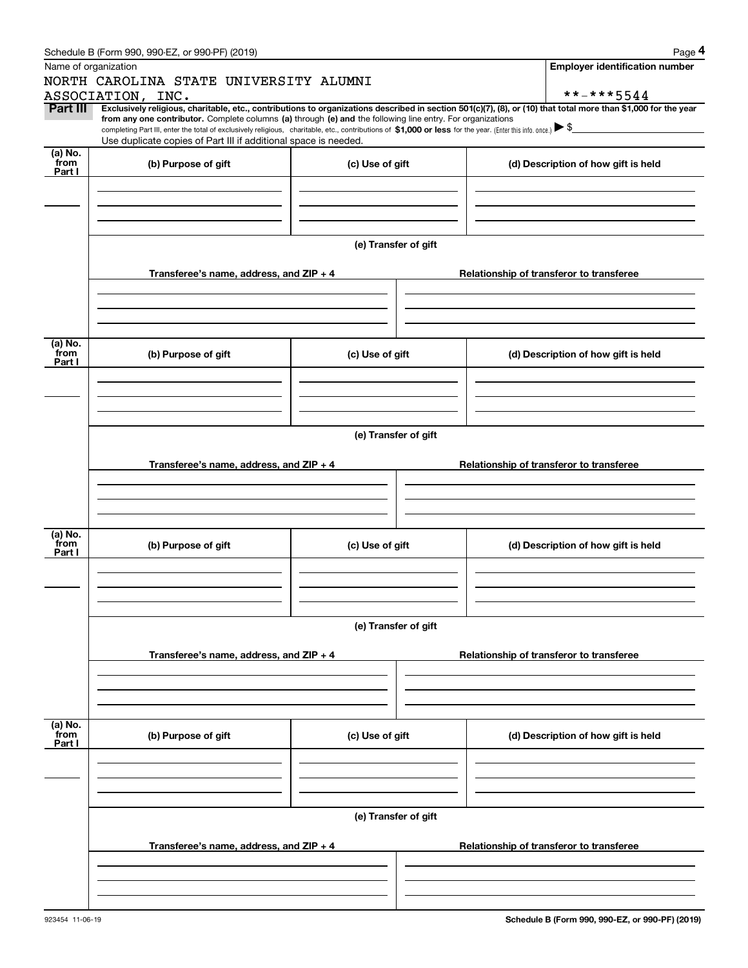|                 | Schedule B (Form 990, 990-EZ, or 990-PF) (2019)                                                                                                                                                                                                                                                                                                                                                                                              |                      |                                          | Page 4                                   |  |  |  |  |
|-----------------|----------------------------------------------------------------------------------------------------------------------------------------------------------------------------------------------------------------------------------------------------------------------------------------------------------------------------------------------------------------------------------------------------------------------------------------------|----------------------|------------------------------------------|------------------------------------------|--|--|--|--|
|                 | Name of organization                                                                                                                                                                                                                                                                                                                                                                                                                         |                      |                                          | <b>Employer identification number</b>    |  |  |  |  |
|                 | NORTH CAROLINA STATE UNIVERSITY ALUMNI                                                                                                                                                                                                                                                                                                                                                                                                       |                      |                                          |                                          |  |  |  |  |
|                 | ASSOCIATION, INC.                                                                                                                                                                                                                                                                                                                                                                                                                            |                      |                                          | **-***5544                               |  |  |  |  |
| Part III        | Exclusively religious, charitable, etc., contributions to organizations described in section 501(c)(7), (8), or (10) that total more than \$1,000 for the year<br>from any one contributor. Complete columns (a) through (e) and the following line entry. For organizations<br>completing Part III, enter the total of exclusively religious, charitable, etc., contributions of \$1,000 or less for the year. (Enter this info. once.) \\$ |                      |                                          |                                          |  |  |  |  |
|                 | Use duplicate copies of Part III if additional space is needed.                                                                                                                                                                                                                                                                                                                                                                              |                      |                                          |                                          |  |  |  |  |
| (a) No.<br>from |                                                                                                                                                                                                                                                                                                                                                                                                                                              |                      |                                          |                                          |  |  |  |  |
| Part I          | (b) Purpose of gift                                                                                                                                                                                                                                                                                                                                                                                                                          | (c) Use of gift      |                                          | (d) Description of how gift is held      |  |  |  |  |
|                 |                                                                                                                                                                                                                                                                                                                                                                                                                                              |                      |                                          |                                          |  |  |  |  |
|                 |                                                                                                                                                                                                                                                                                                                                                                                                                                              |                      |                                          |                                          |  |  |  |  |
|                 |                                                                                                                                                                                                                                                                                                                                                                                                                                              |                      |                                          |                                          |  |  |  |  |
|                 |                                                                                                                                                                                                                                                                                                                                                                                                                                              |                      |                                          |                                          |  |  |  |  |
|                 |                                                                                                                                                                                                                                                                                                                                                                                                                                              | (e) Transfer of gift |                                          |                                          |  |  |  |  |
|                 |                                                                                                                                                                                                                                                                                                                                                                                                                                              |                      |                                          |                                          |  |  |  |  |
|                 | Transferee's name, address, and ZIP + 4                                                                                                                                                                                                                                                                                                                                                                                                      |                      |                                          | Relationship of transferor to transferee |  |  |  |  |
|                 |                                                                                                                                                                                                                                                                                                                                                                                                                                              |                      |                                          |                                          |  |  |  |  |
|                 |                                                                                                                                                                                                                                                                                                                                                                                                                                              |                      |                                          |                                          |  |  |  |  |
|                 |                                                                                                                                                                                                                                                                                                                                                                                                                                              |                      |                                          |                                          |  |  |  |  |
| (a) No.         |                                                                                                                                                                                                                                                                                                                                                                                                                                              |                      |                                          |                                          |  |  |  |  |
| from<br>Part I  | (b) Purpose of gift                                                                                                                                                                                                                                                                                                                                                                                                                          | (c) Use of gift      |                                          | (d) Description of how gift is held      |  |  |  |  |
|                 |                                                                                                                                                                                                                                                                                                                                                                                                                                              |                      |                                          |                                          |  |  |  |  |
|                 |                                                                                                                                                                                                                                                                                                                                                                                                                                              |                      |                                          |                                          |  |  |  |  |
|                 |                                                                                                                                                                                                                                                                                                                                                                                                                                              |                      |                                          |                                          |  |  |  |  |
|                 |                                                                                                                                                                                                                                                                                                                                                                                                                                              |                      |                                          |                                          |  |  |  |  |
|                 | (e) Transfer of gift                                                                                                                                                                                                                                                                                                                                                                                                                         |                      |                                          |                                          |  |  |  |  |
|                 |                                                                                                                                                                                                                                                                                                                                                                                                                                              |                      |                                          |                                          |  |  |  |  |
|                 | Transferee's name, address, and $ZIP + 4$                                                                                                                                                                                                                                                                                                                                                                                                    |                      | Relationship of transferor to transferee |                                          |  |  |  |  |
|                 |                                                                                                                                                                                                                                                                                                                                                                                                                                              |                      |                                          |                                          |  |  |  |  |
|                 |                                                                                                                                                                                                                                                                                                                                                                                                                                              |                      |                                          |                                          |  |  |  |  |
|                 |                                                                                                                                                                                                                                                                                                                                                                                                                                              |                      |                                          |                                          |  |  |  |  |
| (a) No.         |                                                                                                                                                                                                                                                                                                                                                                                                                                              |                      |                                          |                                          |  |  |  |  |
| from<br>Part I  | (b) Purpose of gift                                                                                                                                                                                                                                                                                                                                                                                                                          | (c) Use of gift      |                                          | (d) Description of how gift is held      |  |  |  |  |
|                 |                                                                                                                                                                                                                                                                                                                                                                                                                                              |                      |                                          |                                          |  |  |  |  |
|                 |                                                                                                                                                                                                                                                                                                                                                                                                                                              |                      |                                          |                                          |  |  |  |  |
|                 |                                                                                                                                                                                                                                                                                                                                                                                                                                              |                      |                                          |                                          |  |  |  |  |
|                 |                                                                                                                                                                                                                                                                                                                                                                                                                                              |                      |                                          |                                          |  |  |  |  |
|                 | (e) Transfer of gift                                                                                                                                                                                                                                                                                                                                                                                                                         |                      |                                          |                                          |  |  |  |  |
|                 |                                                                                                                                                                                                                                                                                                                                                                                                                                              |                      |                                          |                                          |  |  |  |  |
|                 | Transferee's name, address, and ZIP + 4                                                                                                                                                                                                                                                                                                                                                                                                      |                      |                                          | Relationship of transferor to transferee |  |  |  |  |
|                 |                                                                                                                                                                                                                                                                                                                                                                                                                                              |                      |                                          |                                          |  |  |  |  |
|                 |                                                                                                                                                                                                                                                                                                                                                                                                                                              |                      |                                          |                                          |  |  |  |  |
|                 |                                                                                                                                                                                                                                                                                                                                                                                                                                              |                      |                                          |                                          |  |  |  |  |
| (a) No.<br>from |                                                                                                                                                                                                                                                                                                                                                                                                                                              |                      |                                          |                                          |  |  |  |  |
| Part I          | (b) Purpose of gift                                                                                                                                                                                                                                                                                                                                                                                                                          | (c) Use of gift      |                                          | (d) Description of how gift is held      |  |  |  |  |
|                 |                                                                                                                                                                                                                                                                                                                                                                                                                                              |                      |                                          |                                          |  |  |  |  |
|                 |                                                                                                                                                                                                                                                                                                                                                                                                                                              |                      |                                          |                                          |  |  |  |  |
|                 |                                                                                                                                                                                                                                                                                                                                                                                                                                              |                      |                                          |                                          |  |  |  |  |
|                 |                                                                                                                                                                                                                                                                                                                                                                                                                                              |                      |                                          |                                          |  |  |  |  |
|                 |                                                                                                                                                                                                                                                                                                                                                                                                                                              | (e) Transfer of gift |                                          |                                          |  |  |  |  |
|                 |                                                                                                                                                                                                                                                                                                                                                                                                                                              |                      |                                          |                                          |  |  |  |  |
|                 | Transferee's name, address, and $ZIP + 4$                                                                                                                                                                                                                                                                                                                                                                                                    |                      |                                          | Relationship of transferor to transferee |  |  |  |  |
|                 |                                                                                                                                                                                                                                                                                                                                                                                                                                              |                      |                                          |                                          |  |  |  |  |
|                 |                                                                                                                                                                                                                                                                                                                                                                                                                                              |                      |                                          |                                          |  |  |  |  |
|                 |                                                                                                                                                                                                                                                                                                                                                                                                                                              |                      |                                          |                                          |  |  |  |  |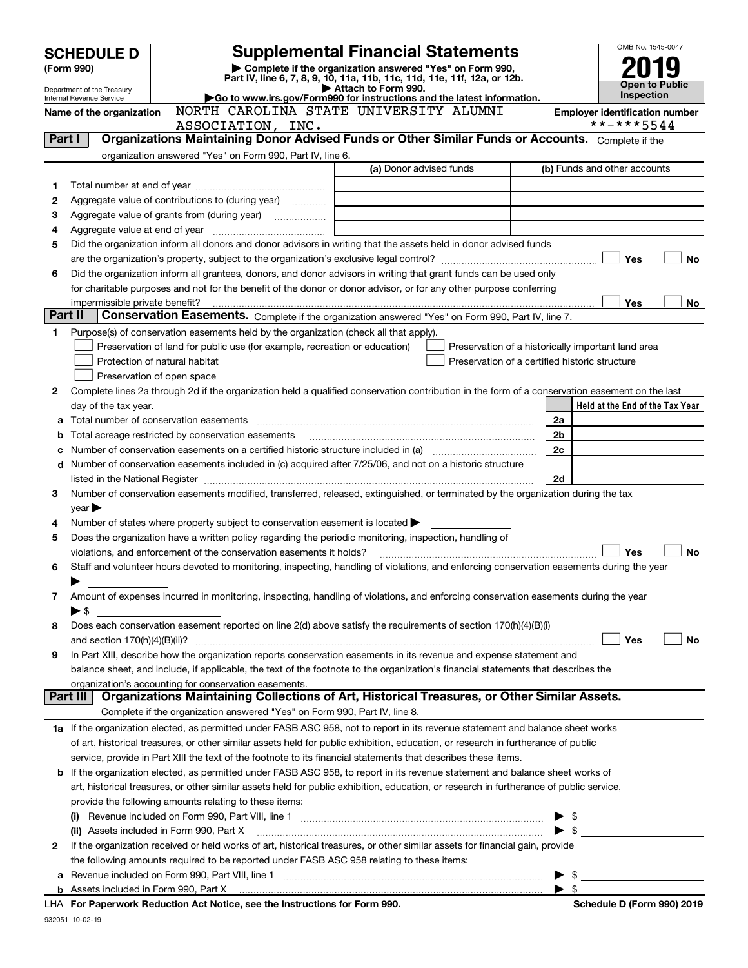| Complete if the organization answered "Yes" on Form 990,<br>(Form 990)<br>Part IV, line 6, 7, 8, 9, 10, 11a, 11b, 11c, 11d, 11e, 11f, 12a, or 12b.<br><b>Open to Public</b><br>Attach to Form 990.<br>Department of the Treasury<br><b>Inspection</b><br>Go to www.irs.gov/Form990 for instructions and the latest information.<br>Internal Revenue Service<br>NORTH CAROLINA STATE UNIVERSITY ALUMNI<br>Name of the organization<br><b>Employer identification number</b><br>**-***5544<br>ASSOCIATION, INC.<br>Organizations Maintaining Donor Advised Funds or Other Similar Funds or Accounts. Complete if the<br>Part I<br>organization answered "Yes" on Form 990, Part IV, line 6.<br>(a) Donor advised funds<br>(b) Funds and other accounts<br>1<br>Aggregate value of contributions to (during year)<br>2<br>З<br><u> 1989 - Johann Stein, Amerikaansk politiker (</u><br>4<br>Did the organization inform all donors and donor advisors in writing that the assets held in donor advised funds<br>5<br>Yes<br><b>No</b><br>Did the organization inform all grantees, donors, and donor advisors in writing that grant funds can be used only<br>6<br>for charitable purposes and not for the benefit of the donor or donor advisor, or for any other purpose conferring<br>Yes<br>No<br>impermissible private benefit?<br>Part II<br>Conservation Easements. Complete if the organization answered "Yes" on Form 990, Part IV, line 7.<br>Purpose(s) of conservation easements held by the organization (check all that apply).<br>1<br>Preservation of land for public use (for example, recreation or education)<br>Preservation of a historically important land area<br>Protection of natural habitat<br>Preservation of a certified historic structure<br>Preservation of open space<br>Complete lines 2a through 2d if the organization held a qualified conservation contribution in the form of a conservation easement on the last<br>2<br>Held at the End of the Tax Year<br>day of the tax year.<br>2a<br>a<br>Total acreage restricted by conservation easements<br>2b<br>b<br>2c<br>с<br>Number of conservation easements included in (c) acquired after 7/25/06, and not on a historic structure<br>d<br>2d<br>listed in the National Register [111] Marshall Register [11] Marshall Register [11] Marshall Register [11] Marshall Register [11] Marshall Register [11] Marshall Register [11] Marshall Register [11] Marshall Register [11]<br>Number of conservation easements modified, transferred, released, extinguished, or terminated by the organization during the tax<br>3<br>year<br>Number of states where property subject to conservation easement is located<br>4<br>Does the organization have a written policy regarding the periodic monitoring, inspection, handling of<br>5<br>Yes<br><b>No</b><br>violations, and enforcement of the conservation easements it holds?<br>Staff and volunteer hours devoted to monitoring, inspecting, handling of violations, and enforcing conservation easements during the year<br>6<br>Amount of expenses incurred in monitoring, inspecting, handling of violations, and enforcing conservation easements during the year<br>7<br>$\blacktriangleright$ \$<br>Does each conservation easement reported on line $2(d)$ above satisfy the requirements of section 170(h)(4)(B)(i)<br>8<br>Yes<br>No<br>In Part XIII, describe how the organization reports conservation easements in its revenue and expense statement and<br>9<br>balance sheet, and include, if applicable, the text of the footnote to the organization's financial statements that describes the<br>organization's accounting for conservation easements.<br>Organizations Maintaining Collections of Art, Historical Treasures, or Other Similar Assets.<br>Part III<br>Complete if the organization answered "Yes" on Form 990, Part IV, line 8.<br>1a If the organization elected, as permitted under FASB ASC 958, not to report in its revenue statement and balance sheet works<br>of art, historical treasures, or other similar assets held for public exhibition, education, or research in furtherance of public<br>service, provide in Part XIII the text of the footnote to its financial statements that describes these items.<br>If the organization elected, as permitted under FASB ASC 958, to report in its revenue statement and balance sheet works of<br>b<br>art, historical treasures, or other similar assets held for public exhibition, education, or research in furtherance of public service,<br>provide the following amounts relating to these items:<br>$\blacktriangleright$ \$<br>$\bullet$ \$<br>(ii) Assets included in Form 990, Part X<br>If the organization received or held works of art, historical treasures, or other similar assets for financial gain, provide<br>2<br>the following amounts required to be reported under FASB ASC 958 relating to these items:<br>Revenue included on Form 990, Part VIII, line 1 [2000] [2000] [2000] [2000] [3000] [3000] [3000] [3000] [3000<br>$\blacktriangleright$ \$<br>а<br>$\blacktriangleright$ s<br>b<br>LHA For Paperwork Reduction Act Notice, see the Instructions for Form 990. | <b>Supplemental Financial Statements</b><br><b>SCHEDULE D</b> |  |  |  |  | OMB No. 1545-0047          |  |  |
|---------------------------------------------------------------------------------------------------------------------------------------------------------------------------------------------------------------------------------------------------------------------------------------------------------------------------------------------------------------------------------------------------------------------------------------------------------------------------------------------------------------------------------------------------------------------------------------------------------------------------------------------------------------------------------------------------------------------------------------------------------------------------------------------------------------------------------------------------------------------------------------------------------------------------------------------------------------------------------------------------------------------------------------------------------------------------------------------------------------------------------------------------------------------------------------------------------------------------------------------------------------------------------------------------------------------------------------------------------------------------------------------------------------------------------------------------------------------------------------------------------------------------------------------------------------------------------------------------------------------------------------------------------------------------------------------------------------------------------------------------------------------------------------------------------------------------------------------------------------------------------------------------------------------------------------------------------------------------------------------------------------------------------------------------------------------------------------------------------------------------------------------------------------------------------------------------------------------------------------------------------------------------------------------------------------------------------------------------------------------------------------------------------------------------------------------------------------------------------------------------------------------------------------------------------------------------------------------------------------------------------------------------------------------------------------------------------------------------------------------------------------------------------------------------------------------------------------------------------------------------------------------------------------------------------------------------------------------------------------------------------------------------------------------------------------------------------------------------------------------------------------------------------------------------------------------------------------------------------------------------------------------------------------------------------------------------------------------------------------------------------------------------------------------------------------------------------------------------------------------------------------------------------------------------------------------------------------------------------------------------------------------------------------------------------------------------------------------------------------------------------------------------------------------------------------------------------------------------------------------------------------------------------------------------------------------------------------------------------------------------------------------------------------------------------------------------------------------------------------------------------------------------------------------------------------------------------------------------------------------------------------------------------------------------------------------------------------------------------------------------------------------------------------------------------------------------------------------------------------------------------------------------------------------------------------------------------------------------------------------------------------------------------------------------------------------------------------------------------------------------------------------------------------------------------------------------------------------------------------------------------------------------------------------------------------------------------------------------------------------------------------------------------------------------------------------------------------------------------------------------------------------------------------------------------------------------------------------------------------|---------------------------------------------------------------|--|--|--|--|----------------------------|--|--|
|                                                                                                                                                                                                                                                                                                                                                                                                                                                                                                                                                                                                                                                                                                                                                                                                                                                                                                                                                                                                                                                                                                                                                                                                                                                                                                                                                                                                                                                                                                                                                                                                                                                                                                                                                                                                                                                                                                                                                                                                                                                                                                                                                                                                                                                                                                                                                                                                                                                                                                                                                                                                                                                                                                                                                                                                                                                                                                                                                                                                                                                                                                                                                                                                                                                                                                                                                                                                                                                                                                                                                                                                                                                                                                                                                                                                                                                                                                                                                                                                                                                                                                                                                                                                                                                                                                                                                                                                                                                                                                                                                                                                                                                                                                                                                                                                                                                                                                                                                                                                                                                                                                                                                                                                                                       |                                                               |  |  |  |  |                            |  |  |
|                                                                                                                                                                                                                                                                                                                                                                                                                                                                                                                                                                                                                                                                                                                                                                                                                                                                                                                                                                                                                                                                                                                                                                                                                                                                                                                                                                                                                                                                                                                                                                                                                                                                                                                                                                                                                                                                                                                                                                                                                                                                                                                                                                                                                                                                                                                                                                                                                                                                                                                                                                                                                                                                                                                                                                                                                                                                                                                                                                                                                                                                                                                                                                                                                                                                                                                                                                                                                                                                                                                                                                                                                                                                                                                                                                                                                                                                                                                                                                                                                                                                                                                                                                                                                                                                                                                                                                                                                                                                                                                                                                                                                                                                                                                                                                                                                                                                                                                                                                                                                                                                                                                                                                                                                                       |                                                               |  |  |  |  |                            |  |  |
|                                                                                                                                                                                                                                                                                                                                                                                                                                                                                                                                                                                                                                                                                                                                                                                                                                                                                                                                                                                                                                                                                                                                                                                                                                                                                                                                                                                                                                                                                                                                                                                                                                                                                                                                                                                                                                                                                                                                                                                                                                                                                                                                                                                                                                                                                                                                                                                                                                                                                                                                                                                                                                                                                                                                                                                                                                                                                                                                                                                                                                                                                                                                                                                                                                                                                                                                                                                                                                                                                                                                                                                                                                                                                                                                                                                                                                                                                                                                                                                                                                                                                                                                                                                                                                                                                                                                                                                                                                                                                                                                                                                                                                                                                                                                                                                                                                                                                                                                                                                                                                                                                                                                                                                                                                       |                                                               |  |  |  |  |                            |  |  |
|                                                                                                                                                                                                                                                                                                                                                                                                                                                                                                                                                                                                                                                                                                                                                                                                                                                                                                                                                                                                                                                                                                                                                                                                                                                                                                                                                                                                                                                                                                                                                                                                                                                                                                                                                                                                                                                                                                                                                                                                                                                                                                                                                                                                                                                                                                                                                                                                                                                                                                                                                                                                                                                                                                                                                                                                                                                                                                                                                                                                                                                                                                                                                                                                                                                                                                                                                                                                                                                                                                                                                                                                                                                                                                                                                                                                                                                                                                                                                                                                                                                                                                                                                                                                                                                                                                                                                                                                                                                                                                                                                                                                                                                                                                                                                                                                                                                                                                                                                                                                                                                                                                                                                                                                                                       |                                                               |  |  |  |  |                            |  |  |
|                                                                                                                                                                                                                                                                                                                                                                                                                                                                                                                                                                                                                                                                                                                                                                                                                                                                                                                                                                                                                                                                                                                                                                                                                                                                                                                                                                                                                                                                                                                                                                                                                                                                                                                                                                                                                                                                                                                                                                                                                                                                                                                                                                                                                                                                                                                                                                                                                                                                                                                                                                                                                                                                                                                                                                                                                                                                                                                                                                                                                                                                                                                                                                                                                                                                                                                                                                                                                                                                                                                                                                                                                                                                                                                                                                                                                                                                                                                                                                                                                                                                                                                                                                                                                                                                                                                                                                                                                                                                                                                                                                                                                                                                                                                                                                                                                                                                                                                                                                                                                                                                                                                                                                                                                                       |                                                               |  |  |  |  |                            |  |  |
|                                                                                                                                                                                                                                                                                                                                                                                                                                                                                                                                                                                                                                                                                                                                                                                                                                                                                                                                                                                                                                                                                                                                                                                                                                                                                                                                                                                                                                                                                                                                                                                                                                                                                                                                                                                                                                                                                                                                                                                                                                                                                                                                                                                                                                                                                                                                                                                                                                                                                                                                                                                                                                                                                                                                                                                                                                                                                                                                                                                                                                                                                                                                                                                                                                                                                                                                                                                                                                                                                                                                                                                                                                                                                                                                                                                                                                                                                                                                                                                                                                                                                                                                                                                                                                                                                                                                                                                                                                                                                                                                                                                                                                                                                                                                                                                                                                                                                                                                                                                                                                                                                                                                                                                                                                       |                                                               |  |  |  |  |                            |  |  |
|                                                                                                                                                                                                                                                                                                                                                                                                                                                                                                                                                                                                                                                                                                                                                                                                                                                                                                                                                                                                                                                                                                                                                                                                                                                                                                                                                                                                                                                                                                                                                                                                                                                                                                                                                                                                                                                                                                                                                                                                                                                                                                                                                                                                                                                                                                                                                                                                                                                                                                                                                                                                                                                                                                                                                                                                                                                                                                                                                                                                                                                                                                                                                                                                                                                                                                                                                                                                                                                                                                                                                                                                                                                                                                                                                                                                                                                                                                                                                                                                                                                                                                                                                                                                                                                                                                                                                                                                                                                                                                                                                                                                                                                                                                                                                                                                                                                                                                                                                                                                                                                                                                                                                                                                                                       |                                                               |  |  |  |  |                            |  |  |
|                                                                                                                                                                                                                                                                                                                                                                                                                                                                                                                                                                                                                                                                                                                                                                                                                                                                                                                                                                                                                                                                                                                                                                                                                                                                                                                                                                                                                                                                                                                                                                                                                                                                                                                                                                                                                                                                                                                                                                                                                                                                                                                                                                                                                                                                                                                                                                                                                                                                                                                                                                                                                                                                                                                                                                                                                                                                                                                                                                                                                                                                                                                                                                                                                                                                                                                                                                                                                                                                                                                                                                                                                                                                                                                                                                                                                                                                                                                                                                                                                                                                                                                                                                                                                                                                                                                                                                                                                                                                                                                                                                                                                                                                                                                                                                                                                                                                                                                                                                                                                                                                                                                                                                                                                                       |                                                               |  |  |  |  |                            |  |  |
|                                                                                                                                                                                                                                                                                                                                                                                                                                                                                                                                                                                                                                                                                                                                                                                                                                                                                                                                                                                                                                                                                                                                                                                                                                                                                                                                                                                                                                                                                                                                                                                                                                                                                                                                                                                                                                                                                                                                                                                                                                                                                                                                                                                                                                                                                                                                                                                                                                                                                                                                                                                                                                                                                                                                                                                                                                                                                                                                                                                                                                                                                                                                                                                                                                                                                                                                                                                                                                                                                                                                                                                                                                                                                                                                                                                                                                                                                                                                                                                                                                                                                                                                                                                                                                                                                                                                                                                                                                                                                                                                                                                                                                                                                                                                                                                                                                                                                                                                                                                                                                                                                                                                                                                                                                       |                                                               |  |  |  |  |                            |  |  |
|                                                                                                                                                                                                                                                                                                                                                                                                                                                                                                                                                                                                                                                                                                                                                                                                                                                                                                                                                                                                                                                                                                                                                                                                                                                                                                                                                                                                                                                                                                                                                                                                                                                                                                                                                                                                                                                                                                                                                                                                                                                                                                                                                                                                                                                                                                                                                                                                                                                                                                                                                                                                                                                                                                                                                                                                                                                                                                                                                                                                                                                                                                                                                                                                                                                                                                                                                                                                                                                                                                                                                                                                                                                                                                                                                                                                                                                                                                                                                                                                                                                                                                                                                                                                                                                                                                                                                                                                                                                                                                                                                                                                                                                                                                                                                                                                                                                                                                                                                                                                                                                                                                                                                                                                                                       |                                                               |  |  |  |  |                            |  |  |
|                                                                                                                                                                                                                                                                                                                                                                                                                                                                                                                                                                                                                                                                                                                                                                                                                                                                                                                                                                                                                                                                                                                                                                                                                                                                                                                                                                                                                                                                                                                                                                                                                                                                                                                                                                                                                                                                                                                                                                                                                                                                                                                                                                                                                                                                                                                                                                                                                                                                                                                                                                                                                                                                                                                                                                                                                                                                                                                                                                                                                                                                                                                                                                                                                                                                                                                                                                                                                                                                                                                                                                                                                                                                                                                                                                                                                                                                                                                                                                                                                                                                                                                                                                                                                                                                                                                                                                                                                                                                                                                                                                                                                                                                                                                                                                                                                                                                                                                                                                                                                                                                                                                                                                                                                                       |                                                               |  |  |  |  |                            |  |  |
|                                                                                                                                                                                                                                                                                                                                                                                                                                                                                                                                                                                                                                                                                                                                                                                                                                                                                                                                                                                                                                                                                                                                                                                                                                                                                                                                                                                                                                                                                                                                                                                                                                                                                                                                                                                                                                                                                                                                                                                                                                                                                                                                                                                                                                                                                                                                                                                                                                                                                                                                                                                                                                                                                                                                                                                                                                                                                                                                                                                                                                                                                                                                                                                                                                                                                                                                                                                                                                                                                                                                                                                                                                                                                                                                                                                                                                                                                                                                                                                                                                                                                                                                                                                                                                                                                                                                                                                                                                                                                                                                                                                                                                                                                                                                                                                                                                                                                                                                                                                                                                                                                                                                                                                                                                       |                                                               |  |  |  |  |                            |  |  |
|                                                                                                                                                                                                                                                                                                                                                                                                                                                                                                                                                                                                                                                                                                                                                                                                                                                                                                                                                                                                                                                                                                                                                                                                                                                                                                                                                                                                                                                                                                                                                                                                                                                                                                                                                                                                                                                                                                                                                                                                                                                                                                                                                                                                                                                                                                                                                                                                                                                                                                                                                                                                                                                                                                                                                                                                                                                                                                                                                                                                                                                                                                                                                                                                                                                                                                                                                                                                                                                                                                                                                                                                                                                                                                                                                                                                                                                                                                                                                                                                                                                                                                                                                                                                                                                                                                                                                                                                                                                                                                                                                                                                                                                                                                                                                                                                                                                                                                                                                                                                                                                                                                                                                                                                                                       |                                                               |  |  |  |  |                            |  |  |
|                                                                                                                                                                                                                                                                                                                                                                                                                                                                                                                                                                                                                                                                                                                                                                                                                                                                                                                                                                                                                                                                                                                                                                                                                                                                                                                                                                                                                                                                                                                                                                                                                                                                                                                                                                                                                                                                                                                                                                                                                                                                                                                                                                                                                                                                                                                                                                                                                                                                                                                                                                                                                                                                                                                                                                                                                                                                                                                                                                                                                                                                                                                                                                                                                                                                                                                                                                                                                                                                                                                                                                                                                                                                                                                                                                                                                                                                                                                                                                                                                                                                                                                                                                                                                                                                                                                                                                                                                                                                                                                                                                                                                                                                                                                                                                                                                                                                                                                                                                                                                                                                                                                                                                                                                                       |                                                               |  |  |  |  |                            |  |  |
|                                                                                                                                                                                                                                                                                                                                                                                                                                                                                                                                                                                                                                                                                                                                                                                                                                                                                                                                                                                                                                                                                                                                                                                                                                                                                                                                                                                                                                                                                                                                                                                                                                                                                                                                                                                                                                                                                                                                                                                                                                                                                                                                                                                                                                                                                                                                                                                                                                                                                                                                                                                                                                                                                                                                                                                                                                                                                                                                                                                                                                                                                                                                                                                                                                                                                                                                                                                                                                                                                                                                                                                                                                                                                                                                                                                                                                                                                                                                                                                                                                                                                                                                                                                                                                                                                                                                                                                                                                                                                                                                                                                                                                                                                                                                                                                                                                                                                                                                                                                                                                                                                                                                                                                                                                       |                                                               |  |  |  |  |                            |  |  |
|                                                                                                                                                                                                                                                                                                                                                                                                                                                                                                                                                                                                                                                                                                                                                                                                                                                                                                                                                                                                                                                                                                                                                                                                                                                                                                                                                                                                                                                                                                                                                                                                                                                                                                                                                                                                                                                                                                                                                                                                                                                                                                                                                                                                                                                                                                                                                                                                                                                                                                                                                                                                                                                                                                                                                                                                                                                                                                                                                                                                                                                                                                                                                                                                                                                                                                                                                                                                                                                                                                                                                                                                                                                                                                                                                                                                                                                                                                                                                                                                                                                                                                                                                                                                                                                                                                                                                                                                                                                                                                                                                                                                                                                                                                                                                                                                                                                                                                                                                                                                                                                                                                                                                                                                                                       |                                                               |  |  |  |  |                            |  |  |
|                                                                                                                                                                                                                                                                                                                                                                                                                                                                                                                                                                                                                                                                                                                                                                                                                                                                                                                                                                                                                                                                                                                                                                                                                                                                                                                                                                                                                                                                                                                                                                                                                                                                                                                                                                                                                                                                                                                                                                                                                                                                                                                                                                                                                                                                                                                                                                                                                                                                                                                                                                                                                                                                                                                                                                                                                                                                                                                                                                                                                                                                                                                                                                                                                                                                                                                                                                                                                                                                                                                                                                                                                                                                                                                                                                                                                                                                                                                                                                                                                                                                                                                                                                                                                                                                                                                                                                                                                                                                                                                                                                                                                                                                                                                                                                                                                                                                                                                                                                                                                                                                                                                                                                                                                                       |                                                               |  |  |  |  |                            |  |  |
|                                                                                                                                                                                                                                                                                                                                                                                                                                                                                                                                                                                                                                                                                                                                                                                                                                                                                                                                                                                                                                                                                                                                                                                                                                                                                                                                                                                                                                                                                                                                                                                                                                                                                                                                                                                                                                                                                                                                                                                                                                                                                                                                                                                                                                                                                                                                                                                                                                                                                                                                                                                                                                                                                                                                                                                                                                                                                                                                                                                                                                                                                                                                                                                                                                                                                                                                                                                                                                                                                                                                                                                                                                                                                                                                                                                                                                                                                                                                                                                                                                                                                                                                                                                                                                                                                                                                                                                                                                                                                                                                                                                                                                                                                                                                                                                                                                                                                                                                                                                                                                                                                                                                                                                                                                       |                                                               |  |  |  |  |                            |  |  |
|                                                                                                                                                                                                                                                                                                                                                                                                                                                                                                                                                                                                                                                                                                                                                                                                                                                                                                                                                                                                                                                                                                                                                                                                                                                                                                                                                                                                                                                                                                                                                                                                                                                                                                                                                                                                                                                                                                                                                                                                                                                                                                                                                                                                                                                                                                                                                                                                                                                                                                                                                                                                                                                                                                                                                                                                                                                                                                                                                                                                                                                                                                                                                                                                                                                                                                                                                                                                                                                                                                                                                                                                                                                                                                                                                                                                                                                                                                                                                                                                                                                                                                                                                                                                                                                                                                                                                                                                                                                                                                                                                                                                                                                                                                                                                                                                                                                                                                                                                                                                                                                                                                                                                                                                                                       |                                                               |  |  |  |  |                            |  |  |
|                                                                                                                                                                                                                                                                                                                                                                                                                                                                                                                                                                                                                                                                                                                                                                                                                                                                                                                                                                                                                                                                                                                                                                                                                                                                                                                                                                                                                                                                                                                                                                                                                                                                                                                                                                                                                                                                                                                                                                                                                                                                                                                                                                                                                                                                                                                                                                                                                                                                                                                                                                                                                                                                                                                                                                                                                                                                                                                                                                                                                                                                                                                                                                                                                                                                                                                                                                                                                                                                                                                                                                                                                                                                                                                                                                                                                                                                                                                                                                                                                                                                                                                                                                                                                                                                                                                                                                                                                                                                                                                                                                                                                                                                                                                                                                                                                                                                                                                                                                                                                                                                                                                                                                                                                                       |                                                               |  |  |  |  |                            |  |  |
|                                                                                                                                                                                                                                                                                                                                                                                                                                                                                                                                                                                                                                                                                                                                                                                                                                                                                                                                                                                                                                                                                                                                                                                                                                                                                                                                                                                                                                                                                                                                                                                                                                                                                                                                                                                                                                                                                                                                                                                                                                                                                                                                                                                                                                                                                                                                                                                                                                                                                                                                                                                                                                                                                                                                                                                                                                                                                                                                                                                                                                                                                                                                                                                                                                                                                                                                                                                                                                                                                                                                                                                                                                                                                                                                                                                                                                                                                                                                                                                                                                                                                                                                                                                                                                                                                                                                                                                                                                                                                                                                                                                                                                                                                                                                                                                                                                                                                                                                                                                                                                                                                                                                                                                                                                       |                                                               |  |  |  |  |                            |  |  |
|                                                                                                                                                                                                                                                                                                                                                                                                                                                                                                                                                                                                                                                                                                                                                                                                                                                                                                                                                                                                                                                                                                                                                                                                                                                                                                                                                                                                                                                                                                                                                                                                                                                                                                                                                                                                                                                                                                                                                                                                                                                                                                                                                                                                                                                                                                                                                                                                                                                                                                                                                                                                                                                                                                                                                                                                                                                                                                                                                                                                                                                                                                                                                                                                                                                                                                                                                                                                                                                                                                                                                                                                                                                                                                                                                                                                                                                                                                                                                                                                                                                                                                                                                                                                                                                                                                                                                                                                                                                                                                                                                                                                                                                                                                                                                                                                                                                                                                                                                                                                                                                                                                                                                                                                                                       |                                                               |  |  |  |  |                            |  |  |
|                                                                                                                                                                                                                                                                                                                                                                                                                                                                                                                                                                                                                                                                                                                                                                                                                                                                                                                                                                                                                                                                                                                                                                                                                                                                                                                                                                                                                                                                                                                                                                                                                                                                                                                                                                                                                                                                                                                                                                                                                                                                                                                                                                                                                                                                                                                                                                                                                                                                                                                                                                                                                                                                                                                                                                                                                                                                                                                                                                                                                                                                                                                                                                                                                                                                                                                                                                                                                                                                                                                                                                                                                                                                                                                                                                                                                                                                                                                                                                                                                                                                                                                                                                                                                                                                                                                                                                                                                                                                                                                                                                                                                                                                                                                                                                                                                                                                                                                                                                                                                                                                                                                                                                                                                                       |                                                               |  |  |  |  |                            |  |  |
|                                                                                                                                                                                                                                                                                                                                                                                                                                                                                                                                                                                                                                                                                                                                                                                                                                                                                                                                                                                                                                                                                                                                                                                                                                                                                                                                                                                                                                                                                                                                                                                                                                                                                                                                                                                                                                                                                                                                                                                                                                                                                                                                                                                                                                                                                                                                                                                                                                                                                                                                                                                                                                                                                                                                                                                                                                                                                                                                                                                                                                                                                                                                                                                                                                                                                                                                                                                                                                                                                                                                                                                                                                                                                                                                                                                                                                                                                                                                                                                                                                                                                                                                                                                                                                                                                                                                                                                                                                                                                                                                                                                                                                                                                                                                                                                                                                                                                                                                                                                                                                                                                                                                                                                                                                       |                                                               |  |  |  |  |                            |  |  |
|                                                                                                                                                                                                                                                                                                                                                                                                                                                                                                                                                                                                                                                                                                                                                                                                                                                                                                                                                                                                                                                                                                                                                                                                                                                                                                                                                                                                                                                                                                                                                                                                                                                                                                                                                                                                                                                                                                                                                                                                                                                                                                                                                                                                                                                                                                                                                                                                                                                                                                                                                                                                                                                                                                                                                                                                                                                                                                                                                                                                                                                                                                                                                                                                                                                                                                                                                                                                                                                                                                                                                                                                                                                                                                                                                                                                                                                                                                                                                                                                                                                                                                                                                                                                                                                                                                                                                                                                                                                                                                                                                                                                                                                                                                                                                                                                                                                                                                                                                                                                                                                                                                                                                                                                                                       |                                                               |  |  |  |  |                            |  |  |
|                                                                                                                                                                                                                                                                                                                                                                                                                                                                                                                                                                                                                                                                                                                                                                                                                                                                                                                                                                                                                                                                                                                                                                                                                                                                                                                                                                                                                                                                                                                                                                                                                                                                                                                                                                                                                                                                                                                                                                                                                                                                                                                                                                                                                                                                                                                                                                                                                                                                                                                                                                                                                                                                                                                                                                                                                                                                                                                                                                                                                                                                                                                                                                                                                                                                                                                                                                                                                                                                                                                                                                                                                                                                                                                                                                                                                                                                                                                                                                                                                                                                                                                                                                                                                                                                                                                                                                                                                                                                                                                                                                                                                                                                                                                                                                                                                                                                                                                                                                                                                                                                                                                                                                                                                                       |                                                               |  |  |  |  |                            |  |  |
|                                                                                                                                                                                                                                                                                                                                                                                                                                                                                                                                                                                                                                                                                                                                                                                                                                                                                                                                                                                                                                                                                                                                                                                                                                                                                                                                                                                                                                                                                                                                                                                                                                                                                                                                                                                                                                                                                                                                                                                                                                                                                                                                                                                                                                                                                                                                                                                                                                                                                                                                                                                                                                                                                                                                                                                                                                                                                                                                                                                                                                                                                                                                                                                                                                                                                                                                                                                                                                                                                                                                                                                                                                                                                                                                                                                                                                                                                                                                                                                                                                                                                                                                                                                                                                                                                                                                                                                                                                                                                                                                                                                                                                                                                                                                                                                                                                                                                                                                                                                                                                                                                                                                                                                                                                       |                                                               |  |  |  |  |                            |  |  |
|                                                                                                                                                                                                                                                                                                                                                                                                                                                                                                                                                                                                                                                                                                                                                                                                                                                                                                                                                                                                                                                                                                                                                                                                                                                                                                                                                                                                                                                                                                                                                                                                                                                                                                                                                                                                                                                                                                                                                                                                                                                                                                                                                                                                                                                                                                                                                                                                                                                                                                                                                                                                                                                                                                                                                                                                                                                                                                                                                                                                                                                                                                                                                                                                                                                                                                                                                                                                                                                                                                                                                                                                                                                                                                                                                                                                                                                                                                                                                                                                                                                                                                                                                                                                                                                                                                                                                                                                                                                                                                                                                                                                                                                                                                                                                                                                                                                                                                                                                                                                                                                                                                                                                                                                                                       |                                                               |  |  |  |  |                            |  |  |
|                                                                                                                                                                                                                                                                                                                                                                                                                                                                                                                                                                                                                                                                                                                                                                                                                                                                                                                                                                                                                                                                                                                                                                                                                                                                                                                                                                                                                                                                                                                                                                                                                                                                                                                                                                                                                                                                                                                                                                                                                                                                                                                                                                                                                                                                                                                                                                                                                                                                                                                                                                                                                                                                                                                                                                                                                                                                                                                                                                                                                                                                                                                                                                                                                                                                                                                                                                                                                                                                                                                                                                                                                                                                                                                                                                                                                                                                                                                                                                                                                                                                                                                                                                                                                                                                                                                                                                                                                                                                                                                                                                                                                                                                                                                                                                                                                                                                                                                                                                                                                                                                                                                                                                                                                                       |                                                               |  |  |  |  |                            |  |  |
|                                                                                                                                                                                                                                                                                                                                                                                                                                                                                                                                                                                                                                                                                                                                                                                                                                                                                                                                                                                                                                                                                                                                                                                                                                                                                                                                                                                                                                                                                                                                                                                                                                                                                                                                                                                                                                                                                                                                                                                                                                                                                                                                                                                                                                                                                                                                                                                                                                                                                                                                                                                                                                                                                                                                                                                                                                                                                                                                                                                                                                                                                                                                                                                                                                                                                                                                                                                                                                                                                                                                                                                                                                                                                                                                                                                                                                                                                                                                                                                                                                                                                                                                                                                                                                                                                                                                                                                                                                                                                                                                                                                                                                                                                                                                                                                                                                                                                                                                                                                                                                                                                                                                                                                                                                       |                                                               |  |  |  |  |                            |  |  |
|                                                                                                                                                                                                                                                                                                                                                                                                                                                                                                                                                                                                                                                                                                                                                                                                                                                                                                                                                                                                                                                                                                                                                                                                                                                                                                                                                                                                                                                                                                                                                                                                                                                                                                                                                                                                                                                                                                                                                                                                                                                                                                                                                                                                                                                                                                                                                                                                                                                                                                                                                                                                                                                                                                                                                                                                                                                                                                                                                                                                                                                                                                                                                                                                                                                                                                                                                                                                                                                                                                                                                                                                                                                                                                                                                                                                                                                                                                                                                                                                                                                                                                                                                                                                                                                                                                                                                                                                                                                                                                                                                                                                                                                                                                                                                                                                                                                                                                                                                                                                                                                                                                                                                                                                                                       |                                                               |  |  |  |  |                            |  |  |
|                                                                                                                                                                                                                                                                                                                                                                                                                                                                                                                                                                                                                                                                                                                                                                                                                                                                                                                                                                                                                                                                                                                                                                                                                                                                                                                                                                                                                                                                                                                                                                                                                                                                                                                                                                                                                                                                                                                                                                                                                                                                                                                                                                                                                                                                                                                                                                                                                                                                                                                                                                                                                                                                                                                                                                                                                                                                                                                                                                                                                                                                                                                                                                                                                                                                                                                                                                                                                                                                                                                                                                                                                                                                                                                                                                                                                                                                                                                                                                                                                                                                                                                                                                                                                                                                                                                                                                                                                                                                                                                                                                                                                                                                                                                                                                                                                                                                                                                                                                                                                                                                                                                                                                                                                                       |                                                               |  |  |  |  |                            |  |  |
|                                                                                                                                                                                                                                                                                                                                                                                                                                                                                                                                                                                                                                                                                                                                                                                                                                                                                                                                                                                                                                                                                                                                                                                                                                                                                                                                                                                                                                                                                                                                                                                                                                                                                                                                                                                                                                                                                                                                                                                                                                                                                                                                                                                                                                                                                                                                                                                                                                                                                                                                                                                                                                                                                                                                                                                                                                                                                                                                                                                                                                                                                                                                                                                                                                                                                                                                                                                                                                                                                                                                                                                                                                                                                                                                                                                                                                                                                                                                                                                                                                                                                                                                                                                                                                                                                                                                                                                                                                                                                                                                                                                                                                                                                                                                                                                                                                                                                                                                                                                                                                                                                                                                                                                                                                       |                                                               |  |  |  |  |                            |  |  |
|                                                                                                                                                                                                                                                                                                                                                                                                                                                                                                                                                                                                                                                                                                                                                                                                                                                                                                                                                                                                                                                                                                                                                                                                                                                                                                                                                                                                                                                                                                                                                                                                                                                                                                                                                                                                                                                                                                                                                                                                                                                                                                                                                                                                                                                                                                                                                                                                                                                                                                                                                                                                                                                                                                                                                                                                                                                                                                                                                                                                                                                                                                                                                                                                                                                                                                                                                                                                                                                                                                                                                                                                                                                                                                                                                                                                                                                                                                                                                                                                                                                                                                                                                                                                                                                                                                                                                                                                                                                                                                                                                                                                                                                                                                                                                                                                                                                                                                                                                                                                                                                                                                                                                                                                                                       |                                                               |  |  |  |  |                            |  |  |
|                                                                                                                                                                                                                                                                                                                                                                                                                                                                                                                                                                                                                                                                                                                                                                                                                                                                                                                                                                                                                                                                                                                                                                                                                                                                                                                                                                                                                                                                                                                                                                                                                                                                                                                                                                                                                                                                                                                                                                                                                                                                                                                                                                                                                                                                                                                                                                                                                                                                                                                                                                                                                                                                                                                                                                                                                                                                                                                                                                                                                                                                                                                                                                                                                                                                                                                                                                                                                                                                                                                                                                                                                                                                                                                                                                                                                                                                                                                                                                                                                                                                                                                                                                                                                                                                                                                                                                                                                                                                                                                                                                                                                                                                                                                                                                                                                                                                                                                                                                                                                                                                                                                                                                                                                                       |                                                               |  |  |  |  |                            |  |  |
|                                                                                                                                                                                                                                                                                                                                                                                                                                                                                                                                                                                                                                                                                                                                                                                                                                                                                                                                                                                                                                                                                                                                                                                                                                                                                                                                                                                                                                                                                                                                                                                                                                                                                                                                                                                                                                                                                                                                                                                                                                                                                                                                                                                                                                                                                                                                                                                                                                                                                                                                                                                                                                                                                                                                                                                                                                                                                                                                                                                                                                                                                                                                                                                                                                                                                                                                                                                                                                                                                                                                                                                                                                                                                                                                                                                                                                                                                                                                                                                                                                                                                                                                                                                                                                                                                                                                                                                                                                                                                                                                                                                                                                                                                                                                                                                                                                                                                                                                                                                                                                                                                                                                                                                                                                       |                                                               |  |  |  |  |                            |  |  |
|                                                                                                                                                                                                                                                                                                                                                                                                                                                                                                                                                                                                                                                                                                                                                                                                                                                                                                                                                                                                                                                                                                                                                                                                                                                                                                                                                                                                                                                                                                                                                                                                                                                                                                                                                                                                                                                                                                                                                                                                                                                                                                                                                                                                                                                                                                                                                                                                                                                                                                                                                                                                                                                                                                                                                                                                                                                                                                                                                                                                                                                                                                                                                                                                                                                                                                                                                                                                                                                                                                                                                                                                                                                                                                                                                                                                                                                                                                                                                                                                                                                                                                                                                                                                                                                                                                                                                                                                                                                                                                                                                                                                                                                                                                                                                                                                                                                                                                                                                                                                                                                                                                                                                                                                                                       |                                                               |  |  |  |  |                            |  |  |
|                                                                                                                                                                                                                                                                                                                                                                                                                                                                                                                                                                                                                                                                                                                                                                                                                                                                                                                                                                                                                                                                                                                                                                                                                                                                                                                                                                                                                                                                                                                                                                                                                                                                                                                                                                                                                                                                                                                                                                                                                                                                                                                                                                                                                                                                                                                                                                                                                                                                                                                                                                                                                                                                                                                                                                                                                                                                                                                                                                                                                                                                                                                                                                                                                                                                                                                                                                                                                                                                                                                                                                                                                                                                                                                                                                                                                                                                                                                                                                                                                                                                                                                                                                                                                                                                                                                                                                                                                                                                                                                                                                                                                                                                                                                                                                                                                                                                                                                                                                                                                                                                                                                                                                                                                                       |                                                               |  |  |  |  |                            |  |  |
|                                                                                                                                                                                                                                                                                                                                                                                                                                                                                                                                                                                                                                                                                                                                                                                                                                                                                                                                                                                                                                                                                                                                                                                                                                                                                                                                                                                                                                                                                                                                                                                                                                                                                                                                                                                                                                                                                                                                                                                                                                                                                                                                                                                                                                                                                                                                                                                                                                                                                                                                                                                                                                                                                                                                                                                                                                                                                                                                                                                                                                                                                                                                                                                                                                                                                                                                                                                                                                                                                                                                                                                                                                                                                                                                                                                                                                                                                                                                                                                                                                                                                                                                                                                                                                                                                                                                                                                                                                                                                                                                                                                                                                                                                                                                                                                                                                                                                                                                                                                                                                                                                                                                                                                                                                       |                                                               |  |  |  |  |                            |  |  |
|                                                                                                                                                                                                                                                                                                                                                                                                                                                                                                                                                                                                                                                                                                                                                                                                                                                                                                                                                                                                                                                                                                                                                                                                                                                                                                                                                                                                                                                                                                                                                                                                                                                                                                                                                                                                                                                                                                                                                                                                                                                                                                                                                                                                                                                                                                                                                                                                                                                                                                                                                                                                                                                                                                                                                                                                                                                                                                                                                                                                                                                                                                                                                                                                                                                                                                                                                                                                                                                                                                                                                                                                                                                                                                                                                                                                                                                                                                                                                                                                                                                                                                                                                                                                                                                                                                                                                                                                                                                                                                                                                                                                                                                                                                                                                                                                                                                                                                                                                                                                                                                                                                                                                                                                                                       |                                                               |  |  |  |  |                            |  |  |
|                                                                                                                                                                                                                                                                                                                                                                                                                                                                                                                                                                                                                                                                                                                                                                                                                                                                                                                                                                                                                                                                                                                                                                                                                                                                                                                                                                                                                                                                                                                                                                                                                                                                                                                                                                                                                                                                                                                                                                                                                                                                                                                                                                                                                                                                                                                                                                                                                                                                                                                                                                                                                                                                                                                                                                                                                                                                                                                                                                                                                                                                                                                                                                                                                                                                                                                                                                                                                                                                                                                                                                                                                                                                                                                                                                                                                                                                                                                                                                                                                                                                                                                                                                                                                                                                                                                                                                                                                                                                                                                                                                                                                                                                                                                                                                                                                                                                                                                                                                                                                                                                                                                                                                                                                                       |                                                               |  |  |  |  |                            |  |  |
|                                                                                                                                                                                                                                                                                                                                                                                                                                                                                                                                                                                                                                                                                                                                                                                                                                                                                                                                                                                                                                                                                                                                                                                                                                                                                                                                                                                                                                                                                                                                                                                                                                                                                                                                                                                                                                                                                                                                                                                                                                                                                                                                                                                                                                                                                                                                                                                                                                                                                                                                                                                                                                                                                                                                                                                                                                                                                                                                                                                                                                                                                                                                                                                                                                                                                                                                                                                                                                                                                                                                                                                                                                                                                                                                                                                                                                                                                                                                                                                                                                                                                                                                                                                                                                                                                                                                                                                                                                                                                                                                                                                                                                                                                                                                                                                                                                                                                                                                                                                                                                                                                                                                                                                                                                       |                                                               |  |  |  |  |                            |  |  |
|                                                                                                                                                                                                                                                                                                                                                                                                                                                                                                                                                                                                                                                                                                                                                                                                                                                                                                                                                                                                                                                                                                                                                                                                                                                                                                                                                                                                                                                                                                                                                                                                                                                                                                                                                                                                                                                                                                                                                                                                                                                                                                                                                                                                                                                                                                                                                                                                                                                                                                                                                                                                                                                                                                                                                                                                                                                                                                                                                                                                                                                                                                                                                                                                                                                                                                                                                                                                                                                                                                                                                                                                                                                                                                                                                                                                                                                                                                                                                                                                                                                                                                                                                                                                                                                                                                                                                                                                                                                                                                                                                                                                                                                                                                                                                                                                                                                                                                                                                                                                                                                                                                                                                                                                                                       |                                                               |  |  |  |  |                            |  |  |
|                                                                                                                                                                                                                                                                                                                                                                                                                                                                                                                                                                                                                                                                                                                                                                                                                                                                                                                                                                                                                                                                                                                                                                                                                                                                                                                                                                                                                                                                                                                                                                                                                                                                                                                                                                                                                                                                                                                                                                                                                                                                                                                                                                                                                                                                                                                                                                                                                                                                                                                                                                                                                                                                                                                                                                                                                                                                                                                                                                                                                                                                                                                                                                                                                                                                                                                                                                                                                                                                                                                                                                                                                                                                                                                                                                                                                                                                                                                                                                                                                                                                                                                                                                                                                                                                                                                                                                                                                                                                                                                                                                                                                                                                                                                                                                                                                                                                                                                                                                                                                                                                                                                                                                                                                                       |                                                               |  |  |  |  |                            |  |  |
|                                                                                                                                                                                                                                                                                                                                                                                                                                                                                                                                                                                                                                                                                                                                                                                                                                                                                                                                                                                                                                                                                                                                                                                                                                                                                                                                                                                                                                                                                                                                                                                                                                                                                                                                                                                                                                                                                                                                                                                                                                                                                                                                                                                                                                                                                                                                                                                                                                                                                                                                                                                                                                                                                                                                                                                                                                                                                                                                                                                                                                                                                                                                                                                                                                                                                                                                                                                                                                                                                                                                                                                                                                                                                                                                                                                                                                                                                                                                                                                                                                                                                                                                                                                                                                                                                                                                                                                                                                                                                                                                                                                                                                                                                                                                                                                                                                                                                                                                                                                                                                                                                                                                                                                                                                       |                                                               |  |  |  |  |                            |  |  |
|                                                                                                                                                                                                                                                                                                                                                                                                                                                                                                                                                                                                                                                                                                                                                                                                                                                                                                                                                                                                                                                                                                                                                                                                                                                                                                                                                                                                                                                                                                                                                                                                                                                                                                                                                                                                                                                                                                                                                                                                                                                                                                                                                                                                                                                                                                                                                                                                                                                                                                                                                                                                                                                                                                                                                                                                                                                                                                                                                                                                                                                                                                                                                                                                                                                                                                                                                                                                                                                                                                                                                                                                                                                                                                                                                                                                                                                                                                                                                                                                                                                                                                                                                                                                                                                                                                                                                                                                                                                                                                                                                                                                                                                                                                                                                                                                                                                                                                                                                                                                                                                                                                                                                                                                                                       |                                                               |  |  |  |  |                            |  |  |
|                                                                                                                                                                                                                                                                                                                                                                                                                                                                                                                                                                                                                                                                                                                                                                                                                                                                                                                                                                                                                                                                                                                                                                                                                                                                                                                                                                                                                                                                                                                                                                                                                                                                                                                                                                                                                                                                                                                                                                                                                                                                                                                                                                                                                                                                                                                                                                                                                                                                                                                                                                                                                                                                                                                                                                                                                                                                                                                                                                                                                                                                                                                                                                                                                                                                                                                                                                                                                                                                                                                                                                                                                                                                                                                                                                                                                                                                                                                                                                                                                                                                                                                                                                                                                                                                                                                                                                                                                                                                                                                                                                                                                                                                                                                                                                                                                                                                                                                                                                                                                                                                                                                                                                                                                                       |                                                               |  |  |  |  |                            |  |  |
|                                                                                                                                                                                                                                                                                                                                                                                                                                                                                                                                                                                                                                                                                                                                                                                                                                                                                                                                                                                                                                                                                                                                                                                                                                                                                                                                                                                                                                                                                                                                                                                                                                                                                                                                                                                                                                                                                                                                                                                                                                                                                                                                                                                                                                                                                                                                                                                                                                                                                                                                                                                                                                                                                                                                                                                                                                                                                                                                                                                                                                                                                                                                                                                                                                                                                                                                                                                                                                                                                                                                                                                                                                                                                                                                                                                                                                                                                                                                                                                                                                                                                                                                                                                                                                                                                                                                                                                                                                                                                                                                                                                                                                                                                                                                                                                                                                                                                                                                                                                                                                                                                                                                                                                                                                       |                                                               |  |  |  |  |                            |  |  |
|                                                                                                                                                                                                                                                                                                                                                                                                                                                                                                                                                                                                                                                                                                                                                                                                                                                                                                                                                                                                                                                                                                                                                                                                                                                                                                                                                                                                                                                                                                                                                                                                                                                                                                                                                                                                                                                                                                                                                                                                                                                                                                                                                                                                                                                                                                                                                                                                                                                                                                                                                                                                                                                                                                                                                                                                                                                                                                                                                                                                                                                                                                                                                                                                                                                                                                                                                                                                                                                                                                                                                                                                                                                                                                                                                                                                                                                                                                                                                                                                                                                                                                                                                                                                                                                                                                                                                                                                                                                                                                                                                                                                                                                                                                                                                                                                                                                                                                                                                                                                                                                                                                                                                                                                                                       |                                                               |  |  |  |  |                            |  |  |
|                                                                                                                                                                                                                                                                                                                                                                                                                                                                                                                                                                                                                                                                                                                                                                                                                                                                                                                                                                                                                                                                                                                                                                                                                                                                                                                                                                                                                                                                                                                                                                                                                                                                                                                                                                                                                                                                                                                                                                                                                                                                                                                                                                                                                                                                                                                                                                                                                                                                                                                                                                                                                                                                                                                                                                                                                                                                                                                                                                                                                                                                                                                                                                                                                                                                                                                                                                                                                                                                                                                                                                                                                                                                                                                                                                                                                                                                                                                                                                                                                                                                                                                                                                                                                                                                                                                                                                                                                                                                                                                                                                                                                                                                                                                                                                                                                                                                                                                                                                                                                                                                                                                                                                                                                                       |                                                               |  |  |  |  |                            |  |  |
|                                                                                                                                                                                                                                                                                                                                                                                                                                                                                                                                                                                                                                                                                                                                                                                                                                                                                                                                                                                                                                                                                                                                                                                                                                                                                                                                                                                                                                                                                                                                                                                                                                                                                                                                                                                                                                                                                                                                                                                                                                                                                                                                                                                                                                                                                                                                                                                                                                                                                                                                                                                                                                                                                                                                                                                                                                                                                                                                                                                                                                                                                                                                                                                                                                                                                                                                                                                                                                                                                                                                                                                                                                                                                                                                                                                                                                                                                                                                                                                                                                                                                                                                                                                                                                                                                                                                                                                                                                                                                                                                                                                                                                                                                                                                                                                                                                                                                                                                                                                                                                                                                                                                                                                                                                       |                                                               |  |  |  |  |                            |  |  |
|                                                                                                                                                                                                                                                                                                                                                                                                                                                                                                                                                                                                                                                                                                                                                                                                                                                                                                                                                                                                                                                                                                                                                                                                                                                                                                                                                                                                                                                                                                                                                                                                                                                                                                                                                                                                                                                                                                                                                                                                                                                                                                                                                                                                                                                                                                                                                                                                                                                                                                                                                                                                                                                                                                                                                                                                                                                                                                                                                                                                                                                                                                                                                                                                                                                                                                                                                                                                                                                                                                                                                                                                                                                                                                                                                                                                                                                                                                                                                                                                                                                                                                                                                                                                                                                                                                                                                                                                                                                                                                                                                                                                                                                                                                                                                                                                                                                                                                                                                                                                                                                                                                                                                                                                                                       |                                                               |  |  |  |  |                            |  |  |
|                                                                                                                                                                                                                                                                                                                                                                                                                                                                                                                                                                                                                                                                                                                                                                                                                                                                                                                                                                                                                                                                                                                                                                                                                                                                                                                                                                                                                                                                                                                                                                                                                                                                                                                                                                                                                                                                                                                                                                                                                                                                                                                                                                                                                                                                                                                                                                                                                                                                                                                                                                                                                                                                                                                                                                                                                                                                                                                                                                                                                                                                                                                                                                                                                                                                                                                                                                                                                                                                                                                                                                                                                                                                                                                                                                                                                                                                                                                                                                                                                                                                                                                                                                                                                                                                                                                                                                                                                                                                                                                                                                                                                                                                                                                                                                                                                                                                                                                                                                                                                                                                                                                                                                                                                                       |                                                               |  |  |  |  |                            |  |  |
|                                                                                                                                                                                                                                                                                                                                                                                                                                                                                                                                                                                                                                                                                                                                                                                                                                                                                                                                                                                                                                                                                                                                                                                                                                                                                                                                                                                                                                                                                                                                                                                                                                                                                                                                                                                                                                                                                                                                                                                                                                                                                                                                                                                                                                                                                                                                                                                                                                                                                                                                                                                                                                                                                                                                                                                                                                                                                                                                                                                                                                                                                                                                                                                                                                                                                                                                                                                                                                                                                                                                                                                                                                                                                                                                                                                                                                                                                                                                                                                                                                                                                                                                                                                                                                                                                                                                                                                                                                                                                                                                                                                                                                                                                                                                                                                                                                                                                                                                                                                                                                                                                                                                                                                                                                       |                                                               |  |  |  |  | Schedule D (Form 990) 2019 |  |  |

932051 10-02-19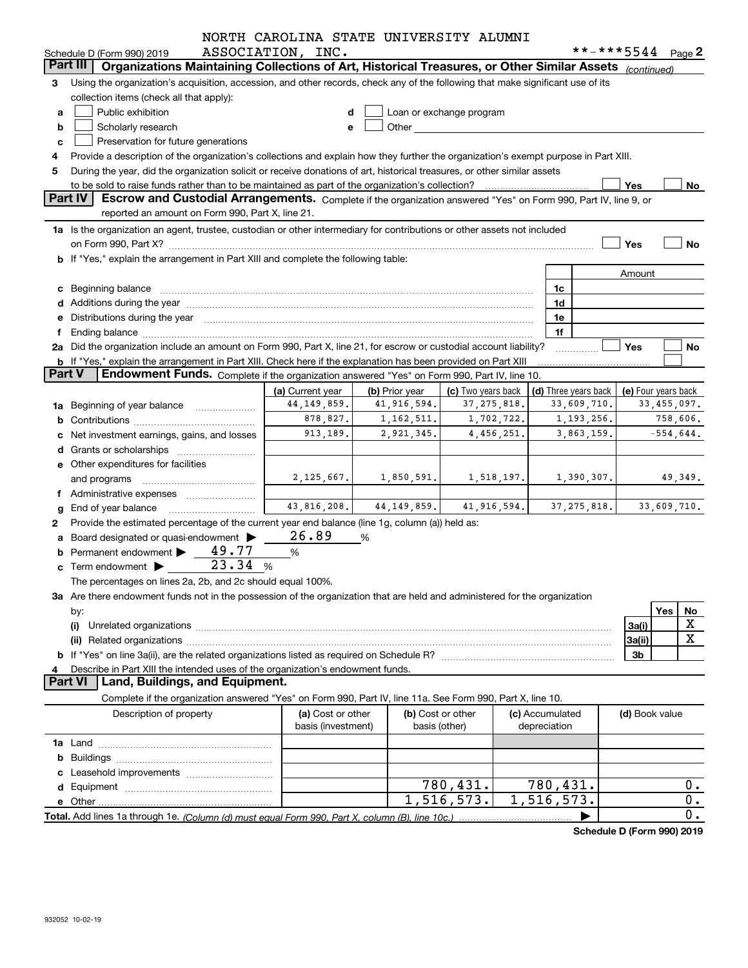|               |                                                                                                                                                                                                                                                                  | NORTH CAROLINA STATE UNIVERSITY ALUMNI  |                |                                                                                                                                                                                                                                |             |                                 |                      |                            |             |
|---------------|------------------------------------------------------------------------------------------------------------------------------------------------------------------------------------------------------------------------------------------------------------------|-----------------------------------------|----------------|--------------------------------------------------------------------------------------------------------------------------------------------------------------------------------------------------------------------------------|-------------|---------------------------------|----------------------|----------------------------|-------------|
|               | Schedule D (Form 990) 2019<br>Part III                                                                                                                                                                                                                           | ASSOCIATION, INC.                       |                |                                                                                                                                                                                                                                |             |                                 |                      | **-***5544 Page 2          |             |
|               | Organizations Maintaining Collections of Art, Historical Treasures, or Other Similar Assets (continued)                                                                                                                                                          |                                         |                |                                                                                                                                                                                                                                |             |                                 |                      |                            |             |
| 3             | Using the organization's acquisition, accession, and other records, check any of the following that make significant use of its                                                                                                                                  |                                         |                |                                                                                                                                                                                                                                |             |                                 |                      |                            |             |
|               | collection items (check all that apply):                                                                                                                                                                                                                         |                                         |                |                                                                                                                                                                                                                                |             |                                 |                      |                            |             |
| a             | Public exhibition                                                                                                                                                                                                                                                |                                         |                | Loan or exchange program                                                                                                                                                                                                       |             |                                 |                      |                            |             |
| b             | Scholarly research                                                                                                                                                                                                                                               |                                         |                | Other and the control of the control of the control of the control of the control of the control of the control of the control of the control of the control of the control of the control of the control of the control of th |             |                                 |                      |                            |             |
| c             | Preservation for future generations                                                                                                                                                                                                                              |                                         |                |                                                                                                                                                                                                                                |             |                                 |                      |                            |             |
| 5             | Provide a description of the organization's collections and explain how they further the organization's exempt purpose in Part XIII.<br>During the year, did the organization solicit or receive donations of art, historical treasures, or other similar assets |                                         |                |                                                                                                                                                                                                                                |             |                                 |                      |                            |             |
|               |                                                                                                                                                                                                                                                                  |                                         |                |                                                                                                                                                                                                                                |             |                                 |                      | Yes                        | No          |
|               | <b>Part IV</b><br>Escrow and Custodial Arrangements. Complete if the organization answered "Yes" on Form 990, Part IV, line 9, or                                                                                                                                |                                         |                |                                                                                                                                                                                                                                |             |                                 |                      |                            |             |
|               | reported an amount on Form 990, Part X, line 21.                                                                                                                                                                                                                 |                                         |                |                                                                                                                                                                                                                                |             |                                 |                      |                            |             |
|               | 1a Is the organization an agent, trustee, custodian or other intermediary for contributions or other assets not included                                                                                                                                         |                                         |                |                                                                                                                                                                                                                                |             |                                 |                      |                            |             |
|               |                                                                                                                                                                                                                                                                  |                                         |                |                                                                                                                                                                                                                                |             |                                 |                      | Yes                        | No          |
|               | b If "Yes," explain the arrangement in Part XIII and complete the following table:                                                                                                                                                                               |                                         |                |                                                                                                                                                                                                                                |             |                                 |                      |                            |             |
|               |                                                                                                                                                                                                                                                                  |                                         |                |                                                                                                                                                                                                                                |             |                                 |                      | Amount                     |             |
|               | c Beginning balance measurements and the contract of the contract of the contract of the contract of the contract of the contract of the contract of the contract of the contract of the contract of the contract of the contr                                   |                                         |                |                                                                                                                                                                                                                                |             | 1c                              |                      |                            |             |
|               | d Additions during the year manufactured and an account of the state of a distribution of Additions during the year                                                                                                                                              |                                         |                |                                                                                                                                                                                                                                |             | 1d                              |                      |                            |             |
|               | e Distributions during the year manufactured and continuum control of the control of the control of the control of the control of the control of the control of the control of the control of the control of the control of th                                   |                                         |                |                                                                                                                                                                                                                                |             | 1e                              |                      |                            |             |
| Ť.            | Ending balance manufactured and contract the contract of the contract of the contract of the contract of the contract of the contract of the contract of the contract of the contract of the contract of the contract of the c                                   |                                         |                |                                                                                                                                                                                                                                |             | 1f                              |                      |                            |             |
|               | 2a Did the organization include an amount on Form 990, Part X, line 21, for escrow or custodial account liability?                                                                                                                                               |                                         |                |                                                                                                                                                                                                                                |             |                                 |                      | Yes                        | No          |
|               | <b>b</b> If "Yes," explain the arrangement in Part XIII. Check here if the explanation has been provided on Part XIII                                                                                                                                            |                                         |                |                                                                                                                                                                                                                                |             |                                 |                      |                            |             |
| <b>Part V</b> | Endowment Funds. Complete if the organization answered "Yes" on Form 990, Part IV, line 10.                                                                                                                                                                      |                                         |                |                                                                                                                                                                                                                                |             |                                 |                      |                            |             |
|               |                                                                                                                                                                                                                                                                  | (a) Current year                        | (b) Prior year | (c) Two years back                                                                                                                                                                                                             |             |                                 | (d) Three years back | (e) Four years back        |             |
|               | 1a Beginning of year balance                                                                                                                                                                                                                                     | 44,149,859.                             | 41,916,594.    | 37, 275, 818.                                                                                                                                                                                                                  |             |                                 | 33,609,710.          |                            | 33,455,097. |
|               |                                                                                                                                                                                                                                                                  | 878,827.                                | 1,162,511.     |                                                                                                                                                                                                                                | 1,702,722.  |                                 | 1,193,256.           |                            | 758,606.    |
|               | c Net investment earnings, gains, and losses                                                                                                                                                                                                                     | 913,189.                                | 2,921,345.     |                                                                                                                                                                                                                                | 4,456,251.  |                                 | 3,863,159.           |                            | $-554,644.$ |
|               |                                                                                                                                                                                                                                                                  |                                         |                |                                                                                                                                                                                                                                |             |                                 |                      |                            |             |
|               | e Other expenditures for facilities                                                                                                                                                                                                                              |                                         |                |                                                                                                                                                                                                                                |             |                                 |                      |                            |             |
|               | and programs                                                                                                                                                                                                                                                     | 2,125,667.                              | 1,850,591.     |                                                                                                                                                                                                                                | 1,518,197.  |                                 | 1,390,307.           |                            | 49,349.     |
|               | f Administrative expenses                                                                                                                                                                                                                                        |                                         |                |                                                                                                                                                                                                                                |             |                                 |                      |                            |             |
|               | $g$ End of year balance $\ldots$                                                                                                                                                                                                                                 | 43,816,208.                             | 44, 149, 859.  |                                                                                                                                                                                                                                | 41,916,594. |                                 | 37, 275, 818.        |                            | 33,609,710. |
| 2             | Provide the estimated percentage of the current year end balance (line 1g, column (a)) held as:                                                                                                                                                                  |                                         |                |                                                                                                                                                                                                                                |             |                                 |                      |                            |             |
|               | a Board designated or quasi-endowment >                                                                                                                                                                                                                          | 26.89                                   | %              |                                                                                                                                                                                                                                |             |                                 |                      |                            |             |
|               | 49.77<br><b>b</b> Permanent endowment $\blacktriangleright$                                                                                                                                                                                                      | $\%$                                    |                |                                                                                                                                                                                                                                |             |                                 |                      |                            |             |
|               | 23.34<br>$\mathbf c$ Term endowment $\blacktriangleright$                                                                                                                                                                                                        | %                                       |                |                                                                                                                                                                                                                                |             |                                 |                      |                            |             |
|               | The percentages on lines 2a, 2b, and 2c should equal 100%.                                                                                                                                                                                                       |                                         |                |                                                                                                                                                                                                                                |             |                                 |                      |                            |             |
|               | 3a Are there endowment funds not in the possession of the organization that are held and administered for the organization                                                                                                                                       |                                         |                |                                                                                                                                                                                                                                |             |                                 |                      |                            |             |
|               | by:                                                                                                                                                                                                                                                              |                                         |                |                                                                                                                                                                                                                                |             |                                 |                      |                            | Yes<br>No   |
|               | (i)                                                                                                                                                                                                                                                              |                                         |                |                                                                                                                                                                                                                                |             |                                 |                      | 3a(i)                      | х           |
|               |                                                                                                                                                                                                                                                                  |                                         |                |                                                                                                                                                                                                                                |             |                                 |                      | 3a(ii)                     | X           |
|               |                                                                                                                                                                                                                                                                  |                                         |                |                                                                                                                                                                                                                                |             |                                 |                      | 3b                         |             |
|               | Describe in Part XIII the intended uses of the organization's endowment funds.                                                                                                                                                                                   |                                         |                |                                                                                                                                                                                                                                |             |                                 |                      |                            |             |
|               | <b>Part VI</b><br>Land, Buildings, and Equipment.                                                                                                                                                                                                                |                                         |                |                                                                                                                                                                                                                                |             |                                 |                      |                            |             |
|               | Complete if the organization answered "Yes" on Form 990, Part IV, line 11a. See Form 990, Part X, line 10.                                                                                                                                                       |                                         |                |                                                                                                                                                                                                                                |             |                                 |                      |                            |             |
|               | Description of property                                                                                                                                                                                                                                          | (a) Cost or other<br>basis (investment) |                | (b) Cost or other<br>basis (other)                                                                                                                                                                                             |             | (c) Accumulated<br>depreciation |                      | (d) Book value             |             |
|               |                                                                                                                                                                                                                                                                  |                                         |                |                                                                                                                                                                                                                                |             |                                 |                      |                            |             |
|               |                                                                                                                                                                                                                                                                  |                                         |                |                                                                                                                                                                                                                                |             |                                 |                      |                            |             |
|               |                                                                                                                                                                                                                                                                  |                                         |                |                                                                                                                                                                                                                                |             |                                 |                      |                            |             |
|               |                                                                                                                                                                                                                                                                  |                                         |                | 780,431.                                                                                                                                                                                                                       |             | 780,431.                        |                      |                            | 0.          |
|               |                                                                                                                                                                                                                                                                  |                                         |                | 1,516,573.                                                                                                                                                                                                                     |             | $\overline{1,516,573}$ .        |                      |                            | 0.          |
|               |                                                                                                                                                                                                                                                                  |                                         |                |                                                                                                                                                                                                                                |             |                                 |                      | Schodule D (Form 000) 2010 | 0.          |
|               |                                                                                                                                                                                                                                                                  |                                         |                |                                                                                                                                                                                                                                |             |                                 |                      |                            |             |

**Schedule D (Form 990) 2019**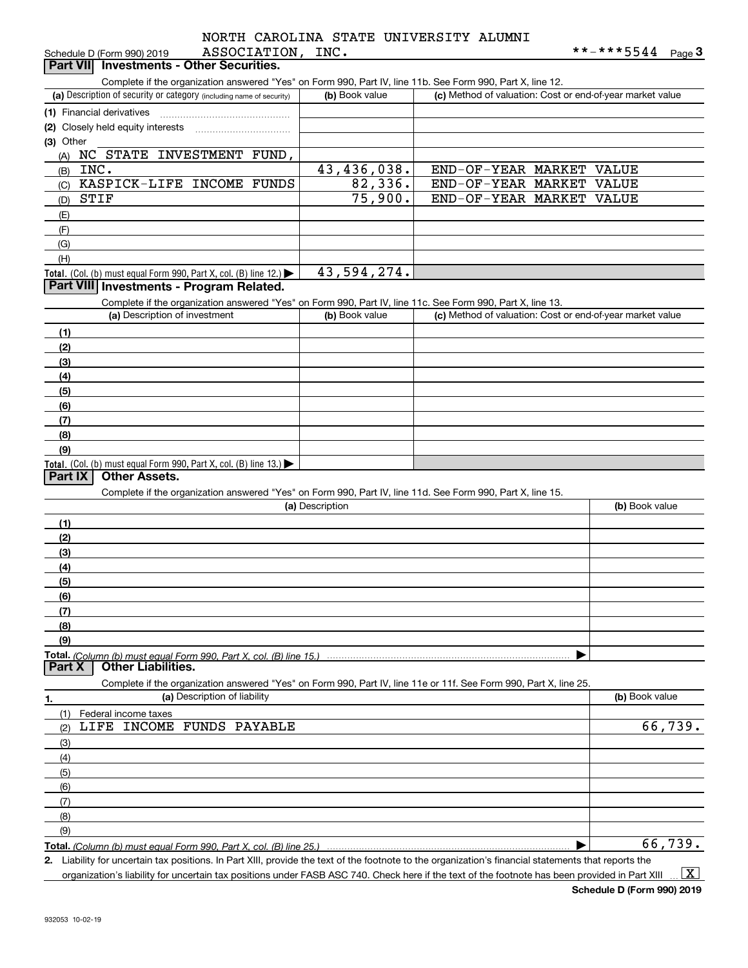#### ASSOCIATION, INC. NORTH CAROLINA STATE UNIVERSITY ALUMNI

| ASSOCIATION, INC.<br>Schedule D (Form 990) 2019                                                            |                | **-***5544<br>Page $3$                                    |  |  |  |  |  |
|------------------------------------------------------------------------------------------------------------|----------------|-----------------------------------------------------------|--|--|--|--|--|
| Part VII Investments - Other Securities.                                                                   |                |                                                           |  |  |  |  |  |
| Complete if the organization answered "Yes" on Form 990, Part IV, line 11b. See Form 990, Part X, line 12. |                |                                                           |  |  |  |  |  |
| (a) Description of security or category (including name of security)                                       | (b) Book value | (c) Method of valuation: Cost or end-of-year market value |  |  |  |  |  |
| (1) Financial derivatives                                                                                  |                |                                                           |  |  |  |  |  |
| (2) Closely held equity interests                                                                          |                |                                                           |  |  |  |  |  |
| (3) Other                                                                                                  |                |                                                           |  |  |  |  |  |
| NC STATE INVESTMENT FUND,<br>(A)                                                                           |                |                                                           |  |  |  |  |  |
| INC.<br>(B)                                                                                                | 43,436,038.    | END-OF-YEAR MARKET<br>VALUE                               |  |  |  |  |  |
| KASPICK-LIFE INCOME FUNDS<br>(C)                                                                           | 82,336.        | END-OF-YEAR MARKET<br>VALUE                               |  |  |  |  |  |
| STIF<br>(D)                                                                                                | 75,900.        | END-OF-YEAR MARKET VALUE                                  |  |  |  |  |  |
| (E)                                                                                                        |                |                                                           |  |  |  |  |  |

| (G)                                                                                                        |                |                               |
|------------------------------------------------------------------------------------------------------------|----------------|-------------------------------|
| (H)                                                                                                        |                |                               |
| <b>Total.</b> (Col. (b) must equal Form 990, Part X, col. (B) line 12.) $\blacktriangleright$              | 43,594,274.    |                               |
| <b>Part VIII Investments - Program Related.</b>                                                            |                |                               |
| Complete if the organization answered "Yes" on Form 990, Part IV, line 11c. See Form 990, Part X, line 13. |                |                               |
| (a) Description of investment                                                                              | (b) Book value | (c) Method of valuation: Cost |

| (a) Description of investment                                                           | (b) Book value | (c) Method of valuation: Cost or end-of-year market value |
|-----------------------------------------------------------------------------------------|----------------|-----------------------------------------------------------|
| (1)                                                                                     |                |                                                           |
| (2)                                                                                     |                |                                                           |
| (3)                                                                                     |                |                                                           |
| (4)                                                                                     |                |                                                           |
| $\frac{1}{2}$                                                                           |                |                                                           |
| (6)                                                                                     |                |                                                           |
| (7)                                                                                     |                |                                                           |
| (8)                                                                                     |                |                                                           |
| (9)                                                                                     |                |                                                           |
| Total. (Col. (b) must equal Form 990, Part X, col. (B) line $13.$ $\blacktriangleright$ |                |                                                           |

#### **Part IX Other Assets.**

Complete if the organization answered "Yes" on Form 990, Part IV, line 11d. See Form 990, Part X, line 15.

|               | (a) Description                                                                                                   | (b) Book value |
|---------------|-------------------------------------------------------------------------------------------------------------------|----------------|
| (1)           |                                                                                                                   |                |
| (2)           |                                                                                                                   |                |
| (3)           |                                                                                                                   |                |
| (4)           |                                                                                                                   |                |
| (5)           |                                                                                                                   |                |
| (6)           |                                                                                                                   |                |
| (7)           |                                                                                                                   |                |
| (8)           |                                                                                                                   |                |
| (9)           |                                                                                                                   |                |
|               |                                                                                                                   |                |
| <b>Part X</b> | <b>Other Liabilities.</b>                                                                                         |                |
|               | Complete if the organization answered "Yes" on Form 990, Part IV, line 11e or 11f. See Form 990, Part X, line 25. |                |
| 1.            | (a) Description of liability                                                                                      | (b) Book value |

| <br>$\cdot$ $\cdot$              | $\cdot$ $\cdot$ |
|----------------------------------|-----------------|
| (1) Federal income taxes         |                 |
| LIFE INCOME FUNDS PAYABLE<br>(2) | 66,739.         |
| (3)                              |                 |
| (4)                              |                 |
| $\frac{1}{2}$ (5)                |                 |
| (6)                              |                 |
| (7)                              |                 |
| (8)                              |                 |
| (9)                              |                 |
|                                  | 66,73           |

**Total.**  *(Column (b) must equal Form 990, Part X, col. (B) line 25.)*

**2.** | Liability for uncertain tax positions. In Part XIII, provide the text of the footnote to the organization's financial statements that reports the organization's liability for uncertain tax positions under FASB ASC 740. Check here if the text of the footnote has been provided in Part XIII  $\vert$  X  $\vert$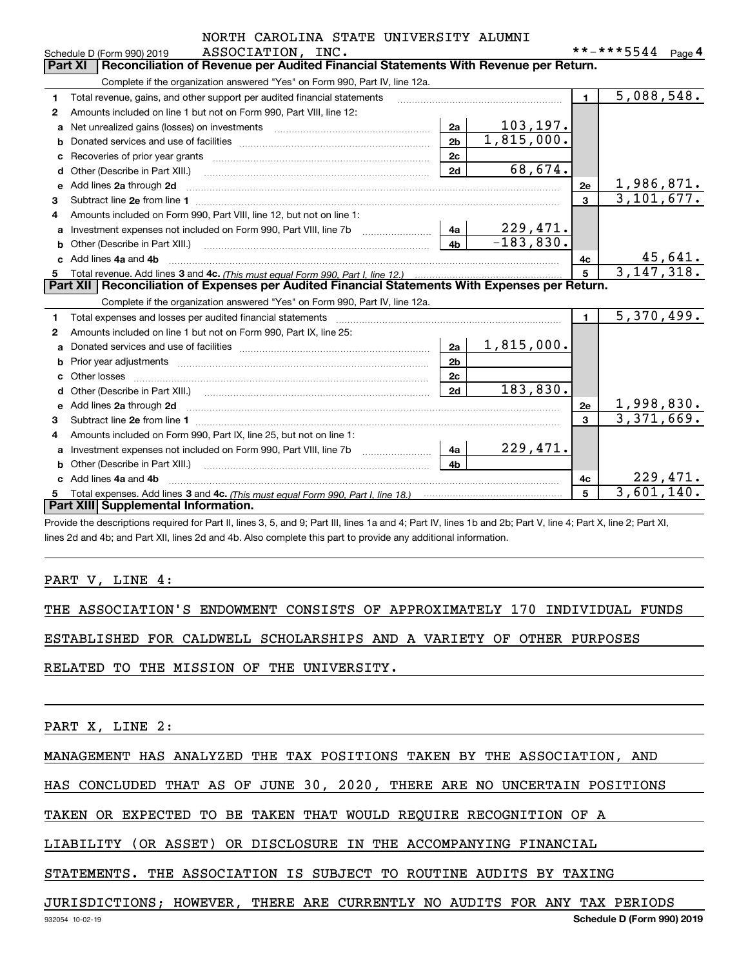|    | ASSOCIATION, INC.<br>Schedule D (Form 990) 2019                                                                                                                                                                                     |                |             |                 | **-***5544 Page 4       |          |
|----|-------------------------------------------------------------------------------------------------------------------------------------------------------------------------------------------------------------------------------------|----------------|-------------|-----------------|-------------------------|----------|
|    | Reconciliation of Revenue per Audited Financial Statements With Revenue per Return.<br><b>Part XI</b>                                                                                                                               |                |             |                 |                         |          |
|    | Complete if the organization answered "Yes" on Form 990, Part IV, line 12a.                                                                                                                                                         |                |             |                 |                         |          |
| 1  | Total revenue, gains, and other support per audited financial statements                                                                                                                                                            |                |             | $\blacksquare$  | 5,088,548.              |          |
| 2  | Amounts included on line 1 but not on Form 990, Part VIII, line 12:                                                                                                                                                                 |                |             |                 |                         |          |
| a  |                                                                                                                                                                                                                                     | 2a             | 103, 197.   |                 |                         |          |
| b  |                                                                                                                                                                                                                                     | 2 <sub>b</sub> | 1,815,000.  |                 |                         |          |
| c  |                                                                                                                                                                                                                                     | 2 <sub>c</sub> |             |                 |                         |          |
| d  | Other (Describe in Part XIII.) <b>Construction Contract Construction</b> Chern Construction Chern Chern Chern Chern Chern Chern Chern Chern Chern Chern Chern Chern Chern Chern Chern Chern Chern Chern Chern Chern Chern Chern Che | 2d             | 68,674.     |                 |                         |          |
| е  | Add lines 2a through 2d                                                                                                                                                                                                             |                |             | 2e              | 1,986,871.              |          |
| 3  |                                                                                                                                                                                                                                     |                |             | $\mathbf{3}$    | $\overline{3,101,677.}$ |          |
| 4  | Amounts included on Form 990, Part VIII, line 12, but not on line 1:                                                                                                                                                                |                |             |                 |                         |          |
| a  |                                                                                                                                                                                                                                     | 4a             | 229,471.    |                 |                         |          |
| b  |                                                                                                                                                                                                                                     | 4 <sub>h</sub> | $-183,830.$ |                 |                         |          |
|    | c Add lines 4a and 4b                                                                                                                                                                                                               |                |             | 4с              |                         | 45,641.  |
| 5  |                                                                                                                                                                                                                                     |                |             | $5\phantom{.0}$ | 3, 147, 318.            |          |
|    | Part XII   Reconciliation of Expenses per Audited Financial Statements With Expenses per Return.                                                                                                                                    |                |             |                 |                         |          |
|    | Complete if the organization answered "Yes" on Form 990, Part IV, line 12a.                                                                                                                                                         |                |             |                 |                         |          |
| 1  | Total expenses and losses per audited financial statements [111] [12] contraction controller and contract the statements [13] [13] and contract the statements [13] and contract the statement of the statement of the stateme      |                |             | $\blacksquare$  | 5,370,499.              |          |
| 2  | Amounts included on line 1 but not on Form 990, Part IX, line 25:                                                                                                                                                                   |                |             |                 |                         |          |
| a  |                                                                                                                                                                                                                                     | 2a             | 1,815,000.  |                 |                         |          |
| b  |                                                                                                                                                                                                                                     | 2 <sub>b</sub> |             |                 |                         |          |
| c  |                                                                                                                                                                                                                                     | 2c             |             |                 |                         |          |
| d  |                                                                                                                                                                                                                                     | 2d             | 183,830.    |                 |                         |          |
| е  | Add lines 2a through 2d <b>manufactures</b> in the contract of the contract of the contract of the contract of the contract of the contract of the contract of the contract of the contract of the contract of the contract of the  |                |             | <b>2e</b>       | 1,998,830.              |          |
| 3  |                                                                                                                                                                                                                                     |                |             | 3               | 3,371,669.              |          |
| 4  | Amounts included on Form 990, Part IX, line 25, but not on line 1:                                                                                                                                                                  |                |             |                 |                         |          |
| a  | Investment expenses not included on Form 990, Part VIII, line 7b [1000000000000000000000000000000000                                                                                                                                | 4a l           | 229,471.    |                 |                         |          |
| b  | Other (Describe in Part XIII.) <b>COLOGIST:</b> (2010)                                                                                                                                                                              | 4b             |             |                 |                         |          |
|    | Add lines 4a and 4b                                                                                                                                                                                                                 |                |             | 4с              |                         | 229,471. |
| 5. |                                                                                                                                                                                                                                     |                |             | 5               | 3,601,140.              |          |
|    | Part XIII Supplemental Information.                                                                                                                                                                                                 |                |             |                 |                         |          |
|    | Provide the descriptions required for Part II, lines 3, 5, and 9; Part III, lines 1a and 4; Part IV, lines 1b and 2b; Part V, line 4; Part X, line 2; Part XI,                                                                      |                |             |                 |                         |          |

lines 2d and 4b; and Part XII, lines 2d and 4b. Also complete this part to provide any additional information.

#### PART V, LINE 4:

THE ASSOCIATION'S ENDOWMENT CONSISTS OF APPROXIMATELY 170 INDIVIDUAL FUNDS

ESTABLISHED FOR CALDWELL SCHOLARSHIPS AND A VARIETY OF OTHER PURPOSES

RELATED TO THE MISSION OF THE UNIVERSITY.

PART X, LINE 2:

MANAGEMENT HAS ANALYZED THE TAX POSITIONS TAKEN BY THE ASSOCIATION, AND

HAS CONCLUDED THAT AS OF JUNE 30, 2020, THERE ARE NO UNCERTAIN POSITIONS

TAKEN OR EXPECTED TO BE TAKEN THAT WOULD REQUIRE RECOGNITION OF A

LIABILITY (OR ASSET) OR DISCLOSURE IN THE ACCOMPANYING FINANCIAL

STATEMENTS. THE ASSOCIATION IS SUBJECT TO ROUTINE AUDITS BY TAXING

JURISDICTIONS; HOWEVER, THERE ARE CURRENTLY NO AUDITS FOR ANY TAX PERIODS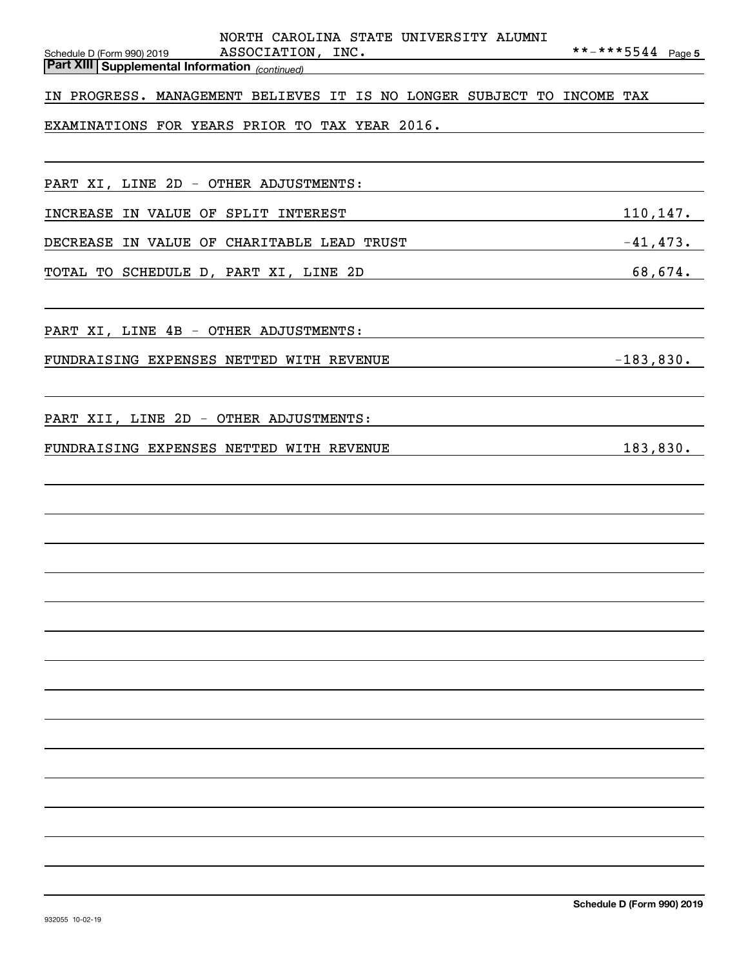| NORTH CAROLINA STATE UNIVERSITY ALUMNI                                                                                                                                                                                         |                   |
|--------------------------------------------------------------------------------------------------------------------------------------------------------------------------------------------------------------------------------|-------------------|
| ASSOCIATION, INC.<br>Schedule D (Form 990) 2019<br><b>Part XIII Supplemental Information</b> (continued)                                                                                                                       | **-***5544 Page 5 |
| IN PROGRESS. MANAGEMENT BELIEVES IT IS NO LONGER SUBJECT TO INCOME TAX                                                                                                                                                         |                   |
|                                                                                                                                                                                                                                |                   |
| EXAMINATIONS FOR YEARS PRIOR TO TAX YEAR 2016.                                                                                                                                                                                 |                   |
|                                                                                                                                                                                                                                |                   |
| PART XI, LINE 2D - OTHER ADJUSTMENTS:                                                                                                                                                                                          |                   |
| INCREASE IN VALUE OF SPLIT INTEREST                                                                                                                                                                                            | 110, 147.         |
| DECREASE IN VALUE OF CHARITABLE LEAD TRUST FROM THE RESERVING THAT AND THE RESERVING OF STRING THAT THE RESERVING THAT AND THE RESERVING OF STRING THAT AND THE RESERVING OF STRING THAT AND THE RESERVING OF THE RESERVING OF |                   |
| $\overbrace{68,674}$ .<br>TOTAL TO SCHEDULE D, PART XI, LINE 2D                                                                                                                                                                |                   |
|                                                                                                                                                                                                                                |                   |
| PART XI, LINE 4B - OTHER ADJUSTMENTS:                                                                                                                                                                                          |                   |
| FUNDRAISING EXPENSES NETTED WITH REVENUE                                                                                                                                                                                       | $-183,830.$       |
|                                                                                                                                                                                                                                |                   |
|                                                                                                                                                                                                                                |                   |
| PART XII, LINE 2D - OTHER ADJUSTMENTS:                                                                                                                                                                                         |                   |
| FUNDRAISING EXPENSES NETTED WITH REVENUE                                                                                                                                                                                       | 183,830.          |
|                                                                                                                                                                                                                                |                   |
|                                                                                                                                                                                                                                |                   |
|                                                                                                                                                                                                                                |                   |
|                                                                                                                                                                                                                                |                   |
|                                                                                                                                                                                                                                |                   |
|                                                                                                                                                                                                                                |                   |
|                                                                                                                                                                                                                                |                   |
|                                                                                                                                                                                                                                |                   |
|                                                                                                                                                                                                                                |                   |
|                                                                                                                                                                                                                                |                   |
|                                                                                                                                                                                                                                |                   |
|                                                                                                                                                                                                                                |                   |
|                                                                                                                                                                                                                                |                   |
|                                                                                                                                                                                                                                |                   |
|                                                                                                                                                                                                                                |                   |
|                                                                                                                                                                                                                                |                   |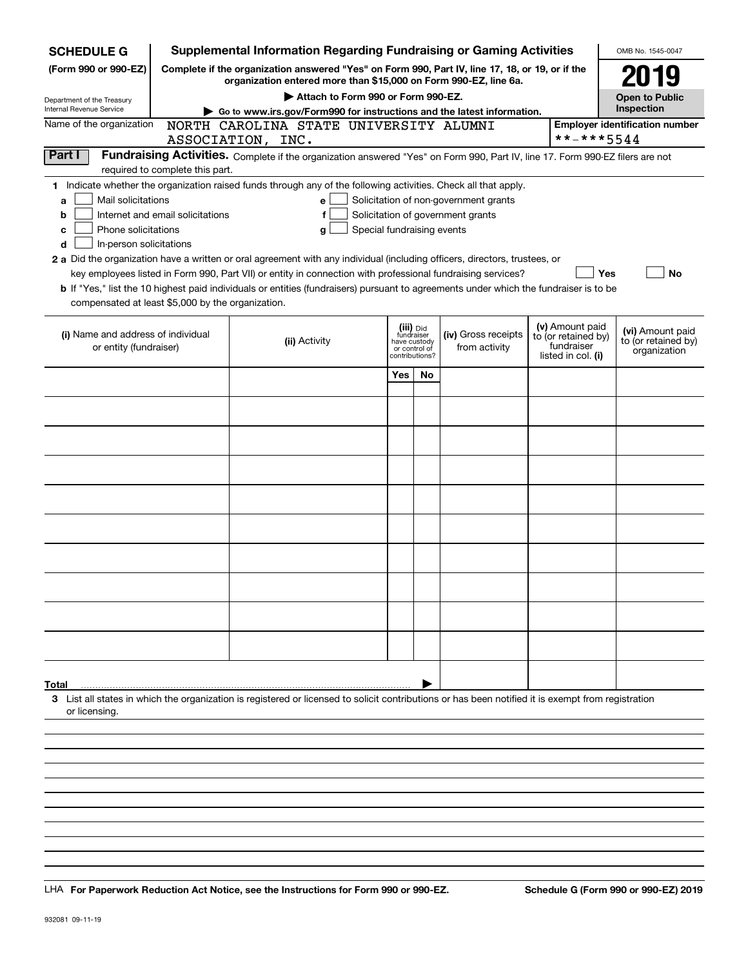| <b>SCHEDULE G</b>                                 |                                  | <b>Supplemental Information Regarding Fundraising or Gaming Activities</b>                                                                                          |     |                               |                                       |                                        | OMB No. 1545-0047                     |
|---------------------------------------------------|----------------------------------|---------------------------------------------------------------------------------------------------------------------------------------------------------------------|-----|-------------------------------|---------------------------------------|----------------------------------------|---------------------------------------|
| (Form 990 or 990-EZ)                              |                                  | Complete if the organization answered "Yes" on Form 990, Part IV, line 17, 18, or 19, or if the<br>organization entered more than \$15,000 on Form 990-EZ, line 6a. |     |                               |                                       |                                        | 2019                                  |
| Department of the Treasury                        |                                  | Attach to Form 990 or Form 990-EZ.                                                                                                                                  |     |                               |                                       |                                        | <b>Open to Public</b>                 |
| Internal Revenue Service                          |                                  | Go to www.irs.gov/Form990 for instructions and the latest information.                                                                                              |     |                               |                                       |                                        | Inspection                            |
| Name of the organization                          |                                  | NORTH CAROLINA STATE UNIVERSITY ALUMNI                                                                                                                              |     |                               |                                       |                                        | <b>Employer identification number</b> |
|                                                   |                                  | ASSOCIATION, INC.                                                                                                                                                   |     |                               |                                       | **-***5544                             |                                       |
| Part I                                            | required to complete this part.  | Fundraising Activities. Complete if the organization answered "Yes" on Form 990, Part IV, line 17. Form 990-EZ filers are not                                       |     |                               |                                       |                                        |                                       |
|                                                   |                                  | 1 Indicate whether the organization raised funds through any of the following activities. Check all that apply.                                                     |     |                               |                                       |                                        |                                       |
| Mail solicitations<br>a                           |                                  | е                                                                                                                                                                   |     |                               | Solicitation of non-government grants |                                        |                                       |
| b                                                 | Internet and email solicitations | f                                                                                                                                                                   |     |                               | Solicitation of government grants     |                                        |                                       |
| Phone solicitations<br>с                          |                                  | Special fundraising events<br>g                                                                                                                                     |     |                               |                                       |                                        |                                       |
| In-person solicitations<br>d                      |                                  |                                                                                                                                                                     |     |                               |                                       |                                        |                                       |
|                                                   |                                  | 2 a Did the organization have a written or oral agreement with any individual (including officers, directors, trustees, or                                          |     |                               |                                       |                                        |                                       |
|                                                   |                                  | key employees listed in Form 990, Part VII) or entity in connection with professional fundraising services?                                                         |     |                               |                                       | Yes                                    | No                                    |
|                                                   |                                  | <b>b</b> If "Yes," list the 10 highest paid individuals or entities (fundraisers) pursuant to agreements under which the fundraiser is to be                        |     |                               |                                       |                                        |                                       |
| compensated at least \$5,000 by the organization. |                                  |                                                                                                                                                                     |     |                               |                                       |                                        |                                       |
|                                                   |                                  |                                                                                                                                                                     |     |                               |                                       |                                        |                                       |
| (i) Name and address of individual                |                                  |                                                                                                                                                                     |     | (iii) Did<br>fundraiser       | (iv) Gross receipts                   | (v) Amount paid<br>to (or retained by) | (vi) Amount paid                      |
| or entity (fundraiser)                            |                                  | (ii) Activity                                                                                                                                                       |     | have custody<br>or control of | from activity                         | fundraiser                             | to (or retained by)<br>organization   |
|                                                   |                                  |                                                                                                                                                                     |     | contributions?                |                                       | listed in col. (i)                     |                                       |
|                                                   |                                  |                                                                                                                                                                     | Yes | No                            |                                       |                                        |                                       |
|                                                   |                                  |                                                                                                                                                                     |     |                               |                                       |                                        |                                       |
|                                                   |                                  |                                                                                                                                                                     |     |                               |                                       |                                        |                                       |
|                                                   |                                  |                                                                                                                                                                     |     |                               |                                       |                                        |                                       |
|                                                   |                                  |                                                                                                                                                                     |     |                               |                                       |                                        |                                       |
|                                                   |                                  |                                                                                                                                                                     |     |                               |                                       |                                        |                                       |
|                                                   |                                  |                                                                                                                                                                     |     |                               |                                       |                                        |                                       |
|                                                   |                                  |                                                                                                                                                                     |     |                               |                                       |                                        |                                       |
|                                                   |                                  |                                                                                                                                                                     |     |                               |                                       |                                        |                                       |
|                                                   |                                  |                                                                                                                                                                     |     |                               |                                       |                                        |                                       |
|                                                   |                                  |                                                                                                                                                                     |     |                               |                                       |                                        |                                       |
|                                                   |                                  |                                                                                                                                                                     |     |                               |                                       |                                        |                                       |
|                                                   |                                  |                                                                                                                                                                     |     |                               |                                       |                                        |                                       |
|                                                   |                                  |                                                                                                                                                                     |     |                               |                                       |                                        |                                       |
|                                                   |                                  |                                                                                                                                                                     |     |                               |                                       |                                        |                                       |
|                                                   |                                  |                                                                                                                                                                     |     |                               |                                       |                                        |                                       |
|                                                   |                                  |                                                                                                                                                                     |     |                               |                                       |                                        |                                       |
|                                                   |                                  |                                                                                                                                                                     |     |                               |                                       |                                        |                                       |
|                                                   |                                  |                                                                                                                                                                     |     |                               |                                       |                                        |                                       |
|                                                   |                                  |                                                                                                                                                                     |     |                               |                                       |                                        |                                       |
| Total                                             |                                  |                                                                                                                                                                     |     |                               |                                       |                                        |                                       |
|                                                   |                                  | 3 List all states in which the organization is registered or licensed to solicit contributions or has been notified it is exempt from registration                  |     |                               |                                       |                                        |                                       |
| or licensing.                                     |                                  |                                                                                                                                                                     |     |                               |                                       |                                        |                                       |
|                                                   |                                  |                                                                                                                                                                     |     |                               |                                       |                                        |                                       |
|                                                   |                                  |                                                                                                                                                                     |     |                               |                                       |                                        |                                       |
|                                                   |                                  |                                                                                                                                                                     |     |                               |                                       |                                        |                                       |
|                                                   |                                  |                                                                                                                                                                     |     |                               |                                       |                                        |                                       |
|                                                   |                                  |                                                                                                                                                                     |     |                               |                                       |                                        |                                       |
|                                                   |                                  |                                                                                                                                                                     |     |                               |                                       |                                        |                                       |

LHA For Paperwork Reduction Act Notice, see the Instructions for Form 990 or 990-EZ. Schedule G (Form 990 or 990-EZ) 2019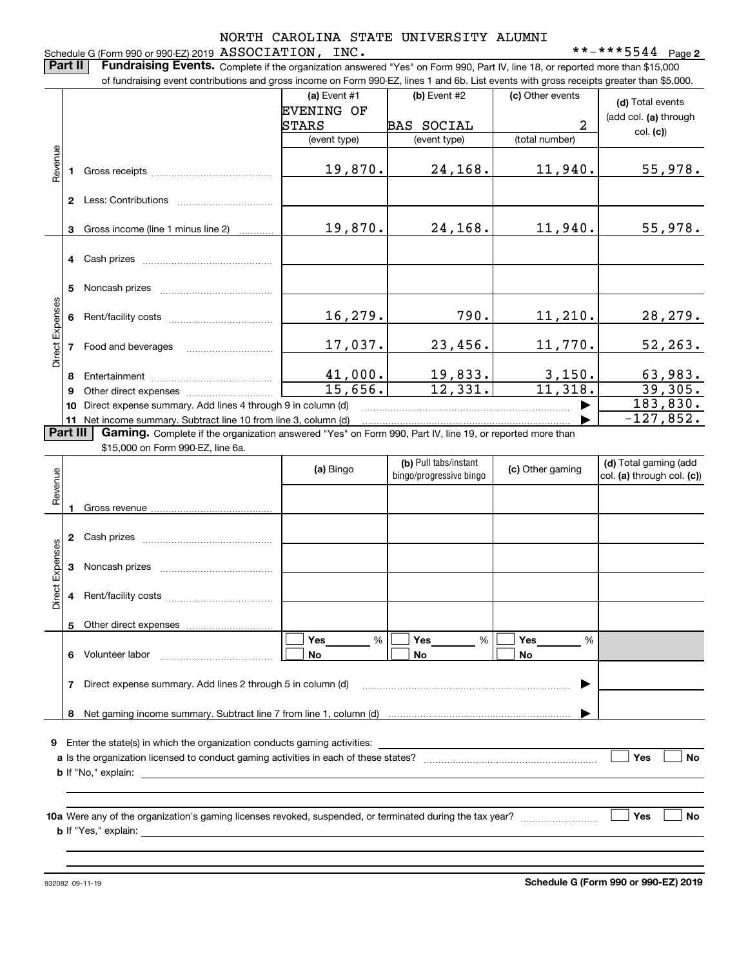**2**

Schedule G (Form 990 or 990-EZ) 2019 Page ASSOCIATION, INC. \*\*-\*\*\*5544 **Part II Fundraising Events.** Complete if the organization answered "Yes" on Form 990, Part IV, line 18, or reported more than \$15,000<br>15.000 of fundraising event contributions and gross income on Form 990-EZ. lines 1 an of fundraising event contributions and gross income on Form 990-EZ, lines 1 and 6b. List events with gross receipts greater than \$5,000. **(a)** Event  $#1$  **(b)** Event  $#2$ (c) Other events **(d)**  Total events EVENING OF (add col. **(a)** through BAS SOCIAL | 2 STARS col. **(c)**) (event type) (event type) (total number) Revenue Revenue 19,870. 24,168. 11,940. 55,978. Gross receipts **12**Less: Contributions

|        |    | LUUU. UUITIINUITUITU                                        |         |         |          |                           |
|--------|----|-------------------------------------------------------------|---------|---------|----------|---------------------------|
|        | 3  | Gross income (line 1 minus line 2)                          | 19,870. | 24,168. | 11,940.  | 55,978.                   |
|        | 4  | Cash prizes                                                 |         |         |          |                           |
|        | 5  | Noncash prizes                                              |         |         |          |                           |
| penses |    | Rent/facility costs                                         | 16,279. | 790.    | 11, 210. | 28,279.                   |
|        |    | Food and beverages                                          | 17,037. | 23,456. | 11,770.  | 52, 263.                  |
| Direct | 8  | Entertainment                                               | 41,000. | 19,833. | 3,150.   |                           |
|        | 9  | Other direct expenses                                       | 15,656. | 12,331. | 11,318.  | $\frac{63,983.}{39,305.}$ |
|        | 10 | Direct expense summary. Add lines 4 through 9 in column (d) |         |         |          | 183,830.                  |
|        |    | $-127,852.$                                                 |         |         |          |                           |

Part III **Part III** Net income summary. Subtract line 10 from line 3, column (d)<br>**Part III Gaming.** Complete if the organization answered "Yes" on Form 990, Part IV, line 19, or reported more than \$15,000 on Form 990-F7. line 6a.

\$15,000 on Form 990-EZ, line 6a.

| Revenue         |   |                                                                                                                                                                                                                                | (a) Bingo      | (b) Pull tabs/instant<br>bingo/progressive bingo | (c) Other gaming             | (d) Total gaming (add<br>$ col. (a)$ through col. $(c)$ |
|-----------------|---|--------------------------------------------------------------------------------------------------------------------------------------------------------------------------------------------------------------------------------|----------------|--------------------------------------------------|------------------------------|---------------------------------------------------------|
|                 |   |                                                                                                                                                                                                                                |                |                                                  |                              |                                                         |
|                 | 2 |                                                                                                                                                                                                                                |                |                                                  |                              |                                                         |
| Direct Expenses | 3 |                                                                                                                                                                                                                                |                |                                                  |                              |                                                         |
|                 | 4 |                                                                                                                                                                                                                                |                |                                                  |                              |                                                         |
|                 | 5 |                                                                                                                                                                                                                                |                |                                                  |                              |                                                         |
|                 | 6 |                                                                                                                                                                                                                                | %<br><b>No</b> | Yes<br>%<br><b>No</b>                            | Yes $\_\_$<br>%<br><b>No</b> |                                                         |
|                 |   | Direct expense summary. Add lines 2 through 5 in column (d) [11] manus and the summan manuscription of the summan manuscription of the summan manuscription of the summan manuscription of the summan manuscription of the sum |                |                                                  | ▶                            |                                                         |
|                 |   |                                                                                                                                                                                                                                |                |                                                  |                              |                                                         |
| 9               |   |                                                                                                                                                                                                                                |                |                                                  |                              |                                                         |
|                 |   |                                                                                                                                                                                                                                |                |                                                  |                              | Yes<br><b>No</b>                                        |
|                 |   |                                                                                                                                                                                                                                |                |                                                  |                              |                                                         |
|                 |   |                                                                                                                                                                                                                                |                |                                                  |                              | Yes<br><b>No</b>                                        |
|                 |   |                                                                                                                                                                                                                                |                |                                                  |                              |                                                         |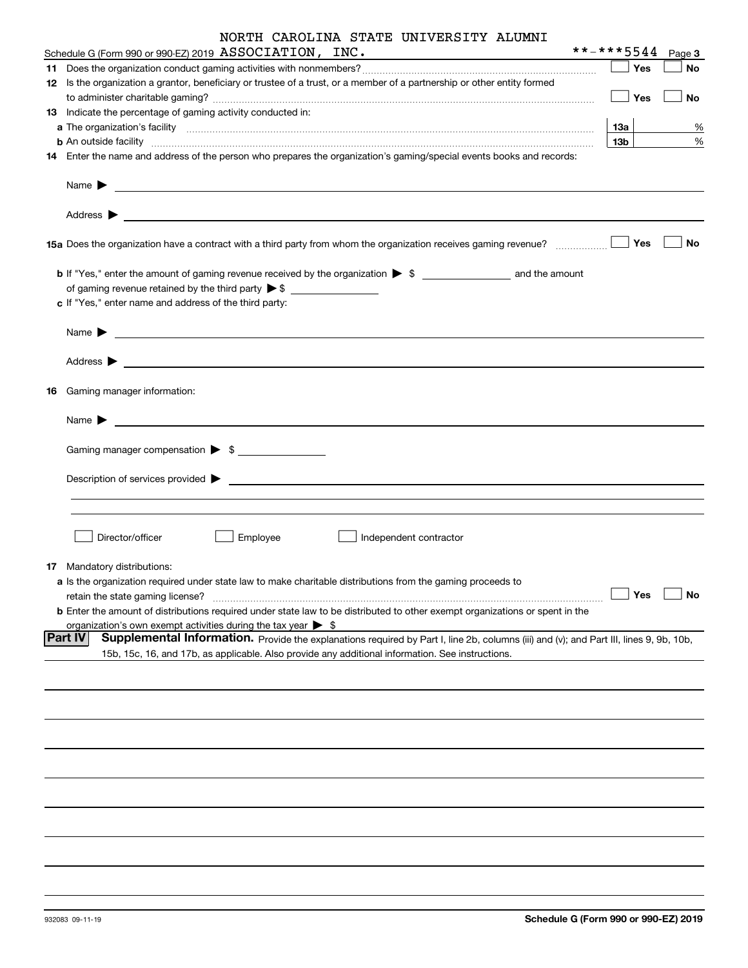|  | NORTH CAROLINA STATE UNIVERSITY ALUMNI |
|--|----------------------------------------|
|--|----------------------------------------|

| Schedule G (Form 990 or 990-EZ) 2019 $\, {\rm ASSOCIATION}$ , $\, {\rm INC}$ .                                                                                                                                                                        | **-***5544      |       | Page 3    |
|-------------------------------------------------------------------------------------------------------------------------------------------------------------------------------------------------------------------------------------------------------|-----------------|-------|-----------|
|                                                                                                                                                                                                                                                       |                 | Yes   | <b>No</b> |
| 12 Is the organization a grantor, beneficiary or trustee of a trust, or a member of a partnership or other entity formed                                                                                                                              |                 |       |           |
|                                                                                                                                                                                                                                                       |                 | Yes   | No        |
| 13 Indicate the percentage of gaming activity conducted in:                                                                                                                                                                                           |                 |       |           |
|                                                                                                                                                                                                                                                       | 13a             |       | %         |
|                                                                                                                                                                                                                                                       | 13 <sub>b</sub> |       | %         |
| 14 Enter the name and address of the person who prepares the organization's gaming/special events books and records:                                                                                                                                  |                 |       |           |
| Name $\blacktriangleright$<br><u> 1989 - Johann Stoff, deutscher Stoff, der Stoff, der Stoff, der Stoff, der Stoff, der Stoff, der Stoff, der S</u>                                                                                                   |                 |       |           |
| Address $\blacktriangleright$<br><u> 1989 - Johann John Stone, market fan de Amerikaanske kommunister († 1958)</u>                                                                                                                                    |                 |       |           |
| 15a Does the organization have a contract with a third party from whom the organization receives gaming revenue?                                                                                                                                      |                 | Yes   | No        |
|                                                                                                                                                                                                                                                       |                 |       |           |
|                                                                                                                                                                                                                                                       |                 |       |           |
| c If "Yes," enter name and address of the third party:                                                                                                                                                                                                |                 |       |           |
| Name $\blacktriangleright$<br><u> 1980 - Andrea Andrew Maria (h. 1980).</u>                                                                                                                                                                           |                 |       |           |
| Address $\blacktriangleright$<br><u> Andreas Andreas Andreas Andreas Andreas Andreas Andreas Andreas Andreas Andreas Andreas Andreas Andreas Andr</u>                                                                                                 |                 |       |           |
| 16 Gaming manager information:                                                                                                                                                                                                                        |                 |       |           |
| Name $\blacktriangleright$<br><u> 1980 - Andrea Aonaichte, ann an t-Èireann an t-Èireann an t-Èireann an t-Èireann an t-Èireann an t-Èireann an </u>                                                                                                  |                 |       |           |
| Gaming manager compensation > \$                                                                                                                                                                                                                      |                 |       |           |
|                                                                                                                                                                                                                                                       |                 |       |           |
| $Description of services provided$ $\triangleright$                                                                                                                                                                                                   |                 |       |           |
|                                                                                                                                                                                                                                                       |                 |       |           |
|                                                                                                                                                                                                                                                       |                 |       |           |
| Employee<br>Director/officer<br>Independent contractor                                                                                                                                                                                                |                 |       |           |
| 17 Mandatory distributions:                                                                                                                                                                                                                           |                 |       |           |
| a Is the organization required under state law to make charitable distributions from the gaming proceeds to                                                                                                                                           |                 |       |           |
| retain the state gaming license?                                                                                                                                                                                                                      |                 | ∣ Yes | 」No       |
| b Enter the amount of distributions required under state law to be distributed to other exempt organizations or spent in the                                                                                                                          |                 |       |           |
| organization's own exempt activities during the tax year $\triangleright$ \$                                                                                                                                                                          |                 |       |           |
| Part IV<br>Supplemental Information. Provide the explanations required by Part I, line 2b, columns (iii) and (v); and Part III, lines 9, 9b, 10b,<br>15b, 15c, 16, and 17b, as applicable. Also provide any additional information. See instructions. |                 |       |           |
|                                                                                                                                                                                                                                                       |                 |       |           |
|                                                                                                                                                                                                                                                       |                 |       |           |
|                                                                                                                                                                                                                                                       |                 |       |           |
|                                                                                                                                                                                                                                                       |                 |       |           |
|                                                                                                                                                                                                                                                       |                 |       |           |
|                                                                                                                                                                                                                                                       |                 |       |           |
|                                                                                                                                                                                                                                                       |                 |       |           |
|                                                                                                                                                                                                                                                       |                 |       |           |
|                                                                                                                                                                                                                                                       |                 |       |           |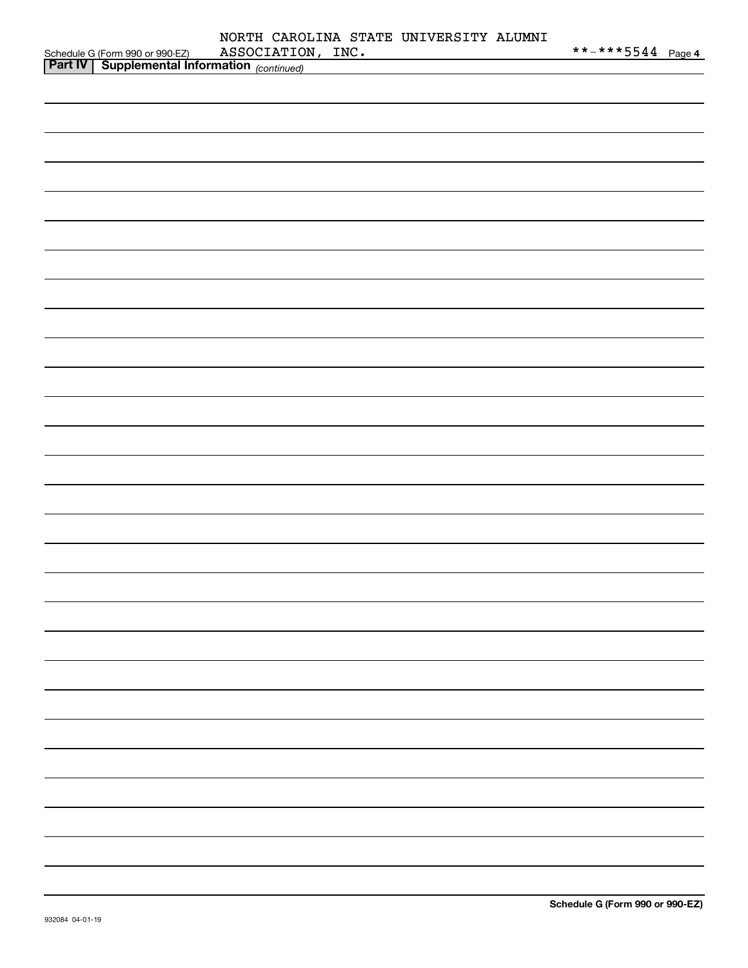|                                                                                               | NORTH CAROLINA STATE UNIVERSITY ALUMNI | **-***5 <u>544 Page 4</u> |
|-----------------------------------------------------------------------------------------------|----------------------------------------|---------------------------|
| Schedule G (Form 990 or 990-EZ) ASSOCIATION<br>Part IV   Supplemental Information (continued) | ASSOCIATION, INC.                      |                           |
|                                                                                               |                                        |                           |
|                                                                                               |                                        |                           |
|                                                                                               |                                        |                           |
|                                                                                               |                                        |                           |
|                                                                                               |                                        |                           |
|                                                                                               |                                        |                           |
|                                                                                               |                                        |                           |
|                                                                                               |                                        |                           |
|                                                                                               |                                        |                           |
|                                                                                               |                                        |                           |
|                                                                                               |                                        |                           |
|                                                                                               |                                        |                           |
|                                                                                               |                                        |                           |
|                                                                                               |                                        |                           |
|                                                                                               |                                        |                           |
|                                                                                               |                                        |                           |
|                                                                                               |                                        |                           |
|                                                                                               |                                        |                           |
|                                                                                               |                                        |                           |
|                                                                                               |                                        |                           |
|                                                                                               |                                        |                           |
|                                                                                               |                                        |                           |
|                                                                                               |                                        |                           |
|                                                                                               |                                        |                           |
|                                                                                               |                                        |                           |
|                                                                                               |                                        |                           |
|                                                                                               |                                        |                           |
|                                                                                               |                                        |                           |
|                                                                                               |                                        |                           |
|                                                                                               |                                        |                           |
|                                                                                               |                                        |                           |
|                                                                                               |                                        |                           |
|                                                                                               |                                        |                           |
|                                                                                               |                                        |                           |
|                                                                                               |                                        |                           |
|                                                                                               |                                        |                           |
|                                                                                               |                                        |                           |
|                                                                                               |                                        |                           |
|                                                                                               |                                        |                           |
|                                                                                               |                                        |                           |
|                                                                                               |                                        |                           |
|                                                                                               |                                        |                           |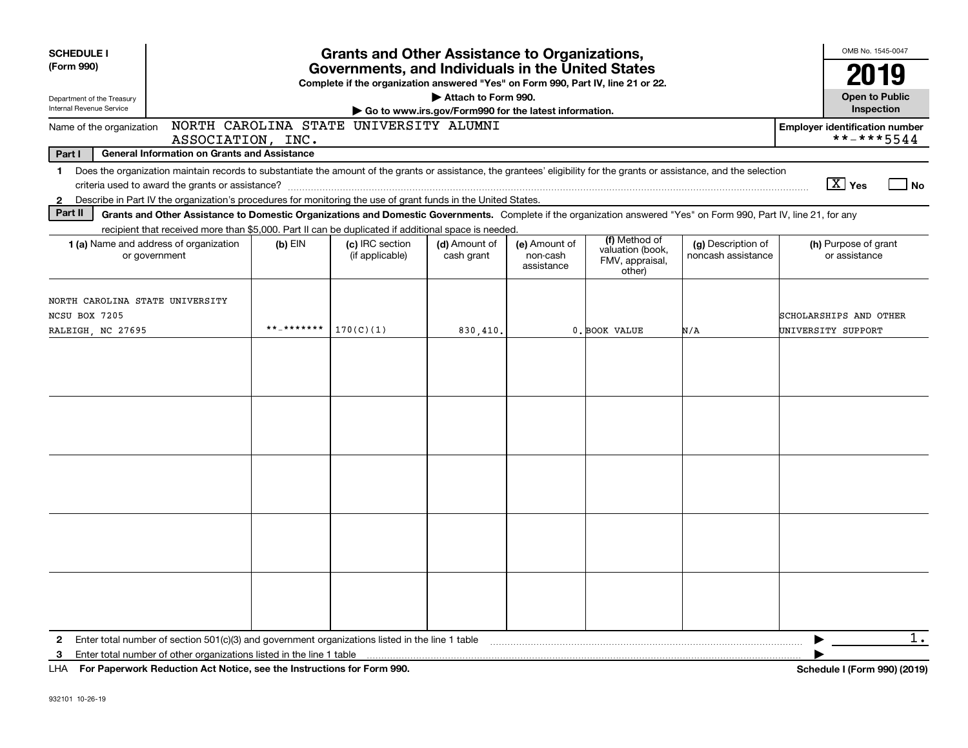| <b>SCHEDULE I</b><br>(Form 990) | <b>Grants and Other Assistance to Organizations,</b><br>Governments, and Individuals in the United States                                                                 |            |                                                                                  |                                                       |                                         |                                               |                                          |                                       | OMB No. 1545-0047     |
|---------------------------------|---------------------------------------------------------------------------------------------------------------------------------------------------------------------------|------------|----------------------------------------------------------------------------------|-------------------------------------------------------|-----------------------------------------|-----------------------------------------------|------------------------------------------|---------------------------------------|-----------------------|
|                                 |                                                                                                                                                                           |            | Complete if the organization answered "Yes" on Form 990, Part IV, line 21 or 22. |                                                       |                                         |                                               |                                          |                                       | 2019                  |
| Department of the Treasury      |                                                                                                                                                                           |            |                                                                                  | Attach to Form 990.                                   |                                         |                                               |                                          |                                       | <b>Open to Public</b> |
| Internal Revenue Service        |                                                                                                                                                                           |            |                                                                                  | Go to www.irs.gov/Form990 for the latest information. |                                         |                                               |                                          |                                       | Inspection            |
| Name of the organization        | ASSOCIATION, INC.                                                                                                                                                         |            | NORTH CAROLINA STATE UNIVERSITY ALUMNI                                           |                                                       |                                         |                                               |                                          | <b>Employer identification number</b> | **-***5544            |
| Part I                          | <b>General Information on Grants and Assistance</b>                                                                                                                       |            |                                                                                  |                                                       |                                         |                                               |                                          |                                       |                       |
| 1.                              | Does the organization maintain records to substantiate the amount of the grants or assistance, the grantees' eligibility for the grants or assistance, and the selection  |            |                                                                                  |                                                       |                                         |                                               |                                          |                                       |                       |
|                                 |                                                                                                                                                                           |            |                                                                                  |                                                       |                                         |                                               |                                          | $\boxed{\text{X}}$ Yes                | l No                  |
| $\mathbf{2}$                    | Describe in Part IV the organization's procedures for monitoring the use of grant funds in the United States.                                                             |            |                                                                                  |                                                       |                                         |                                               |                                          |                                       |                       |
| Part II                         | Grants and Other Assistance to Domestic Organizations and Domestic Governments. Complete if the organization answered "Yes" on Form 990, Part IV, line 21, for any        |            |                                                                                  |                                                       |                                         |                                               |                                          |                                       |                       |
|                                 | recipient that received more than \$5,000. Part II can be duplicated if additional space is needed.                                                                       |            |                                                                                  |                                                       |                                         | (f) Method of                                 |                                          |                                       |                       |
|                                 | <b>1 (a)</b> Name and address of organization<br>or government                                                                                                            | $(b)$ EIN  | (c) IRC section<br>(if applicable)                                               | (d) Amount of<br>cash grant                           | (e) Amount of<br>non-cash<br>assistance | valuation (book,<br>FMV, appraisal,<br>other) | (g) Description of<br>noncash assistance | (h) Purpose of grant<br>or assistance |                       |
| NORTH CAROLINA STATE UNIVERSITY |                                                                                                                                                                           |            |                                                                                  |                                                       |                                         |                                               |                                          |                                       |                       |
| NCSU BOX 7205                   |                                                                                                                                                                           |            |                                                                                  |                                                       |                                         |                                               |                                          | SCHOLARSHIPS AND OTHER                |                       |
| RALEIGH, NC 27695               |                                                                                                                                                                           | **_******* | 170(C)(1)                                                                        | 830,410                                               |                                         | 0. BOOK VALUE                                 | N/A                                      | UNIVERSITY SUPPORT                    |                       |
|                                 |                                                                                                                                                                           |            |                                                                                  |                                                       |                                         |                                               |                                          |                                       |                       |
|                                 |                                                                                                                                                                           |            |                                                                                  |                                                       |                                         |                                               |                                          |                                       |                       |
|                                 |                                                                                                                                                                           |            |                                                                                  |                                                       |                                         |                                               |                                          |                                       |                       |
|                                 |                                                                                                                                                                           |            |                                                                                  |                                                       |                                         |                                               |                                          |                                       |                       |
|                                 |                                                                                                                                                                           |            |                                                                                  |                                                       |                                         |                                               |                                          |                                       |                       |
|                                 |                                                                                                                                                                           |            |                                                                                  |                                                       |                                         |                                               |                                          |                                       |                       |
|                                 |                                                                                                                                                                           |            |                                                                                  |                                                       |                                         |                                               |                                          |                                       |                       |
|                                 |                                                                                                                                                                           |            |                                                                                  |                                                       |                                         |                                               |                                          |                                       |                       |
|                                 |                                                                                                                                                                           |            |                                                                                  |                                                       |                                         |                                               |                                          |                                       |                       |
|                                 |                                                                                                                                                                           |            |                                                                                  |                                                       |                                         |                                               |                                          |                                       |                       |
|                                 |                                                                                                                                                                           |            |                                                                                  |                                                       |                                         |                                               |                                          |                                       |                       |
|                                 |                                                                                                                                                                           |            |                                                                                  |                                                       |                                         |                                               |                                          |                                       |                       |
|                                 |                                                                                                                                                                           |            |                                                                                  |                                                       |                                         |                                               |                                          |                                       |                       |
|                                 |                                                                                                                                                                           |            |                                                                                  |                                                       |                                         |                                               |                                          |                                       |                       |
|                                 |                                                                                                                                                                           |            |                                                                                  |                                                       |                                         |                                               |                                          |                                       |                       |
|                                 |                                                                                                                                                                           |            |                                                                                  |                                                       |                                         |                                               |                                          |                                       |                       |
|                                 |                                                                                                                                                                           |            |                                                                                  |                                                       |                                         |                                               |                                          |                                       |                       |
|                                 |                                                                                                                                                                           |            |                                                                                  |                                                       |                                         |                                               |                                          |                                       |                       |
|                                 |                                                                                                                                                                           |            |                                                                                  |                                                       |                                         |                                               |                                          |                                       | $1$ .                 |
| $\mathbf{2}$<br>3               | Enter total number of section $501(c)(3)$ and government organizations listed in the line 1 table<br>Enter total number of other organizations listed in the line 1 table |            |                                                                                  |                                                       |                                         |                                               |                                          |                                       |                       |
|                                 | LHA For Paperwork Reduction Act Notice, see the Instructions for Form 990.                                                                                                |            |                                                                                  |                                                       |                                         |                                               |                                          | Schedule I (Form 990) (2019)          |                       |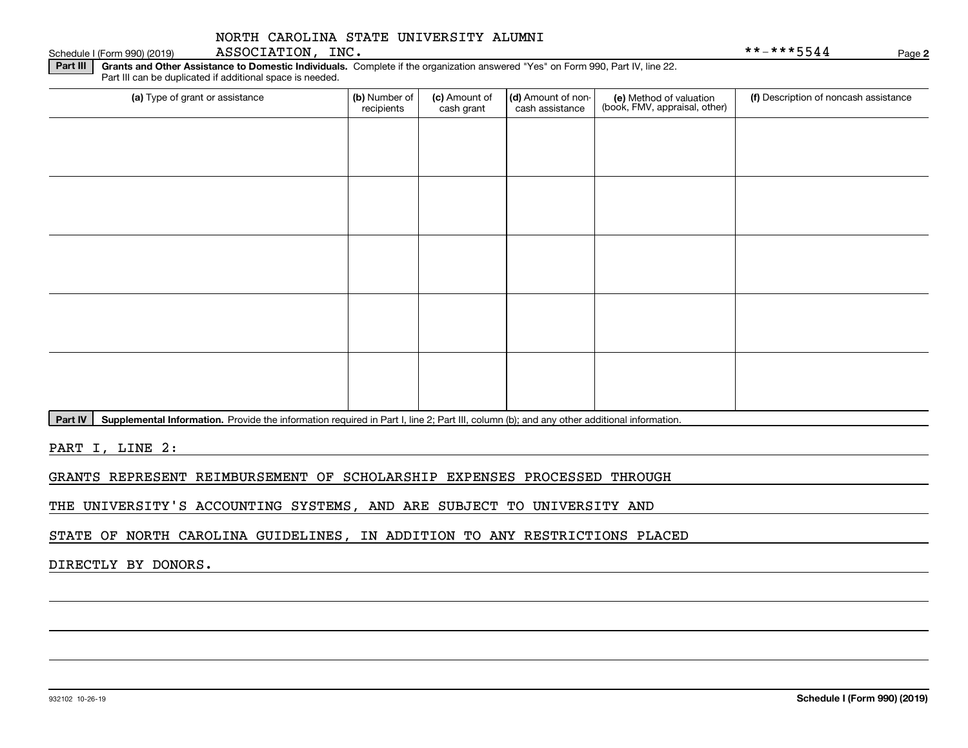**Part III** | Grants and Other Assistance to Domestic Individuals. Complete if the organization answered "Yes" on Form 990, Part IV, line 22. Part III can be duplicated if additional space is needed.

| (a) Type of grant or assistance | (b) Number of<br>recipients | (c) Amount of<br>cash grant | (d) Amount of non-<br>cash assistance | (e) Method of valuation<br>(book, FMV, appraisal, other) | (f) Description of noncash assistance |
|---------------------------------|-----------------------------|-----------------------------|---------------------------------------|----------------------------------------------------------|---------------------------------------|
|                                 |                             |                             |                                       |                                                          |                                       |
|                                 |                             |                             |                                       |                                                          |                                       |
|                                 |                             |                             |                                       |                                                          |                                       |
|                                 |                             |                             |                                       |                                                          |                                       |
|                                 |                             |                             |                                       |                                                          |                                       |
|                                 |                             |                             |                                       |                                                          |                                       |
|                                 |                             |                             |                                       |                                                          |                                       |
|                                 |                             |                             |                                       |                                                          |                                       |
|                                 |                             |                             |                                       |                                                          |                                       |
|                                 |                             |                             |                                       |                                                          |                                       |

**Part IV** | Supplemental Information. Provide the information required in Part I, line 2; Part III, column (b); and any other additional information.<br>

PART I, LINE 2:

GRANTS REPRESENT REIMBURSEMENT OF SCHOLARSHIP EXPENSES PROCESSED THROUGH

THE UNIVERSITY'S ACCOUNTING SYSTEMS, AND ARE SUBJECT TO UNIVERSITY AND

STATE OF NORTH CAROLINA GUIDELINES, IN ADDITION TO ANY RESTRICTIONS PLACED

DIRECTLY BY DONORS.

Schedule I (Form 990) (2019) ASSOCIATION, INC. \* \* – \* \* \* 5544 Page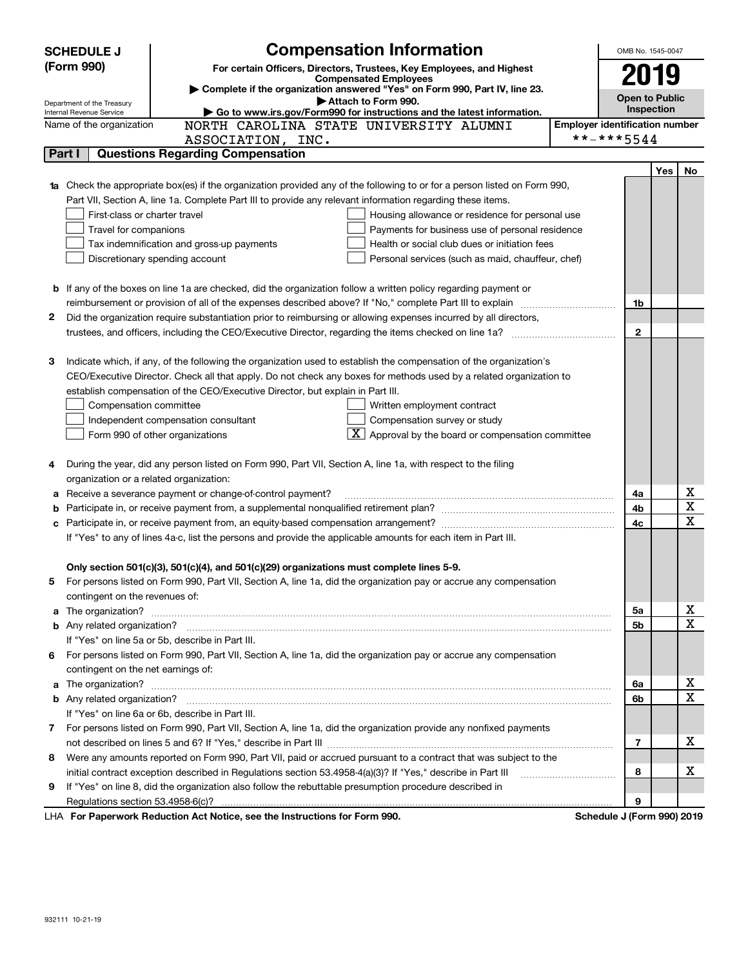|   | <b>SCHEDULE J</b>                       | <b>Compensation Information</b>                                                                                                                                                                                                      |                                       | OMB No. 1545-0047          |     |    |  |  |
|---|-----------------------------------------|--------------------------------------------------------------------------------------------------------------------------------------------------------------------------------------------------------------------------------------|---------------------------------------|----------------------------|-----|----|--|--|
|   | (Form 990)                              | For certain Officers, Directors, Trustees, Key Employees, and Highest                                                                                                                                                                |                                       |                            |     |    |  |  |
|   |                                         | <b>Compensated Employees</b><br>Complete if the organization answered "Yes" on Form 990, Part IV, line 23.                                                                                                                           |                                       | 2019                       |     |    |  |  |
|   | Department of the Treasury              | Attach to Form 990.                                                                                                                                                                                                                  |                                       | <b>Open to Public</b>      |     |    |  |  |
|   | Internal Revenue Service                | Go to www.irs.gov/Form990 for instructions and the latest information.                                                                                                                                                               |                                       | <b>Inspection</b>          |     |    |  |  |
|   | Name of the organization                | NORTH CAROLINA STATE UNIVERSITY ALUMNI                                                                                                                                                                                               | <b>Employer identification number</b> |                            |     |    |  |  |
|   |                                         | ASSOCIATION, INC.                                                                                                                                                                                                                    |                                       | **-***5544                 |     |    |  |  |
|   | Part I                                  | <b>Questions Regarding Compensation</b>                                                                                                                                                                                              |                                       |                            |     |    |  |  |
|   |                                         |                                                                                                                                                                                                                                      |                                       |                            | Yes | No |  |  |
|   |                                         | <b>1a</b> Check the appropriate box(es) if the organization provided any of the following to or for a person listed on Form 990,                                                                                                     |                                       |                            |     |    |  |  |
|   |                                         | Part VII, Section A, line 1a. Complete Part III to provide any relevant information regarding these items.                                                                                                                           |                                       |                            |     |    |  |  |
|   | First-class or charter travel           | Housing allowance or residence for personal use                                                                                                                                                                                      |                                       |                            |     |    |  |  |
|   | Travel for companions                   | Payments for business use of personal residence                                                                                                                                                                                      |                                       |                            |     |    |  |  |
|   |                                         | Health or social club dues or initiation fees<br>Tax indemnification and gross-up payments                                                                                                                                           |                                       |                            |     |    |  |  |
|   |                                         | Discretionary spending account<br>Personal services (such as maid, chauffeur, chef)                                                                                                                                                  |                                       |                            |     |    |  |  |
|   |                                         |                                                                                                                                                                                                                                      |                                       |                            |     |    |  |  |
|   |                                         | <b>b</b> If any of the boxes on line 1a are checked, did the organization follow a written policy regarding payment or                                                                                                               |                                       |                            |     |    |  |  |
|   |                                         |                                                                                                                                                                                                                                      |                                       | 1b                         |     |    |  |  |
| 2 |                                         | Did the organization require substantiation prior to reimbursing or allowing expenses incurred by all directors,                                                                                                                     |                                       | $\mathbf{2}$               |     |    |  |  |
|   |                                         |                                                                                                                                                                                                                                      |                                       |                            |     |    |  |  |
| з |                                         | Indicate which, if any, of the following the organization used to establish the compensation of the organization's                                                                                                                   |                                       |                            |     |    |  |  |
|   |                                         | CEO/Executive Director. Check all that apply. Do not check any boxes for methods used by a related organization to                                                                                                                   |                                       |                            |     |    |  |  |
|   |                                         | establish compensation of the CEO/Executive Director, but explain in Part III.                                                                                                                                                       |                                       |                            |     |    |  |  |
|   | Compensation committee                  | Written employment contract                                                                                                                                                                                                          |                                       |                            |     |    |  |  |
|   |                                         | Compensation survey or study<br>Independent compensation consultant                                                                                                                                                                  |                                       |                            |     |    |  |  |
|   |                                         | $\mathbf{X}$ Approval by the board or compensation committee<br>Form 990 of other organizations                                                                                                                                      |                                       |                            |     |    |  |  |
|   |                                         |                                                                                                                                                                                                                                      |                                       |                            |     |    |  |  |
| 4 |                                         | During the year, did any person listed on Form 990, Part VII, Section A, line 1a, with respect to the filing                                                                                                                         |                                       |                            |     |    |  |  |
|   | organization or a related organization: |                                                                                                                                                                                                                                      |                                       |                            |     |    |  |  |
| а |                                         | Receive a severance payment or change-of-control payment?                                                                                                                                                                            |                                       | 4a                         |     | х  |  |  |
| b |                                         |                                                                                                                                                                                                                                      |                                       | 4b                         |     | X  |  |  |
|   |                                         |                                                                                                                                                                                                                                      |                                       | 4c                         |     | X  |  |  |
|   |                                         | If "Yes" to any of lines 4a-c, list the persons and provide the applicable amounts for each item in Part III.                                                                                                                        |                                       |                            |     |    |  |  |
|   |                                         |                                                                                                                                                                                                                                      |                                       |                            |     |    |  |  |
|   |                                         | Only section 501(c)(3), 501(c)(4), and 501(c)(29) organizations must complete lines 5-9.                                                                                                                                             |                                       |                            |     |    |  |  |
|   |                                         | For persons listed on Form 990, Part VII, Section A, line 1a, did the organization pay or accrue any compensation                                                                                                                    |                                       |                            |     |    |  |  |
|   | contingent on the revenues of:          |                                                                                                                                                                                                                                      |                                       |                            |     |    |  |  |
| a |                                         | The organization? <b>With the contract of the contract of the contract of the contract of the contract of the contract of the contract of the contract of the contract of the contract of the contract of the contract of the co</b> |                                       | 5а                         |     | х  |  |  |
|   |                                         |                                                                                                                                                                                                                                      |                                       | 5b                         |     | X  |  |  |
|   |                                         | If "Yes" on line 5a or 5b, describe in Part III.                                                                                                                                                                                     |                                       |                            |     |    |  |  |
| 6 |                                         | For persons listed on Form 990, Part VII, Section A, line 1a, did the organization pay or accrue any compensation                                                                                                                    |                                       |                            |     |    |  |  |
|   | contingent on the net earnings of:      |                                                                                                                                                                                                                                      |                                       |                            |     |    |  |  |
| a |                                         | The organization? <b>With the contract of the contract of the contract of the contract of the contract of the contract of the contract of the contract of the contract of the contract of the contract of the contract of the co</b> |                                       | 6a                         |     | х  |  |  |
|   |                                         |                                                                                                                                                                                                                                      |                                       | 6b                         |     | X  |  |  |
|   |                                         | If "Yes" on line 6a or 6b, describe in Part III.                                                                                                                                                                                     |                                       |                            |     |    |  |  |
|   |                                         | 7 For persons listed on Form 990, Part VII, Section A, line 1a, did the organization provide any nonfixed payments                                                                                                                   |                                       |                            |     |    |  |  |
|   |                                         |                                                                                                                                                                                                                                      |                                       | 7                          |     | х  |  |  |
| 8 |                                         | Were any amounts reported on Form 990, Part VII, paid or accrued pursuant to a contract that was subject to the                                                                                                                      |                                       |                            |     |    |  |  |
|   |                                         | initial contract exception described in Regulations section 53.4958-4(a)(3)? If "Yes," describe in Part III                                                                                                                          |                                       | 8                          |     | х  |  |  |
| 9 |                                         | If "Yes" on line 8, did the organization also follow the rebuttable presumption procedure described in                                                                                                                               |                                       |                            |     |    |  |  |
|   |                                         |                                                                                                                                                                                                                                      |                                       | 9                          |     |    |  |  |
|   |                                         | LHA For Paperwork Reduction Act Notice, see the Instructions for Form 990.                                                                                                                                                           |                                       | Schedule J (Form 990) 2019 |     |    |  |  |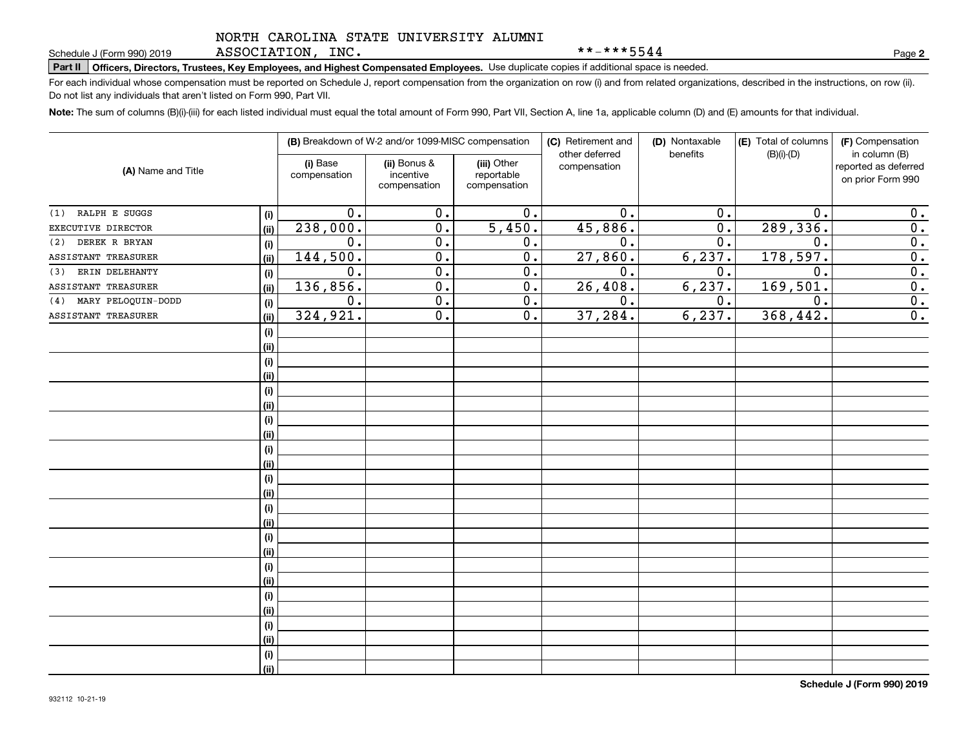ASSOCIATION, INC.

\*\*-\*\*\*5544

**2**

# **Part II Officers, Directors, Trustees, Key Employees, and Highest Compensated Employees.**  Schedule J (Form 990) 2019 Page Use duplicate copies if additional space is needed.

For each individual whose compensation must be reported on Schedule J, report compensation from the organization on row (i) and from related organizations, described in the instructions, on row (ii). Do not list any individuals that aren't listed on Form 990, Part VII.

**Note:**  The sum of columns (B)(i)-(iii) for each listed individual must equal the total amount of Form 990, Part VII, Section A, line 1a, applicable column (D) and (E) amounts for that individual.

|                           |      |                          | (B) Breakdown of W-2 and/or 1099-MISC compensation |                                           | (C) Retirement and<br>other deferred | (D) Nontaxable<br>benefits | (E) Total of columns<br>$(B)(i)-(D)$ | (F) Compensation<br>in column (B)         |
|---------------------------|------|--------------------------|----------------------------------------------------|-------------------------------------------|--------------------------------------|----------------------------|--------------------------------------|-------------------------------------------|
| (A) Name and Title        |      | (i) Base<br>compensation | (ii) Bonus &<br>incentive<br>compensation          | (iii) Other<br>reportable<br>compensation | compensation                         |                            |                                      | reported as deferred<br>on prior Form 990 |
| RALPH E SUGGS<br>(1)      | (i)  | 0.                       | 0.                                                 | $\overline{0}$ .                          | 0.                                   | $0$ .                      | $\mathbf 0$                          | 0.                                        |
| EXECUTIVE DIRECTOR        | (ii) | 238,000.                 | $\overline{0}$ .                                   | $\overline{5,450}$ .                      | 45,886.                              | $\overline{0}$ .           | 289, 336.                            | $\overline{0}$ .                          |
| DEREK R BRYAN<br>(2)      | (i)  | 0.                       | $\overline{0}$ .                                   | 0.                                        | 0.                                   | $\overline{0}$ .           | $\mathbf 0$                          | $\overline{0}$ .                          |
| ASSISTANT TREASURER       | (ii) | 144,500.                 | $\overline{0}$ .                                   | $\overline{0}$ .                          | 27,860.                              | 6, 237.                    | 178,597.                             | $\overline{0}$ .                          |
| ERIN DELEHANTY<br>(3)     | (i)  | 0.                       | $\overline{0}$ .                                   | 0.                                        | $\overline{0}$ .                     | 0.                         | $\mathbf 0$ .                        | $\overline{0}$ .                          |
| ASSISTANT TREASURER       | (ii) | 136,856.                 | 0.                                                 | 0.                                        | 26, 408.                             | 6, 237.                    | 169, 501.                            | $\overline{0}$ .                          |
| MARY PELOQUIN-DODD<br>(4) | (i)  | 0.                       | 0.                                                 | 0.                                        | 0.                                   | $0$ .                      | $\mathbf 0$ .                        | $\overline{0}$ .                          |
| ASSISTANT TREASURER       | (ii) | 324,921.                 | 0.                                                 | 0.                                        | 37,284.                              | 6, 237.                    | 368,442.                             | $\overline{0}$ .                          |
|                           | (i)  |                          |                                                    |                                           |                                      |                            |                                      |                                           |
|                           | (ii) |                          |                                                    |                                           |                                      |                            |                                      |                                           |
|                           | (i)  |                          |                                                    |                                           |                                      |                            |                                      |                                           |
|                           | (ii) |                          |                                                    |                                           |                                      |                            |                                      |                                           |
|                           | (i)  |                          |                                                    |                                           |                                      |                            |                                      |                                           |
|                           | (ii) |                          |                                                    |                                           |                                      |                            |                                      |                                           |
|                           | (i)  |                          |                                                    |                                           |                                      |                            |                                      |                                           |
|                           | (ii) |                          |                                                    |                                           |                                      |                            |                                      |                                           |
|                           | (i)  |                          |                                                    |                                           |                                      |                            |                                      |                                           |
|                           | (ii) |                          |                                                    |                                           |                                      |                            |                                      |                                           |
|                           | (i)  |                          |                                                    |                                           |                                      |                            |                                      |                                           |
|                           | (ii) |                          |                                                    |                                           |                                      |                            |                                      |                                           |
|                           | (i)  |                          |                                                    |                                           |                                      |                            |                                      |                                           |
|                           | (ii) |                          |                                                    |                                           |                                      |                            |                                      |                                           |
|                           | (i)  |                          |                                                    |                                           |                                      |                            |                                      |                                           |
|                           | (ii) |                          |                                                    |                                           |                                      |                            |                                      |                                           |
|                           | (i)  |                          |                                                    |                                           |                                      |                            |                                      |                                           |
|                           | (ii) |                          |                                                    |                                           |                                      |                            |                                      |                                           |
|                           | (i)  |                          |                                                    |                                           |                                      |                            |                                      |                                           |
|                           | (ii) |                          |                                                    |                                           |                                      |                            |                                      |                                           |
|                           | (i)  |                          |                                                    |                                           |                                      |                            |                                      |                                           |
|                           | (ii) |                          |                                                    |                                           |                                      |                            |                                      |                                           |
|                           | (i)  |                          |                                                    |                                           |                                      |                            |                                      |                                           |
|                           | (ii) |                          |                                                    |                                           |                                      |                            |                                      |                                           |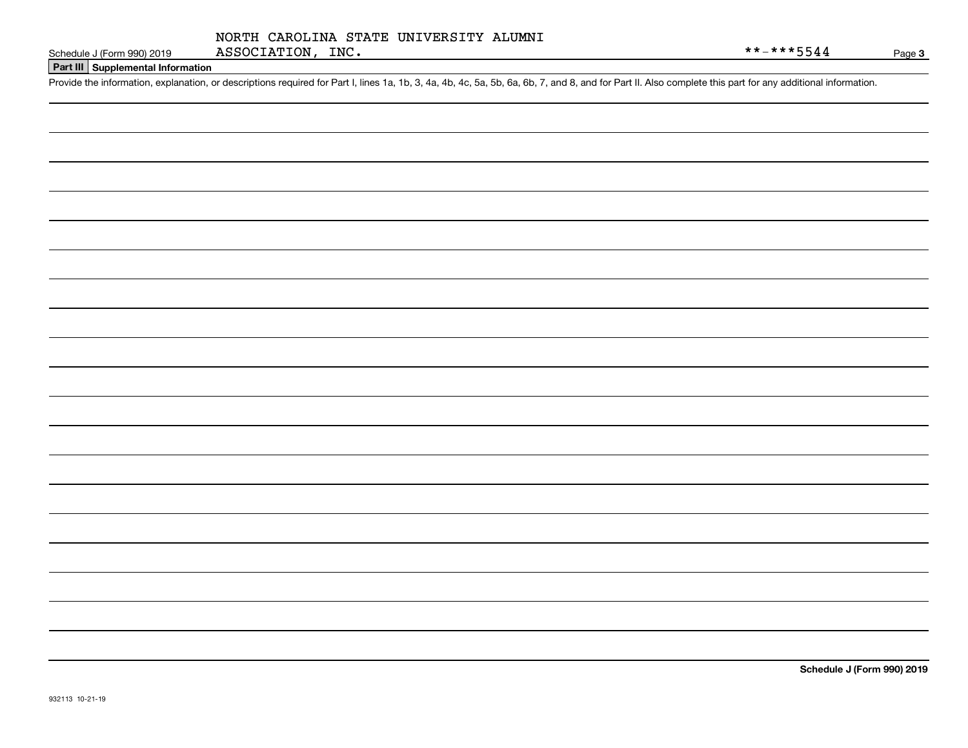### **Part III Supplemental Information**

Schedule J (Form 990) 2019 ASSOCIATION, INC.<br>Part III Supplemental Information<br>Provide the information, explanation, or descriptions required for Part I, lines 1a, 1b, 3, 4a, 4b, 4c, 5a, 5b, 6a, 6b, 7, and 8, and for Part

**Schedule J (Form 990) 2019**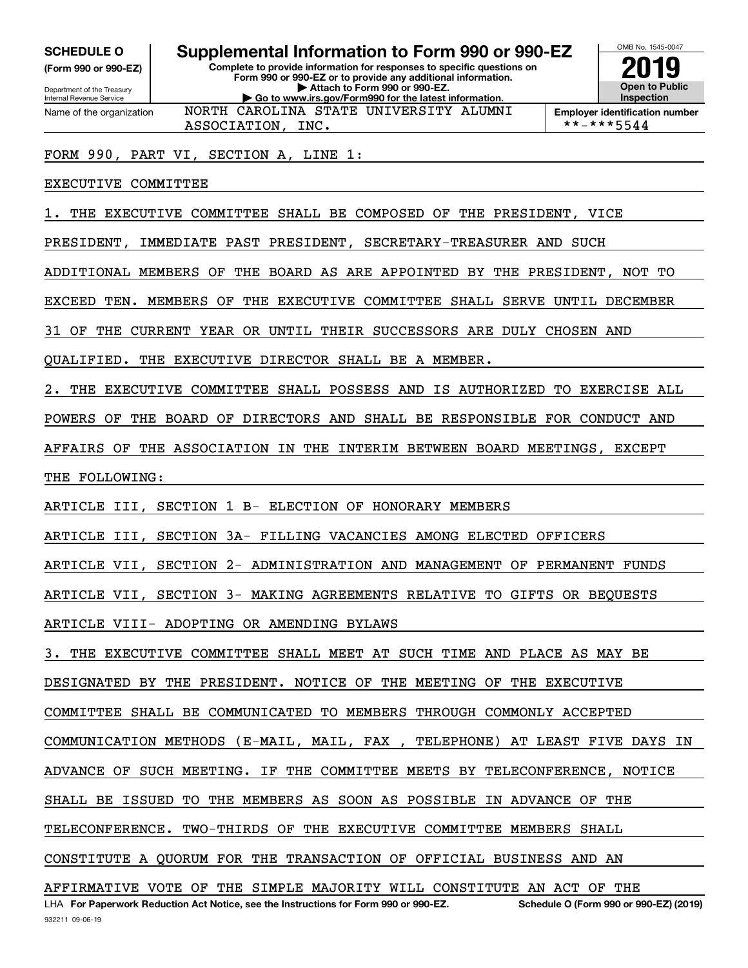**(Form 990 or 990-EZ)**

Department of the Treasury Internal Revenue Service Name of the organization

# **SCHEDULE O Supplemental Information to Form 990 or 990-EZ**

**Complete to provide information for responses to specific questions on Form 990 or 990-EZ or to provide any additional information. | Attach to Form 990 or 990-EZ. | Go to www.irs.gov/Form990 for the latest information.** NORTH CAROLINA STATE UNIVERSITY ALUMNI



**Employer identification number**<br>\*\*-\*\*\*5544

FORM 990, PART VI, SECTION A, LINE 1:

ASSOCIATION, INC.

EXECUTIVE COMMITTEE

1. THE EXECUTIVE COMMITTEE SHALL BE COMPOSED OF THE PRESIDENT, VICE

PRESIDENT, IMMEDIATE PAST PRESIDENT, SECRETARY-TREASURER AND SUCH

ADDITIONAL MEMBERS OF THE BOARD AS ARE APPOINTED BY THE PRESIDENT, NOT TO

EXCEED TEN. MEMBERS OF THE EXECUTIVE COMMITTEE SHALL SERVE UNTIL DECEMBER

31 OF THE CURRENT YEAR OR UNTIL THEIR SUCCESSORS ARE DULY CHOSEN AND

QUALIFIED. THE EXECUTIVE DIRECTOR SHALL BE A MEMBER.

2. THE EXECUTIVE COMMITTEE SHALL POSSESS AND IS AUTHORIZED TO EXERCISE ALL

POWERS OF THE BOARD OF DIRECTORS AND SHALL BE RESPONSIBLE FOR CONDUCT AND

AFFAIRS OF THE ASSOCIATION IN THE INTERIM BETWEEN BOARD MEETINGS, EXCEPT

THE FOLLOWING:

ARTICLE III, SECTION 1 B- ELECTION OF HONORARY MEMBERS

ARTICLE III, SECTION 3A- FILLING VACANCIES AMONG ELECTED OFFICERS

ARTICLE VII, SECTION 2- ADMINISTRATION AND MANAGEMENT OF PERMANENT FUNDS

ARTICLE VII, SECTION 3- MAKING AGREEMENTS RELATIVE TO GIFTS OR BEQUESTS

ARTICLE VIII- ADOPTING OR AMENDING BYLAWS

3. THE EXECUTIVE COMMITTEE SHALL MEET AT SUCH TIME AND PLACE AS MAY BE

DESIGNATED BY THE PRESIDENT. NOTICE OF THE MEETING OF THE EXECUTIVE

COMMITTEE SHALL BE COMMUNICATED TO MEMBERS THROUGH COMMONLY ACCEPTED

COMMUNICATION METHODS (E-MAIL, MAIL, FAX , TELEPHONE) AT LEAST FIVE DAYS IN

ADVANCE OF SUCH MEETING. IF THE COMMITTEE MEETS BY TELECONFERENCE, NOTICE

SHALL BE ISSUED TO THE MEMBERS AS SOON AS POSSIBLE IN ADVANCE OF THE

TELECONFERENCE. TWO-THIRDS OF THE EXECUTIVE COMMITTEE MEMBERS SHALL

CONSTITUTE A QUORUM FOR THE TRANSACTION OF OFFICIAL BUSINESS AND AN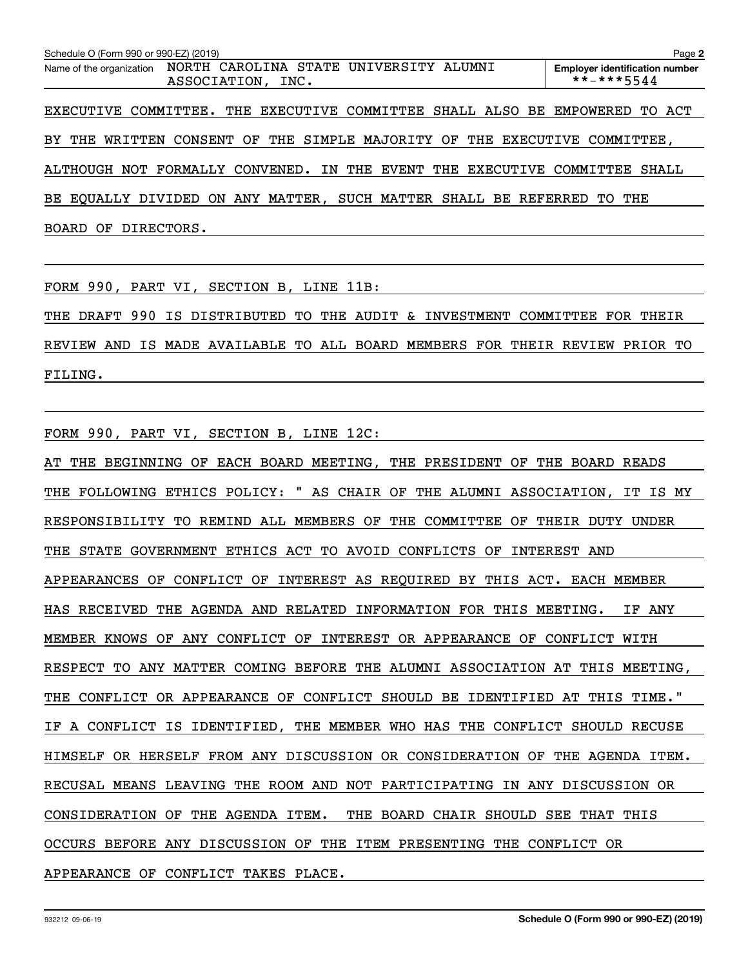| Schedule O (Form 990 or 990-EZ) (2019) |                   |                                                                           | Page 2                                              |
|----------------------------------------|-------------------|---------------------------------------------------------------------------|-----------------------------------------------------|
| Name of the organization               | ASSOCIATION, INC. | NORTH CAROLINA STATE UNIVERSITY ALUMNI                                    | <b>Employer identification number</b><br>**-***5544 |
|                                        |                   | EXECUTIVE COMMITTEE. THE EXECUTIVE COMMITTEE SHALL ALSO BE EMPOWERED      | TO ACT                                              |
|                                        |                   | BY THE WRITTEN CONSENT OF THE SIMPLE MAJORITY OF THE EXECUTIVE COMMITTEE, |                                                     |
|                                        |                   | ALTHOUGH NOT FORMALLY CONVENED. IN THE EVENT THE EXECUTIVE COMMITTEE      | SHALL                                               |
|                                        |                   | BE EOUALLY DIVIDED ON ANY MATTER, SUCH MATTER SHALL BE REFERRED TO THE    |                                                     |
| BOARD OF DIRECTORS.                    |                   |                                                                           |                                                     |

FORM 990, PART VI, SECTION B, LINE 11B:

THE DRAFT 990 IS DISTRIBUTED TO THE AUDIT & INVESTMENT COMMITTEE FOR THEIR REVIEW AND IS MADE AVAILABLE TO ALL BOARD MEMBERS FOR THEIR REVIEW PRIOR TO FILING.

FORM 990, PART VI, SECTION B, LINE 12C:

AT THE BEGINNING OF EACH BOARD MEETING, THE PRESIDENT OF THE BOARD READS THE FOLLOWING ETHICS POLICY: " AS CHAIR OF THE ALUMNI ASSOCIATION, IT IS MY RESPONSIBILITY TO REMIND ALL MEMBERS OF THE COMMITTEE OF THEIR DUTY UNDER THE STATE GOVERNMENT ETHICS ACT TO AVOID CONFLICTS OF INTEREST AND APPEARANCES OF CONFLICT OF INTEREST AS REQUIRED BY THIS ACT. EACH MEMBER HAS RECEIVED THE AGENDA AND RELATED INFORMATION FOR THIS MEETING. IF ANY MEMBER KNOWS OF ANY CONFLICT OF INTEREST OR APPEARANCE OF CONFLICT WITH RESPECT TO ANY MATTER COMING BEFORE THE ALUMNI ASSOCIATION AT THIS MEETING, THE CONFLICT OR APPEARANCE OF CONFLICT SHOULD BE IDENTIFIED AT THIS TIME." IF A CONFLICT IS IDENTIFIED, THE MEMBER WHO HAS THE CONFLICT SHOULD RECUSE HIMSELF OR HERSELF FROM ANY DISCUSSION OR CONSIDERATION OF THE AGENDA ITEM. RECUSAL MEANS LEAVING THE ROOM AND NOT PARTICIPATING IN ANY DISCUSSION OR CONSIDERATION OF THE AGENDA ITEM. THE BOARD CHAIR SHOULD SEE THAT THIS OCCURS BEFORE ANY DISCUSSION OF THE ITEM PRESENTING THE CONFLICT OR APPEARANCE OF CONFLICT TAKES PLACE.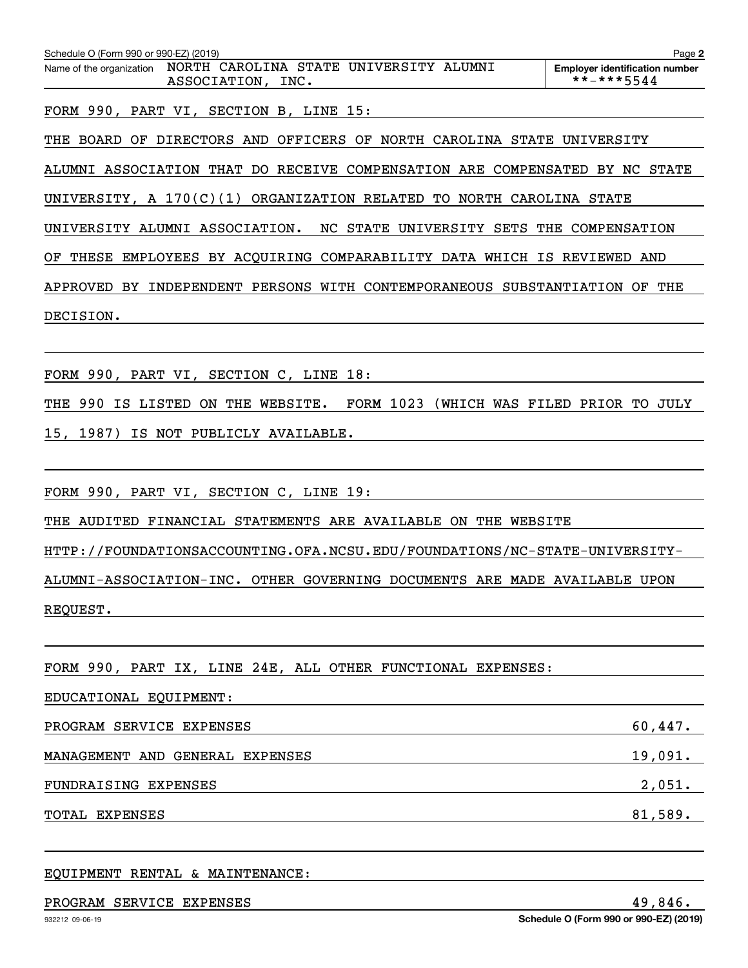| Schedule O (Form 990 or 990-EZ) (2019)<br>Name of the organization  NORTH CAROLINA STATE  UNIVERSITY  ALUMNI<br>ASSOCIATION, INC. | Page 2<br><b>Employer identification number</b><br>**-***5544 |
|-----------------------------------------------------------------------------------------------------------------------------------|---------------------------------------------------------------|
| FORM 990, PART VI, SECTION B, LINE 15:                                                                                            |                                                               |
| THE BOARD OF DIRECTORS AND OFFICERS OF NORTH CAROLINA STATE UNIVERSITY                                                            |                                                               |
| ALUMNI ASSOCIATION THAT DO RECEIVE COMPENSATION ARE COMPENSATED BY NC STATE                                                       |                                                               |
| UNIVERSITY, A $170(C)(1)$ ORGANIZATION RELATED TO NORTH CAROLINA STATE                                                            |                                                               |
| UNIVERSITY ALUMNI ASSOCIATION. NC STATE UNIVERSITY SETS THE COMPENSATION                                                          |                                                               |
| THESE EMPLOYEES BY ACQUIRING COMPARABILITY DATA WHICH IS REVIEWED AND<br>OF                                                       |                                                               |
| APPROVED BY INDEPENDENT PERSONS WITH CONTEMPORANEOUS SUBSTANTIATION OF THE                                                        |                                                               |
| DECISION.                                                                                                                         |                                                               |
|                                                                                                                                   |                                                               |
| FORM 990, PART VI, SECTION C, LINE 18:                                                                                            |                                                               |
| THE 990 IS LISTED ON THE WEBSITE. FORM 1023 (WHICH WAS FILED PRIOR TO JULY                                                        |                                                               |
| 15, 1987) IS NOT PUBLICLY AVAILABLE.                                                                                              |                                                               |
|                                                                                                                                   |                                                               |
| FORM 990, PART VI, SECTION C, LINE 19:                                                                                            |                                                               |
| THE AUDITED FINANCIAL STATEMENTS ARE AVAILABLE ON THE WEBSITE                                                                     |                                                               |
| HTTP://FOUNDATIONSACCOUNTING.OFA.NCSU.EDU/FOUNDATIONS/NC-STATE-UNIVERSITY-                                                        |                                                               |
| ALUMNI-ASSOCIATION-INC. OTHER GOVERNING DOCUMENTS ARE MADE AVAILABLE UPON                                                         |                                                               |
| REQUEST.                                                                                                                          |                                                               |
|                                                                                                                                   |                                                               |
| FORM 990, PART IX, LINE 24E, ALL OTHER FUNCTIONAL EXPENSES:                                                                       |                                                               |
| EDUCATIONAL EQUIPMENT:                                                                                                            |                                                               |

PROGRAM SERVICE EXPENSES 60,447. MANAGEMENT AND GENERAL EXPENSES 19,091. FUNDRAISING EXPENSES 2,051. TOTAL EXPENSES 81,589.

EQUIPMENT RENTAL & MAINTENANCE:

#### PROGRAM SERVICE EXPENSES 49,846.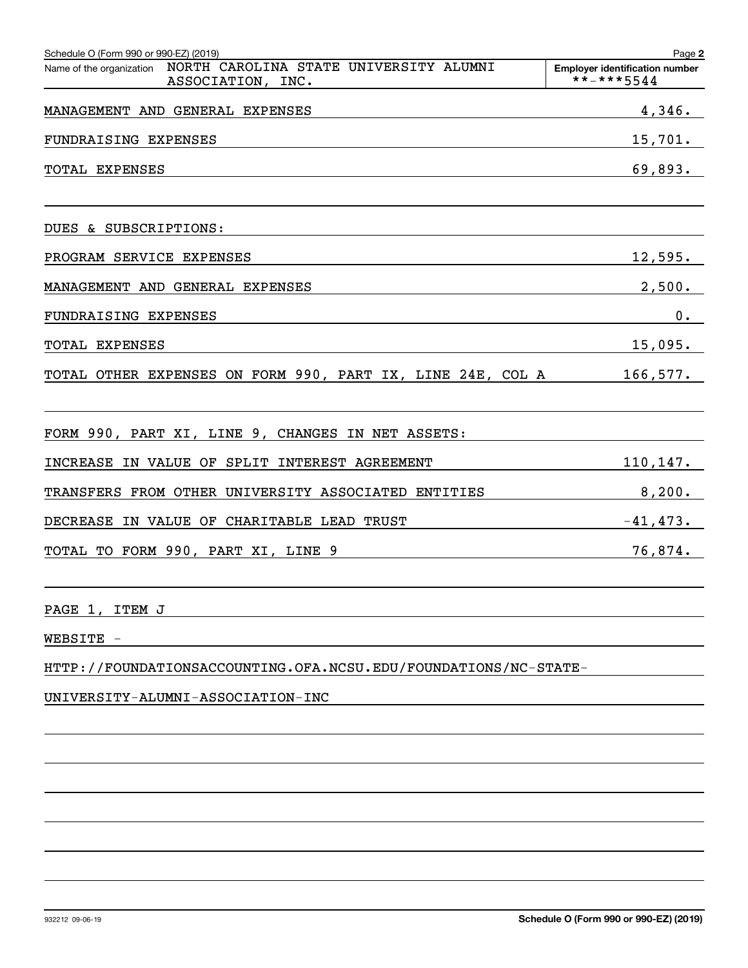| Schedule O (Form 990 or 990-EZ) (2019)                                                    | Page 2                                              |
|-------------------------------------------------------------------------------------------|-----------------------------------------------------|
| Name of the organization  NORTH  CAROLINA  STATE  UNIVERSITY  ALUMNI<br>ASSOCIATION, INC. | <b>Employer identification number</b><br>**-***5544 |
| MANAGEMENT AND GENERAL EXPENSES                                                           | 4,346.                                              |
| FUNDRAISING EXPENSES                                                                      | <u>15,701.</u>                                      |
| TOTAL EXPENSES                                                                            | 69,893.                                             |
| DUES & SUBSCRIPTIONS:                                                                     |                                                     |
| PROGRAM SERVICE EXPENSES                                                                  | $12,595$ .                                          |
| MANAGEMENT AND GENERAL EXPENSES                                                           | 2,500.                                              |
| FUNDRAISING EXPENSES                                                                      | 0.                                                  |
| TOTAL EXPENSES                                                                            | $15,095$ .                                          |
| TOTAL OTHER EXPENSES ON FORM 990, PART IX, LINE 24E, COL A 166,577.                       |                                                     |
| FORM 990, PART XI, LINE 9, CHANGES IN NET ASSETS:                                         |                                                     |
| INCREASE IN VALUE OF SPLIT INTEREST AGREEMENT                                             | $110, 147$ .                                        |
| TRANSFERS FROM OTHER UNIVERSITY ASSOCIATED ENTITIES                                       | 8,200.                                              |
| DECREASE IN VALUE OF CHARITABLE LEAD TRUST                                                | $-41,473.$                                          |
|                                                                                           | 76,874.                                             |
| PAGE 1, ITEM J                                                                            |                                                     |
| WEBSITE -                                                                                 |                                                     |
| HTTP://FOUNDATIONSACCOUNTING.OFA.NCSU.EDU/FOUNDATIONS/NC-STATE-                           |                                                     |
| UNIVERSITY-ALUMNI-ASSOCIATION-INC                                                         |                                                     |
|                                                                                           |                                                     |
|                                                                                           |                                                     |
|                                                                                           |                                                     |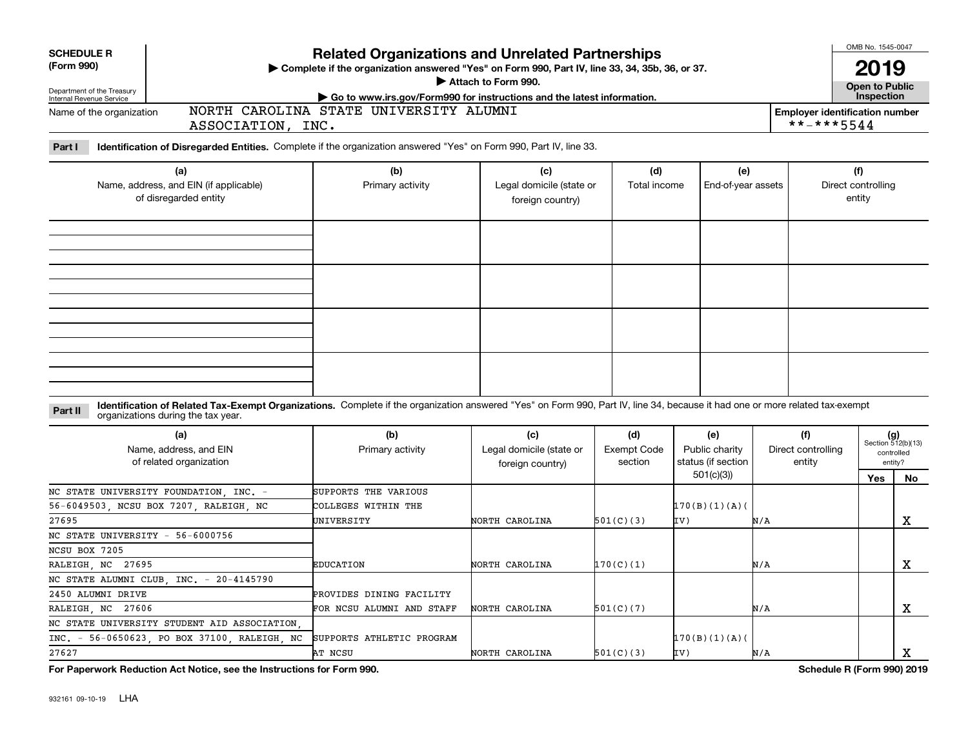| <b>SCHEDULE R</b><br>(Form 990)                                                          |                                                                        | <b>Related Organizations and Unrelated Partnerships</b><br>> Complete if the organization answered "Yes" on Form 990, Part IV, line 33, 34, 35b, 36, or 37.<br>Attach to Form 990. |                                                     |                                      | OMB No. 1545-0047<br><b>2019</b><br><b>Open to Public</b> |     |                                                     |                                     |                                                            |
|------------------------------------------------------------------------------------------|------------------------------------------------------------------------|------------------------------------------------------------------------------------------------------------------------------------------------------------------------------------|-----------------------------------------------------|--------------------------------------|-----------------------------------------------------------|-----|-----------------------------------------------------|-------------------------------------|------------------------------------------------------------|
| Department of the Treasury<br>Internal Revenue Service                                   |                                                                        | Go to www.irs.gov/Form990 for instructions and the latest information.                                                                                                             |                                                     |                                      |                                                           |     |                                                     | Inspection                          |                                                            |
| Name of the organization                                                                 | ASSOCIATION, INC.                                                      | NORTH CAROLINA STATE UNIVERSITY ALUMNI                                                                                                                                             |                                                     |                                      |                                                           |     | <b>Employer identification number</b><br>**-***5544 |                                     |                                                            |
| Part I                                                                                   |                                                                        | Identification of Disregarded Entities. Complete if the organization answered "Yes" on Form 990, Part IV, line 33.                                                                 |                                                     |                                      |                                                           |     |                                                     |                                     |                                                            |
|                                                                                          | (a)<br>Name, address, and EIN (if applicable)<br>of disregarded entity | (b)<br>Primary activity                                                                                                                                                            | (c)<br>Legal domicile (state or<br>foreign country) | (d)<br>Total income                  | (e)<br>End-of-year assets                                 |     |                                                     | (f)<br>Direct controlling<br>entity |                                                            |
|                                                                                          |                                                                        |                                                                                                                                                                                    |                                                     |                                      |                                                           |     |                                                     |                                     |                                                            |
|                                                                                          |                                                                        |                                                                                                                                                                                    |                                                     |                                      |                                                           |     |                                                     |                                     |                                                            |
| Part II                                                                                  | organizations during the tax year.                                     | Identification of Related Tax-Exempt Organizations. Complete if the organization answered "Yes" on Form 990, Part IV, line 34, because it had one or more related tax-exempt       |                                                     |                                      |                                                           |     |                                                     |                                     |                                                            |
|                                                                                          | (a)<br>Name, address, and EIN<br>of related organization               | (b)<br>Primary activity                                                                                                                                                            | (c)<br>Legal domicile (state or<br>foreign country) | (d)<br><b>Exempt Code</b><br>section | (e)<br>Public charity<br>status (if section<br>501(c)(3)  |     | (f)<br>Direct controlling<br>entity                 | <b>Yes</b>                          | $(g)$<br>Section 512(b)(13)<br>controlled<br>entity?<br>No |
| NC STATE UNIVERSITY FOUNDATION INC. -<br>56-6049503, NCSU BOX 7207, RALEIGH, NC<br>27695 |                                                                        | SUPPORTS THE VARIOUS<br>COLLEGES WITHIN THE<br>UNIVERSITY                                                                                                                          | NORTH CAROLINA                                      | 501(C)(3)                            | 170(B)(1)(A)<br>IV)                                       | N/A |                                                     |                                     | x                                                          |
| NC STATE UNIVERSITY - 56-6000756<br>NCSU BOX 7205                                        |                                                                        |                                                                                                                                                                                    |                                                     |                                      |                                                           |     |                                                     |                                     |                                                            |
| RALEIGH, NC 27695                                                                        |                                                                        | <b>EDUCATION</b>                                                                                                                                                                   | NORTH CAROLINA                                      | 170(C)(1)                            |                                                           | N/A |                                                     |                                     | х                                                          |
| NC STATE ALUMNI CLUB INC. - 20-4145790                                                   |                                                                        |                                                                                                                                                                                    |                                                     |                                      |                                                           |     |                                                     |                                     |                                                            |
| 2450 ALUMNI DRIVE                                                                        |                                                                        | PROVIDES DINING FACILITY                                                                                                                                                           |                                                     |                                      |                                                           |     |                                                     |                                     |                                                            |
| RALEIGH, NC 27606                                                                        |                                                                        | FOR NCSU ALUMNI AND STAFF                                                                                                                                                          | NORTH CAROLINA                                      | 501(C)(7)                            |                                                           | N/A |                                                     |                                     | $\mathbf X$                                                |
|                                                                                          | NC STATE UNIVERSITY STUDENT AID ASSOCIATION                            |                                                                                                                                                                                    |                                                     |                                      |                                                           |     |                                                     |                                     |                                                            |
|                                                                                          | INC. - 56-0650623, PO BOX 37100, RALEIGH, NC                           | SUPPORTS ATHLETIC PROGRAM                                                                                                                                                          |                                                     |                                      | 170(B)(1)(A)                                              |     |                                                     |                                     |                                                            |
| 27627                                                                                    |                                                                        | AT NCSU                                                                                                                                                                            | NORTH CAROLINA                                      | 501(C)(3)                            | IV)                                                       | N/A |                                                     |                                     | $\mathbf X$                                                |
|                                                                                          | For Paperwork Reduction Act Notice, see the Instructions for Form 990. |                                                                                                                                                                                    |                                                     |                                      |                                                           |     | Schedule R (Form 990) 2019                          |                                     |                                                            |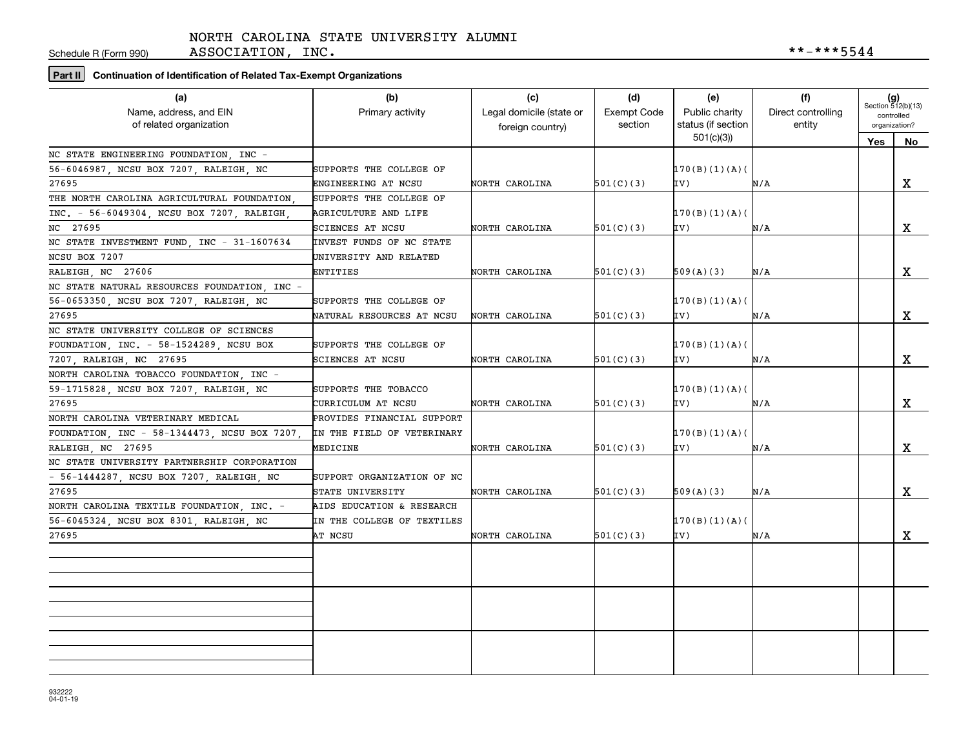Schedule R (Form 990)

ASSOCIATION, INC.  $***-***5544$ 

**Part II Continuation of Identification of Related Tax-Exempt Organizations**

| (a)<br>Name, address, and EIN<br>of related organization | (b)<br>Primary activity    | (c)<br>Legal domicile (state or<br>foreign country) | (d)<br><b>Exempt Code</b><br>section | (e)<br>Public charity<br>status (if section | (f)<br>Direct controlling<br>entity | $(g)$<br>Section 512(b)(13)<br>controlled<br>organization? |             |
|----------------------------------------------------------|----------------------------|-----------------------------------------------------|--------------------------------------|---------------------------------------------|-------------------------------------|------------------------------------------------------------|-------------|
|                                                          |                            |                                                     |                                      | 501(c)(3)                                   |                                     | Yes                                                        | No          |
| NC STATE ENGINEERING FOUNDATION, INC -                   |                            |                                                     |                                      |                                             |                                     |                                                            |             |
| 56-6046987, NCSU BOX 7207, RALEIGH, NC                   | SUPPORTS THE COLLEGE OF    |                                                     |                                      | 170(B)(1)(A)                                |                                     |                                                            |             |
| 27695                                                    | ENGINEERING AT NCSU        | NORTH CAROLINA                                      | 501(C)(3)                            | IV)                                         | N/A                                 |                                                            | X           |
| THE NORTH CAROLINA AGRICULTURAL FOUNDATION               | SUPPORTS THE COLLEGE OF    |                                                     |                                      |                                             |                                     |                                                            |             |
| INC. - 56-6049304, NCSU BOX 7207, RALEIGH                | AGRICULTURE AND LIFE       |                                                     |                                      | 170(B)(1)(A)                                |                                     |                                                            |             |
| NC 27695                                                 | SCIENCES AT NCSU           | NORTH CAROLINA                                      | 501(C)(3)                            | IV)                                         | N/A                                 |                                                            | X           |
| NC STATE INVESTMENT FUND, INC - 31-1607634               | INVEST FUNDS OF NC STATE   |                                                     |                                      |                                             |                                     |                                                            |             |
| NCSU BOX 7207                                            | UNIVERSITY AND RELATED     |                                                     |                                      |                                             |                                     |                                                            |             |
| RALEIGH, NC 27606                                        | ENTITIES                   | NORTH CAROLINA                                      | 501(C)(3)                            | 509(A)(3)                                   | N/A                                 |                                                            | X           |
| NC STATE NATURAL RESOURCES FOUNDATION, INC -             |                            |                                                     |                                      |                                             |                                     |                                                            |             |
| 56-0653350, NCSU BOX 7207, RALEIGH, NC                   | SUPPORTS THE COLLEGE OF    |                                                     |                                      | 170(B)(1)(A)                                |                                     |                                                            |             |
| 27695                                                    | NATURAL RESOURCES AT NCSU  | NORTH CAROLINA                                      | 501(C)(3)                            | IV)                                         | N/A                                 |                                                            | X           |
| NC STATE UNIVERSITY COLLEGE OF SCIENCES                  |                            |                                                     |                                      |                                             |                                     |                                                            |             |
| FOUNDATION, INC. - 58-1524289, NCSU BOX                  | SUPPORTS THE COLLEGE OF    |                                                     |                                      | 170(B)(1)(A)                                |                                     |                                                            |             |
| 7207, RALEIGH, NC 27695                                  | SCIENCES AT NCSU           | NORTH CAROLINA                                      | 501(C)(3)                            | IV)                                         | N/A                                 |                                                            | X           |
| NORTH CAROLINA TOBACCO FOUNDATION, INC -                 |                            |                                                     |                                      |                                             |                                     |                                                            |             |
| 59-1715828, NCSU BOX 7207, RALEIGH, NC                   | SUPPORTS THE TOBACCO       |                                                     |                                      | 170(B)(1)(A)                                |                                     |                                                            |             |
| 27695                                                    | CURRICULUM AT NCSU         | NORTH CAROLINA                                      | 501(C)(3)                            | IV)                                         | N/A                                 |                                                            | $\mathbf X$ |
| NORTH CAROLINA VETERINARY MEDICAL                        | PROVIDES FINANCIAL SUPPORT |                                                     |                                      |                                             |                                     |                                                            |             |
| FOUNDATION, INC - 58-1344473, NCSU BOX 7207,             | IN THE FIELD OF VETERINARY |                                                     |                                      | 170(B)(1)(A)                                |                                     |                                                            |             |
| RALEIGH, NC 27695                                        | MEDICINE                   | NORTH CAROLINA                                      | 501(C)(3)                            | IV)                                         | N/A                                 |                                                            | $\mathbf X$ |
| NC STATE UNIVERSITY PARTNERSHIP CORPORATION              |                            |                                                     |                                      |                                             |                                     |                                                            |             |
| - 56-1444287, NCSU BOX 7207, RALEIGH, NC                 | SUPPORT ORGANIZATION OF NC |                                                     |                                      |                                             |                                     |                                                            |             |
| 27695                                                    | STATE UNIVERSITY           | NORTH CAROLINA                                      | 501(C)(3)                            | 509(A)(3)                                   | N/A                                 |                                                            | $\mathbf X$ |
| NORTH CAROLINA TEXTILE FOUNDATION, INC. -                | AIDS EDUCATION & RESEARCH  |                                                     |                                      |                                             |                                     |                                                            |             |
| 56-6045324, NCSU BOX 8301, RALEIGH, NC                   | IN THE COLLEGE OF TEXTILES |                                                     |                                      | 170(B)(1)(A)                                |                                     |                                                            |             |
| 27695                                                    | AT NCSU                    | NORTH CAROLINA                                      | 501(C)(3)                            | IV)                                         | N/A                                 |                                                            | x           |
|                                                          |                            |                                                     |                                      |                                             |                                     |                                                            |             |
|                                                          |                            |                                                     |                                      |                                             |                                     |                                                            |             |
|                                                          |                            |                                                     |                                      |                                             |                                     |                                                            |             |
|                                                          |                            |                                                     |                                      |                                             |                                     |                                                            |             |
|                                                          |                            |                                                     |                                      |                                             |                                     |                                                            |             |
|                                                          |                            |                                                     |                                      |                                             |                                     |                                                            |             |
|                                                          |                            |                                                     |                                      |                                             |                                     |                                                            |             |
|                                                          |                            |                                                     |                                      |                                             |                                     |                                                            |             |
|                                                          |                            |                                                     |                                      |                                             |                                     |                                                            |             |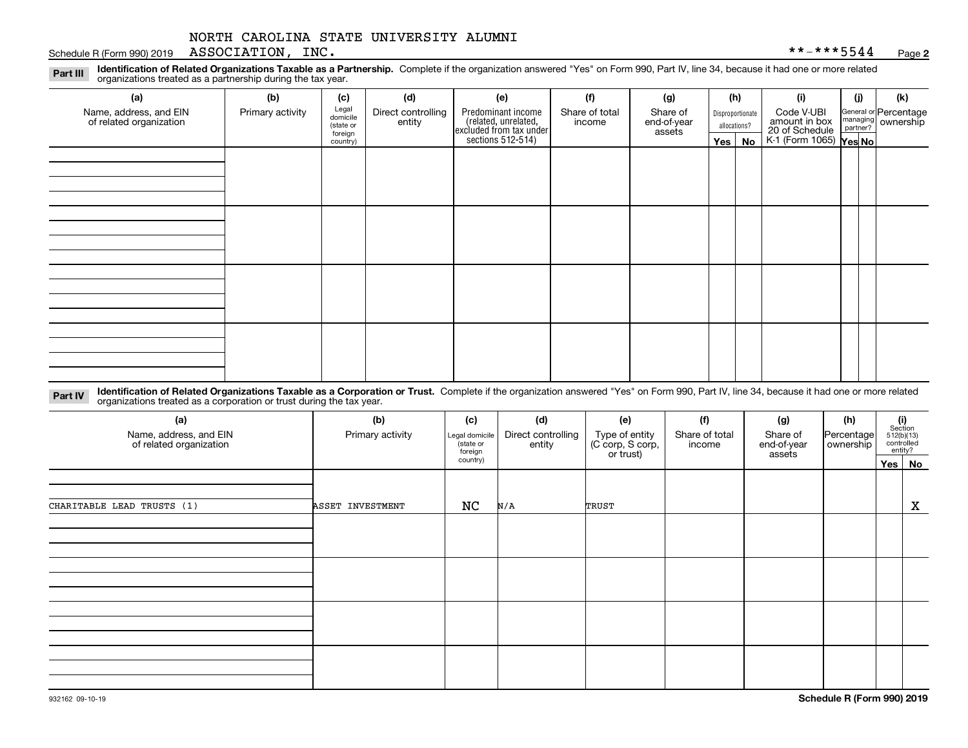#### Schedule R (Form 990) 2019 Page ASSOCIATION, INC. \*\*-\*\*\*5544

**2**

**Identification of Related Organizations Taxable as a Partnership.** Complete if the organization answered "Yes" on Form 990, Part IV, line 34, because it had one or more related **Part III** organizations treated as a partnership during the tax year.

| (a)                                               | (b)              | (c)                  | (d)                          | (e)                                                                                       | (f)                      | (g)                     |                                  | (h) | (i)                                      | (i) | (k)                                                     |
|---------------------------------------------------|------------------|----------------------|------------------------------|-------------------------------------------------------------------------------------------|--------------------------|-------------------------|----------------------------------|-----|------------------------------------------|-----|---------------------------------------------------------|
| Name, address, and EIN<br>of related organization | Primary activity | Legal<br>domicile    | Direct controlling<br>entity | Predominant income<br>related, unrelated,<br>excluded from tax under<br>sections 512-514) | Share of total<br>income | Share of<br>end-of-year | Disproportionate<br>allocations? |     | Code V-UBI<br>amount in box              |     | General or Percentage<br>managing ownership<br>partner? |
|                                                   |                  | (state or<br>foreign |                              |                                                                                           |                          | assets                  |                                  |     |                                          |     |                                                         |
|                                                   |                  | country)             |                              |                                                                                           |                          |                         | Yes $ $                          | No  | 20 of Schedule<br>K-1 (Form 1065) Yes No |     |                                                         |
|                                                   |                  |                      |                              |                                                                                           |                          |                         |                                  |     |                                          |     |                                                         |
|                                                   |                  |                      |                              |                                                                                           |                          |                         |                                  |     |                                          |     |                                                         |
|                                                   |                  |                      |                              |                                                                                           |                          |                         |                                  |     |                                          |     |                                                         |
|                                                   |                  |                      |                              |                                                                                           |                          |                         |                                  |     |                                          |     |                                                         |
|                                                   |                  |                      |                              |                                                                                           |                          |                         |                                  |     |                                          |     |                                                         |
|                                                   |                  |                      |                              |                                                                                           |                          |                         |                                  |     |                                          |     |                                                         |
|                                                   |                  |                      |                              |                                                                                           |                          |                         |                                  |     |                                          |     |                                                         |
|                                                   |                  |                      |                              |                                                                                           |                          |                         |                                  |     |                                          |     |                                                         |
|                                                   |                  |                      |                              |                                                                                           |                          |                         |                                  |     |                                          |     |                                                         |
|                                                   |                  |                      |                              |                                                                                           |                          |                         |                                  |     |                                          |     |                                                         |
|                                                   |                  |                      |                              |                                                                                           |                          |                         |                                  |     |                                          |     |                                                         |
|                                                   |                  |                      |                              |                                                                                           |                          |                         |                                  |     |                                          |     |                                                         |
|                                                   |                  |                      |                              |                                                                                           |                          |                         |                                  |     |                                          |     |                                                         |
|                                                   |                  |                      |                              |                                                                                           |                          |                         |                                  |     |                                          |     |                                                         |
|                                                   |                  |                      |                              |                                                                                           |                          |                         |                                  |     |                                          |     |                                                         |
|                                                   |                  |                      |                              |                                                                                           |                          |                         |                                  |     |                                          |     |                                                         |
|                                                   |                  |                      |                              |                                                                                           |                          |                         |                                  |     |                                          |     |                                                         |

**Identification of Related Organizations Taxable as a Corporation or Trust.** Complete if the organization answered "Yes" on Form 990, Part IV, line 34, because it had one or more related **Part IV** organizations treated as a corporation or trust during the tax year.

| (a)<br>Name, address, and EIN<br>of related organization | (b)<br>Primary activity | (c)<br>Legal domicile<br>(state or<br>foreign | (d)<br>Direct controlling<br>entity | (e)<br>Type of entity<br>(C corp, S corp,<br>or trust) | (f)<br>Share of total<br>income | (g)<br>Share of<br>end-of-year<br>assets | (h)<br>Percentage<br>ownership | (i)<br>Section | 512(b)(13)<br>controlled<br>entity? |
|----------------------------------------------------------|-------------------------|-----------------------------------------------|-------------------------------------|--------------------------------------------------------|---------------------------------|------------------------------------------|--------------------------------|----------------|-------------------------------------|
|                                                          |                         | country)                                      |                                     |                                                        |                                 |                                          |                                |                | Yes   No                            |
| CHARITABLE LEAD TRUSTS (1)                               | ASSET INVESTMENT        | NC                                            | N/A                                 | TRUST                                                  |                                 |                                          |                                |                | X                                   |
|                                                          |                         |                                               |                                     |                                                        |                                 |                                          |                                |                |                                     |
|                                                          |                         |                                               |                                     |                                                        |                                 |                                          |                                |                |                                     |
|                                                          |                         |                                               |                                     |                                                        |                                 |                                          |                                |                |                                     |
|                                                          |                         |                                               |                                     |                                                        |                                 |                                          |                                |                |                                     |
|                                                          |                         |                                               |                                     |                                                        |                                 |                                          |                                |                |                                     |
|                                                          |                         |                                               |                                     |                                                        |                                 |                                          |                                |                |                                     |
|                                                          |                         |                                               |                                     |                                                        |                                 |                                          |                                |                |                                     |
|                                                          |                         |                                               |                                     |                                                        |                                 |                                          |                                |                |                                     |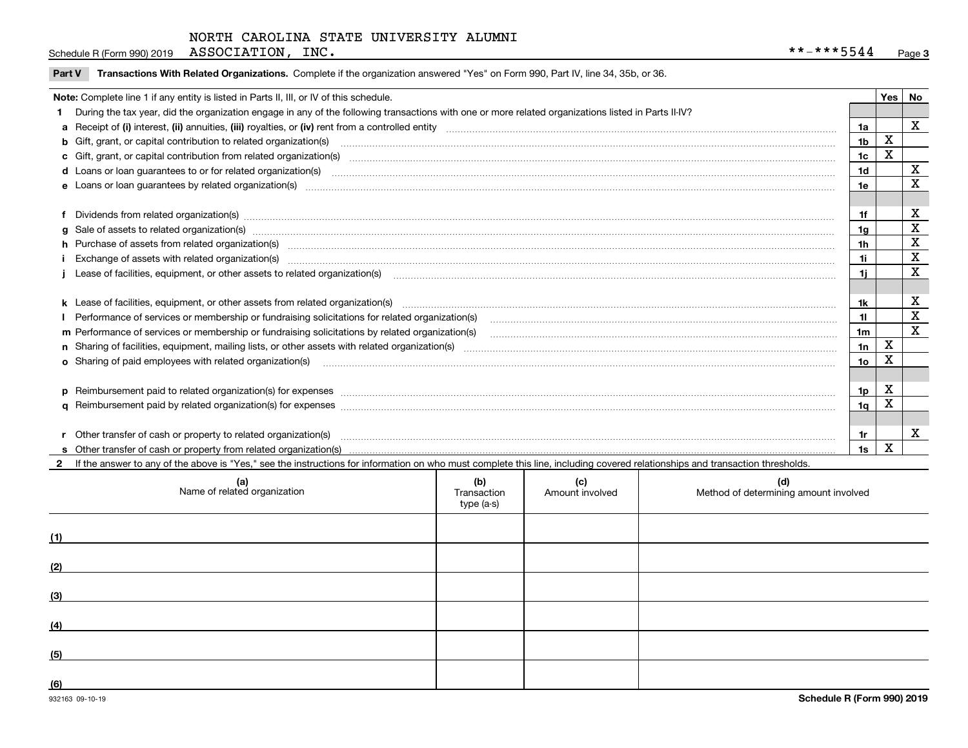| Schedule R (Form 990) 2019 | ASSOCIATION, | INC . | ……安全安居民 4.11<br>**<br>5544 | Page |  |
|----------------------------|--------------|-------|----------------------------|------|--|
|----------------------------|--------------|-------|----------------------------|------|--|

| Part V Transactions With Related Organizations. Complete if the organization answered "Yes" on Form 990, Part IV, line 34, 35b, or 36 |  |  |
|---------------------------------------------------------------------------------------------------------------------------------------|--|--|
|                                                                                                                                       |  |  |

| Note: Complete line 1 if any entity is listed in Parts II, III, or IV of this schedule.                                                                                                                                        |                 | Yes l       | No |
|--------------------------------------------------------------------------------------------------------------------------------------------------------------------------------------------------------------------------------|-----------------|-------------|----|
| 1 During the tax year, did the organization engage in any of the following transactions with one or more related organizations listed in Parts II-IV?                                                                          |                 |             |    |
| a Receipt of (i) interest, (ii) annuities, (iii) royalties, or (iv) rent from a controlled entity [1] controlled entity [1] controlled entimed to the controlled entity [1] content content content content of (i) interest, ( | 1a              |             | x  |
|                                                                                                                                                                                                                                | 1 <sub>b</sub>  | х           |    |
| c Gift, grant, or capital contribution from related organization(s) matches contains and content and contribution from related organization(s) matches contains and contribution from related organization(s) matches contains | 1 <sub>c</sub>  | X           |    |
|                                                                                                                                                                                                                                | 1 <sub>d</sub>  |             | X  |
|                                                                                                                                                                                                                                | 1e              |             | X  |
|                                                                                                                                                                                                                                |                 |             |    |
| f Dividends from related organization(s) manufactured contains and contained a series of the contact of the contact of the contact of the contact of the contact of the contact of the contact of the contact of the contact o | 1f              |             | х  |
| g Sale of assets to related organization(s) www.assettion.com/www.assettion.com/www.assettion.com/www.assettion.com/www.assettion.com/www.assettion.com/www.assettion.com/www.assettion.com/www.assettion.com/www.assettion.co | 1g              |             | X  |
| h Purchase of assets from related organization(s) manufactured and content to content the content of assets from related organization(s)                                                                                       | 1h              |             | X  |
|                                                                                                                                                                                                                                | 1i              |             | X  |
|                                                                                                                                                                                                                                | 1i.             |             | X  |
|                                                                                                                                                                                                                                |                 |             |    |
| k Lease of facilities, equipment, or other assets from related organization(s) manufaction content and content to the content of facilities, equipment, or other assets from related organization(s) manufaction content and c | 1k              |             | X  |
| Performance of services or membership or fundraising solicitations for related organization(s)                                                                                                                                 | 11              |             | X  |
| m Performance of services or membership or fundraising solicitations by related organization(s)                                                                                                                                | 1 <sub>m</sub>  |             | X  |
|                                                                                                                                                                                                                                | 1n              | $\mathbf X$ |    |
| o Sharing of paid employees with related organization(s) manufactured and content to the content of the content of the content of the content of the content of the content of the content of the content of the content of th | 10 <sub>o</sub> | X           |    |
|                                                                                                                                                                                                                                |                 |             |    |
|                                                                                                                                                                                                                                | 1p              | X           |    |
|                                                                                                                                                                                                                                | 1q              | х           |    |
|                                                                                                                                                                                                                                |                 |             |    |
|                                                                                                                                                                                                                                | 1r              |             | x  |
|                                                                                                                                                                                                                                | 1s              | X           |    |

**2**If the answer to any of the above is "Yes," see the instructions for information on who must complete this line, including covered relationships and transaction thresholds.

| (a)<br>Name of related organization | (b)<br>Transaction<br>type (a-s) | (c)<br>Amount involved | (d)<br>Method of determining amount involved |
|-------------------------------------|----------------------------------|------------------------|----------------------------------------------|
| (1)                                 |                                  |                        |                                              |
| (2)                                 |                                  |                        |                                              |
| (3)                                 |                                  |                        |                                              |
| (4)                                 |                                  |                        |                                              |
| (5)                                 |                                  |                        |                                              |
| (6)                                 |                                  |                        |                                              |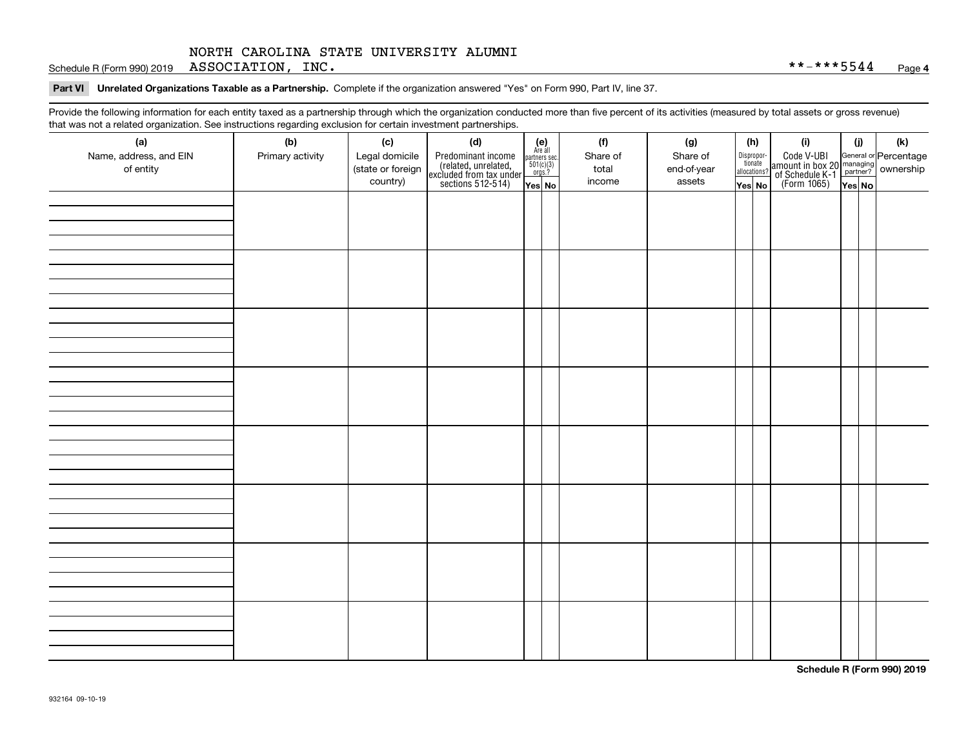Schedule R (Form 990) 2019 Page ASSOCIATION, INC. \*\*-\*\*\*5544

**Part VI Unrelated Organizations Taxable as a Partnership.**  Complete if the organization answered "Yes" on Form 990, Part IV, line 37.

Provide the following information for each entity taxed as a partnership through which the organization conducted more than five percent of its activities (measured by total assets or gross revenue) that was not a related organization. See instructions regarding exclusion for certain investment partnerships.

| - - - - -<br>(a)                    | − ອ−<br>. <del>.</del><br>(b) | (c)                                 | (d)                                                                                        |                                                                                                                  |  | (f)               | (g)                     | (h)                                   |  | (i)                                                                                          | (i)    | (k) |  |  |  |  |  |  |  |  |
|-------------------------------------|-------------------------------|-------------------------------------|--------------------------------------------------------------------------------------------|------------------------------------------------------------------------------------------------------------------|--|-------------------|-------------------------|---------------------------------------|--|----------------------------------------------------------------------------------------------|--------|-----|--|--|--|--|--|--|--|--|
| Name, address, and EIN<br>of entity | Primary activity              | Legal domicile<br>(state or foreign | Predominant income<br>(related, unrelated,<br>excluded from tax under<br>sections 512-514) | $\begin{array}{c} \textbf{(e)}\\ \text{Are all} \\ \text{partners sec.}\\ 501(c)(3)\\ \text{orgs.?} \end{array}$ |  | Share of<br>total | Share of<br>end-of-year | Dispropor-<br>tionate<br>allocations? |  | Code V-UBI<br>amount in box 20 managing<br>of Schedule K-1 partner?<br>(Form 1065)<br>ves No |        |     |  |  |  |  |  |  |  |  |
|                                     |                               | country)                            |                                                                                            | Yes No                                                                                                           |  | income            | assets                  | Yes No                                |  |                                                                                              | Yes No |     |  |  |  |  |  |  |  |  |
|                                     |                               |                                     |                                                                                            |                                                                                                                  |  |                   |                         |                                       |  |                                                                                              |        |     |  |  |  |  |  |  |  |  |
|                                     |                               |                                     |                                                                                            |                                                                                                                  |  |                   |                         |                                       |  |                                                                                              |        |     |  |  |  |  |  |  |  |  |
|                                     |                               |                                     |                                                                                            |                                                                                                                  |  |                   |                         |                                       |  |                                                                                              |        |     |  |  |  |  |  |  |  |  |
|                                     |                               |                                     |                                                                                            |                                                                                                                  |  |                   |                         |                                       |  |                                                                                              |        |     |  |  |  |  |  |  |  |  |
|                                     |                               |                                     |                                                                                            |                                                                                                                  |  |                   |                         |                                       |  |                                                                                              |        |     |  |  |  |  |  |  |  |  |
|                                     |                               |                                     |                                                                                            |                                                                                                                  |  |                   |                         |                                       |  |                                                                                              |        |     |  |  |  |  |  |  |  |  |
|                                     |                               |                                     |                                                                                            |                                                                                                                  |  |                   |                         |                                       |  |                                                                                              |        |     |  |  |  |  |  |  |  |  |
|                                     |                               |                                     |                                                                                            |                                                                                                                  |  |                   |                         |                                       |  |                                                                                              |        |     |  |  |  |  |  |  |  |  |
|                                     |                               |                                     |                                                                                            |                                                                                                                  |  |                   |                         |                                       |  |                                                                                              |        |     |  |  |  |  |  |  |  |  |
|                                     |                               |                                     |                                                                                            |                                                                                                                  |  |                   |                         |                                       |  |                                                                                              |        |     |  |  |  |  |  |  |  |  |
|                                     |                               |                                     |                                                                                            |                                                                                                                  |  |                   |                         |                                       |  |                                                                                              |        |     |  |  |  |  |  |  |  |  |
|                                     |                               |                                     |                                                                                            |                                                                                                                  |  |                   |                         |                                       |  |                                                                                              |        |     |  |  |  |  |  |  |  |  |
|                                     |                               |                                     |                                                                                            |                                                                                                                  |  |                   |                         |                                       |  |                                                                                              |        |     |  |  |  |  |  |  |  |  |
|                                     |                               |                                     |                                                                                            |                                                                                                                  |  |                   |                         |                                       |  |                                                                                              |        |     |  |  |  |  |  |  |  |  |
|                                     |                               |                                     |                                                                                            |                                                                                                                  |  |                   |                         |                                       |  |                                                                                              |        |     |  |  |  |  |  |  |  |  |
|                                     |                               |                                     |                                                                                            |                                                                                                                  |  |                   |                         |                                       |  |                                                                                              |        |     |  |  |  |  |  |  |  |  |
|                                     |                               |                                     |                                                                                            |                                                                                                                  |  |                   |                         |                                       |  |                                                                                              |        |     |  |  |  |  |  |  |  |  |
|                                     |                               |                                     |                                                                                            |                                                                                                                  |  |                   |                         |                                       |  |                                                                                              |        |     |  |  |  |  |  |  |  |  |
|                                     |                               |                                     |                                                                                            |                                                                                                                  |  |                   |                         |                                       |  |                                                                                              |        |     |  |  |  |  |  |  |  |  |
|                                     |                               |                                     |                                                                                            |                                                                                                                  |  |                   |                         |                                       |  |                                                                                              |        |     |  |  |  |  |  |  |  |  |
|                                     |                               |                                     |                                                                                            |                                                                                                                  |  |                   |                         |                                       |  |                                                                                              |        |     |  |  |  |  |  |  |  |  |
|                                     |                               |                                     |                                                                                            |                                                                                                                  |  |                   |                         |                                       |  |                                                                                              |        |     |  |  |  |  |  |  |  |  |
|                                     |                               |                                     |                                                                                            |                                                                                                                  |  |                   |                         |                                       |  |                                                                                              |        |     |  |  |  |  |  |  |  |  |
|                                     |                               |                                     |                                                                                            |                                                                                                                  |  |                   |                         |                                       |  |                                                                                              |        |     |  |  |  |  |  |  |  |  |
|                                     |                               |                                     |                                                                                            |                                                                                                                  |  |                   |                         |                                       |  |                                                                                              |        |     |  |  |  |  |  |  |  |  |
|                                     |                               |                                     |                                                                                            |                                                                                                                  |  |                   |                         |                                       |  |                                                                                              |        |     |  |  |  |  |  |  |  |  |
|                                     |                               |                                     |                                                                                            |                                                                                                                  |  |                   |                         |                                       |  |                                                                                              |        |     |  |  |  |  |  |  |  |  |
|                                     |                               |                                     |                                                                                            |                                                                                                                  |  |                   |                         |                                       |  |                                                                                              |        |     |  |  |  |  |  |  |  |  |
|                                     |                               |                                     |                                                                                            |                                                                                                                  |  |                   |                         |                                       |  |                                                                                              |        |     |  |  |  |  |  |  |  |  |
|                                     |                               |                                     |                                                                                            |                                                                                                                  |  |                   |                         |                                       |  |                                                                                              |        |     |  |  |  |  |  |  |  |  |
|                                     |                               |                                     |                                                                                            |                                                                                                                  |  |                   |                         |                                       |  |                                                                                              |        |     |  |  |  |  |  |  |  |  |
|                                     |                               |                                     |                                                                                            |                                                                                                                  |  |                   |                         |                                       |  |                                                                                              |        |     |  |  |  |  |  |  |  |  |

**Schedule R (Form 990) 2019**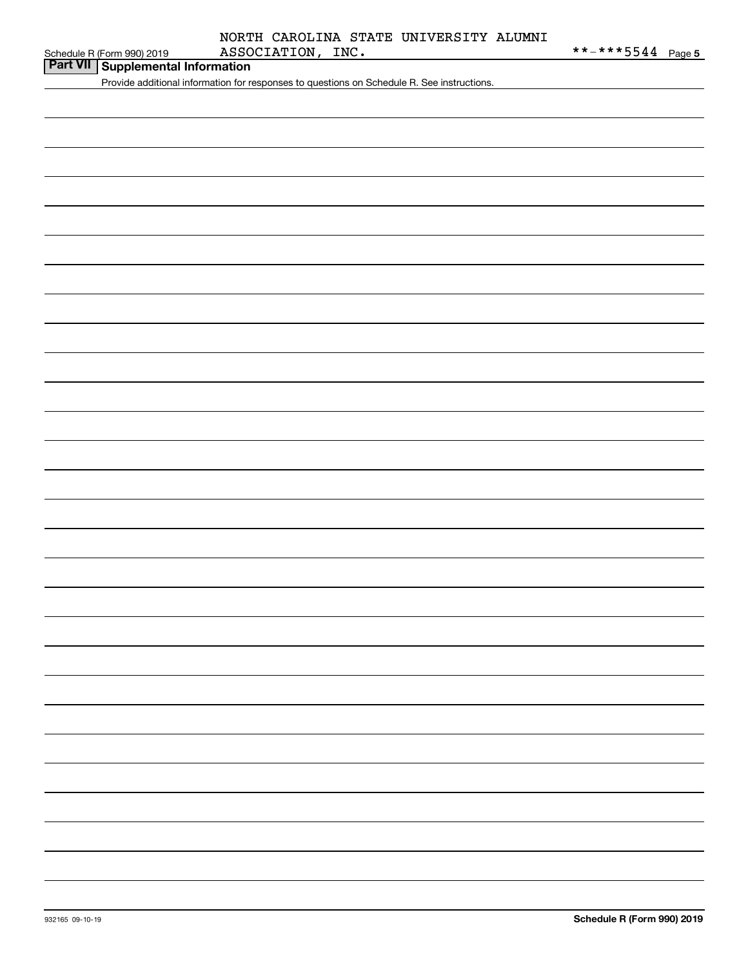| Part VII Supplemental Information |  |
|-----------------------------------|--|
|                                   |  |

Provide additional information for responses to questions on Schedule R. See instructions.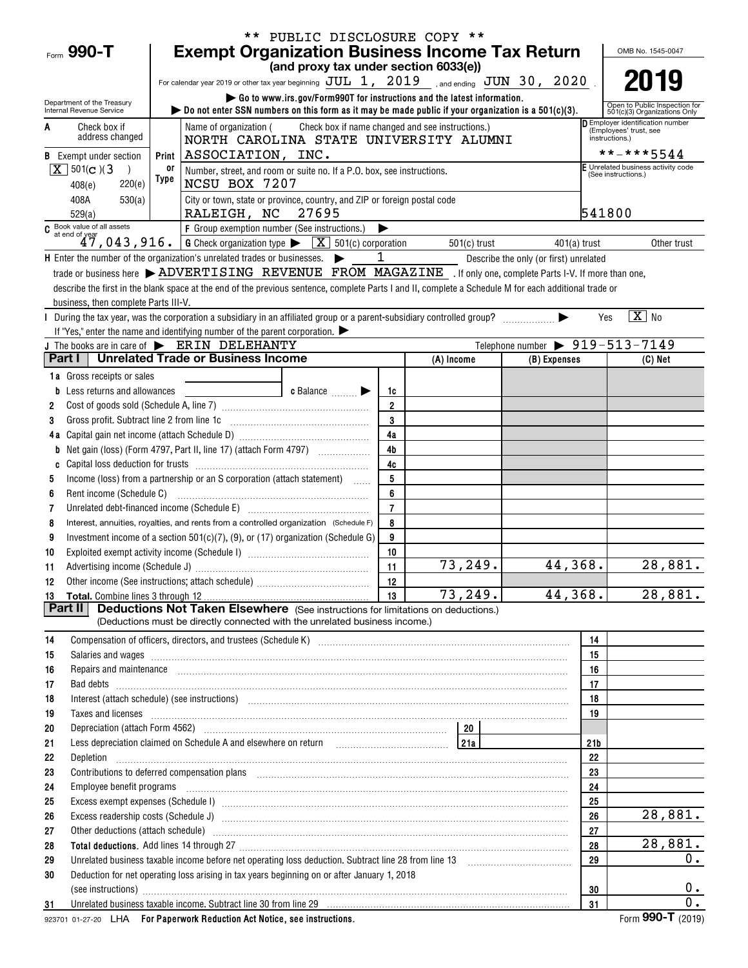|                                                        | ** PUBLIC DISCLOSURE COPY **                                                                                                                                                                                                       |                                 |                                                  |                                                |                                                               |  |  |  |  |  |  |  |
|--------------------------------------------------------|------------------------------------------------------------------------------------------------------------------------------------------------------------------------------------------------------------------------------------|---------------------------------|--------------------------------------------------|------------------------------------------------|---------------------------------------------------------------|--|--|--|--|--|--|--|
| Form 990-T                                             | <b>Exempt Organization Business Income Tax Return</b>                                                                                                                                                                              |                                 |                                                  |                                                | OMB No. 1545-0047                                             |  |  |  |  |  |  |  |
|                                                        |                                                                                                                                                                                                                                    |                                 | (and proxy tax under section 6033(e))            |                                                |                                                               |  |  |  |  |  |  |  |
|                                                        | For calendar year 2019 or other tax year beginning $JUL$ 1, $2019$ , and ending $JUN$ 30, $2020$ .                                                                                                                                 |                                 |                                                  |                                                | 2019                                                          |  |  |  |  |  |  |  |
| Department of the Treasury<br>Internal Revenue Service | Go to www.irs.gov/Form990T for instructions and the latest information.<br>bo not enter SSN numbers on this form as it may be made public if your organization is a $501(c)(3)$ .                                                  |                                 |                                                  |                                                | Open to Public Inspection for<br>501(c)(3) Organizations Only |  |  |  |  |  |  |  |
| Check box if<br>A                                      | Name of organization (                                                                                                                                                                                                             |                                 | Check box if name changed and see instructions.) |                                                | D Employer identification number                              |  |  |  |  |  |  |  |
| address changed                                        | NORTH CAROLINA STATE UNIVERSITY ALUMNI                                                                                                                                                                                             |                                 |                                                  |                                                | (Employees' trust, see<br>instructions.)                      |  |  |  |  |  |  |  |
| <b>B</b> Exempt under section                          | Print                                                                                                                                                                                                                              | **-***5544<br>ASSOCIATION, INC. |                                                  |                                                |                                                               |  |  |  |  |  |  |  |
| $ \mathbf{X} $ 501( <b>c</b> )(3)                      | F Unrelated business activity code<br>0ľ<br>Number, street, and room or suite no. If a P.O. box, see instructions.<br>(See instructions.)                                                                                          |                                 |                                                  |                                                |                                                               |  |  |  |  |  |  |  |
| 220(e)<br>408(e)                                       | Type<br>NCSU BOX 7207                                                                                                                                                                                                              |                                 |                                                  |                                                |                                                               |  |  |  |  |  |  |  |
| 408A<br>530(a)                                         | City or town, state or province, country, and ZIP or foreign postal code                                                                                                                                                           |                                 |                                                  |                                                |                                                               |  |  |  |  |  |  |  |
| 529(a)                                                 | RALEIGH, NC<br>27695                                                                                                                                                                                                               |                                 |                                                  |                                                | 541800                                                        |  |  |  |  |  |  |  |
|                                                        | C Book value of all assets<br>$47,043,916$ .<br>$6$ Check organization type $\sqrt{\frac{X}{X}}$ 501(c) corporation                                                                                                                |                                 |                                                  |                                                |                                                               |  |  |  |  |  |  |  |
|                                                        |                                                                                                                                                                                                                                    | $\overline{1}$                  | $501(c)$ trust                                   | $401(a)$ trust                                 | Other trust                                                   |  |  |  |  |  |  |  |
|                                                        | $\mathsf H$ Enter the number of the organization's unrelated trades or businesses. $\blacktriangleright$<br>trade or business here > ADVERTISING REVENUE FROM MAGAZINE . If only one, complete Parts I-V. If more than one,        |                                 | Describe the only (or first) unrelated           |                                                |                                                               |  |  |  |  |  |  |  |
|                                                        | describe the first in the blank space at the end of the previous sentence, complete Parts I and II, complete a Schedule M for each additional trade or                                                                             |                                 |                                                  |                                                |                                                               |  |  |  |  |  |  |  |
| business, then complete Parts III-V.                   |                                                                                                                                                                                                                                    |                                 |                                                  |                                                |                                                               |  |  |  |  |  |  |  |
|                                                        | During the tax year, was the corporation a subsidiary in an affiliated group or a parent-subsidiary controlled group?                                                                                                              |                                 |                                                  |                                                | $\boxed{\text{X}}$ No<br>Yes                                  |  |  |  |  |  |  |  |
|                                                        | If "Yes," enter the name and identifying number of the parent corporation.                                                                                                                                                         |                                 |                                                  |                                                |                                                               |  |  |  |  |  |  |  |
|                                                        | J The books are in care of > ERIN DELEHANTY                                                                                                                                                                                        |                                 |                                                  | Telephone number $\triangleright$ 919-513-7149 |                                                               |  |  |  |  |  |  |  |
|                                                        | <b>Part I</b> Unrelated Trade or Business Income                                                                                                                                                                                   |                                 | (A) Income                                       | (B) Expenses                                   | $(C)$ Net                                                     |  |  |  |  |  |  |  |
| <b>1a</b> Gross receipts or sales                      |                                                                                                                                                                                                                                    |                                 |                                                  |                                                |                                                               |  |  |  |  |  |  |  |
| Less returns and allowances<br>b                       | $\bullet$ Balance $\qquad \qquad \bullet$                                                                                                                                                                                          | 1c                              |                                                  |                                                |                                                               |  |  |  |  |  |  |  |
| 2                                                      |                                                                                                                                                                                                                                    | $\overline{2}$<br>$\mathbf{3}$  |                                                  |                                                |                                                               |  |  |  |  |  |  |  |
| 3                                                      | Gross profit. Subtract line 2 from line 1c [11] [11] [12] [12] [13] [14] [15] [15] [15] [15] [15] [15] [15] [1                                                                                                                     | 4a                              |                                                  |                                                |                                                               |  |  |  |  |  |  |  |
| b                                                      |                                                                                                                                                                                                                                    | 4 <sub>b</sub>                  |                                                  |                                                |                                                               |  |  |  |  |  |  |  |
| C                                                      |                                                                                                                                                                                                                                    | 4c                              |                                                  |                                                |                                                               |  |  |  |  |  |  |  |
| 5                                                      | Income (loss) from a partnership or an S corporation (attach statement)                                                                                                                                                            | 5                               |                                                  |                                                |                                                               |  |  |  |  |  |  |  |
| 6                                                      |                                                                                                                                                                                                                                    | 6                               |                                                  |                                                |                                                               |  |  |  |  |  |  |  |
| 7                                                      | Unrelated debt-financed income (Schedule E) [11] [2010] [2010] [2010] [2010] [2010] [2010] [2010] [2010] [2010                                                                                                                     | $\overline{7}$                  |                                                  |                                                |                                                               |  |  |  |  |  |  |  |
| 8                                                      | Interest, annuities, royalties, and rents from a controlled organization (Schedule F)                                                                                                                                              | 8                               |                                                  |                                                |                                                               |  |  |  |  |  |  |  |
| 9                                                      | Investment income of a section 501(c)(7), (9), or (17) organization (Schedule G)                                                                                                                                                   | 9                               |                                                  |                                                |                                                               |  |  |  |  |  |  |  |
| 10                                                     |                                                                                                                                                                                                                                    | 10                              |                                                  |                                                |                                                               |  |  |  |  |  |  |  |
| 11                                                     |                                                                                                                                                                                                                                    | 11                              | 73, 249.                                         | 44,368.                                        | 28,881.                                                       |  |  |  |  |  |  |  |
| 12<br>13                                               |                                                                                                                                                                                                                                    | 12 <sup>°</sup><br>13           | 73, 249.                                         | 44,368.                                        | 28,881.                                                       |  |  |  |  |  |  |  |
| Part II                                                | <b>Deductions Not Taken Elsewhere</b> (See instructions for limitations on deductions.)                                                                                                                                            |                                 |                                                  |                                                |                                                               |  |  |  |  |  |  |  |
|                                                        | (Deductions must be directly connected with the unrelated business income.)                                                                                                                                                        |                                 |                                                  |                                                |                                                               |  |  |  |  |  |  |  |
| 14                                                     | Compensation of officers, directors, and trustees (Schedule K) [11] [2010] Compensation of officers, directors, and trustees (Schedule K) [11] [2010] [2010] [2010] [2010] [2010] [2010] [2010] [2010] [2010] [2010] [2010] [2     |                                 |                                                  |                                                | 14                                                            |  |  |  |  |  |  |  |
| 15                                                     | Salaries and wages <i>[11] marror marror marror marror marror marror marror marror marror marror marror</i> marror marror marror marror marror marror marror marror marror marror marror marror marror marror marror marror marror |                                 |                                                  | 15                                             |                                                               |  |  |  |  |  |  |  |
| 16                                                     | Repairs and maintenance <i>[1] [1] [1] [1] [1] [1] [1] [1] [1]</i> [1] <b>[1] [1] [1] [1] [1] [1] [1] [1] [1] [1] [1] [1] [1] [1] [1] [1] [1] [1] [1] [1] [1] [1] [1] [1] [1] [1]</b>                                              |                                 |                                                  | 16                                             |                                                               |  |  |  |  |  |  |  |
| 17                                                     |                                                                                                                                                                                                                                    |                                 |                                                  | 17                                             |                                                               |  |  |  |  |  |  |  |
| 18                                                     | Interest (attach schedule) (see instructions) www.communications.communications.communications.communications.                                                                                                                     |                                 |                                                  | 18                                             |                                                               |  |  |  |  |  |  |  |
| 19                                                     | Taxes and licenses <b>Entrarrow Constructs</b> and all censors and licenses <b>and licenses Entrarrow Constructs and licenses</b>                                                                                                  |                                 |                                                  | 19                                             |                                                               |  |  |  |  |  |  |  |
| 20<br>21                                               |                                                                                                                                                                                                                                    |                                 |                                                  | 21 <sub>b</sub>                                |                                                               |  |  |  |  |  |  |  |
| 22                                                     |                                                                                                                                                                                                                                    |                                 |                                                  | 22                                             |                                                               |  |  |  |  |  |  |  |
| 23                                                     | Contributions to deferred compensation plans [11] manufactured manufactured manufactured manufactured manufactured manufactured manufactured manufactured manufactured manufactured manufactured manufactured manufactured man     |                                 |                                                  | 23                                             |                                                               |  |  |  |  |  |  |  |
| 24                                                     |                                                                                                                                                                                                                                    |                                 |                                                  | 24                                             |                                                               |  |  |  |  |  |  |  |
| 25                                                     |                                                                                                                                                                                                                                    |                                 |                                                  | 25                                             |                                                               |  |  |  |  |  |  |  |
| 26                                                     |                                                                                                                                                                                                                                    |                                 |                                                  | 26                                             | 28,881.                                                       |  |  |  |  |  |  |  |
| 27                                                     | Other deductions (attach schedule) www.communications.communications.communications.communications.communications.com                                                                                                              |                                 |                                                  | 27                                             |                                                               |  |  |  |  |  |  |  |
| 28                                                     |                                                                                                                                                                                                                                    |                                 |                                                  | 28                                             | 28,881.                                                       |  |  |  |  |  |  |  |
| 29                                                     | Unrelated business taxable income before net operating loss deduction. Subtract line 28 from line 13                                                                                                                               |                                 |                                                  | 29                                             | $0$ .                                                         |  |  |  |  |  |  |  |
| 30                                                     | Deduction for net operating loss arising in tax years beginning on or after January 1, 2018                                                                                                                                        |                                 |                                                  |                                                | $0$ .                                                         |  |  |  |  |  |  |  |
|                                                        | (see instructions) www.communications.com/interventions.com/interventions.com/interventions.com/interventions.<br>Unrelated business taxable income. Subtract line 30 from line 29 [11] manufacture incommunications and the Uni   |                                 |                                                  | 30<br>31                                       | $\overline{0}$ .                                              |  |  |  |  |  |  |  |
| 31                                                     |                                                                                                                                                                                                                                    |                                 |                                                  |                                                | 000T                                                          |  |  |  |  |  |  |  |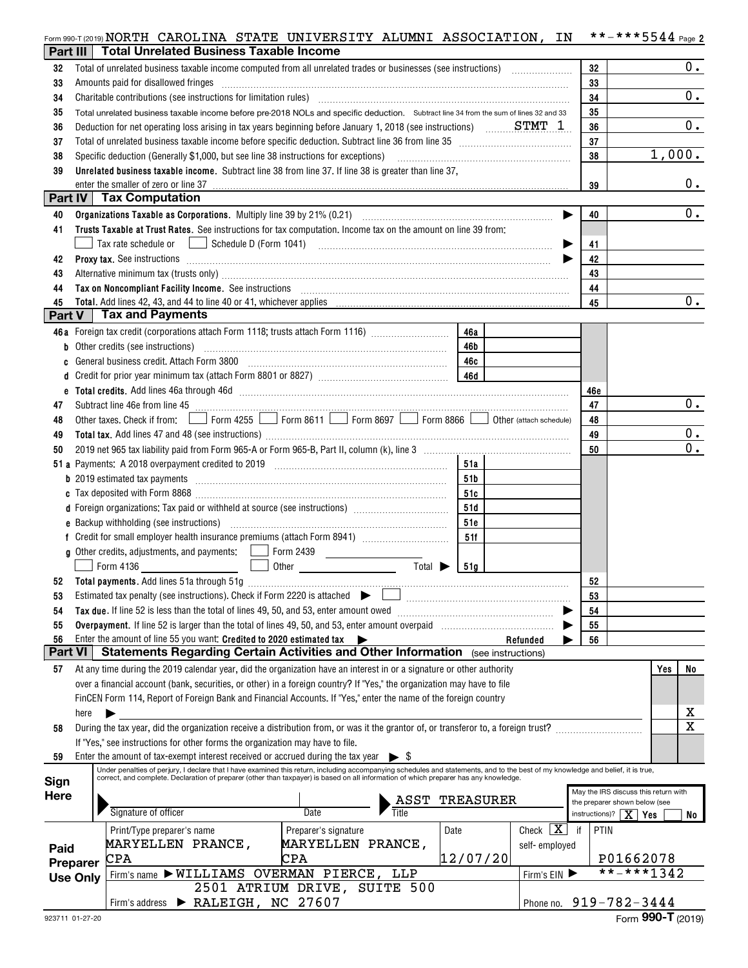|                |                 | Form 990-T (2019) NORTH CAROLINA STATE UNIVERSITY ALUMNI ASSOCIATION,                                                                                                                                                                                               |                              |                        |           |                            | ΙN      | **-***5544 Page 2                       |        |                         |
|----------------|-----------------|---------------------------------------------------------------------------------------------------------------------------------------------------------------------------------------------------------------------------------------------------------------------|------------------------------|------------------------|-----------|----------------------------|---------|-----------------------------------------|--------|-------------------------|
| Part III       |                 | <b>Total Unrelated Business Taxable Income</b>                                                                                                                                                                                                                      |                              |                        |           |                            |         |                                         |        |                         |
| 32             |                 |                                                                                                                                                                                                                                                                     |                              |                        |           |                            | 32      |                                         |        | 0.                      |
| 33             |                 | Amounts paid for disallowed fringes                                                                                                                                                                                                                                 |                              |                        |           |                            | 33      |                                         |        |                         |
| 34             |                 |                                                                                                                                                                                                                                                                     |                              |                        |           |                            | 34      |                                         |        | 0.                      |
| 35             |                 | Total unrelated business taxable income before pre-2018 NOLs and specific deduction. Subtract line 34 from the sum of lines 32 and 33                                                                                                                               | 35                           |                        |           |                            |         |                                         |        |                         |
| 36             |                 | Deduction for net operating loss arising in tax years beginning before January 1, 2018 (see instructions) $\ldots$ STMT 1.                                                                                                                                          | 36                           |                        |           | 0.                         |         |                                         |        |                         |
| 37             |                 | Total of unrelated business taxable income before specific deduction. Subtract line 36 from line 35 [11] [11] Total of unrelated business taxable income before specific deduction. Subtract line 35                                                                | 37                           |                        |           |                            |         |                                         |        |                         |
| 38             |                 | Specific deduction (Generally \$1,000, but see line 38 instructions for exceptions)                                                                                                                                                                                 |                              |                        |           |                            | 38      |                                         | 1,000. |                         |
| 39             |                 | Unrelated business taxable income. Subtract line 38 from line 37. If line 38 is greater than line 37,                                                                                                                                                               |                              |                        |           |                            |         |                                         |        |                         |
|                |                 | enter the smaller of zero or line 37                                                                                                                                                                                                                                |                              |                        |           |                            | 39      |                                         |        | 0.                      |
|                |                 | Part IV   Tax Computation                                                                                                                                                                                                                                           |                              |                        |           |                            |         |                                         |        |                         |
| 40             |                 |                                                                                                                                                                                                                                                                     |                              |                        |           |                            | 40<br>▶ |                                         |        | 0.                      |
| 41             |                 | Trusts Taxable at Trust Rates. See instructions for tax computation. Income tax on the amount on line 39 from:                                                                                                                                                      |                              |                        |           |                            |         |                                         |        |                         |
|                |                 | Tax rate schedule or $\boxed{\phantom{a}}$ Schedule D (Form 1041)                                                                                                                                                                                                   |                              |                        |           |                            | 41<br>▶ |                                         |        |                         |
| 42             |                 |                                                                                                                                                                                                                                                                     |                              |                        |           |                            | 42<br>▶ |                                         |        |                         |
| 43             |                 | Alternative minimum tax (trusts only) manufactured and an according term of the state of the state of the state of the state of the state of the state of the state of the state of the state of the state of the state of the                                      |                              |                        |           |                            | 43      |                                         |        |                         |
| 44             |                 | Tax on Noncompliant Facility Income. See instructions [11] The manufacture in the contract on Noncompliant Facility Income. See instructions [11] The manufacture in the set of the set of the set of the set of the set of th                                      |                              |                        |           |                            | 44      |                                         |        |                         |
| 45             |                 |                                                                                                                                                                                                                                                                     |                              |                        |           |                            | 45      |                                         |        | 0.                      |
| Part V         |                 | <b>Tax and Payments</b>                                                                                                                                                                                                                                             |                              |                        |           |                            |         |                                         |        |                         |
|                |                 | 46a Foreign tax credit (corporations attach Form 1118; trusts attach Form 1116)                                                                                                                                                                                     |                              |                        | 46a       |                            |         |                                         |        |                         |
| b              |                 |                                                                                                                                                                                                                                                                     |                              |                        | 46b       |                            |         |                                         |        |                         |
| c              |                 | General business credit. Attach Form 3800                                                                                                                                                                                                                           |                              |                        | 46c       |                            |         |                                         |        |                         |
| d              |                 |                                                                                                                                                                                                                                                                     |                              |                        | 46d       |                            |         |                                         |        |                         |
|                |                 |                                                                                                                                                                                                                                                                     |                              |                        |           |                            | 46e     |                                         |        |                         |
| 47             |                 | Subtract line 46e from line 45 <b>manually constant and the formula</b> construction of the state of the state of the state of the state of the state of the state of the state of the state of the state of the state of the state                                 |                              |                        |           |                            | 47      |                                         |        | 0.                      |
| 48             |                 | Other taxes. Check if from: $\Box$ Form 4255 $\Box$ Form 8611 $\Box$ Form 8697 $\Box$ Form 8866 $\Box$                                                                                                                                                              |                              |                        |           | Other (attach schedule)    | 48      |                                         |        |                         |
| 49             |                 |                                                                                                                                                                                                                                                                     |                              |                        |           |                            | 49      |                                         |        | 0.                      |
| 50             |                 |                                                                                                                                                                                                                                                                     |                              |                        |           |                            | 50      |                                         |        | 0.                      |
|                |                 |                                                                                                                                                                                                                                                                     |                              |                        | 51a       |                            |         |                                         |        |                         |
|                |                 |                                                                                                                                                                                                                                                                     |                              |                        | 51b       |                            |         |                                         |        |                         |
|                |                 |                                                                                                                                                                                                                                                                     |                              |                        |           |                            |         |                                         |        |                         |
|                |                 | d Foreign organizations: Tax paid or withheld at source (see instructions) [                                                                                                                                                                                        |                              |                        | 51c       |                            |         |                                         |        |                         |
|                |                 | e Backup withholding (see instructions) (1000) (2000) (2000) (2000) (2000) (2000) (2000) (2000) (2000) (2000) (                                                                                                                                                     |                              |                        | 51d       |                            |         |                                         |        |                         |
|                |                 |                                                                                                                                                                                                                                                                     |                              |                        | 51e       |                            |         |                                         |        |                         |
|                |                 |                                                                                                                                                                                                                                                                     |                              |                        | 51f       |                            |         |                                         |        |                         |
|                |                 | <b>g</b> Other credits, adjustments, and payments: $\Box$ Form 2439<br>Form 4136 2001<br>$\Box$                                                                                                                                                                     |                              | $Total \triangleright$ |           |                            |         |                                         |        |                         |
|                |                 |                                                                                                                                                                                                                                                                     |                              |                        | 51g       |                            |         |                                         |        |                         |
|                |                 | Estimated tax penalty (see instructions). Check if Form 2220 is attached $\blacktriangleright$                                                                                                                                                                      |                              |                        |           |                            | 52      |                                         |        |                         |
| 53             |                 |                                                                                                                                                                                                                                                                     |                              |                        |           |                            | 53      |                                         |        |                         |
| 54             |                 | Tax due. If line 52 is less than the total of lines 49, 50, and 53, enter amount owed                                                                                                                                                                               |                              |                        |           |                            | 54      |                                         |        |                         |
| 55<br>56       |                 | Overpayment. If line 52 is larger than the total of lines 49, 50, and 53, enter amount overpaid<br>Enter the amount of line 55 you want: Credited to 2020 estimated tax                                                                                             |                              |                        |           |                            | 55      |                                         |        |                         |
| <b>Part VI</b> |                 | <b>Statements Regarding Certain Activities and Other Information</b> (see instructions)                                                                                                                                                                             | $\rightarrow$                |                        |           | Refunded                   | 56      |                                         |        |                         |
| 57             |                 | At any time during the 2019 calendar year, did the organization have an interest in or a signature or other authority                                                                                                                                               |                              |                        |           |                            |         |                                         |        |                         |
|                |                 | over a financial account (bank, securities, or other) in a foreign country? If "Yes," the organization may have to file                                                                                                                                             |                              |                        |           |                            |         |                                         | Yes    | No                      |
|                |                 |                                                                                                                                                                                                                                                                     |                              |                        |           |                            |         |                                         |        |                         |
|                |                 | FinCEN Form 114, Report of Foreign Bank and Financial Accounts. If "Yes," enter the name of the foreign country                                                                                                                                                     |                              |                        |           |                            |         |                                         |        | х                       |
|                | here            |                                                                                                                                                                                                                                                                     |                              |                        |           |                            |         |                                         |        | $\overline{\mathbf{x}}$ |
| 58             |                 | During the tax year, did the organization receive a distribution from, or was it the grantor of, or transferor to, a foreign trust?                                                                                                                                 |                              |                        |           |                            |         |                                         |        |                         |
|                |                 | If "Yes," see instructions for other forms the organization may have to file.                                                                                                                                                                                       |                              |                        |           |                            |         |                                         |        |                         |
| 59             |                 | Enter the amount of tax-exempt interest received or accrued during the tax year<br>Under penalties of perjury, I declare that I have examined this return, including accompanying schedules and statements, and to the best of my knowledge and belief, it is true, |                              | $\triangleright$ S     |           |                            |         |                                         |        |                         |
| Sign           |                 | correct, and complete. Declaration of preparer (other than taxpayer) is based on all information of which preparer has any knowledge.                                                                                                                               |                              |                        |           |                            |         |                                         |        |                         |
| Here           |                 |                                                                                                                                                                                                                                                                     |                              |                        |           |                            |         | May the IRS discuss this return with    |        |                         |
|                |                 | Signature of officer                                                                                                                                                                                                                                                | Date                         | ASST                   | TREASURER |                            |         | the preparer shown below (see           |        |                         |
|                |                 |                                                                                                                                                                                                                                                                     |                              |                        |           |                            |         | instructions)? $\boxed{\mathbf{X}}$ Yes |        | No                      |
|                |                 | Print/Type preparer's name                                                                                                                                                                                                                                          | Preparer's signature         |                        | Date      | Check $\boxed{\mathbf{X}}$ | if      | PTIN                                    |        |                         |
| Paid           |                 | <b>MARYELLEN PRANCE,</b>                                                                                                                                                                                                                                            | <b>MARYELLEN PRANCE,</b>     |                        |           | self-employed              |         |                                         |        |                         |
|                | Preparer        | CPA                                                                                                                                                                                                                                                                 | CPA                          |                        | 12/07/20  |                            |         | P01662078<br>**-***1342                 |        |                         |
|                | <b>Use Only</b> | Firm's name > WILLIAMS OVERMAN PIERCE, LLP                                                                                                                                                                                                                          | 2501 ATRIUM DRIVE, SUITE 500 |                        |           | Firm's EIN                 |         |                                         |        |                         |
|                |                 | Firm's address > RALEIGH, NC 27607                                                                                                                                                                                                                                  |                              |                        |           |                            |         | Phone no. 919-782-3444                  |        |                         |
|                |                 |                                                                                                                                                                                                                                                                     |                              |                        |           |                            |         |                                         |        |                         |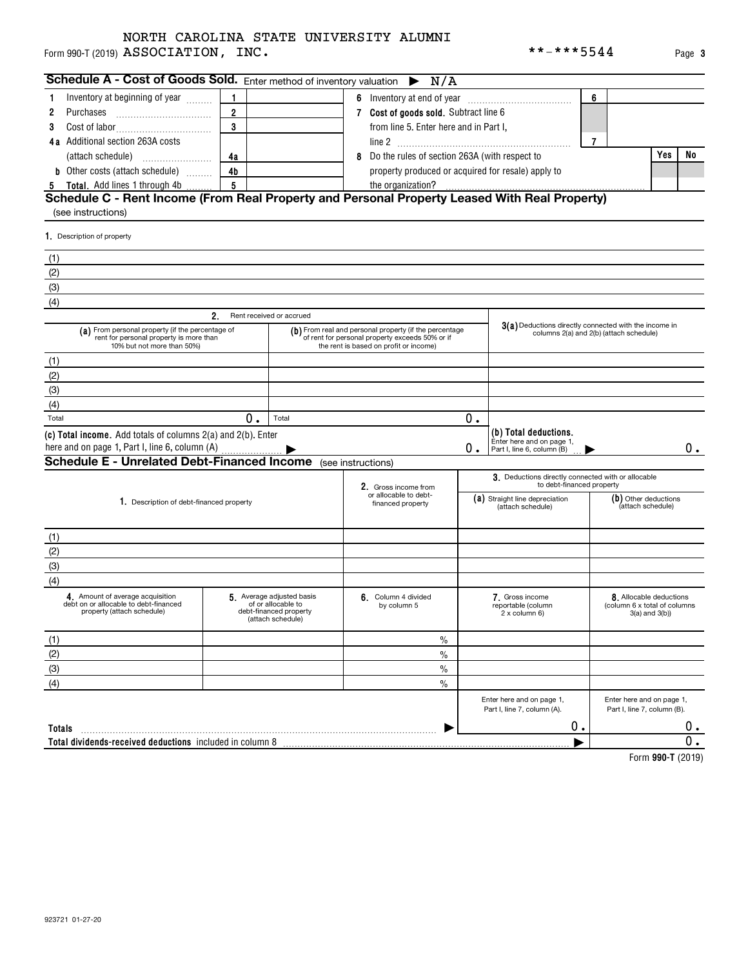#### Form 990-T (2019)  ${\bf ASSOCIATION}$  ,  ${\bf INC.}$   ${\bf r}$ NORTH CAROLINA STATE UNIVERSITY ALUMNI

| Schedule A - Cost of Goods Sold. Enter method of inventory valuation $\triangleright N/A$                                 |                |                                                                                                                                                     |   |                                                                                                  |    |                                                                                  |   |                                                                                |                  |
|---------------------------------------------------------------------------------------------------------------------------|----------------|-----------------------------------------------------------------------------------------------------------------------------------------------------|---|--------------------------------------------------------------------------------------------------|----|----------------------------------------------------------------------------------|---|--------------------------------------------------------------------------------|------------------|
| Inventory at beginning of year<br>1                                                                                       |                |                                                                                                                                                     |   |                                                                                                  |    |                                                                                  | 6 |                                                                                |                  |
| Purchases<br>2                                                                                                            | $\overline{2}$ |                                                                                                                                                     |   | 7 Cost of goods sold. Subtract line 6                                                            |    |                                                                                  |   |                                                                                |                  |
| 3                                                                                                                         | 3              |                                                                                                                                                     |   | from line 5. Enter here and in Part I,                                                           |    |                                                                                  |   |                                                                                |                  |
| 4a Additional section 263A costs                                                                                          |                |                                                                                                                                                     |   |                                                                                                  |    |                                                                                  | 7 |                                                                                |                  |
| (attach schedule)                                                                                                         | 4a             |                                                                                                                                                     | 8 | Do the rules of section 263A (with respect to                                                    |    |                                                                                  |   | Yes                                                                            | No               |
| <b>b</b> Other costs (attach schedule)                                                                                    | 4 <sub>b</sub> |                                                                                                                                                     |   | property produced or acquired for resale) apply to                                               |    |                                                                                  |   |                                                                                |                  |
| 5 Total. Add lines 1 through 4b.                                                                                          | 5              |                                                                                                                                                     |   | the organization?                                                                                |    |                                                                                  |   |                                                                                |                  |
| Schedule C - Rent Income (From Real Property and Personal Property Leased With Real Property)                             |                |                                                                                                                                                     |   |                                                                                                  |    |                                                                                  |   |                                                                                |                  |
| (see instructions)                                                                                                        |                |                                                                                                                                                     |   |                                                                                                  |    |                                                                                  |   |                                                                                |                  |
| 1. Description of property                                                                                                |                |                                                                                                                                                     |   |                                                                                                  |    |                                                                                  |   |                                                                                |                  |
| (1)                                                                                                                       |                |                                                                                                                                                     |   |                                                                                                  |    |                                                                                  |   |                                                                                |                  |
| (2)                                                                                                                       |                |                                                                                                                                                     |   |                                                                                                  |    |                                                                                  |   |                                                                                |                  |
| (3)                                                                                                                       |                |                                                                                                                                                     |   |                                                                                                  |    |                                                                                  |   |                                                                                |                  |
| (4)                                                                                                                       |                |                                                                                                                                                     |   |                                                                                                  |    |                                                                                  |   |                                                                                |                  |
|                                                                                                                           | $2_{-}$        | Rent received or accrued                                                                                                                            |   |                                                                                                  |    |                                                                                  |   |                                                                                |                  |
| (a) From personal property (if the percentage of<br>rent for personal property is more than<br>10% but not more than 50%) |                | (b) From real and personal property (if the percentage<br>of rent for personal property exceeds 50% or if<br>the rent is based on profit or income) |   | 3(a) Deductions directly connected with the income in<br>columns 2(a) and 2(b) (attach schedule) |    |                                                                                  |   |                                                                                |                  |
| (1)                                                                                                                       |                |                                                                                                                                                     |   |                                                                                                  |    |                                                                                  |   |                                                                                |                  |
| (2)                                                                                                                       |                |                                                                                                                                                     |   |                                                                                                  |    |                                                                                  |   |                                                                                |                  |
| (3)                                                                                                                       |                |                                                                                                                                                     |   |                                                                                                  |    |                                                                                  |   |                                                                                |                  |
| (4)                                                                                                                       |                |                                                                                                                                                     |   |                                                                                                  |    |                                                                                  |   |                                                                                |                  |
| Total                                                                                                                     | 0.             | Total                                                                                                                                               |   |                                                                                                  | 0. |                                                                                  |   |                                                                                |                  |
| (c) Total income. Add totals of columns 2(a) and 2(b). Enter<br>here and on page 1, Part I, line 6, column (A)            |                |                                                                                                                                                     |   |                                                                                                  | 0. | (b) Total deductions.<br>Enter here and on page 1,<br>Part I, line 6, column (B) |   |                                                                                | 0.               |
| <b>Schedule E - Unrelated Debt-Financed Income</b> (see instructions)                                                     |                |                                                                                                                                                     |   |                                                                                                  |    |                                                                                  |   |                                                                                |                  |
|                                                                                                                           |                |                                                                                                                                                     |   | 2. Gross income from                                                                             |    | 3. Deductions directly connected with or allocable<br>to debt-financed property  |   |                                                                                |                  |
| 1. Description of debt-financed property                                                                                  |                |                                                                                                                                                     |   | or allocable to debt-<br>financed property                                                       |    | (a) Straight line depreciation<br>(attach schedule)                              |   | (b) Other deductions<br>(attach schedule)                                      |                  |
| (1)                                                                                                                       |                |                                                                                                                                                     |   |                                                                                                  |    |                                                                                  |   |                                                                                |                  |
| (2)                                                                                                                       |                |                                                                                                                                                     |   |                                                                                                  |    |                                                                                  |   |                                                                                |                  |
| (3)                                                                                                                       |                |                                                                                                                                                     |   |                                                                                                  |    |                                                                                  |   |                                                                                |                  |
| (4)                                                                                                                       |                |                                                                                                                                                     |   |                                                                                                  |    |                                                                                  |   |                                                                                |                  |
| 4. Amount of average acquisition<br>debt on or allocable to debt-financed<br>property (attach schedule)                   |                | 5 Average adjusted basis<br>of or allocable to<br>debt-financed property<br>(attach schedule)                                                       |   | 6. Column 4 divided<br>by column 5                                                               |    | 7. Gross income<br>reportable (column<br>2 x column 6)                           |   | 8. Allocable deductions<br>(column 6 x total of columns<br>$3(a)$ and $3(b)$ ) |                  |
| (1)                                                                                                                       |                |                                                                                                                                                     |   | $\%$                                                                                             |    |                                                                                  |   |                                                                                |                  |
| (2)                                                                                                                       |                |                                                                                                                                                     |   | $\%$                                                                                             |    |                                                                                  |   |                                                                                |                  |
| (3)                                                                                                                       |                |                                                                                                                                                     |   | $\%$                                                                                             |    |                                                                                  |   |                                                                                |                  |
| (4)                                                                                                                       |                |                                                                                                                                                     |   | $\%$                                                                                             |    |                                                                                  |   |                                                                                |                  |
|                                                                                                                           |                |                                                                                                                                                     |   |                                                                                                  |    | Enter here and on page 1,<br>Part I, line 7, column (A).                         |   | Enter here and on page 1,<br>Part I, line 7, column (B).                       |                  |
| Totals                                                                                                                    |                |                                                                                                                                                     |   |                                                                                                  |    | 0.                                                                               |   |                                                                                | 0.               |
| Total dividends-received deductions included in column 8                                                                  |                |                                                                                                                                                     |   |                                                                                                  |    |                                                                                  |   |                                                                                | $\overline{0}$ . |
|                                                                                                                           |                |                                                                                                                                                     |   |                                                                                                  |    |                                                                                  |   | $Form$ 000 T $(9010)$                                                          |                  |

**990-T**  Form (2019)

**3**

| m 990-T (2019) $\texttt{ASSOCIATION}$ , INC. |  |
|----------------------------------------------|--|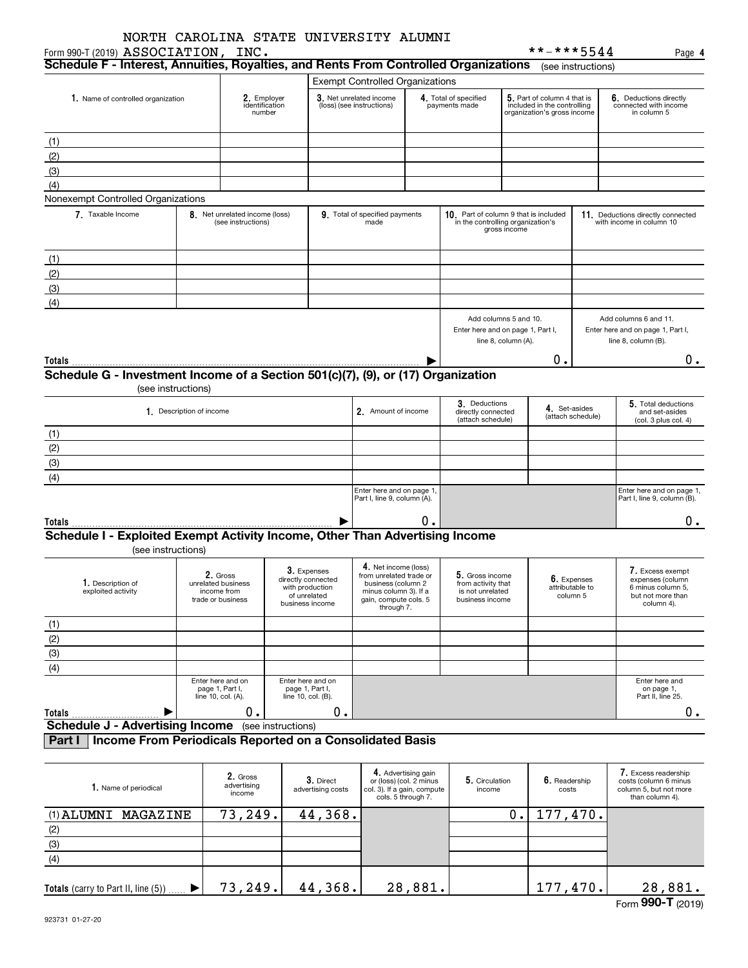| Form 990-T (2019) ASSOCIATION, INC.                                                    |                          | NORTH CAROLINA STATE UNIVERSITY ALUMNI               |                 |                                                      |                                                                                                |                                                                      |                                                                            |                                    | **-***5544                                                                                |                    | Page 4                                                                                     |
|----------------------------------------------------------------------------------------|--------------------------|------------------------------------------------------|-----------------|------------------------------------------------------|------------------------------------------------------------------------------------------------|----------------------------------------------------------------------|----------------------------------------------------------------------------|------------------------------------|-------------------------------------------------------------------------------------------|--------------------|--------------------------------------------------------------------------------------------|
| Schedule F - Interest, Annuities, Royalties, and Rents From Controlled Organizations   |                          |                                                      |                 |                                                      |                                                                                                |                                                                      |                                                                            |                                    |                                                                                           | (see instructions) |                                                                                            |
|                                                                                        |                          |                                                      |                 |                                                      | <b>Exempt Controlled Organizations</b>                                                         |                                                                      |                                                                            |                                    |                                                                                           |                    |                                                                                            |
| 1. Name of controlled organization                                                     |                          | 2. Employer<br>identification<br>number              |                 |                                                      | 3. Net unrelated income<br>(loss) (see instructions)                                           |                                                                      | 4. Total of specified<br>payments made                                     |                                    | 5. Part of column 4 that is<br>included in the controlling<br>organization's gross income |                    | 6. Deductions directly<br>connected with income<br>in column 5                             |
| (1)                                                                                    |                          |                                                      |                 |                                                      |                                                                                                |                                                                      |                                                                            |                                    |                                                                                           |                    |                                                                                            |
| (2)                                                                                    |                          |                                                      |                 |                                                      |                                                                                                |                                                                      |                                                                            |                                    |                                                                                           |                    |                                                                                            |
| (3)                                                                                    |                          |                                                      |                 |                                                      |                                                                                                |                                                                      |                                                                            |                                    |                                                                                           |                    |                                                                                            |
| (4)                                                                                    |                          |                                                      |                 |                                                      |                                                                                                |                                                                      |                                                                            |                                    |                                                                                           |                    |                                                                                            |
| Nonexempt Controlled Organizations                                                     |                          |                                                      |                 |                                                      |                                                                                                |                                                                      |                                                                            |                                    |                                                                                           |                    |                                                                                            |
| 7. Taxable Income                                                                      |                          | 8. Net unrelated income (loss)<br>(see instructions) |                 |                                                      | 9. Total of specified payments<br>made                                                         |                                                                      | 10. Part of column 9 that is included<br>in the controlling organization's | gross income                       |                                                                                           |                    | 11. Deductions directly connected<br>with income in column 10                              |
| (1)                                                                                    |                          |                                                      |                 |                                                      |                                                                                                |                                                                      |                                                                            |                                    |                                                                                           |                    |                                                                                            |
| (2)                                                                                    |                          |                                                      |                 |                                                      |                                                                                                |                                                                      |                                                                            |                                    |                                                                                           |                    |                                                                                            |
| (3)                                                                                    |                          |                                                      |                 |                                                      |                                                                                                |                                                                      |                                                                            |                                    |                                                                                           |                    |                                                                                            |
| (4)                                                                                    |                          |                                                      |                 |                                                      |                                                                                                |                                                                      |                                                                            |                                    |                                                                                           |                    |                                                                                            |
|                                                                                        |                          |                                                      |                 |                                                      |                                                                                                |                                                                      | Add columns 5 and 10.<br>Enter here and on page 1, Part I,                 | line 8, column (A).                |                                                                                           |                    | Add columns 6 and 11.<br>Enter here and on page 1, Part I,<br>line 8, column (B).          |
| Totals                                                                                 |                          |                                                      |                 |                                                      |                                                                                                |                                                                      | Ο.                                                                         |                                    |                                                                                           |                    | 0.                                                                                         |
| Schedule G - Investment Income of a Section 501(c)(7), (9), or (17) Organization       |                          |                                                      |                 |                                                      |                                                                                                |                                                                      |                                                                            |                                    |                                                                                           |                    |                                                                                            |
|                                                                                        | (see instructions)       |                                                      |                 |                                                      |                                                                                                |                                                                      |                                                                            |                                    |                                                                                           |                    |                                                                                            |
|                                                                                        | 1. Description of income |                                                      |                 |                                                      | 2. Amount of income                                                                            |                                                                      | 3. Deductions<br>directly connected<br>(attach schedule)                   | 4. Set-asides<br>(attach schedule) |                                                                                           |                    | 5. Total deductions<br>and set-asides<br>(col. 3 plus col. 4)                              |
| (1)                                                                                    |                          |                                                      |                 |                                                      |                                                                                                |                                                                      |                                                                            |                                    |                                                                                           |                    |                                                                                            |
|                                                                                        |                          |                                                      |                 |                                                      |                                                                                                |                                                                      |                                                                            |                                    |                                                                                           |                    |                                                                                            |
| $\frac{(2)}{(3)}$                                                                      |                          |                                                      |                 |                                                      |                                                                                                |                                                                      |                                                                            |                                    |                                                                                           |                    |                                                                                            |
| $\overline{(4)}$                                                                       |                          |                                                      |                 |                                                      |                                                                                                |                                                                      |                                                                            |                                    |                                                                                           |                    |                                                                                            |
|                                                                                        |                          |                                                      |                 |                                                      | Enter here and on page 1,<br>Part I, line 9, column (A).                                       |                                                                      |                                                                            |                                    |                                                                                           |                    | Enter here and on page 1,<br>Part I, line 9, column (B).                                   |
|                                                                                        |                          |                                                      |                 |                                                      |                                                                                                | О.                                                                   |                                                                            |                                    |                                                                                           |                    |                                                                                            |
| Totals<br>Schedule I - Exploited Exempt Activity Income, Other Than Advertising Income |                          |                                                      |                 |                                                      |                                                                                                |                                                                      |                                                                            |                                    |                                                                                           |                    | 0.                                                                                         |
| (see instructions)                                                                     |                          |                                                      |                 |                                                      |                                                                                                |                                                                      |                                                                            |                                    |                                                                                           |                    |                                                                                            |
| 1. Description of<br>exploited activity                                                |                          | 2. Gross<br>unrelated business<br>income from        |                 | 3. Expenses<br>airectiy connected<br>with production | 4. Net income (loss)<br>from unrelated trade or<br>business (column 2<br>minus column 3). If a |                                                                      | 5. Gross income<br>from activity that<br>is not unrelated                  |                                    | 6. Expenses<br>attributable to                                                            |                    | 7. Excess exempt<br>expenses (column<br>6 minus column 5,                                  |
|                                                                                        |                          | trade or business                                    |                 | of unrelated<br>business income                      | gain, compute cols. 5<br>through 7.                                                            |                                                                      | business income                                                            |                                    |                                                                                           | column 5           | but not more than<br>column 4).                                                            |
|                                                                                        |                          |                                                      |                 |                                                      |                                                                                                |                                                                      |                                                                            |                                    |                                                                                           |                    |                                                                                            |
| $\frac{(1)}{(2)}$<br>$\frac{(3)}{(4)}$                                                 |                          |                                                      |                 |                                                      |                                                                                                |                                                                      |                                                                            |                                    |                                                                                           |                    |                                                                                            |
|                                                                                        |                          |                                                      |                 |                                                      |                                                                                                |                                                                      |                                                                            |                                    |                                                                                           |                    |                                                                                            |
|                                                                                        |                          |                                                      |                 |                                                      |                                                                                                |                                                                      |                                                                            |                                    |                                                                                           |                    |                                                                                            |
|                                                                                        |                          | Enter here and on                                    |                 | Enter here and on                                    |                                                                                                |                                                                      |                                                                            |                                    |                                                                                           |                    | Enter here and                                                                             |
|                                                                                        |                          | page 1, Part I,<br>line 10, col. (A).                |                 | page 1, Part I,<br>line 10, col. (B).                |                                                                                                |                                                                      |                                                                            |                                    |                                                                                           |                    | on page 1,<br>Part II, line 25.                                                            |
| Totals                                                                                 |                          | 0.                                                   |                 | 0.                                                   |                                                                                                |                                                                      |                                                                            |                                    |                                                                                           |                    | $0$ .                                                                                      |
| <b>Schedule J - Advertising Income</b> (see instructions)                              |                          |                                                      |                 |                                                      |                                                                                                |                                                                      |                                                                            |                                    |                                                                                           |                    |                                                                                            |
| Income From Periodicals Reported on a Consolidated Basis<br>Part I                     |                          |                                                      |                 |                                                      |                                                                                                |                                                                      |                                                                            |                                    |                                                                                           |                    |                                                                                            |
| 1. Name of periodical                                                                  |                          | 2. Gross<br>advertising<br>income                    |                 | 3. Direct<br>advertising costs                       | col. 3). If a gain, compute                                                                    | 4. Advertising gain<br>or (loss) (col. 2 minus<br>cols. 5 through 7. | 5. Circulation<br>income                                                   |                                    | 6. Readership<br>costs                                                                    |                    | 7. Excess readership<br>costs (column 6 minus<br>column 5, but not more<br>than column 4). |
| $(1)$ ALIMNIT MACAZINE                                                                 |                          | 73 249                                               | $\Delta \Delta$ | 368                                                  |                                                                                                |                                                                      |                                                                            | n.                                 | 177 470                                                                                   |                    |                                                                                            |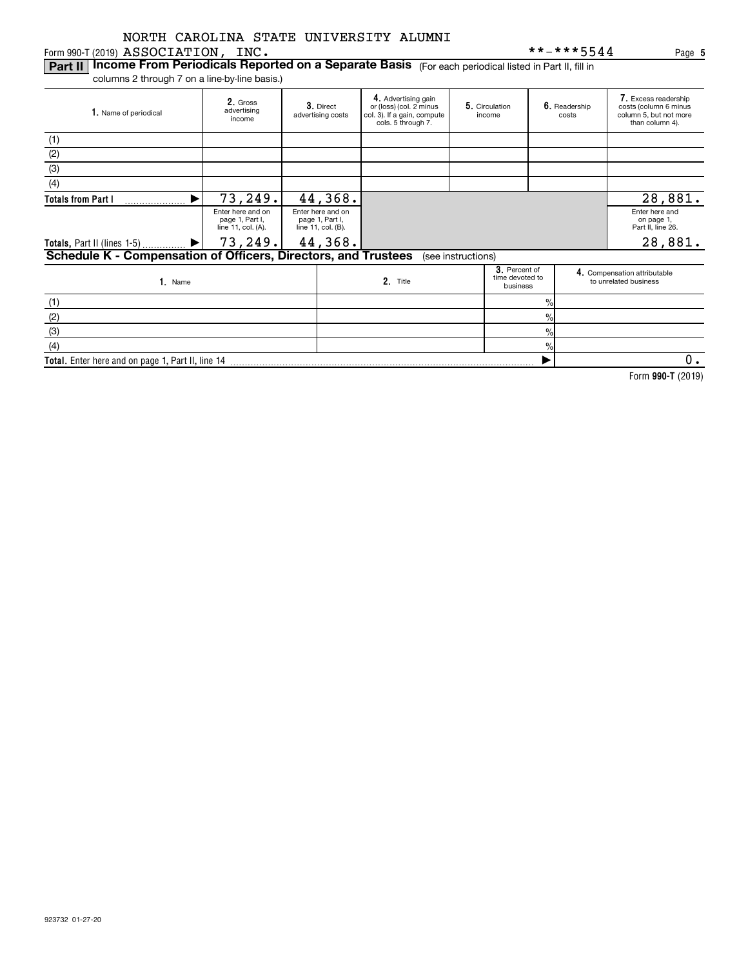#### Form 990-T (2019)  ${\bf ASSOCIATION}$  ,  ${\bf INC.}$

**Part II | Income From Periodicals Reported on a Separate Basis** (For each periodical listed in Part II, fill in

columns 2 through 7 on a line-by-line basis.)

| 1. Name of periodical                                                                | 2. Gross<br>advertising<br>income                          |  | 3. Direct<br>advertising costs                             | 4. Advertising gain<br>5. Circulation<br>or (loss) (col. 2 minus<br>col. 3). If a gain, compute<br>income<br>cols. 5 through 7. |  |                                              | 6. Readership<br>costs | 7. Excess readership<br>costs (column 6 minus<br>column 5, but not more<br>than column 4). |
|--------------------------------------------------------------------------------------|------------------------------------------------------------|--|------------------------------------------------------------|---------------------------------------------------------------------------------------------------------------------------------|--|----------------------------------------------|------------------------|--------------------------------------------------------------------------------------------|
| (1)                                                                                  |                                                            |  |                                                            |                                                                                                                                 |  |                                              |                        |                                                                                            |
| (2)                                                                                  |                                                            |  |                                                            |                                                                                                                                 |  |                                              |                        |                                                                                            |
| (3)                                                                                  |                                                            |  |                                                            |                                                                                                                                 |  |                                              |                        |                                                                                            |
| (4)                                                                                  |                                                            |  |                                                            |                                                                                                                                 |  |                                              |                        |                                                                                            |
| <b>Totals from Part I</b>                                                            | 73,249.                                                    |  | 44,368.                                                    |                                                                                                                                 |  |                                              |                        | 28,881.                                                                                    |
|                                                                                      | Enter here and on<br>page 1, Part I,<br>line 11, col. (A). |  | Enter here and on<br>page 1, Part I,<br>line 11, col. (B). |                                                                                                                                 |  |                                              |                        | Enter here and<br>on page 1,<br>Part II, line 26.                                          |
| Totals, Part II (lines 1-5)                                                          | 73, 249.                                                   |  | 44,368.                                                    |                                                                                                                                 |  |                                              |                        | 28,881.                                                                                    |
| Schedule K - Compensation of Officers, Directors, and Trustees<br>(see instructions) |                                                            |  |                                                            |                                                                                                                                 |  |                                              |                        |                                                                                            |
| 1. Name                                                                              |                                                            |  |                                                            | 2. Title                                                                                                                        |  | 3. Percent of<br>time devoted to<br>business |                        | 4. Compensation attributable<br>to unrelated business                                      |
| (1)                                                                                  |                                                            |  |                                                            |                                                                                                                                 |  |                                              | 0/                     |                                                                                            |

| $\sim$                                            |  |  |
|---------------------------------------------------|--|--|
|                                                   |  |  |
| Total. Enter here and on page 1, Part II, line 14 |  |  |

**990-T**  Form (2019)